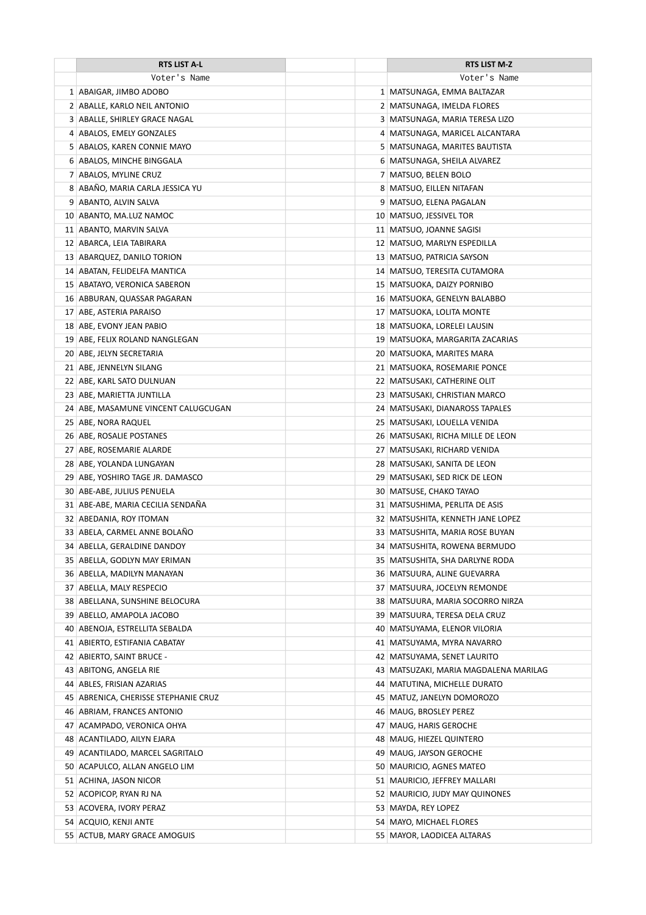| <b>RTS LIST A-L</b>                                           | RTS LIST M-Z                                        |
|---------------------------------------------------------------|-----------------------------------------------------|
| Voter's Name                                                  | Voter's Name                                        |
| 1 ABAIGAR, JIMBO ADOBO                                        | 1   MATSUNAGA, EMMA BALTAZAR                        |
| 2 ABALLE, KARLO NEIL ANTONIO                                  | 2   MATSUNAGA, IMELDA FLORES                        |
| 3 ABALLE, SHIRLEY GRACE NAGAL                                 | 3   MATSUNAGA, MARIA TERESA LIZO                    |
| 4 ABALOS, EMELY GONZALES                                      | 4   MATSUNAGA, MARICEL ALCANTARA                    |
| 5 ABALOS, KAREN CONNIE MAYO                                   | 5   MATSUNAGA, MARITES BAUTISTA                     |
| 6 ABALOS, MINCHE BINGGALA                                     | 6 MATSUNAGA, SHEILA ALVAREZ                         |
| 7 ABALOS, MYLINE CRUZ                                         | 7   MATSUO, BELEN BOLO                              |
| 8 ABAÑO, MARIA CARLA JESSICA YU                               | 8 MATSUO, EILLEN NITAFAN                            |
| 9 ABANTO, ALVIN SALVA                                         | 9   MATSUO, ELENA PAGALAN                           |
| 10 ABANTO, MA.LUZ NAMOC                                       | 10 MATSUO, JESSIVEL TOR                             |
| 11 ABANTO, MARVIN SALVA                                       | 11 MATSUO, JOANNE SAGISI                            |
| 12 ABARCA, LEIA TABIRARA                                      | 12 MATSUO, MARLYN ESPEDILLA                         |
| 13 ABARQUEZ, DANILO TORION                                    | 13 MATSUO, PATRICIA SAYSON                          |
| 14 ABATAN, FELIDELFA MANTICA                                  | 14 MATSUO, TERESITA CUTAMORA                        |
| 15 ABATAYO, VERONICA SABERON                                  | 15 MATSUOKA, DAIZY PORNIBO                          |
| 16 ABBURAN, QUASSAR PAGARAN                                   | 16 MATSUOKA, GENELYN BALABBO                        |
| 17 ABE, ASTERIA PARAISO                                       | 17 MATSUOKA, LOLITA MONTE                           |
| 18   ABE, EVONY JEAN PABIO                                    | 18 MATSUOKA, LORELEI LAUSIN                         |
| 19 ABE, FELIX ROLAND NANGLEGAN                                | 19 MATSUOKA, MARGARITA ZACARIAS                     |
| 20 ABE, JELYN SECRETARIA                                      | 20   MATSUOKA, MARITES MARA                         |
| 21 ABE, JENNELYN SILANG                                       | 21 MATSUOKA, ROSEMARIE PONCE                        |
| 22 ABE, KARL SATO DULNUAN                                     | 22 MATSUSAKI, CATHERINE OLIT                        |
| 23 ABE, MARIETTA JUNTILLA                                     | 23 MATSUSAKI, CHRISTIAN MARCO                       |
| 24 ABE, MASAMUNE VINCENT CALUGCUGAN                           | 24 MATSUSAKI, DIANAROSS TAPALES                     |
| 25 ABE, NORA RAQUEL                                           | 25   MATSUSAKI, LOUELLA VENIDA                      |
| 26 ABE, ROSALIE POSTANES                                      | 26 MATSUSAKI, RICHA MILLE DE LEON                   |
| 27 ABE, ROSEMARIE ALARDE                                      | 27   MATSUSAKI, RICHARD VENIDA                      |
| 28 ABE, YOLANDA LUNGAYAN                                      | 28   MATSUSAKI, SANITA DE LEON                      |
| 29 ABE, YOSHIRO TAGE JR. DAMASCO                              | 29   MATSUSAKI, SED RICK DE LEON                    |
| 30 ABE-ABE, JULIUS PENUELA                                    | 30 MATSUSE, CHAKO TAYAO                             |
| 31 ABE-ABE, MARIA CECILIA SENDAÑA                             | 31   MATSUSHIMA, PERLITA DE ASIS                    |
| 32 ABEDANIA, ROY ITOMAN                                       | 32 MATSUSHITA, KENNETH JANE LOPEZ                   |
| 33 ABELA, CARMEL ANNE BOLAÑO                                  | 33   MATSUSHITA, MARIA ROSE BUYAN                   |
| 34 ABELLA, GERALDINE DANDOY                                   | 34 MATSUSHITA, ROWENA BERMUDO                       |
| 35 ABELLA, GODLYN MAY ERIMAN                                  | 35   MATSUSHITA, SHA DARLYNE RODA                   |
| 36 ABELLA, MADILYN MANAYAN                                    | 36   MATSUURA, ALINE GUEVARRA                       |
| 37 ABELLA, MALY RESPECIO                                      | 37   MATSUURA, JOCELYN REMONDE                      |
| 38 ABELLANA, SUNSHINE BELOCURA                                | 38   MATSUURA, MARIA SOCORRO NIRZA                  |
| 39 ABELLO, AMAPOLA JACOBO                                     | 39   MATSUURA, TERESA DELA CRUZ                     |
| 40 ABENOJA, ESTRELLITA SEBALDA                                | 40   MATSUYAMA, ELENOR VILORIA                      |
| 41 ABIERTO, ESTIFANIA CABATAY                                 | 41   MATSUYAMA, MYRA NAVARRO                        |
| 42 ABIERTO, SAINT BRUCE -                                     | 42 MATSUYAMA, SENET LAURITO                         |
| 43 ABITONG, ANGELA RIE                                        | 43   MATSUZAKI, MARIA MAGDALENA MARILAG             |
| 44 ABLES, FRISIAN AZARIAS                                     | 44   MATUTINA, MICHELLE DURATO                      |
| 45 ABRENICA, CHERISSE STEPHANIE CRUZ                          | 45   MATUZ, JANELYN DOMOROZO                        |
| 46 ABRIAM, FRANCES ANTONIO                                    | 46 MAUG, BROSLEY PEREZ                              |
| 47 ACAMPADO, VERONICA OHYA                                    | 47 MAUG, HARIS GEROCHE                              |
| 48 ACANTILADO, AILYN EJARA<br>49 ACANTILADO, MARCEL SAGRITALO | 48 MAUG, HIEZEL QUINTERO<br>49 MAUG, JAYSON GEROCHE |
| 50 ACAPULCO, ALLAN ANGELO LIM                                 | 50 MAURICIO, AGNES MATEO                            |
| 51 ACHINA, JASON NICOR                                        | 51 MAURICIO, JEFFREY MALLARI                        |
| 52 ACOPICOP, RYAN RJ NA                                       | 52 MAURICIO, JUDY MAY QUINONES                      |
| 53 ACOVERA, IVORY PERAZ                                       | 53 MAYDA, REY LOPEZ                                 |
| 54 ACQUIO, KENJI ANTE                                         | 54 MAYO, MICHAEL FLORES                             |
| 55 ACTUB, MARY GRACE AMOGUIS                                  | 55   MAYOR, LAODICEA ALTARAS                        |
|                                                               |                                                     |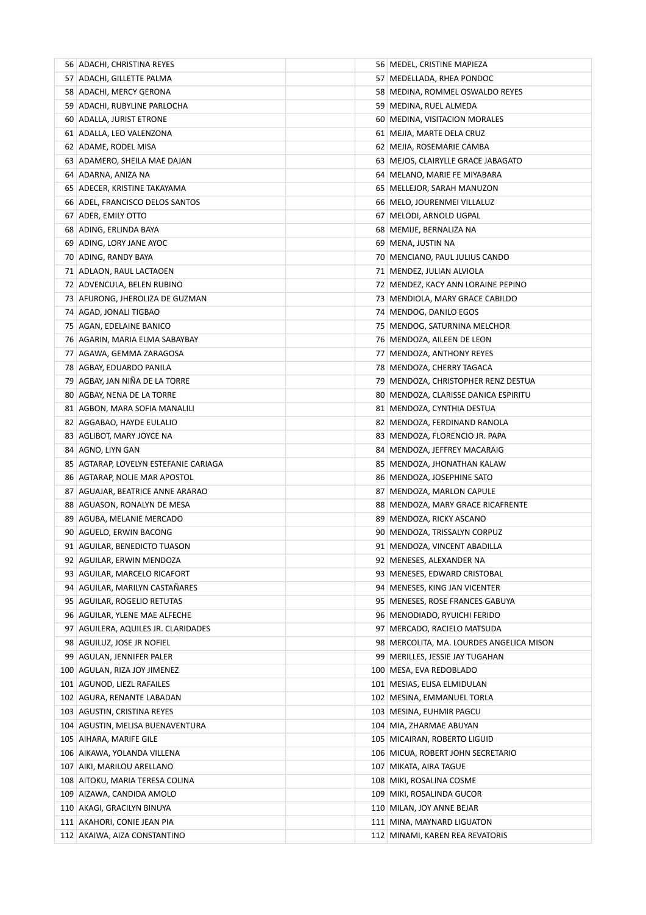| 56 ADACHI, CHRISTINA REYES            | 56   MEDEL, CRISTINE MAPIEZA             |
|---------------------------------------|------------------------------------------|
| 57 ADACHI, GILLETTE PALMA             | 57 MEDELLADA, RHEA PONDOC                |
| 58 ADACHI, MERCY GERONA               | 58 MEDINA, ROMMEL OSWALDO REYES          |
| 59 ADACHI, RUBYLINE PARLOCHA          | 59   MEDINA, RUEL ALMEDA                 |
| 60 ADALLA, JURIST ETRONE              | 60 MEDINA, VISITACION MORALES            |
| 61 ADALLA, LEO VALENZONA              | 61   MEJIA, MARTE DELA CRUZ              |
| 62 ADAME, RODEL MISA                  | 62 MEJIA, ROSEMARIE CAMBA                |
| 63 ADAMERO, SHEILA MAE DAJAN          | 63 MEJOS, CLAIRYLLE GRACE JABAGATO       |
| 64 ADARNA, ANIZA NA                   | 64 MELANO, MARIE FE MIYABARA             |
| 65 ADECER, KRISTINE TAKAYAMA          | 65   MELLEJOR, SARAH MANUZON             |
| 66 ADEL, FRANCISCO DELOS SANTOS       | 66 MELO, JOURENMEI VILLALUZ              |
| 67 ADER, EMILY OTTO                   | 67   MELODI, ARNOLD UGPAL                |
| 68 ADING, ERLINDA BAYA                | 68 MEMIJE, BERNALIZA NA                  |
| 69 ADING, LORY JANE AYOC              | 69   MENA, JUSTIN NA                     |
| 70 ADING, RANDY BAYA                  | 70 MENCIANO, PAUL JULIUS CANDO           |
| 71 ADLAON, RAUL LACTAOEN              | 71 MENDEZ, JULIAN ALVIOLA                |
| 72 ADVENCULA, BELEN RUBINO            | 72 MENDEZ, KACY ANN LORAINE PEPINO       |
| 73 AFURONG, JHEROLIZA DE GUZMAN       | 73 MENDIOLA, MARY GRACE CABILDO          |
| 74 AGAD, JONALI TIGBAO                | 74 MENDOG, DANILO EGOS                   |
| 75 AGAN, EDELAINE BANICO              | 75 MENDOG, SATURNINA MELCHOR             |
| 76   AGARIN, MARIA ELMA SABAYBAY      | 76   MENDOZA, AILEEN DE LEON             |
| 77   AGAWA, GEMMA ZARAGOSA            | 77 MENDOZA, ANTHONY REYES                |
| 78 AGBAY, EDUARDO PANILA              | 78 MENDOZA, CHERRY TAGACA                |
| 79 AGBAY, JAN NIÑA DE LA TORRE        | 79 MENDOZA, CHRISTOPHER RENZ DESTUA      |
| 80 AGBAY, NENA DE LA TORRE            | 80 MENDOZA, CLARISSE DANICA ESPIRITU     |
| 81 AGBON, MARA SOFIA MANALILI         | 81   MENDOZA, CYNTHIA DESTUA             |
| 82 AGGABAO, HAYDE EULALIO             | 82   MENDOZA, FERDINAND RANOLA           |
| 83 AGLIBOT, MARY JOYCE NA             | 83   MENDOZA, FLORENCIO JR. PAPA         |
| 84   AGNO, LIYN GAN                   | 84 MENDOZA, JEFFREY MACARAIG             |
| 85 AGTARAP, LOVELYN ESTEFANIE CARIAGA | 85 MENDOZA, JHONATHAN KALAW              |
| 86 AGTARAP, NOLIE MAR APOSTOL         | 86 MENDOZA, JOSEPHINE SATO               |
| 87 AGUAJAR, BEATRICE ANNE ARARAO      | 87 MENDOZA, MARLON CAPULE                |
| 88 AGUASON, RONALYN DE MESA           | 88 MENDOZA, MARY GRACE RICAFRENTE        |
| 89 AGUBA, MELANIE MERCADO             | 89 MENDOZA, RICKY ASCANO                 |
| 90 AGUELO, ERWIN BACONG               | 90 MENDOZA, TRISSALYN CORPUZ             |
| 91 AGUILAR, BENEDICTO TUASON          | 91 MENDOZA, VINCENT ABADILLA             |
| 92 AGUILAR, ERWIN MENDOZA             | 92 MENESES, ALEXANDER NA                 |
| 93 AGUILAR, MARCELO RICAFORT          | 93 MENESES, EDWARD CRISTOBAL             |
| 94 AGUILAR, MARILYN CASTAÑARES        | 94 MENESES, KING JAN VICENTER            |
| 95 AGUILAR, ROGELIO RETUTAS           | 95 MENESES, ROSE FRANCES GABUYA          |
| 96 AGUILAR, YLENE MAE ALFECHE         | 96 MENODIADO, RYUICHI FERIDO             |
| 97 AGUILERA, AQUILES JR. CLARIDADES   | 97 MERCADO, RACIELO MATSUDA              |
| 98 AGUILUZ, JOSE JR NOFIEL            | 98 MERCOLITA, MA. LOURDES ANGELICA MISON |
| 99 AGULAN, JENNIFER PALER             | 99 MERILLES, JESSIE JAY TUGAHAN          |
| 100 AGULAN, RIZA JOY JIMENEZ          | 100 MESA, EVA REDOBLADO                  |
| 101 AGUNOD, LIEZL RAFAILES            | 101 MESIAS, ELISA ELMIDULAN              |
| 102 AGURA, RENANTE LABADAN            | 102 MESINA, EMMANUEL TORLA               |
| 103 AGUSTIN, CRISTINA REYES           | 103 MESINA, EUHMIR PAGCU                 |
| 104 AGUSTIN, MELISA BUENAVENTURA      | 104 MIA, ZHARMAE ABUYAN                  |
| 105 AIHARA, MARIFE GILE               | 105 MICAIRAN, ROBERTO LIGUID             |
| 106   AIKAWA, YOLANDA VILLENA         | 106 MICUA, ROBERT JOHN SECRETARIO        |
| 107 AIKI, MARILOU ARELLANO            | 107 MIKATA, AIRA TAGUE                   |
| 108 AITOKU, MARIA TERESA COLINA       | 108 MIKI, ROSALINA COSME                 |
| 109 AIZAWA, CANDIDA AMOLO             | 109 MIKI, ROSALINDA GUCOR                |
| 110 AKAGI, GRACILYN BINUYA            | 110 MILAN, JOY ANNE BEJAR                |
| 111 AKAHORI, CONIE JEAN PIA           | 111 MINA, MAYNARD LIGUATON               |
| 112 AKAIWA, AIZA CONSTANTINO          | 112 MINAMI, KAREN REA REVATORIS          |
|                                       |                                          |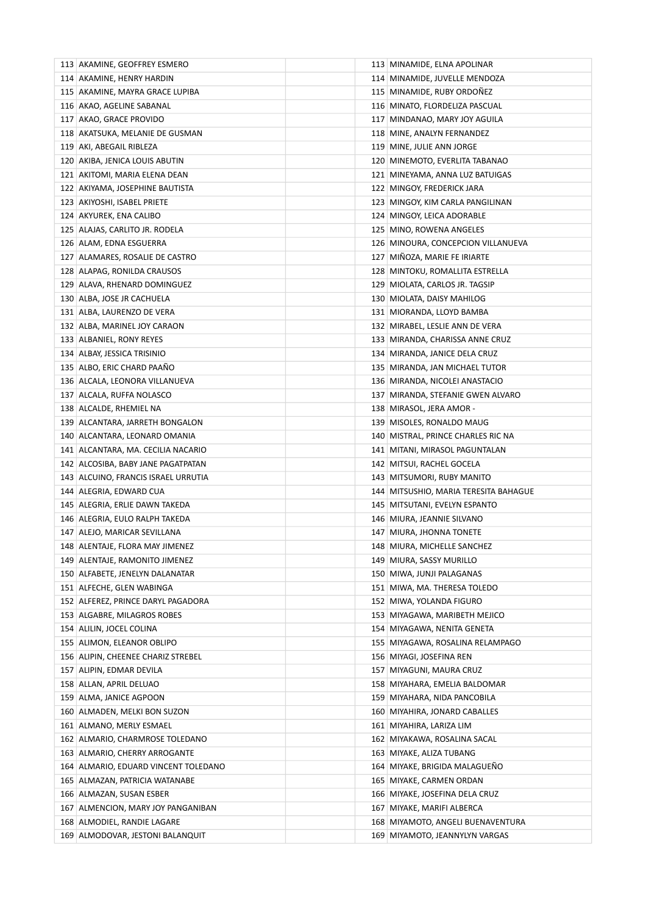| 113 AKAMINE, GEOFFREY ESMERO         | 113 MINAMIDE, ELNA APOLINAR           |
|--------------------------------------|---------------------------------------|
| 114 AKAMINE, HENRY HARDIN            | 114 MINAMIDE, JUVELLE MENDOZA         |
| 115 AKAMINE, MAYRA GRACE LUPIBA      | 115 MINAMIDE, RUBY ORDONEZ            |
| 116 AKAO, AGELINE SABANAL            | 116 MINATO, FLORDELIZA PASCUAL        |
| 117 AKAO, GRACE PROVIDO              | 117 MINDANAO, MARY JOY AGUILA         |
| 118 AKATSUKA, MELANIE DE GUSMAN      | 118 MINE, ANALYN FERNANDEZ            |
| 119 AKI, ABEGAIL RIBLEZA             | 119 MINE, JULIE ANN JORGE             |
| 120 AKIBA, JENICA LOUIS ABUTIN       | 120 MINEMOTO, EVERLITA TABANAO        |
| 121 AKITOMI, MARIA ELENA DEAN        | 121 MINEYAMA, ANNA LUZ BATUIGAS       |
| 122   AKIYAMA, JOSEPHINE BAUTISTA    | 122 MINGOY, FREDERICK JARA            |
| 123 AKIYOSHI, ISABEL PRIETE          | 123 MINGOY, KIM CARLA PANGILINAN      |
| 124 AKYUREK, ENA CALIBO              | 124 MINGOY, LEICA ADORABLE            |
| 125 ALAJAS, CARLITO JR. RODELA       | 125 MINO, ROWENA ANGELES              |
| 126 ALAM, EDNA ESGUERRA              | 126 MINOURA, CONCEPCION VILLANUEVA    |
| 127 ALAMARES, ROSALIE DE CASTRO      | 127 MIÑOZA, MARIE FE IRIARTE          |
| 128 ALAPAG, RONILDA CRAUSOS          | 128 MINTOKU, ROMALLITA ESTRELLA       |
| 129 ALAVA, RHENARD DOMINGUEZ         | 129 MIOLATA, CARLOS JR. TAGSIP        |
| 130 ALBA, JOSE JR CACHUELA           | 130 MIOLATA, DAISY MAHILOG            |
| 131 ALBA, LAURENZO DE VERA           | 131 MIORANDA, LLOYD BAMBA             |
| 132 ALBA, MARINEL JOY CARAON         | 132 MIRABEL, LESLIE ANN DE VERA       |
| 133 ALBANIEL, RONY REYES             | 133 MIRANDA, CHARISSA ANNE CRUZ       |
| 134 ALBAY, JESSICA TRISINIO          | 134 MIRANDA, JANICE DELA CRUZ         |
| 135 ALBO, ERIC CHARD PAAÑO           | 135 MIRANDA, JAN MICHAEL TUTOR        |
| 136 ALCALA, LEONORA VILLANUEVA       | 136 MIRANDA, NICOLEI ANASTACIO        |
| 137 ALCALA, RUFFA NOLASCO            | 137   MIRANDA, STEFANIE GWEN ALVARO   |
| 138 ALCALDE, RHEMIEL NA              | 138   MIRASOL, JERA AMOR -            |
| 139 ALCANTARA, JARRETH BONGALON      | 139 MISOLES, RONALDO MAUG             |
| 140 ALCANTARA, LEONARD OMANIA        | 140 MISTRAL, PRINCE CHARLES RIC NA    |
| 141 ALCANTARA, MA. CECILIA NACARIO   | 141   MITANI, MIRASOL PAGUNTALAN      |
| 142 ALCOSIBA, BABY JANE PAGATPATAN   | 142 MITSUI, RACHEL GOCELA             |
| 143 ALCUINO, FRANCIS ISRAEL URRUTIA  | 143 MITSUMORI, RUBY MANITO            |
| 144 ALEGRIA, EDWARD CUA              | 144 MITSUSHIO, MARIA TERESITA BAHAGUE |
| 145 ALEGRIA, ERLIE DAWN TAKEDA       | 145 MITSUTANI, EVELYN ESPANTO         |
| 146 ALEGRIA, EULO RALPH TAKEDA       | 146 MIURA, JEANNIE SILVANO            |
| 147 ALEJO, MARICAR SEVILLANA         | 147 MIURA, JHONNA TONETE              |
| 148 ALENTAJE, FLORA MAY JIMENEZ      | 148 MIURA, MICHELLE SANCHEZ           |
| 149 ALENTAJE, RAMONITO JIMENEZ       | 149 MIURA, SASSY MURILLO              |
| 150 ALFABETE, JENELYN DALANATAR      | 150 MIWA, JUNJI PALAGANAS             |
| 151 ALFECHE, GLEN WABINGA            | 151 MIWA, MA. THERESA TOLEDO          |
| 152 ALFEREZ, PRINCE DARYL PAGADORA   | 152 MIWA, YOLANDA FIGURO              |
| 153 ALGABRE, MILAGROS ROBES          | 153 MIYAGAWA, MARIBETH MEJICO         |
| 154 ALILIN, JOCEL COLINA             | 154 MIYAGAWA, NENITA GENETA           |
| 155 ALIMON, ELEANOR OBLIPO           | 155   MIYAGAWA, ROSALINA RELAMPAGO    |
| 156 ALIPIN, CHEENEE CHARIZ STREBEL   | 156 MIYAGI, JOSEFINA REN              |
| 157 ALIPIN, EDMAR DEVILA             | 157 MIYAGUNI, MAURA CRUZ              |
| 158 ALLAN, APRIL DELUAO              | 158 MIYAHARA, EMELIA BALDOMAR         |
| 159 ALMA, JANICE AGPOON              | 159 MIYAHARA, NIDA PANCOBILA          |
| 160 ALMADEN, MELKI BON SUZON         | 160 MIYAHIRA, JONARD CABALLES         |
| 161 ALMANO, MERLY ESMAEL             | 161 MIYAHIRA, LARIZA LIM              |
| 162 ALMARIO, CHARMROSE TOLEDANO      | 162 MIYAKAWA, ROSALINA SACAL          |
| 163 ALMARIO, CHERRY ARROGANTE        | 163   MIYAKE, ALIZA TUBANG            |
| 164 ALMARIO, EDUARD VINCENT TOLEDANO | 164 MIYAKE, BRIGIDA MALAGUENO         |
| 165 ALMAZAN, PATRICIA WATANABE       | 165 MIYAKE, CARMEN ORDAN              |
| 166 ALMAZAN, SUSAN ESBER             | 166 MIYAKE, JOSEFINA DELA CRUZ        |
| 167 ALMENCION, MARY JOY PANGANIBAN   | 167 MIYAKE, MARIFI ALBERCA            |
| 168 ALMODIEL, RANDIE LAGARE          | 168 MIYAMOTO, ANGELI BUENAVENTURA     |
| 169 ALMODOVAR, JESTONI BALANQUIT     | 169 MIYAMOTO, JEANNYLYN VARGAS        |
|                                      |                                       |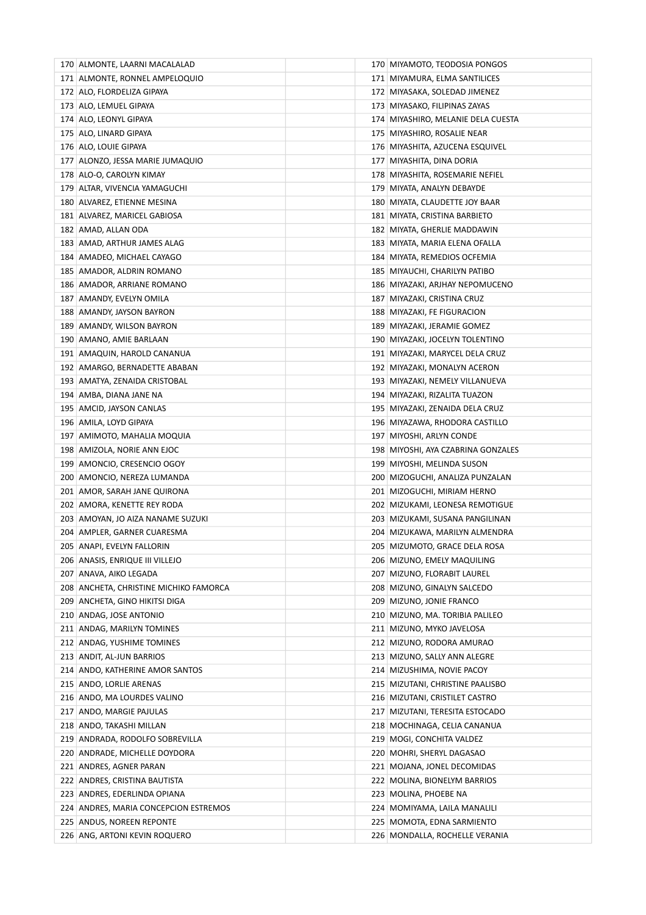| 170 ALMONTE, LAARNI MACALALAD          | 170 MIYAMOTO, TEODOSIA PONGOS      |
|----------------------------------------|------------------------------------|
| 171 ALMONTE, RONNEL AMPELOQUIO         | 171   MIYAMURA, ELMA SANTILICES    |
| 172 ALO, FLORDELIZA GIPAYA             | 172 MIYASAKA, SOLEDAD JIMENEZ      |
| 173 ALO, LEMUEL GIPAYA                 | 173 MIYASAKO, FILIPINAS ZAYAS      |
| 174 ALO, LEONYL GIPAYA                 | 174 MIYASHIRO, MELANIE DELA CUESTA |
| 175 ALO, LINARD GIPAYA                 | 175 MIYASHIRO, ROSALIE NEAR        |
| 176 ALO, LOUIE GIPAYA                  | 176 MIYASHITA, AZUCENA ESQUIVEL    |
| 177 ALONZO, JESSA MARIE JUMAQUIO       | 177   MIYASHITA, DINA DORIA        |
| 178 ALO-O, CAROLYN KIMAY               | 178 MIYASHITA, ROSEMARIE NEFIEL    |
| 179 ALTAR, VIVENCIA YAMAGUCHI          | 179   MIYATA, ANALYN DEBAYDE       |
| 180 ALVAREZ, ETIENNE MESINA            | 180 MIYATA, CLAUDETTE JOY BAAR     |
| 181 ALVAREZ, MARICEL GABIOSA           | 181 MIYATA, CRISTINA BARBIETO      |
| 182 AMAD, ALLAN ODA                    | 182 MIYATA, GHERLIE MADDAWIN       |
| 183 AMAD, ARTHUR JAMES ALAG            | 183   MIYATA, MARIA ELENA OFALLA   |
| 184 AMADEO, MICHAEL CAYAGO             | 184 MIYATA, REMEDIOS OCFEMIA       |
| 185 AMADOR, ALDRIN ROMANO              | 185 MIYAUCHI, CHARILYN PATIBO      |
| 186 AMADOR, ARRIANE ROMANO             | 186 MIYAZAKI, ARJHAY NEPOMUCENO    |
| 187 AMANDY, EVELYN OMILA               | 187 MIYAZAKI, CRISTINA CRUZ        |
| 188 AMANDY, JAYSON BAYRON              | 188 MIYAZAKI, FE FIGURACION        |
| 189 AMANDY, WILSON BAYRON              | 189 MIYAZAKI, JERAMIE GOMEZ        |
| 190 AMANO, AMIE BARLAAN                | 190 MIYAZAKI, JOCELYN TOLENTINO    |
| 191   AMAQUIN, HAROLD CANANUA          | 191   MIYAZAKI, MARYCEL DELA CRUZ  |
| 192 AMARGO, BERNADETTE ABABAN          | 192 MIYAZAKI, MONALYN ACERON       |
| 193 AMATYA, ZENAIDA CRISTOBAL          | 193 MIYAZAKI, NEMELY VILLANUEVA    |
| 194   AMBA, DIANA JANE NA              | 194 MIYAZAKI, RIZALITA TUAZON      |
| 195   AMCID, JAYSON CANLAS             | 195 MIYAZAKI, ZENAIDA DELA CRUZ    |
| 196   AMILA, LOYD GIPAYA               | 196 MIYAZAWA, RHODORA CASTILLO     |
| 197   AMIMOTO, MAHALIA MOQUIA          | 197   MIYOSHI, ARLYN CONDE         |
| 198 AMIZOLA, NORIE ANN EJOC            | 198 MIYOSHI, AYA CZABRINA GONZALES |
| 199 AMONCIO, CRESENCIO OGOY            | 199 MIYOSHI, MELINDA SUSON         |
| 200   AMONCIO, NEREZA LUMANDA          | 200   MIZOGUCHI, ANALIZA PUNZALAN  |
| 201 AMOR, SARAH JANE QUIRONA           | 201 MIZOGUCHI, MIRIAM HERNO        |
| 202 AMORA, KENETTE REY RODA            | 202   MIZUKAMI, LEONESA REMOTIGUE  |
| 203   AMOYAN, JO AIZA NANAME SUZUKI    | 203 MIZUKAMI, SUSANA PANGILINAN    |
| 204 AMPLER, GARNER CUARESMA            | 204   MIZUKAWA, MARILYN ALMENDRA   |
| 205 ANAPI, EVELYN FALLORIN             | 205 MIZUMOTO, GRACE DELA ROSA      |
| 206 ANASIS, ENRIQUE III VILLEJO        | 206   MIZUNO, EMELY MAQUILING      |
| 207 ANAVA, AIKO LEGADA                 | 207 MIZUNO, FLORABIT LAUREL        |
| 208 ANCHETA, CHRISTINE MICHIKO FAMORCA | 208 MIZUNO, GINALYN SALCEDO        |
| 209 ANCHETA, GINO HIKITSI DIGA         | 209 MIZUNO, JONIE FRANCO           |
| 210 ANDAG, JOSE ANTONIO                | 210 MIZUNO, MA. TORIBIA PALILEO    |
| 211 ANDAG, MARILYN TOMINES             | 211 MIZUNO, MYKO JAVELOSA          |
| 212 ANDAG, YUSHIME TOMINES             | 212 MIZUNO, RODORA AMURAO          |
| 213 ANDIT, AL-JUN BARRIOS              | 213 MIZUNO, SALLY ANN ALEGRE       |
| 214 ANDO, KATHERINE AMOR SANTOS        | 214 MIZUSHIMA, NOVIE PACOY         |
| 215   ANDO, LORLIE ARENAS              | 215 MIZUTANI, CHRISTINE PAALISBO   |
| 216 ANDO, MA LOURDES VALINO            | 216 MIZUTANI, CRISTILET CASTRO     |
| 217 ANDO, MARGIE PAJULAS               | 217 MIZUTANI, TERESITA ESTOCADO    |
| 218 ANDO, TAKASHI MILLAN               | 218   MOCHINAGA, CELIA CANANUA     |
| 219 ANDRADA, RODOLFO SOBREVILLA        | 219   MOGI, CONCHITA VALDEZ        |
| 220 ANDRADE, MICHELLE DOYDORA          | 220 MOHRI, SHERYL DAGASAO          |
| 221 ANDRES, AGNER PARAN                | 221 MOJANA, JONEL DECOMIDAS        |
| 222 ANDRES, CRISTINA BAUTISTA          | 222 MOLINA, BIONELYM BARRIOS       |
| 223 ANDRES, EDERLINDA OPIANA           | 223 MOLINA, PHOEBE NA              |
| 224 ANDRES, MARIA CONCEPCION ESTREMOS  | 224 MOMIYAMA, LAILA MANALILI       |
| 225 ANDUS, NOREEN REPONTE              | 225 MOMOTA, EDNA SARMIENTO         |
| 226 ANG, ARTONI KEVIN ROQUERO          | 226   MONDALLA, ROCHELLE VERANIA   |
|                                        |                                    |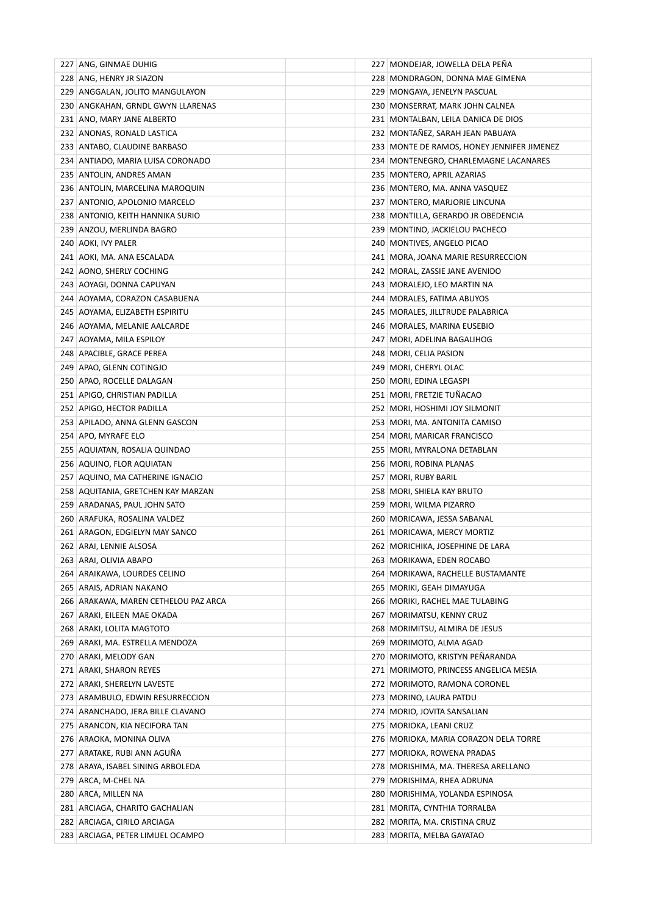| 227 ANG, GINMAE DUHIG                             | 227 MONDEJAR, JOWELLA DELA PENA            |
|---------------------------------------------------|--------------------------------------------|
| 228 ANG, HENRY JR SIAZON                          | 228 MONDRAGON, DONNA MAE GIMENA            |
| 229 ANGGALAN, JOLITO MANGULAYON                   | 229 MONGAYA, JENELYN PASCUAL               |
| 230 ANGKAHAN, GRNDL GWYN LLARENAS                 | 230 MONSERRAT, MARK JOHN CALNEA            |
| 231 ANO, MARY JANE ALBERTO                        | 231 MONTALBAN, LEILA DANICA DE DIOS        |
| 232 ANONAS, RONALD LASTICA                        | 232 MONTANEZ, SARAH JEAN PABUAYA           |
| 233 ANTABO, CLAUDINE BARBASO                      | 233 MONTE DE RAMOS, HONEY JENNIFER JIMENEZ |
| 234 ANTIADO, MARIA LUISA CORONADO                 | 234 MONTENEGRO, CHARLEMAGNE LACANARES      |
| 235 ANTOLIN, ANDRES AMAN                          | 235 MONTERO, APRIL AZARIAS                 |
| 236 ANTOLIN, MARCELINA MAROQUIN                   | 236 MONTERO, MA. ANNA VASQUEZ              |
| 237 ANTONIO, APOLONIO MARCELO                     | 237 MONTERO, MARJORIE LINCUNA              |
| 238 ANTONIO, KEITH HANNIKA SURIO                  | 238   MONTILLA, GERARDO JR OBEDENCIA       |
| 239 ANZOU, MERLINDA BAGRO                         | 239 MONTINO, JACKIELOU PACHECO             |
| 240 AOKI, IVY PALER                               | 240 MONTIVES, ANGELO PICAO                 |
| 241 AOKI, MA. ANA ESCALADA                        | 241 MORA, JOANA MARIE RESURRECCION         |
| 242 AONO, SHERLY COCHING                          | 242 MORAL, ZASSIE JANE AVENIDO             |
| 243 AOYAGI, DONNA CAPUYAN                         | 243 MORALEJO, LEO MARTIN NA                |
| 244 AOYAMA, CORAZON CASABUENA                     | 244 MORALES, FATIMA ABUYOS                 |
| 245 AOYAMA, ELIZABETH ESPIRITU                    | 245 MORALES, JILLTRUDE PALABRICA           |
| 246 AOYAMA, MELANIE AALCARDE                      | 246 MORALES, MARINA EUSEBIO                |
| 247 AOYAMA, MILA ESPILOY                          | 247 MORI, ADELINA BAGALIHOG                |
| 248 APACIBLE, GRACE PEREA                         | 248   MORI, CELIA PASION                   |
| 249 APAO, GLENN COTINGJO                          | 249 MORI, CHERYL OLAC                      |
| 250 APAO, ROCELLE DALAGAN                         | 250 MORI, EDINA LEGASPI                    |
| 251 APIGO, CHRISTIAN PADILLA                      | 251 MORI, FRETZIE TUÑACAO                  |
| 252 APIGO, HECTOR PADILLA                         | 252 MORI, HOSHIMI JOY SILMONIT             |
| 253 APILADO, ANNA GLENN GASCON                    | 253 MORI, MA. ANTONITA CAMISO              |
| 254 APO, MYRAFE ELO                               | 254 MORI, MARICAR FRANCISCO                |
| 255 AQUIATAN, ROSALIA QUINDAO                     | 255 MORI, MYRALONA DETABLAN                |
| 256 AQUINO, FLOR AQUIATAN                         | 256 MORI, ROBINA PLANAS                    |
| 257 AQUINO, MA CATHERINE IGNACIO                  | 257 MORI, RUBY BARIL                       |
| 258 AQUITANIA, GRETCHEN KAY MARZAN                | 258 MORI, SHIELA KAY BRUTO                 |
| 259 ARADANAS, PAUL JOHN SATO                      | 259 MORI, WILMA PIZARRO                    |
| 260 ARAFUKA, ROSALINA VALDEZ                      | 260 MORICAWA, JESSA SABANAL                |
|                                                   |                                            |
| 261 ARAGON, EDGIELYN MAY SANCO                    | 261 MORICAWA, MERCY MORTIZ                 |
| 262 ARAI, LENNIE ALSOSA<br>263 ARAI, OLIVIA ABAPO | 262 MORICHIKA, JOSEPHINE DE LARA           |
|                                                   | 263   MORIKAWA, EDEN ROCABO                |
| 264 ARAIKAWA, LOURDES CELINO                      | 264 MORIKAWA, RACHELLE BUSTAMANTE          |
| 265 ARAIS, ADRIAN NAKANO                          | 265   MORIKI, GEAH DIMAYUGA                |
| 266 ARAKAWA, MAREN CETHELOU PAZ ARCA              | 266 MORIKI, RACHEL MAE TULABING            |
| 267 ARAKI, EILEEN MAE OKADA                       | 267 MORIMATSU, KENNY CRUZ                  |
| 268 ARAKI, LOLITA MAGTOTO                         | 268 MORIMITSU, ALMIRA DE JESUS             |
| 269 ARAKI, MA. ESTRELLA MENDOZA                   | 269 MORIMOTO, ALMA AGAD                    |
| 270 ARAKI, MELODY GAN                             | 270 MORIMOTO, KRISTYN PEÑARANDA            |
| 271 ARAKI, SHARON REYES                           | 271 MORIMOTO, PRINCESS ANGELICA MESIA      |
| 272 ARAKI, SHERELYN LAVESTE                       | 272 MORIMOTO, RAMONA CORONEL               |
| 273 ARAMBULO, EDWIN RESURRECCION                  | 273 MORINO, LAURA PATDU                    |
| 274 ARANCHADO, JERA BILLE CLAVANO                 | 274 MORIO, JOVITA SANSALIAN                |
| 275 ARANCON, KIA NECIFORA TAN                     | 275 MORIOKA, LEANI CRUZ                    |
| 276 ARAOKA, MONINA OLIVA                          | 276 MORIOKA, MARIA CORAZON DELA TORRE      |
| 277 ARATAKE, RUBI ANN AGUÑA                       | 277 MORIOKA, ROWENA PRADAS                 |
| 278 ARAYA, ISABEL SINING ARBOLEDA                 | 278 MORISHIMA, MA. THERESA ARELLANO        |
| 279 ARCA, M-CHEL NA                               | 279 MORISHIMA, RHEA ADRUNA                 |
| 280 ARCA, MILLEN NA                               | 280 MORISHIMA, YOLANDA ESPINOSA            |
| 281 ARCIAGA, CHARITO GACHALIAN                    | 281 MORITA, CYNTHIA TORRALBA               |
| 282 ARCIAGA, CIRILO ARCIAGA                       | 282 MORITA, MA. CRISTINA CRUZ              |
| 283 ARCIAGA, PETER LIMUEL OCAMPO                  | 283 MORITA, MELBA GAYATAO                  |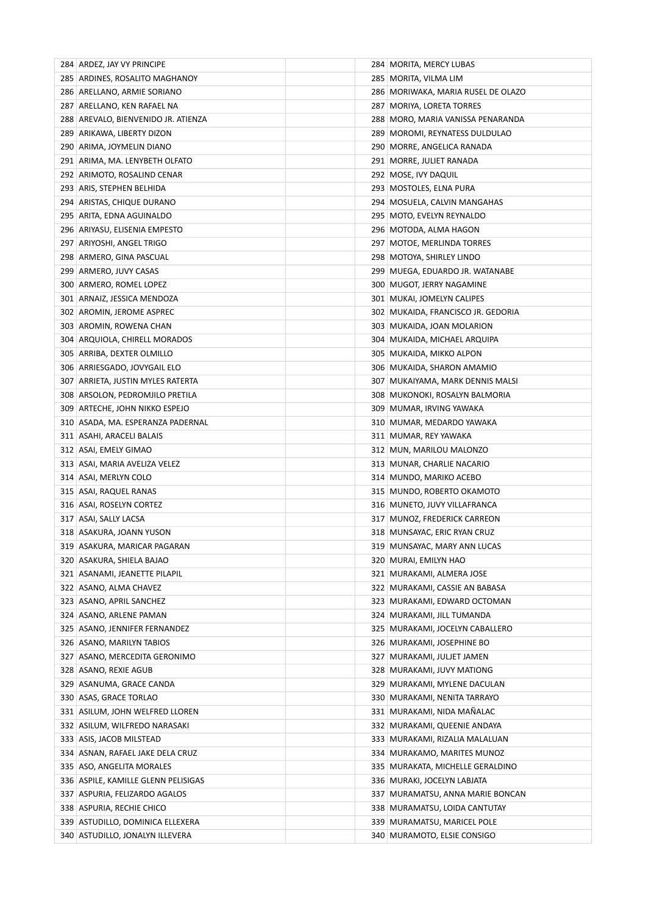| 284 ARDEZ, JAY VY PRINCIPE          | 284 MORITA, MERCY LUBAS              |
|-------------------------------------|--------------------------------------|
| 285 ARDINES, ROSALITO MAGHANOY      | 285   MORITA, VILMA LIM              |
| 286 ARELLANO, ARMIE SORIANO         | 286   MORIWAKA, MARIA RUSEL DE OLAZO |
| 287 ARELLANO, KEN RAFAEL NA         | 287   MORIYA, LORETA TORRES          |
| 288 AREVALO, BIENVENIDO JR. ATIENZA | 288   MORO, MARIA VANISSA PENARANDA  |
| 289 ARIKAWA, LIBERTY DIZON          | 289 MOROMI, REYNATESS DULDULAO       |
| 290 ARIMA, JOYMELIN DIANO           | 290   MORRE, ANGELICA RANADA         |
| 291 ARIMA, MA. LENYBETH OLFATO      | 291 MORRE, JULIET RANADA             |
| 292 ARIMOTO, ROSALIND CENAR         | 292 MOSE, IVY DAQUIL                 |
| 293 ARIS, STEPHEN BELHIDA           | 293 MOSTOLES, ELNA PURA              |
| 294 ARISTAS, CHIQUE DURANO          | 294   MOSUELA, CALVIN MANGAHAS       |
| 295   ARITA, EDNA AGUINALDO         | 295   MOTO, EVELYN REYNALDO          |
| 296 ARIYASU, ELISENIA EMPESTO       | 296   MOTODA, ALMA HAGON             |
| 297 ARIYOSHI, ANGEL TRIGO           | 297 MOTOE, MERLINDA TORRES           |
| 298 ARMERO, GINA PASCUAL            | 298 MOTOYA, SHIRLEY LINDO            |
| 299 ARMERO, JUVY CASAS              | 299   MUEGA, EDUARDO JR. WATANABE    |
| 300 ARMERO, ROMEL LOPEZ             | 300 MUGOT, JERRY NAGAMINE            |
| 301 ARNAIZ, JESSICA MENDOZA         | 301   MUKAI, JOMELYN CALIPES         |
| 302 AROMIN, JEROME ASPREC           | 302   MUKAIDA, FRANCISCO JR. GEDORIA |
| 303 AROMIN, ROWENA CHAN             | 303   MUKAIDA, JOAN MOLARION         |
| 304 ARQUIOLA, CHIRELL MORADOS       | 304   MUKAIDA, MICHAEL ARQUIPA       |
| 305 ARRIBA, DEXTER OLMILLO          | 305   MUKAIDA, MIKKO ALPON           |
| 306 ARRIESGADO, JOVYGAIL ELO        | 306   MUKAIDA, SHARON AMAMIO         |
| 307 ARRIETA, JUSTIN MYLES RATERTA   | 307   MUKAIYAMA, MARK DENNIS MALSI   |
| 308 ARSOLON, PEDROMJILO PRETILA     | 308 MUKONOKI, ROSALYN BALMORIA       |
| 309 ARTECHE, JOHN NIKKO ESPEJO      | 309   MUMAR, IRVING YAWAKA           |
| 310 ASADA, MA. ESPERANZA PADERNAL   | 310   MUMAR, MEDARDO YAWAKA          |
| 311 ASAHI, ARACELI BALAIS           | 311   MUMAR, REY YAWAKA              |
| 312 ASAI, EMELY GIMAO               | 312 MUN, MARILOU MALONZO             |
| 313 ASAI, MARIA AVELIZA VELEZ       | 313   MUNAR, CHARLIE NACARIO         |
| 314 ASAI, MERLYN COLO               | 314   MUNDO, MARIKO ACEBO            |
| 315 ASAI, RAQUEL RANAS              | 315   MUNDO, ROBERTO OKAMOTO         |
| 316 ASAI, ROSELYN CORTEZ            | 316 MUNETO, JUVY VILLAFRANCA         |
| 317 ASAI, SALLY LACSA               | 317 MUNOZ, FREDERICK CARREON         |
| 318 ASAKURA, JOANN YUSON            | 318 MUNSAYAC, ERIC RYAN CRUZ         |
| 319 ASAKURA, MARICAR PAGARAN        | 319 MUNSAYAC, MARY ANN LUCAS         |
| 320 ASAKURA, SHIELA BAJAO           | 320   MURAI, EMILYN HAO              |
| 321 ASANAMI, JEANETTE PILAPIL       | 321   MURAKAMI, ALMERA JOSE          |
| 322 ASANO, ALMA CHAVEZ              | 322   MURAKAMI, CASSIE AN BABASA     |
| 323 ASANO, APRIL SANCHEZ            | 323   MURAKAMI, EDWARD OCTOMAN       |
| 324 ASANO, ARLENE PAMAN             | 324   MURAKAMI, JILL TUMANDA         |
| 325 ASANO, JENNIFER FERNANDEZ       | 325   MURAKAMI, JOCELYN CABALLERO    |
| 326 ASANO, MARILYN TABIOS           | 326 MURAKAMI, JOSEPHINE BO           |
| 327 ASANO, MERCEDITA GERONIMO       | 327 MURAKAMI, JULJET JAMEN           |
| 328 ASANO, REXIE AGUB               | 328 MURAKAMI, JUVY MATIONG           |
| 329 ASANUMA, GRACE CANDA            | 329   MURAKAMI, MYLENE DACULAN       |
| 330 ASAS, GRACE TORLAO              | 330   MURAKAMI, NENITA TARRAYO       |
| 331 ASILUM, JOHN WELFRED LLOREN     | 331   MURAKAMI, NIDA MAÑALAC         |
| 332 ASILUM, WILFREDO NARASAKI       | 332   MURAKAMI, QUEENIE ANDAYA       |
| 333 ASIS, JACOB MILSTEAD            | 333   MURAKAMI, RIZALIA MALALUAN     |
| 334 ASNAN, RAFAEL JAKE DELA CRUZ    | 334 MURAKAMO, MARITES MUNOZ          |
| 335 ASO, ANGELITA MORALES           | 335   MURAKATA, MICHELLE GERALDINO   |
| 336 ASPILE, KAMILLE GLENN PELISIGAS | 336 MURAKI, JOCELYN LABJATA          |
| 337 ASPURIA, FELIZARDO AGALOS       | 337   MURAMATSU, ANNA MARIE BONCAN   |
| 338 ASPURIA, RECHIE CHICO           | 338 MURAMATSU, LOIDA CANTUTAY        |
| 339 ASTUDILLO, DOMINICA ELLEXERA    | 339   MURAMATSU, MARICEL POLE        |
| 340   ASTUDILLO, JONALYN ILLEVERA   | 340   MURAMOTO, ELSIE CONSIGO        |
|                                     |                                      |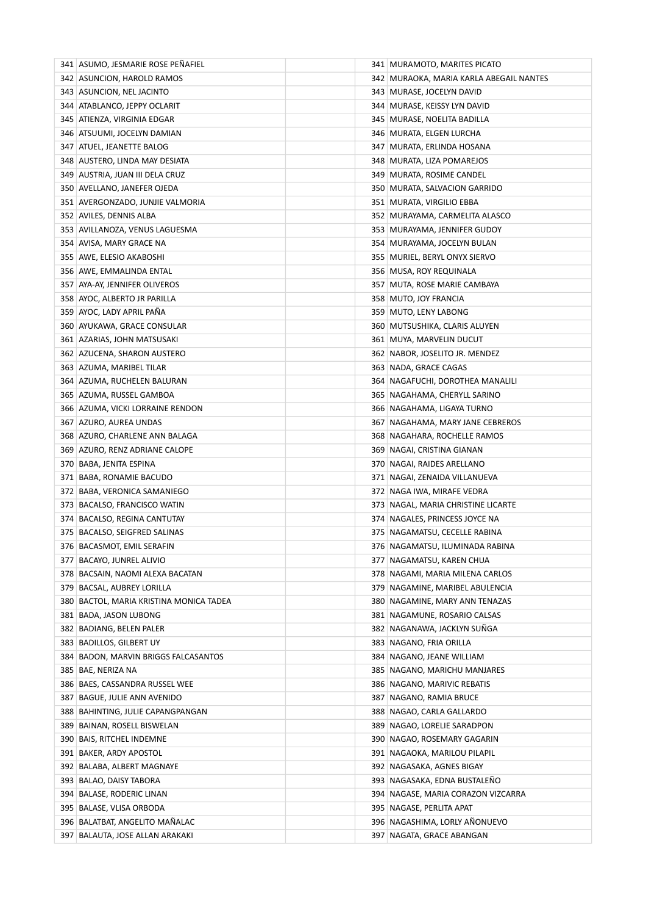| 341 ASUMO, JESMARIE ROSE PENAFIEL                    | 341   MURAMOTO, MARITES PICATO                              |
|------------------------------------------------------|-------------------------------------------------------------|
| 342 ASUNCION, HAROLD RAMOS                           | 342   MURAOKA, MARIA KARLA ABEGAIL NANTES                   |
| 343 ASUNCION, NEL JACINTO                            | 343   MURASE, JOCELYN DAVID                                 |
| 344   ATABLANCO, JEPPY OCLARIT                       | 344   MURASE, KEISSY LYN DAVID                              |
| 345 ATIENZA, VIRGINIA EDGAR                          | 345   MURASE, NOELITA BADILLA                               |
| 346 ATSUUMI, JOCELYN DAMIAN                          | 346   MURATA, ELGEN LURCHA                                  |
| 347   ATUEL, JEANETTE BALOG                          | 347   MURATA, ERLINDA HOSANA                                |
| 348 AUSTERO, LINDA MAY DESIATA                       | 348 MURATA, LIZA POMAREJOS                                  |
| 349 AUSTRIA, JUAN III DELA CRUZ                      | 349 MURATA, ROSIME CANDEL                                   |
| 350 AVELLANO, JANEFER OJEDA                          | 350 MURATA, SALVACION GARRIDO                               |
| 351 AVERGONZADO, JUNJIE VALMORIA                     | 351   MURATA, VIRGILIO EBBA                                 |
| 352 AVILES, DENNIS ALBA                              | 352   MURAYAMA, CARMELITA ALASCO                            |
| 353 AVILLANOZA, VENUS LAGUESMA                       | 353   MURAYAMA, JENNIFER GUDOY                              |
| 354 AVISA, MARY GRACE NA                             | 354   MURAYAMA, JOCELYN BULAN                               |
| 355 AWE, ELESIO AKABOSHI                             | 355   MURIEL, BERYL ONYX SIERVO                             |
| 356 AWE, EMMALINDA ENTAL                             | 356   MUSA, ROY REQUINALA                                   |
| 357 AYA-AY, JENNIFER OLIVEROS                        | 357 MUTA, ROSE MARIE CAMBAYA                                |
| 358 AYOC, ALBERTO JR PARILLA                         | 358 MUTO, JOY FRANCIA                                       |
| 359 AYOC, LADY APRIL PAÑA                            | 359 MUTO, LENY LABONG                                       |
| 360 AYUKAWA, GRACE CONSULAR                          | 360   MUTSUSHIKA, CLARIS ALUYEN                             |
| 361 AZARIAS, JOHN MATSUSAKI                          | 361   MUYA, MARVELIN DUCUT                                  |
| 362 AZUCENA, SHARON AUSTERO                          | 362 NABOR, JOSELITO JR. MENDEZ                              |
| 363 AZUMA, MARIBEL TILAR                             | 363 NADA, GRACE CAGAS                                       |
| 364 AZUMA, RUCHELEN BALURAN                          | 364 NAGAFUCHI, DOROTHEA MANALILI                            |
| 365 AZUMA, RUSSEL GAMBOA                             | 365 NAGAHAMA, CHERYLL SARINO                                |
| 366 AZUMA, VICKI LORRAINE RENDON                     | 366   NAGAHAMA, LIGAYA TURNO                                |
| 367 AZURO, AUREA UNDAS                               | 367   NAGAHAMA, MARY JANE CEBREROS                          |
| 368 AZURO, CHARLENE ANN BALAGA                       | 368 NAGAHARA, ROCHELLE RAMOS                                |
| 369 AZURO, RENZ ADRIANE CALOPE                       | 369   NAGAI, CRISTINA GIANAN                                |
| 370   BABA, JENITA ESPINA                            | 370   NAGAI, RAIDES ARELLANO                                |
| 371 BABA, RONAMIE BACUDO                             | 371   NAGAI, ZENAIDA VILLANUEVA                             |
| 372 BABA, VERONICA SAMANIEGO                         | 372   NAGA IWA, MIRAFE VEDRA                                |
| 373 BACALSO, FRANCISCO WATIN                         | 373   NAGAL, MARIA CHRISTINE LICARTE                        |
| 374 BACALSO, REGINA CANTUTAY                         | 374 NAGALES, PRINCESS JOYCE NA                              |
| 375 BACALSO, SEIGFRED SALINAS                        | 375   NAGAMATSU, CECELLE RABINA                             |
| 376 BACASMOT, EMIL SERAFIN                           | 376   NAGAMATSU, ILUMINADA RABINA                           |
| 377 BACAYO, JUNREL ALIVIO                            | 377   NAGAMATSU, KAREN CHUA                                 |
| 378 BACSAIN, NAOMI ALEXA BACATAN                     | 378   NAGAMI, MARIA MILENA CARLOS                           |
| 379 BACSAL, AUBREY LORILLA                           | 379   NAGAMINE, MARIBEL ABULENCIA                           |
| 380 BACTOL, MARIA KRISTINA MONICA TADEA              | 380   NAGAMINE, MARY ANN TENAZAS                            |
| 381 BADA, JASON LUBONG                               | 381   NAGAMUNE, ROSARIO CALSAS                              |
| 382 BADIANG, BELEN PALER                             | 382   NAGANAWA, JACKLYN SUNGA                               |
| 383 BADILLOS, GILBERT UY                             | 383 NAGANO, FRIA ORILLA                                     |
| 384 BADON, MARVIN BRIGGS FALCASANTOS                 | 384 NAGANO, JEANE WILLIAM                                   |
| 385 BAE, NERIZA NA                                   | 385 NAGANO, MARICHU MANJARES                                |
| 386 BAES, CASSANDRA RUSSEL WEE                       | 386   NAGANO, MARIVIC REBATIS                               |
| 387 BAGUE, JULIE ANN AVENIDO                         | 387   NAGANO, RAMIA BRUCE                                   |
| 388 BAHINTING, JULIE CAPANGPANGAN                    | 388   NAGAO, CARLA GALLARDO                                 |
| 389 BAINAN, ROSELL BISWELAN                          | 389   NAGAO, LORELIE SARADPON                               |
| 390 BAIS, RITCHEL INDEMNE                            | 390   NAGAO, ROSEMARY GAGARIN                               |
| 391 BAKER, ARDY APOSTOL                              | 391 NAGAOKA, MARILOU PILAPIL<br>392   NAGASAKA, AGNES BIGAY |
| 392 BALABA, ALBERT MAGNAYE                           | 393 NAGASAKA, EDNA BUSTALEÑO                                |
| 393 BALAO, DAISY TABORA<br>394 BALASE, RODERIC LINAN | 394 NAGASE, MARIA CORAZON VIZCARRA                          |
| 395 BALASE, VLISA ORBODA                             | 395 NAGASE, PERLITA APAT                                    |
| 396 BALATBAT, ANGELITO MANALAC                       | 396   NAGASHIMA, LORLY AÑONUEVO                             |
| 397 BALAUTA, JOSE ALLAN ARAKAKI                      | 397   NAGATA, GRACE ABANGAN                                 |
|                                                      |                                                             |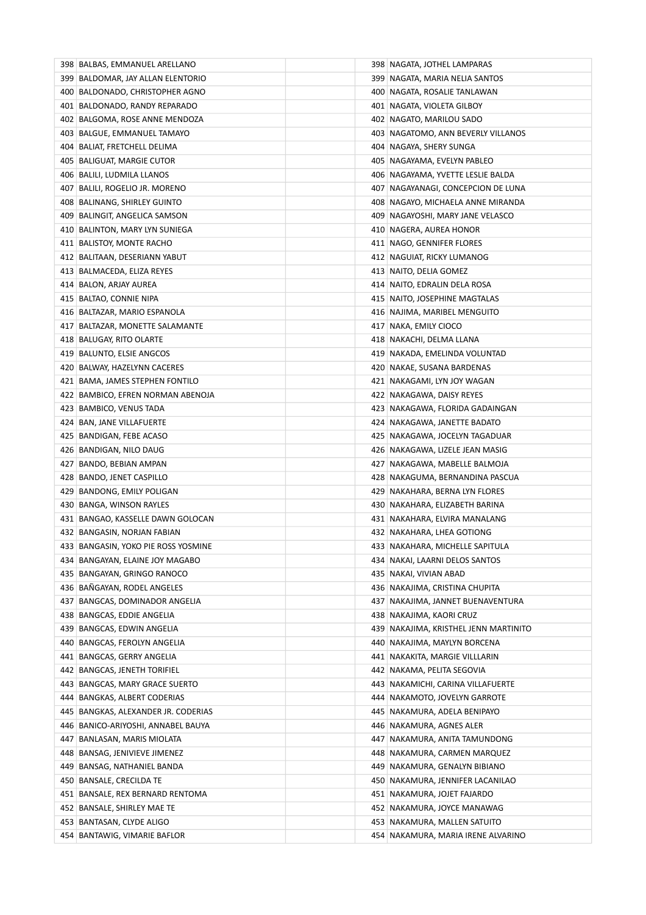| 398   BALBAS, EMMANUEL ARELLANO       | 398 NAGATA, JOTHEL LAMPARAS             |
|---------------------------------------|-----------------------------------------|
| 399 BALDOMAR, JAY ALLAN ELENTORIO     | 399   NAGATA, MARIA NELIA SANTOS        |
| 400 BALDONADO, CHRISTOPHER AGNO       | 400   NAGATA, ROSALIE TANLAWAN          |
| 401 BALDONADO, RANDY REPARADO         | 401 NAGATA, VIOLETA GILBOY              |
| 402 BALGOMA, ROSE ANNE MENDOZA        | 402 NAGATO, MARILOU SADO                |
| 403   BALGUE, EMMANUEL TAMAYO         | 403 NAGATOMO, ANN BEVERLY VILLANOS      |
| 404 BALIAT, FRETCHELL DELIMA          | 404 NAGAYA, SHERY SUNGA                 |
| 405 BALIGUAT, MARGIE CUTOR            | 405   NAGAYAMA, EVELYN PABLEO           |
| 406 BALILI, LUDMILA LLANOS            | 406 NAGAYAMA, YVETTE LESLIE BALDA       |
| 407 BALILI, ROGELIO JR. MORENO        | 407   NAGAYANAGI, CONCEPCION DE LUNA    |
| 408 BALINANG, SHIRLEY GUINTO          | 408   NAGAYO, MICHAELA ANNE MIRANDA     |
| 409 BALINGIT, ANGELICA SAMSON         | 409   NAGAYOSHI, MARY JANE VELASCO      |
| 410 BALINTON, MARY LYN SUNIEGA        | 410 NAGERA, AUREA HONOR                 |
| 411 BALISTOY, MONTE RACHO             | 411 NAGO, GENNIFER FLORES               |
| 412 BALITAAN, DESERIANN YABUT         | 412 NAGUIAT, RICKY LUMANOG              |
| 413 BALMACEDA, ELIZA REYES            | 413 NAITO, DELIA GOMEZ                  |
| 414 BALON, ARJAY AUREA                | 414   NAITO, EDRALIN DELA ROSA          |
| 415 BALTAO, CONNIE NIPA               | 415 NAITO, JOSEPHINE MAGTALAS           |
| 416 BALTAZAR, MARIO ESPANOLA          | 416 NAJIMA, MARIBEL MENGUITO            |
| 417 BALTAZAR, MONETTE SALAMANTE       | 417   NAKA, EMILY CIOCO                 |
| 418 BALUGAY, RITO OLARTE              | 418   NAKACHI, DELMA LLANA              |
| 419 BALUNTO, ELSIE ANGCOS             | 419   NAKADA, EMELINDA VOLUNTAD         |
| 420 BALWAY, HAZELYNN CACERES          | 420 NAKAE, SUSANA BARDENAS              |
| 421 BAMA, JAMES STEPHEN FONTILO       | 421 NAKAGAMI, LYN JOY WAGAN             |
| 422 BAMBICO, EFREN NORMAN ABENOJA     | 422 NAKAGAWA, DAISY REYES               |
| 423 BAMBICO, VENUS TADA               | 423   NAKAGAWA, FLORIDA GADAINGAN       |
| 424 BAN, JANE VILLAFUERTE             | 424 NAKAGAWA, JANETTE BADATO            |
| 425 BANDIGAN, FEBE ACASO              | 425   NAKAGAWA, JOCELYN TAGADUAR        |
| 426 BANDIGAN, NILO DAUG               | 426   NAKAGAWA, LIZELE JEAN MASIG       |
| 427 BANDO, BEBIAN AMPAN               | 427   NAKAGAWA, MABELLE BALMOJA         |
| 428 BANDO, JENET CASPILLO             | 428   NAKAGUMA, BERNANDINA PASCUA       |
| 429 BANDONG, EMILY POLIGAN            | 429   NAKAHARA, BERNA LYN FLORES        |
| 430 BANGA, WINSON RAYLES              | 430   NAKAHARA, ELIZABETH BARINA        |
| 431 BANGAO, KASSELLE DAWN GOLOCAN     | 431 NAKAHARA, ELVIRA MANALANG           |
| 432 BANGASIN, NORJAN FABIAN           | 432 NAKAHARA, LHEA GOTIONG              |
| 433 BANGASIN, YOKO PIE ROSS YOSMINE   | 433 NAKAHARA, MICHELLE SAPITULA         |
| 434 BANGAYAN, ELAINE JOY MAGABO       | 434   NAKAI, LAARNI DELOS SANTOS        |
| 435 BANGAYAN, GRINGO RANOCO           | 435   NAKAI, VIVIAN ABAD                |
| 436 BAÑGAYAN, RODEL ANGELES           | 436   NAKAJIMA, CRISTINA CHUPITA        |
| 437 BANGCAS, DOMINADOR ANGELIA        | 437   NAKAJIMA, JANNET BUENAVENTURA     |
| 438 BANGCAS, EDDIE ANGELIA            | 438   NAKAJIMA, KAORI CRUZ              |
| 439 BANGCAS, EDWIN ANGELIA            | 439   NAKAJIMA, KRISTHEL JENN MARTINITO |
| 440 BANGCAS, FEROLYN ANGELIA          | 440 NAKAJIMA, MAYLYN BORCENA            |
| 441 BANGCAS, GERRY ANGELIA            | 441 NAKAKITA, MARGIE VILLLARIN          |
| 442 BANGCAS, JENETH TORIFIEL          | 442 NAKAMA, PELITA SEGOVIA              |
| 443   BANGCAS, MARY GRACE SUERTO      | 443   NAKAMICHI, CARINA VILLAFUERTE     |
| 444 BANGKAS, ALBERT CODERIAS          | 444   NAKAMOTO, JOVELYN GARROTE         |
| 445   BANGKAS, ALEXANDER JR. CODERIAS | 445   NAKAMURA, ADELA BENIPAYO          |
| 446   BANICO-ARIYOSHI, ANNABEL BAUYA  | 446   NAKAMURA, AGNES ALER              |
| 447   BANLASAN, MARIS MIOLATA         | 447   NAKAMURA, ANITA TAMUNDONG         |
| 448 BANSAG, JENIVIEVE JIMENEZ         | 448 NAKAMURA, CARMEN MARQUEZ            |
| 449   BANSAG, NATHANIEL BANDA         | 449   NAKAMURA, GENALYN BIBIANO         |
| 450 BANSALE, CRECILDA TE              | 450 NAKAMURA, JENNIFER LACANILAO        |
| 451 BANSALE, REX BERNARD RENTOMA      | 451 NAKAMURA, JOJET FAJARDO             |
| 452 BANSALE, SHIRLEY MAE TE           | 452   NAKAMURA, JOYCE MANAWAG           |
| 453   BANTASAN, CLYDE ALIGO           | 453   NAKAMURA, MALLEN SATUITO          |
| 454   BANTAWIG, VIMARIE BAFLOR        | 454   NAKAMURA, MARIA IRENE ALVARINO    |
|                                       |                                         |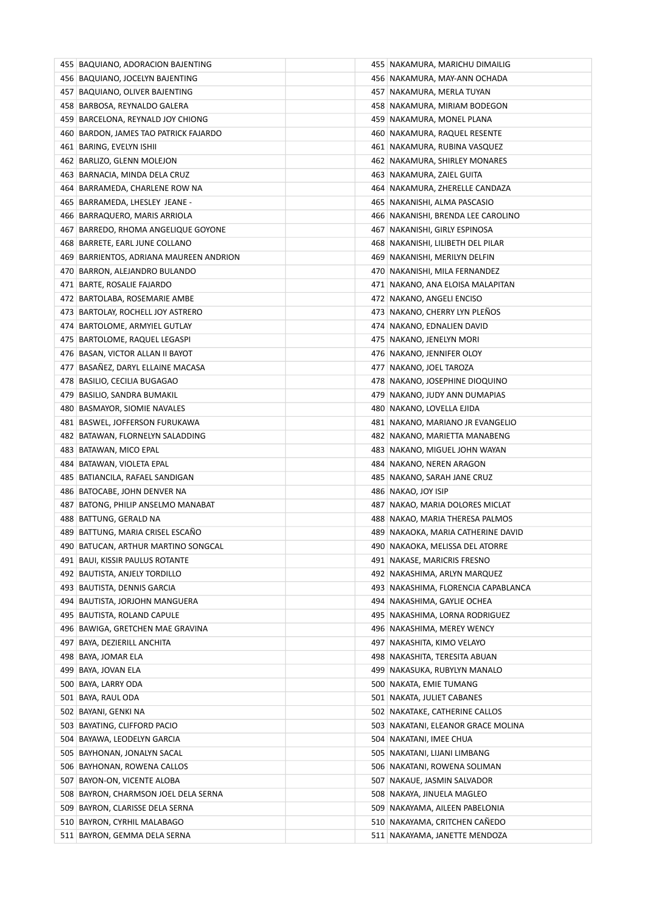| 455 BAQUIANO, ADORACION BAJENTING       | 455   NAKAMURA, MARICHU DIMAILIG     |
|-----------------------------------------|--------------------------------------|
| 456 BAQUIANO, JOCELYN BAJENTING         | 456   NAKAMURA, MAY-ANN OCHADA       |
| 457 BAQUIANO, OLIVER BAJENTING          | 457   NAKAMURA, MERLA TUYAN          |
| 458 BARBOSA, REYNALDO GALERA            | 458   NAKAMURA, MIRIAM BODEGON       |
| 459 BARCELONA, REYNALD JOY CHIONG       | 459   NAKAMURA, MONEL PLANA          |
| 460 BARDON, JAMES TAO PATRICK FAJARDO   | 460   NAKAMURA, RAQUEL RESENTE       |
| 461 BARING, EVELYN ISHII                | 461   NAKAMURA, RUBINA VASQUEZ       |
| 462 BARLIZO, GLENN MOLEJON              | 462   NAKAMURA, SHIRLEY MONARES      |
| 463 BARNACIA, MINDA DELA CRUZ           | 463 NAKAMURA, ZAIEL GUITA            |
| 464 BARRAMEDA, CHARLENE ROW NA          | 464 NAKAMURA, ZHERELLE CANDAZA       |
| 465 BARRAMEDA, LHESLEY JEANE -          | 465   NAKANISHI, ALMA PASCASIO       |
| 466 BARRAQUERO, MARIS ARRIOLA           | 466   NAKANISHI, BRENDA LEE CAROLINO |
| 467 BARREDO, RHOMA ANGELIQUE GOYONE     | 467   NAKANISHI, GIRLY ESPINOSA      |
| 468 BARRETE, EARL JUNE COLLANO          | 468   NAKANISHI, LILIBETH DEL PILAR  |
| 469 BARRIENTOS, ADRIANA MAUREEN ANDRION | 469   NAKANISHI, MERILYN DELFIN      |
| 470 BARRON, ALEJANDRO BULANDO           | 470   NAKANISHI, MILA FERNANDEZ      |
| 471 BARTE, ROSALIE FAJARDO              | 471   NAKANO, ANA ELOISA MALAPITAN   |
| 472 BARTOLABA, ROSEMARIE AMBE           | 472 NAKANO, ANGELI ENCISO            |
| 473 BARTOLAY, ROCHELL JOY ASTRERO       | 473 NAKANO, CHERRY LYN PLEÑOS        |
| 474 BARTOLOME, ARMYIEL GUTLAY           | 474 NAKANO, EDNALIEN DAVID           |
| 475 BARTOLOME, RAQUEL LEGASPI           | 475   NAKANO, JENELYN MORI           |
| 476 BASAN, VICTOR ALLAN II BAYOT        | 476 NAKANO, JENNIFER OLOY            |
| 477 BASAÑEZ, DARYL ELLAINE MACASA       | 477   NAKANO, JOEL TAROZA            |
| 478 BASILIO, CECILIA BUGAGAO            | 478 NAKANO, JOSEPHINE DIOQUINO       |
| 479   BASILIO, SANDRA BUMAKIL           | 479   NAKANO, JUDY ANN DUMAPIAS      |
| 480 BASMAYOR, SIOMIE NAVALES            | 480   NAKANO, LOVELLA EJIDA          |
| 481 BASWEL, JOFFERSON FURUKAWA          | 481   NAKANO, MARIANO JR EVANGELIO   |
| 482 BATAWAN, FLORNELYN SALADDING        | 482   NAKANO, MARIETTA MANABENG      |
| 483 BATAWAN, MICO EPAL                  | 483   NAKANO, MIGUEL JOHN WAYAN      |
| 484   BATAWAN, VIOLETA EPAL             | 484   NAKANO, NEREN ARAGON           |
| 485   BATIANCILA, RAFAEL SANDIGAN       | 485   NAKANO, SARAH JANE CRUZ        |
| 486 BATOCABE, JOHN DENVER NA            | 486 NAKAO, JOY ISIP                  |
| 487 BATONG, PHILIP ANSELMO MANABAT      | 487   NAKAO, MARIA DOLORES MICLAT    |
| 488 BATTUNG, GERALD NA                  | 488 NAKAO, MARIA THERESA PALMOS      |
| 489   BATTUNG, MARIA CRISEL ESCAÑO      | 489   NAKAOKA, MARIA CATHERINE DAVID |
| 490 BATUCAN, ARTHUR MARTINO SONGCAL     | 490 NAKAOKA, MELISSA DEL ATORRE      |
| 491 BAUI, KISSIR PAULUS ROTANTE         | 491 NAKASE, MARICRIS FRESNO          |
| 492 BAUTISTA, ANJELY TORDILLO           | 492   NAKASHIMA, ARLYN MARQUEZ       |
| 493 BAUTISTA, DENNIS GARCIA             | 493 NAKASHIMA, FLORENCIA CAPABLANCA  |
| 494 BAUTISTA, JORJOHN MANGUERA          | 494   NAKASHIMA, GAYLIE OCHEA        |
| 495 BAUTISTA, ROLAND CAPULE             | 495 NAKASHIMA, LORNA RODRIGUEZ       |
| 496   BAWIGA, GRETCHEN MAE GRAVINA      | 496   NAKASHIMA, MEREY WENCY         |
| 497   BAYA, DEZIERILL ANCHITA           | 497 NAKASHITA, KIMO VELAYO           |
| 498   BAYA, JOMAR ELA                   | 498 NAKASHITA, TERESITA ABUAN        |
| 499 BAYA, JOVAN ELA                     | 499 NAKASUKA, RUBYLYN MANALO         |
| 500 BAYA, LARRY ODA                     | 500 NAKATA, EMIE TUMANG              |
| 501 BAYA, RAUL ODA                      | 501 NAKATA, JULIET CABANES           |
| 502 BAYANI, GENKI NA                    | 502 NAKATAKE, CATHERINE CALLOS       |
| 503 BAYATING, CLIFFORD PACIO            | 503 NAKATANI, ELEANOR GRACE MOLINA   |
| 504 BAYAWA, LEODELYN GARCIA             | 504 NAKATANI, IMEE CHUA              |
| 505 BAYHONAN, JONALYN SACAL             | 505   NAKATANI, LIJANI LIMBANG       |
| 506 BAYHONAN, ROWENA CALLOS             | 506 NAKATANI, ROWENA SOLIMAN         |
| 507 BAYON-ON, VICENTE ALOBA             | 507 NAKAUE, JASMIN SALVADOR          |
| 508 BAYRON, CHARMSON JOEL DELA SERNA    | 508 NAKAYA, JINUELA MAGLEO           |
| 509 BAYRON, CLARISSE DELA SERNA         | 509 NAKAYAMA, AILEEN PABELONIA       |
| 510 BAYRON, CYRHIL MALABAGO             | 510 NAKAYAMA, CRITCHEN CANEDO        |
| 511 BAYRON, GEMMA DELA SERNA            | 511 NAKAYAMA, JANETTE MENDOZA        |
|                                         |                                      |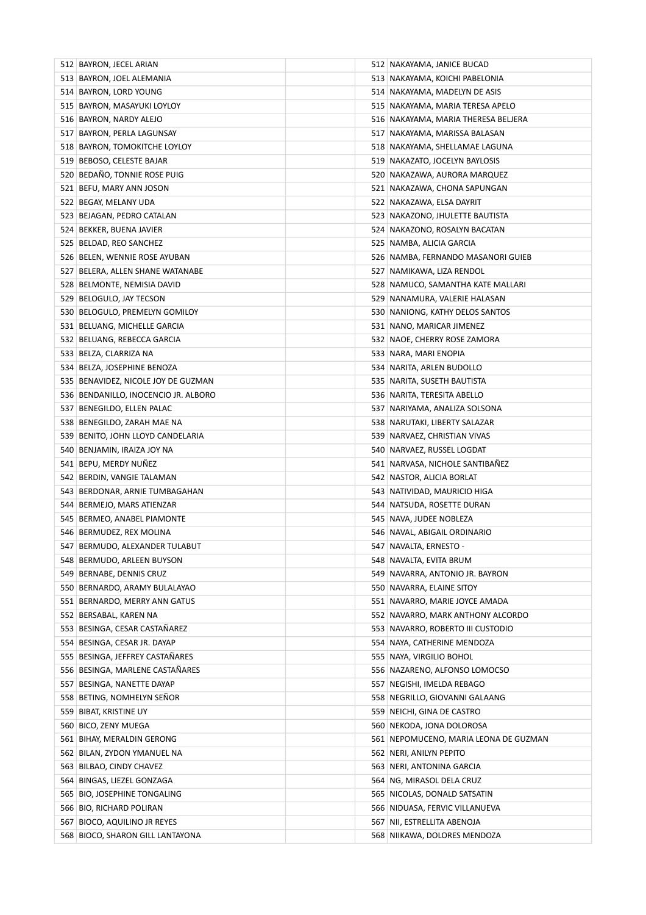| 512 BAYRON, JECEL ARIAN              | 512 NAKAYAMA, JANICE BUCAD            |
|--------------------------------------|---------------------------------------|
| 513 BAYRON, JOEL ALEMANIA            | 513   NAKAYAMA, KOICHI PABELONIA      |
| 514 BAYRON, LORD YOUNG               | 514   NAKAYAMA, MADELYN DE ASIS       |
| 515 BAYRON, MASAYUKI LOYLOY          | 515   NAKAYAMA, MARIA TERESA APELO    |
| 516 BAYRON, NARDY ALEJO              | 516   NAKAYAMA, MARIA THERESA BELJERA |
| 517 BAYRON, PERLA LAGUNSAY           | 517   NAKAYAMA, MARISSA BALASAN       |
| 518 BAYRON, TOMOKITCHE LOYLOY        | 518 NAKAYAMA, SHELLAMAE LAGUNA        |
| 519 BEBOSO, CELESTE BAJAR            | 519 NAKAZATO, JOCELYN BAYLOSIS        |
| 520 BEDAÑO, TONNIE ROSE PUIG         | 520 NAKAZAWA, AURORA MARQUEZ          |
| 521 BEFU, MARY ANN JOSON             | 521 NAKAZAWA, CHONA SAPUNGAN          |
| 522 BEGAY, MELANY UDA                | 522   NAKAZAWA, ELSA DAYRIT           |
| 523 BEJAGAN, PEDRO CATALAN           | 523   NAKAZONO, JHULETTE BAUTISTA     |
| 524 BEKKER, BUENA JAVIER             | 524 NAKAZONO, ROSALYN BACATAN         |
| 525 BELDAD, REO SANCHEZ              | 525   NAMBA, ALICIA GARCIA            |
| 526 BELEN, WENNIE ROSE AYUBAN        | 526 NAMBA, FERNANDO MASANORI GUIEB    |
| 527 BELERA, ALLEN SHANE WATANABE     | 527 NAMIKAWA, LIZA RENDOL             |
| 528 BELMONTE, NEMISIA DAVID          | 528 NAMUCO, SAMANTHA KATE MALLARI     |
| 529 BELOGULO, JAY TECSON             | 529 NANAMURA, VALERIE HALASAN         |
| 530 BELOGULO, PREMELYN GOMILOY       | 530 NANIONG, KATHY DELOS SANTOS       |
| 531 BELUANG, MICHELLE GARCIA         | 531 NANO, MARICAR JIMENEZ             |
| 532 BELUANG, REBECCA GARCIA          | 532 NAOE, CHERRY ROSE ZAMORA          |
| 533 BELZA, CLARRIZA NA               | 533   NARA, MARI ENOPIA               |
| 534 BELZA, JOSEPHINE BENOZA          | 534 NARITA, ARLEN BUDOLLO             |
| 535 BENAVIDEZ, NICOLE JOY DE GUZMAN  | 535 NARITA, SUSETH BAUTISTA           |
| 536 BENDANILLO, INOCENCIO JR. ALBORO | 536 NARITA, TERESITA ABELLO           |
| 537 BENEGILDO, ELLEN PALAC           | 537 NARIYAMA, ANALIZA SOLSONA         |
| 538 BENEGILDO, ZARAH MAE NA          | 538 NARUTAKI, LIBERTY SALAZAR         |
| 539 BENITO, JOHN LLOYD CANDELARIA    | 539 NARVAEZ, CHRISTIAN VIVAS          |
| 540 BENJAMIN, IRAIZA JOY NA          | 540 NARVAEZ, RUSSEL LOGDAT            |
| 541 BEPU, MERDY NUÑEZ                | 541   NARVASA, NICHOLE SANTIBANEZ     |
| 542 BERDIN, VANGIE TALAMAN           | 542 NASTOR, ALICIA BORLAT             |
| 543 BERDONAR, ARNIE TUMBAGAHAN       | 543   NATIVIDAD, MAURICIO HIGA        |
| 544 BERMEJO, MARS ATIENZAR           | 544 NATSUDA, ROSETTE DURAN            |
| 545 BERMEO, ANABEL PIAMONTE          | 545 NAVA, JUDEE NOBLEZA               |
| 546 BERMUDEZ, REX MOLINA             | 546 NAVAL, ABIGAIL ORDINARIO          |
| 547 BERMUDO, ALEXANDER TULABUT       | 547 NAVALTA, ERNESTO -                |
| 548 BERMUDO, ARLEEN BUYSON           | 548 NAVALTA, EVITA BRUM               |
| 549 BERNABE, DENNIS CRUZ             | 549 NAVARRA, ANTONIO JR. BAYRON       |
| 550 BERNARDO, ARAMY BULALAYAO        | 550 NAVARRA, ELAINE SITOY             |
| 551 BERNARDO, MERRY ANN GATUS        | 551 NAVARRO, MARIE JOYCE AMADA        |
| 552 BERSABAL, KAREN NA               | 552 NAVARRO, MARK ANTHONY ALCORDO     |
| 553 BESINGA, CESAR CASTAÑAREZ        | 553 NAVARRO, ROBERTO III CUSTODIO     |
| 554 BESINGA, CESAR JR. DAYAP         | 554 NAYA, CATHERINE MENDOZA           |
| 555 BESINGA, JEFFREY CASTAÑARES      | 555 NAYA, VIRGILIO BOHOL              |
| 556 BESINGA, MARLENE CASTAÑARES      | 556 NAZARENO, ALFONSO LOMOCSO         |
| 557 BESINGA, NANETTE DAYAP           | 557 NEGISHI, IMELDA REBAGO            |
| 558 BETING, NOMHELYN SEÑOR           | 558 NEGRILLO, GIOVANNI GALAANG        |
| 559 BIBAT, KRISTINE UY               | 559 NEICHI, GINA DE CASTRO            |
| 560 BICO, ZENY MUEGA                 | 560 NEKODA, JONA DOLOROSA             |
| 561 BIHAY, MERALDIN GERONG           | 561 NEPOMUCENO, MARIA LEONA DE GUZMAN |
| 562 BILAN, ZYDON YMANUEL NA          | 562 NERI, ANILYN PEPITO               |
| 563 BILBAO, CINDY CHAVEZ             | 563 NERI, ANTONINA GARCIA             |
| 564 BINGAS, LIEZEL GONZAGA           | 564 NG, MIRASOL DELA CRUZ             |
| 565 BIO, JOSEPHINE TONGALING         | 565 NICOLAS, DONALD SATSATIN          |
| 566 BIO, RICHARD POLIRAN             | 566 NIDUASA, FERVIC VILLANUEVA        |
| 567 BIOCO, AQUILINO JR REYES         | 567   NII, ESTRELLITA ABENOJA         |
| 568 BIOCO, SHARON GILL LANTAYONA     | 568 NIIKAWA, DOLORES MENDOZA          |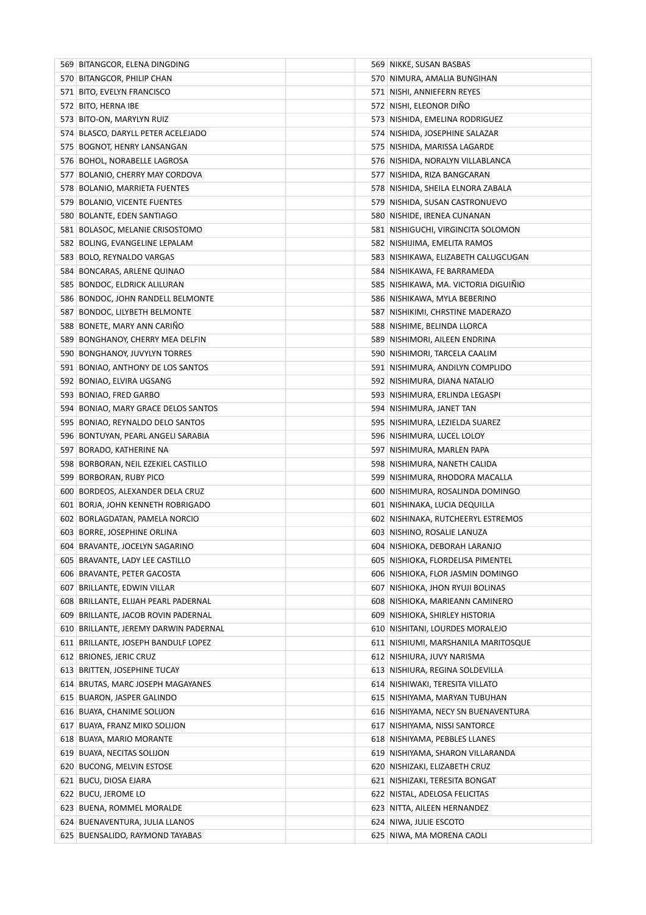| 569 BITANGCOR, ELENA DINGDING         | 569 NIKKE, SUSAN BASBAS               |
|---------------------------------------|---------------------------------------|
| 570 BITANGCOR, PHILIP CHAN            | 570 NIMURA, AMALIA BUNGIHAN           |
| 571 BITO, EVELYN FRANCISCO            | 571   NISHI, ANNIEFERN REYES          |
| 572 BITO, HERNA IBE                   | 572 NISHI, ELEONOR DIÑO               |
| 573 BITO-ON, MARYLYN RUIZ             | 573   NISHIDA, EMELINA RODRIGUEZ      |
| 574 BLASCO, DARYLL PETER ACELEJADO    | 574   NISHIDA, JOSEPHINE SALAZAR      |
| 575 BOGNOT, HENRY LANSANGAN           | 575 NISHIDA, MARISSA LAGARDE          |
| 576 BOHOL, NORABELLE LAGROSA          | 576 NISHIDA, NORALYN VILLABLANCA      |
| 577 BOLANIO, CHERRY MAY CORDOVA       | 577 NISHIDA, RIZA BANGCARAN           |
| 578 BOLANIO, MARRIETA FUENTES         | 578 NISHIDA, SHEILA ELNORA ZABALA     |
| 579 BOLANIO, VICENTE FUENTES          | 579 NISHIDA, SUSAN CASTRONUEVO        |
| 580 BOLANTE, EDEN SANTIAGO            | 580 NISHIDE, IRENEA CUNANAN           |
| 581 BOLASOC, MELANIE CRISOSTOMO       | 581   NISHIGUCHI, VIRGINCITA SOLOMON  |
| 582 BOLING, EVANGELINE LEPALAM        | 582 NISHIJIMA, EMELITA RAMOS          |
| 583 BOLO, REYNALDO VARGAS             | 583   NISHIKAWA, ELIZABETH CALUGCUGAN |
| 584 BONCARAS, ARLENE QUINAO           | 584   NISHIKAWA, FE BARRAMEDA         |
| 585 BONDOC, ELDRICK ALILURAN          | 585 NISHIKAWA, MA. VICTORIA DIGUIÑIO  |
| 586 BONDOC, JOHN RANDELL BELMONTE     | 586 NISHIKAWA, MYLA BEBERINO          |
| 587 BONDOC, LILYBETH BELMONTE         | 587 NISHIKIMI, CHRSTINE MADERAZO      |
| 588 BONETE, MARY ANN CARIÑO           | 588 NISHIME, BELINDA LLORCA           |
| 589 BONGHANOY, CHERRY MEA DELFIN      | 589 NISHIMORI, AILEEN ENDRINA         |
| 590 BONGHANOY, JUVYLYN TORRES         | 590 NISHIMORI, TARCELA CAALIM         |
| 591 BONIAO, ANTHONY DE LOS SANTOS     | 591 NISHIMURA, ANDILYN COMPLIDO       |
| 592 BONIAO, ELVIRA UGSANG             | 592 NISHIMURA, DIANA NATALIO          |
| 593 BONIAO, FRED GARBO                | 593 NISHIMURA, ERLINDA LEGASPI        |
| 594 BONIAO, MARY GRACE DELOS SANTOS   | 594 NISHIMURA, JANET TAN              |
| 595 BONIAO, REYNALDO DELO SANTOS      | 595 NISHIMURA, LEZIELDA SUAREZ        |
| 596 BONTUYAN, PEARL ANGELI SARABIA    | 596 NISHIMURA, LUCEL LOLOY            |
| 597 BORADO, KATHERINE NA              | 597 NISHIMURA, MARLEN PAPA            |
| 598 BORBORAN, NEIL EZEKIEL CASTILLO   | 598 NISHIMURA, NANETH CALIDA          |
| 599 BORBORAN, RUBY PICO               | 599 NISHIMURA, RHODORA MACALLA        |
| 600 BORDEOS, ALEXANDER DELA CRUZ      | 600 NISHIMURA, ROSALINDA DOMINGO      |
| 601 BORJA, JOHN KENNETH ROBRIGADO     | 601 NISHINAKA, LUCIA DEQUILLA         |
| 602 BORLAGDATAN, PAMELA NORCIO        | 602 NISHINAKA, RUTCHEERYL ESTREMOS    |
| 603 BORRE, JOSEPHINE ORLINA           | 603 NISHINO, ROSALIE LANUZA           |
| 604 BRAVANTE, JOCELYN SAGARINO        | 604 NISHIOKA, DEBORAH LARANJO         |
| 605 BRAVANTE, LADY LEE CASTILLO       | 605 NISHIOKA, FLORDELISA PIMENTEL     |
| 606 BRAVANTE, PETER GACOSTA           | 606 NISHIOKA, FLOR JASMIN DOMINGO     |
| 607 BRILLANTE, EDWIN VILLAR           | 607 NISHIOKA, JHON RYUJI BOLINAS      |
| 608 BRILLANTE, ELIJAH PEARL PADERNAL  | 608 NISHIOKA, MARIEANN CAMINERO       |
| 609 BRILLANTE, JACOB ROVIN PADERNAL   | 609 NISHIOKA, SHIRLEY HISTORIA        |
| 610 BRILLANTE, JEREMY DARWIN PADERNAL | 610 NISHITANI, LOURDES MORALEJO       |
| 611 BRILLANTE, JOSEPH BANDULF LOPEZ   | 611 NISHIUMI, MARSHANILA MARITOSQUE   |
| 612 BRIONES, JERIC CRUZ               | 612 NISHIURA, JUVY NARISMA            |
| 613 BRITTEN, JOSEPHINE TUCAY          | 613 NISHIURA, REGINA SOLDEVILLA       |
| 614 BRUTAS, MARC JOSEPH MAGAYANES     | 614 NISHIWAKI, TERESITA VILLATO       |
| 615 BUARON, JASPER GALINDO            | 615   NISHIYAMA, MARYAN TUBUHAN       |
| 616 BUAYA, CHANIME SOLIJON            | 616 NISHIYAMA, NECY SN BUENAVENTURA   |
| 617 BUAYA, FRANZ MIKO SOLIJON         | 617 NISHIYAMA, NISSI SANTORCE         |
| 618 BUAYA, MARIO MORANTE              | 618 NISHIYAMA, PEBBLES LLANES         |
| 619 BUAYA, NECITAS SOLIJON            | 619 NISHIYAMA, SHARON VILLARANDA      |
| 620 BUCONG, MELVIN ESTOSE             | 620 NISHIZAKI, ELIZABETH CRUZ         |
| 621 BUCU, DIOSA EJARA                 | 621 NISHIZAKI, TERESITA BONGAT        |
| 622 BUCU, JEROME LO                   | 622 NISTAL, ADELOSA FELICITAS         |
| 623 BUENA, ROMMEL MORALDE             | 623 NITTA, AILEEN HERNANDEZ           |
| 624 BUENAVENTURA, JULIA LLANOS        | 624 NIWA, JULIE ESCOTO                |
| 625 BUENSALIDO, RAYMOND TAYABAS       | 625 NIWA, MA MORENA CAOLI             |
|                                       |                                       |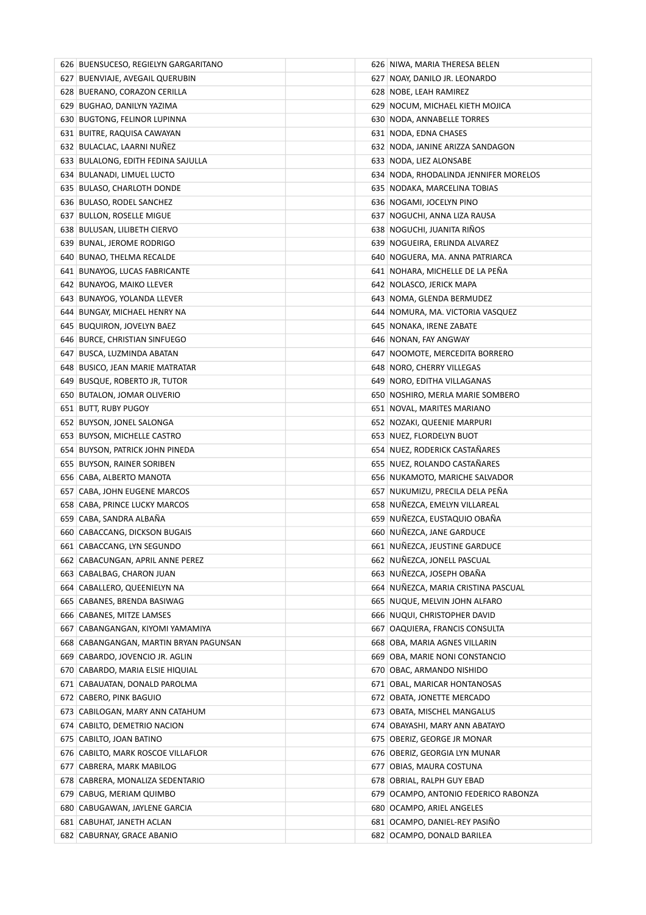| 626 BUENSUCESO, REGIELYN GARGARITANO   | 626 NIWA, MARIA THERESA BELEN         |
|----------------------------------------|---------------------------------------|
| 627 BUENVIAJE, AVEGAIL QUERUBIN        | 627 NOAY, DANILO JR. LEONARDO         |
| 628 BUERANO, CORAZON CERILLA           | 628 NOBE, LEAH RAMIREZ                |
| 629 BUGHAO, DANILYN YAZIMA             | 629 NOCUM, MICHAEL KIETH MOJICA       |
| 630 BUGTONG, FELINOR LUPINNA           | 630 NODA, ANNABELLE TORRES            |
| 631 BUITRE, RAQUISA CAWAYAN            | 631 NODA, EDNA CHASES                 |
| 632 BULACLAC, LAARNI NUNEZ             | 632 NODA, JANINE ARIZZA SANDAGON      |
| 633 BULALONG, EDITH FEDINA SAJULLA     | 633 NODA, LIEZ ALONSABE               |
| 634 BULANADI, LIMUEL LUCTO             | 634 NODA, RHODALINDA JENNIFER MORELOS |
| 635 BULASO, CHARLOTH DONDE             | 635 NODAKA, MARCELINA TOBIAS          |
| 636 BULASO, RODEL SANCHEZ              | 636 NOGAMI, JOCELYN PINO              |
| 637 BULLON, ROSELLE MIGUE              | 637 NOGUCHI, ANNA LIZA RAUSA          |
| 638 BULUSAN, LILIBETH CIERVO           | 638 NOGUCHI, JUANITA RINOS            |
| 639 BUNAL, JEROME RODRIGO              | 639 NOGUEIRA, ERLINDA ALVAREZ         |
| 640 BUNAO, THELMA RECALDE              | 640 NOGUERA, MA. ANNA PATRIARCA       |
| 641 BUNAYOG, LUCAS FABRICANTE          | 641 NOHARA, MICHELLE DE LA PENA       |
| 642 BUNAYOG, MAIKO LLEVER              | 642 NOLASCO, JERICK MAPA              |
| 643 BUNAYOG, YOLANDA LLEVER            | 643 NOMA, GLENDA BERMUDEZ             |
| 644 BUNGAY, MICHAEL HENRY NA           | 644 NOMURA, MA. VICTORIA VASQUEZ      |
| 645 BUQUIRON, JOVELYN BAEZ             | 645 NONAKA, IRENE ZABATE              |
| 646 BURCE, CHRISTIAN SINFUEGO          | 646 NONAN, FAY ANGWAY                 |
| 647   BUSCA, LUZMINDA ABATAN           | 647 NOOMOTE, MERCEDITA BORRERO        |
| 648 BUSICO, JEAN MARIE MATRATAR        | 648 NORO, CHERRY VILLEGAS             |
| 649 BUSQUE, ROBERTO JR, TUTOR          | 649 NORO, EDITHA VILLAGANAS           |
| 650 BUTALON, JOMAR OLIVERIO            | 650 NOSHIRO, MERLA MARIE SOMBERO      |
| 651 BUTT, RUBY PUGOY                   | 651 NOVAL, MARITES MARIANO            |
| 652 BUYSON, JONEL SALONGA              | 652 NOZAKI, QUEENIE MARPURI           |
| 653 BUYSON, MICHELLE CASTRO            | 653 NUEZ, FLORDELYN BUOT              |
| 654 BUYSON, PATRICK JOHN PINEDA        | 654 NUEZ, RODERICK CASTAÑARES         |
| 655 BUYSON, RAINER SORIBEN             | 655 NUEZ, ROLANDO CASTAÑARES          |
| 656   CABA, ALBERTO MANOTA             | 656 NUKAMOTO, MARICHE SALVADOR        |
| 657 CABA, JOHN EUGENE MARCOS           | 657 NUKUMIZU, PRECILA DELA PEÑA       |
| 658 CABA, PRINCE LUCKY MARCOS          | 658 NUÑEZCA, EMELYN VILLAREAL         |
| 659 CABA, SANDRA ALBAÑA                | 659 NUÑEZCA, EUSTAQUIO OBAÑA          |
| 660 CABACCANG, DICKSON BUGAIS          | 660 NUÑEZCA, JANE GARDUCE             |
| 661 CABACCANG, LYN SEGUNDO             | 661 NUÑEZCA, JEUSTINE GARDUCE         |
| 662 CABACUNGAN, APRIL ANNE PEREZ       | 662 NUÑEZCA, JONELL PASCUAL           |
| 663 CABALBAG, CHARON JUAN              | 663 NUÑEZCA, JOSEPH OBAÑA             |
| 664 CABALLERO, QUEENIELYN NA           | 664 NUÑEZCA, MARIA CRISTINA PASCUAL   |
| 665 CABANES, BRENDA BASIWAG            | 665 NUQUE, MELVIN JOHN ALFARO         |
| 666 CABANES, MITZE LAMSES              | 666 NUQUI, CHRISTOPHER DAVID          |
| 667 CABANGANGAN, KIYOMI YAMAMIYA       | 667 OAQUIERA, FRANCIS CONSULTA        |
| 668 CABANGANGAN, MARTIN BRYAN PAGUNSAN | 668 OBA, MARIA AGNES VILLARIN         |
| 669 CABARDO, JOVENCIO JR. AGLIN        | 669 OBA, MARIE NONI CONSTANCIO        |
| 670 CABARDO, MARIA ELSIE HIQUIAL       | 670 OBAC, ARMANDO NISHIDO             |
| 671 CABAUATAN, DONALD PAROLMA          | 671 OBAL, MARICAR HONTANOSAS          |
| 672 CABERO, PINK BAGUIO                | 672 OBATA, JONETTE MERCADO            |
| 673 CABILOGAN, MARY ANN CATAHUM        | 673 OBATA, MISCHEL MANGALUS           |
| 674 CABILTO, DEMETRIO NACION           | 674 OBAYASHI, MARY ANN ABATAYO        |
| 675 CABILTO, JOAN BATINO               | 675 OBERIZ, GEORGE JR MONAR           |
| 676 CABILTO, MARK ROSCOE VILLAFLOR     | 676 OBERIZ, GEORGIA LYN MUNAR         |
| 677 CABRERA, MARK MABILOG              | 677 OBIAS, MAURA COSTUNA              |
| 678 CABRERA, MONALIZA SEDENTARIO       | 678 OBRIAL, RALPH GUY EBAD            |
| 679 CABUG, MERIAM QUIMBO               | 679 OCAMPO, ANTONIO FEDERICO RABONZA  |
| 680 CABUGAWAN, JAYLENE GARCIA          | 680 OCAMPO, ARIEL ANGELES             |
| 681 CABUHAT, JANETH ACLAN              | 681 OCAMPO, DANIEL-REY PASINO         |
| 682 CABURNAY, GRACE ABANIO             | 682 OCAMPO, DONALD BARILEA            |
|                                        |                                       |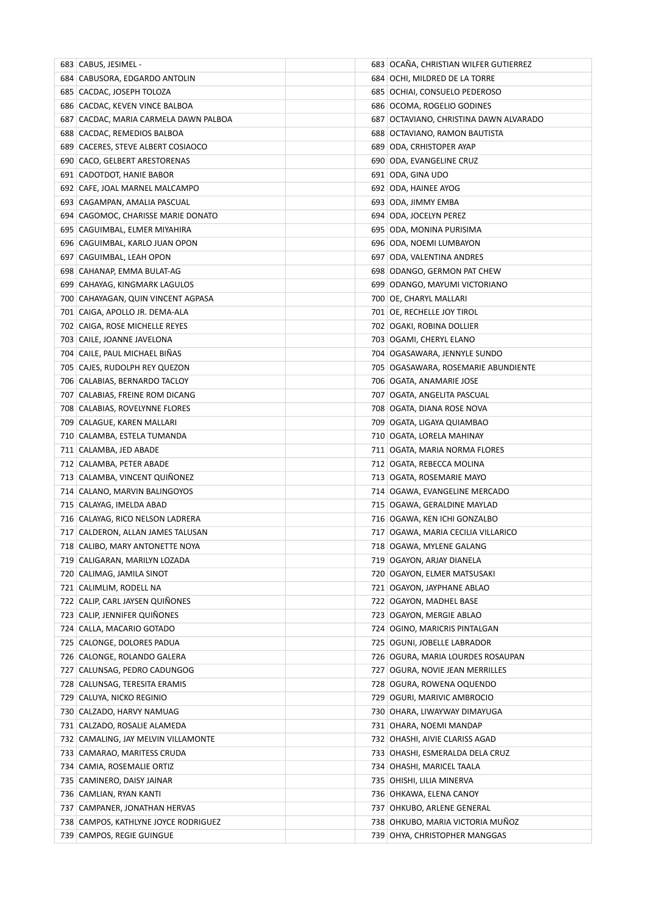| 683 CABUS, JESIMEL -                  | 683 OCAÑA, CHRISTIAN WILFER GUTIERREZ    |
|---------------------------------------|------------------------------------------|
| 684 CABUSORA, EDGARDO ANTOLIN         | 684 OCHI, MILDRED DE LA TORRE            |
| 685   CACDAC, JOSEPH TOLOZA           | 685 OCHIAI, CONSUELO PEDEROSO            |
| 686 CACDAC, KEVEN VINCE BALBOA        | 686 OCOMA, ROGELIO GODINES               |
| 687 CACDAC, MARIA CARMELA DAWN PALBOA | 687   OCTAVIANO, CHRISTINA DAWN ALVARADO |
| 688 CACDAC, REMEDIOS BALBOA           | 688   OCTAVIANO, RAMON BAUTISTA          |
| 689 CACERES, STEVE ALBERT COSIAOCO    | 689 ODA, CRHISTOPER AYAP                 |
| 690 CACO, GELBERT ARESTORENAS         | 690 ODA, EVANGELINE CRUZ                 |
| 691 CADOTDOT, HANIE BABOR             | 691 ODA, GINA UDO                        |
| 692 CAFE, JOAL MARNEL MALCAMPO        | 692 ODA, HAINEE AYOG                     |
| 693 CAGAMPAN, AMALIA PASCUAL          | 693 ODA, JIMMY EMBA                      |
| 694 CAGOMOC, CHARISSE MARIE DONATO    | 694 ODA, JOCELYN PEREZ                   |
| 695 CAGUIMBAL, ELMER MIYAHIRA         | 695   ODA, MONINA PURISIMA               |
| 696 CAGUIMBAL, KARLO JUAN OPON        | 696 ODA, NOEMI LUMBAYON                  |
| 697 CAGUIMBAL, LEAH OPON              | 697 ODA, VALENTINA ANDRES                |
| 698 CAHANAP, EMMA BULAT-AG            | 698 ODANGO, GERMON PAT CHEW              |
| 699 CAHAYAG, KINGMARK LAGULOS         | 699 ODANGO, MAYUMI VICTORIANO            |
| 700 CAHAYAGAN, QUIN VINCENT AGPASA    | 700 OE, CHARYL MALLARI                   |
| 701   CAIGA, APOLLO JR. DEMA-ALA      | 701 OE, RECHELLE JOY TIROL               |
| 702 CAIGA, ROSE MICHELLE REYES        | 702 OGAKI, ROBINA DOLLIER                |
| 703 CAILE, JOANNE JAVELONA            | 703 OGAMI, CHERYL ELANO                  |
| 704 CAILE, PAUL MICHAEL BINAS         | 704   OGASAWARA, JENNYLE SUNDO           |
| 705 CAJES, RUDOLPH REY QUEZON         | 705   OGASAWARA, ROSEMARIE ABUNDIENTE    |
| 706 CALABIAS, BERNARDO TACLOY         | 706 OGATA, ANAMARIE JOSE                 |
| 707 CALABIAS, FREINE ROM DICANG       | 707   OGATA, ANGELITA PASCUAL            |
| 708 CALABIAS, ROVELYNNE FLORES        | 708   OGATA, DIANA ROSE NOVA             |
| 709 CALAGUE, KAREN MALLARI            | 709   OGATA, LIGAYA QUIAMBAO             |
| 710 CALAMBA, ESTELA TUMANDA           | 710 OGATA, LORELA MAHINAY                |
| 711 CALAMBA, JED ABADE                | 711 OGATA, MARIA NORMA FLORES            |
| 712 CALAMBA, PETER ABADE              | 712 OGATA, REBECCA MOLINA                |
| 713 CALAMBA, VINCENT QUINONEZ         | 713 OGATA, ROSEMARIE MAYO                |
| 714 CALANO, MARVIN BALINGOYOS         | 714 OGAWA, EVANGELINE MERCADO            |
| 715 CALAYAG, IMELDA ABAD              | 715 OGAWA, GERALDINE MAYLAD              |
| 716 CALAYAG, RICO NELSON LADRERA      | 716 OGAWA, KEN ICHI GONZALBO             |
| 717 CALDERON, ALLAN JAMES TALUSAN     | 717 OGAWA, MARIA CECILIA VILLARICO       |
| 718 CALIBO, MARY ANTONETTE NOYA       | 718 OGAWA, MYLENE GALANG                 |
| 719   CALIGARAN, MARILYN LOZADA       | 719 OGAYON, ARJAY DIANELA                |
| 720 CALIMAG, JAMILA SINOT             | 720 OGAYON, ELMER MATSUSAKI              |
| 721 CALIMLIM, RODELL NA               | 721 OGAYON, JAYPHANE ABLAO               |
| 722 CALIP, CARL JAYSEN QUINONES       | 722 OGAYON, MADHEL BASE                  |
| 723 CALIP, JENNIFER QUIÑONES          | 723 OGAYON, MERGIE ABLAO                 |
| 724 CALLA, MACARIO GOTADO             | 724 OGINO, MARICRIS PINTALGAN            |
| 725 CALONGE, DOLORES PADUA            | 725 OGUNI, JOBELLE LABRADOR              |
| 726 CALONGE, ROLANDO GALERA           | 726 OGURA, MARIA LOURDES ROSAUPAN        |
| 727 CALUNSAG, PEDRO CADUNGOG          | 727 OGURA, NOVIE JEAN MERRILLES          |
| 728 CALUNSAG, TERESITA ERAMIS         | 728 OGURA, ROWENA OQUENDO                |
| 729 CALUYA, NICKO REGINIO             | 729 OGURI, MARIVIC AMBROCIO              |
| 730 CALZADO, HARVY NAMUAG             | 730   OHARA, LIWAYWAY DIMAYUGA           |
| 731 CALZADO, ROSALIE ALAMEDA          | 731 OHARA, NOEMI MANDAP                  |
| 732 CAMALING, JAY MELVIN VILLAMONTE   | 732 OHASHI, AIVIE CLARISS AGAD           |
| 733 CAMARAO, MARITESS CRUDA           | 733 OHASHI, ESMERALDA DELA CRUZ          |
| 734 CAMIA, ROSEMALIE ORTIZ            | 734 OHASHI, MARICEL TAALA                |
| 735 CAMINERO, DAISY JAINAR            | 735 OHISHI, LILIA MINERVA                |
| 736 CAMLIAN, RYAN KANTI               | 736 OHKAWA, ELENA CANOY                  |
| 737 CAMPANER, JONATHAN HERVAS         | 737 OHKUBO, ARLENE GENERAL               |
| 738 CAMPOS, KATHLYNE JOYCE RODRIGUEZ  | 738 OHKUBO, MARIA VICTORIA MUÑOZ         |
| 739 CAMPOS, REGIE GUINGUE             | 739 OHYA, CHRISTOPHER MANGGAS            |
|                                       |                                          |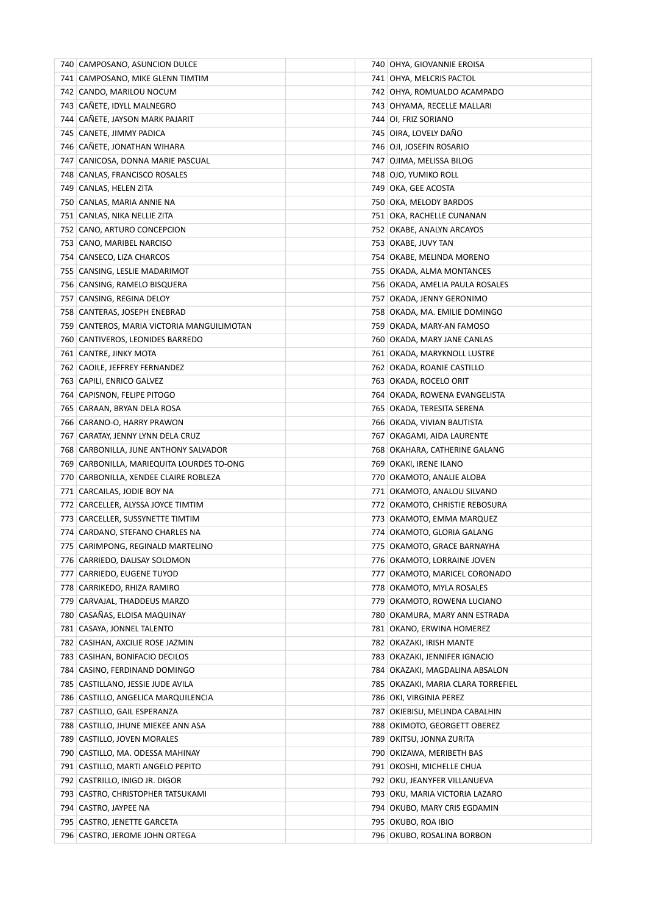| 740   CAMPOSANO, ASUNCION DULCE            | 740   OHYA, GIOVANNIE EROISA         |
|--------------------------------------------|--------------------------------------|
| 741 CAMPOSANO, MIKE GLENN TIMTIM           | 741   OHYA, MELCRIS PACTOL           |
| 742 CANDO, MARILOU NOCUM                   | 742   OHYA, ROMUALDO ACAMPADO        |
| 743 CAÑETE, IDYLL MALNEGRO                 | 743 OHYAMA, RECELLE MALLARI          |
| 744 CAÑETE, JAYSON MARK PAJARIT            | 744 OI, FRIZ SORIANO                 |
| 745   CANETE, JIMMY PADICA                 | 745 OIRA, LOVELY DANO                |
| 746   CANETE, JONATHAN WIHARA              | 746 OJI, JOSEFIN ROSARIO             |
| 747   CANICOSA, DONNA MARIE PASCUAL        | 747   OJIMA, MELISSA BILOG           |
| 748 CANLAS, FRANCISCO ROSALES              | 748 OJO, YUMIKO ROLL                 |
| 749 CANLAS, HELEN ZITA                     | 749 OKA, GEE ACOSTA                  |
| 750   CANLAS, MARIA ANNIE NA               | 750 OKA, MELODY BARDOS               |
| 751   CANLAS, NIKA NELLIE ZITA             | 751   OKA, RACHELLE CUNANAN          |
| 752 CANO, ARTURO CONCEPCION                | 752 OKABE, ANALYN ARCAYOS            |
| 753 CANO, MARIBEL NARCISO                  | 753 OKABE, JUVY TAN                  |
| 754 CANSECO, LIZA CHARCOS                  | 754 OKABE, MELINDA MORENO            |
| 755 CANSING, LESLIE MADARIMOT              | 755 OKADA, ALMA MONTANCES            |
| 756 CANSING, RAMELO BISQUERA               | 756   OKADA, AMELIA PAULA ROSALES    |
| 757 CANSING, REGINA DELOY                  | 757   OKADA, JENNY GERONIMO          |
| 758 CANTERAS, JOSEPH ENEBRAD               | 758 OKADA, MA. EMILIE DOMINGO        |
| 759 CANTEROS, MARIA VICTORIA MANGUILIMOTAN | 759 OKADA, MARY-AN FAMOSO            |
| 760   CANTIVEROS, LEONIDES BARREDO         | 760   OKADA, MARY JANE CANLAS        |
| 761 CANTRE, JINKY MOTA                     | 761 OKADA, MARYKNOLL LUSTRE          |
| 762 CAOILE, JEFFREY FERNANDEZ              | 762 OKADA, ROANIE CASTILLO           |
| 763 CAPILI, ENRICO GALVEZ                  | 763   OKADA, ROCELO ORIT             |
| 764 CAPISNON, FELIPE PITOGO                | 764   OKADA, ROWENA EVANGELISTA      |
| 765 CARAAN, BRYAN DELA ROSA                | 765   OKADA, TERESITA SERENA         |
| 766 CARANO-O, HARRY PRAWON                 | 766   OKADA, VIVIAN BAUTISTA         |
| 767   CARATAY, JENNY LYNN DELA CRUZ        | 767   OKAGAMI, AIDA LAURENTE         |
| 768 CARBONILLA, JUNE ANTHONY SALVADOR      | 768 OKAHARA, CATHERINE GALANG        |
| 769 CARBONILLA, MARIEQUITA LOURDES TO-ONG  | 769 OKAKI, IRENE ILANO               |
| 770 CARBONILLA, XENDEE CLAIRE ROBLEZA      | 770   OKAMOTO, ANALIE ALOBA          |
| 771 CARCAILAS, JODIE BOY NA                | 771   OKAMOTO, ANALOU SILVANO        |
| 772 CARCELLER, ALYSSA JOYCE TIMTIM         | 772   OKAMOTO, CHRISTIE REBOSURA     |
| 773 CARCELLER, SUSSYNETTE TIMTIM           | 773 OKAMOTO, EMMA MARQUEZ            |
| 774 CARDANO, STEFANO CHARLES NA            | 774 OKAMOTO, GLORIA GALANG           |
| 775 CARIMPONG, REGINALD MARTELINO          | 775 OKAMOTO, GRACE BARNAYHA          |
| 776 CARRIEDO, DALISAY SOLOMON              | 776   OKAMOTO, LORRAINE JOVEN        |
| 777 CARRIEDO, EUGENE TUYOD                 | 777   OKAMOTO, MARICEL CORONADO      |
| 778 CARRIKEDO, RHIZA RAMIRO                | 778 OKAMOTO, MYLA ROSALES            |
| 779 CARVAJAL, THADDEUS MARZO               | 779   OKAMOTO, ROWENA LUCIANO        |
| 780 CASAÑAS, ELOISA MAQUINAY               | 780   OKAMURA, MARY ANN ESTRADA      |
| 781   CASAYA, JONNEL TALENTO               | 781 OKANO, ERWINA HOMEREZ            |
| 782 CASIHAN, AXCILIE ROSE JAZMIN           | 782   OKAZAKI, IRISH MANTE           |
| 783 CASIHAN, BONIFACIO DECILOS             | 783 OKAZAKI, JENNIFER IGNACIO        |
| 784 CASINO, FERDINAND DOMINGO              | 784 OKAZAKI, MAGDALINA ABSALON       |
| 785   CASTILLANO, JESSIE JUDE AVILA        | 785   OKAZAKI, MARIA CLARA TORREFIEL |
| 786   CASTILLO, ANGELICA MARQUILENCIA      | 786   OKI, VIRGINIA PEREZ            |
| 787 CASTILLO, GAIL ESPERANZA               | 787 OKIEBISU, MELINDA CABALHIN       |
| 788 CASTILLO, JHUNE MIEKEE ANN ASA         | 788 OKIMOTO, GEORGETT OBEREZ         |
| 789 CASTILLO, JOVEN MORALES                | 789   OKITSU, JONNA ZURITA           |
| 790 CASTILLO, MA. ODESSA MAHINAY           | 790 OKIZAWA, MERIBETH BAS            |
| 791   CASTILLO, MARTI ANGELO PEPITO        | 791 OKOSHI, MICHELLE CHUA            |
| 792   CASTRILLO, INIGO JR. DIGOR           | 792 OKU, JEANYFER VILLANUEVA         |
| 793   CASTRO, CHRISTOPHER TATSUKAMI        | 793   OKU, MARIA VICTORIA LAZARO     |
| 794   CASTRO, JAYPEE NA                    | 794 OKUBO, MARY CRIS EGDAMIN         |
| 795 CASTRO, JENETTE GARCETA                | 795   OKUBO, ROA IBIO                |
| 796   CASTRO, JEROME JOHN ORTEGA           | 796 OKUBO, ROSALINA BORBON           |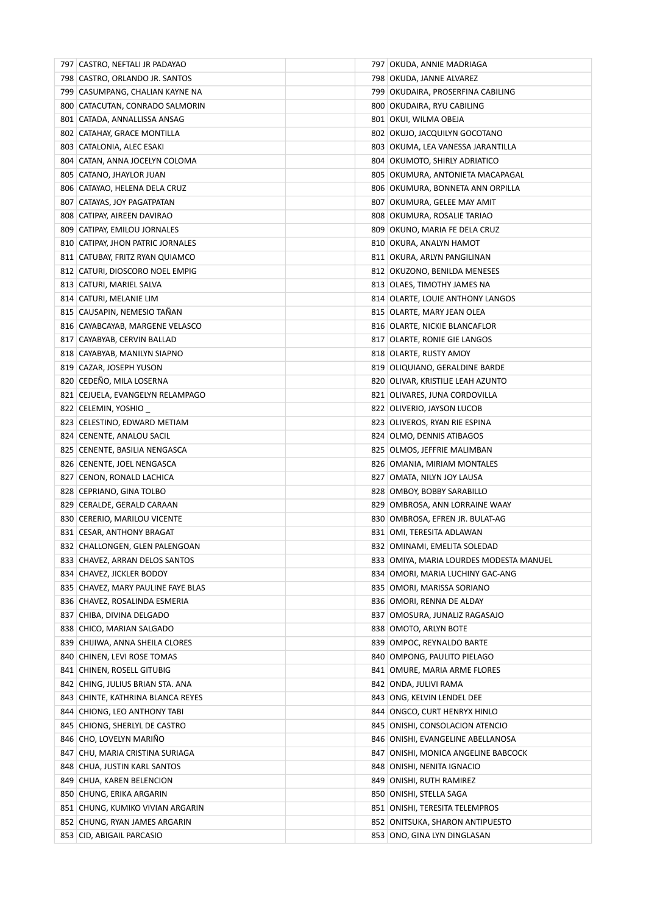| 797   CASTRO, NEFTALI JR PADAYAO   | 797   OKUDA, ANNIE MADRIAGA             |
|------------------------------------|-----------------------------------------|
| 798 CASTRO, ORLANDO JR. SANTOS     | 798 OKUDA, JANNE ALVAREZ                |
| 799 CASUMPANG, CHALIAN KAYNE NA    | 799   OKUDAIRA, PROSERFINA CABILING     |
| 800 CATACUTAN, CONRADO SALMORIN    | 800 OKUDAIRA, RYU CABILING              |
| 801 CATADA, ANNALLISSA ANSAG       | 801 OKUI, WILMA OBEJA                   |
| 802 CATAHAY, GRACE MONTILLA        | 802   OKUJO, JACQUILYN GOCOTANO         |
| 803 CATALONIA, ALEC ESAKI          | 803   OKUMA, LEA VANESSA JARANTILLA     |
| 804   CATAN, ANNA JOCELYN COLOMA   | 804 OKUMOTO, SHIRLY ADRIATICO           |
| 805 CATANO, JHAYLOR JUAN           | 805 OKUMURA, ANTONIETA MACAPAGAL        |
| 806   CATAYAO, HELENA DELA CRUZ    | 806 OKUMURA, BONNETA ANN ORPILLA        |
| 807   CATAYAS, JOY PAGATPATAN      | 807   OKUMURA, GELEE MAY AMIT           |
| 808   CATIPAY, AIREEN DAVIRAO      | 808 OKUMURA, ROSALIE TARIAO             |
| 809 CATIPAY, EMILOU JORNALES       | 809 OKUNO, MARIA FE DELA CRUZ           |
| 810 CATIPAY, JHON PATRIC JORNALES  | 810 OKURA, ANALYN HAMOT                 |
| 811 CATUBAY, FRITZ RYAN QUIAMCO    | 811 OKURA, ARLYN PANGILINAN             |
| 812 CATURI, DIOSCORO NOEL EMPIG    | 812 OKUZONO, BENILDA MENESES            |
| 813 CATURI, MARIEL SALVA           | 813 OLAES, TIMOTHY JAMES NA             |
| 814 CATURI, MELANIE LIM            | 814 OLARTE, LOUIE ANTHONY LANGOS        |
| 815 CAUSAPIN, NEMESIO TAÑAN        | 815 OLARTE, MARY JEAN OLEA              |
| 816 CAYABCAYAB, MARGENE VELASCO    | 816 OLARTE, NICKIE BLANCAFLOR           |
| 817 CAYABYAB, CERVIN BALLAD        | 817 OLARTE, RONIE GIE LANGOS            |
| 818 CAYABYAB, MANILYN SIAPNO       | 818 OLARTE, RUSTY AMOY                  |
| 819 CAZAR, JOSEPH YUSON            | 819 OLIQUIANO, GERALDINE BARDE          |
| 820 CEDEÑO, MILA LOSERNA           | 820 OLIVAR, KRISTILIE LEAH AZUNTO       |
| 821 CEJUELA, EVANGELYN RELAMPAGO   | 821 OLIVARES, JUNA CORDOVILLA           |
| 822 CELEMIN, YOSHIO                | 822 OLIVERIO, JAYSON LUCOB              |
| 823 CELESTINO, EDWARD METIAM       | 823 OLIVEROS, RYAN RIE ESPINA           |
| 824 CENENTE, ANALOU SACIL          | 824 OLMO, DENNIS ATIBAGOS               |
| 825 CENENTE, BASILIA NENGASCA      | 825 OLMOS, JEFFRIE MALIMBAN             |
| 826 CENENTE, JOEL NENGASCA         | 826   OMANIA, MIRIAM MONTALES           |
| 827 CENON, RONALD LACHICA          | 827   OMATA, NILYN JOY LAUSA            |
| 828 CEPRIANO, GINA TOLBO           | 828 OMBOY, BOBBY SARABILLO              |
| 829 CERALDE, GERALD CARAAN         | 829 OMBROSA, ANN LORRAINE WAAY          |
| 830 CERERIO, MARILOU VICENTE       | 830 OMBROSA, EFREN JR. BULAT-AG         |
| 831 CESAR, ANTHONY BRAGAT          | 831 OMI, TERESITA ADLAWAN               |
| 832 CHALLONGEN, GLEN PALENGOAN     | 832 OMINAMI, EMELITA SOLEDAD            |
| 833 CHAVEZ, ARRAN DELOS SANTOS     | 833 OMIYA, MARIA LOURDES MODESTA MANUEL |
| 834 CHAVEZ, JICKLER BODOY          | 834 OMORI, MARIA LUCHINY GAC-ANG        |
| 835 CHAVEZ, MARY PAULINE FAYE BLAS | 835   OMORI, MARISSA SORIANO            |
| 836 CHAVEZ, ROSALINDA ESMERIA      | 836   OMORI, RENNA DE ALDAY             |
| 837 CHIBA, DIVINA DELGADO          | 837   OMOSURA, JUNALIZ RAGASAJO         |
| 838 CHICO, MARIAN SALGADO          | 838 OMOTO, ARLYN BOTE                   |
| 839 CHIJIWA, ANNA SHEILA CLORES    | 839 OMPOC, REYNALDO BARTE               |
| 840 CHINEN, LEVI ROSE TOMAS        | 840 OMPONG, PAULITO PIELAGO             |
| 841 CHINEN, ROSELL GITUBIG         | 841 OMURE, MARIA ARME FLORES            |
| 842 CHING, JULIUS BRIAN STA. ANA   | 842 ONDA, JULIVI RAMA                   |
| 843 CHINTE, KATHRINA BLANCA REYES  | 843 ONG, KELVIN LENDEL DEE              |
| 844 CHIONG, LEO ANTHONY TABI       | 844   ONGCO, CURT HENRYX HINLO          |
| 845 CHIONG, SHERLYL DE CASTRO      | 845 ONISHI, CONSOLACION ATENCIO         |
| 846 CHO, LOVELYN MARIÑO            | 846 ONISHI, EVANGELINE ABELLANOSA       |
| 847   CHU, MARIA CRISTINA SURIAGA  | 847 ONISHI, MONICA ANGELINE BABCOCK     |
| 848 CHUA, JUSTIN KARL SANTOS       | 848   ONISHI, NENITA IGNACIO            |
| 849 CHUA, KAREN BELENCION          | 849   ONISHI, RUTH RAMIREZ              |
| 850 CHUNG, ERIKA ARGARIN           | 850 ONISHI, STELLA SAGA                 |
| 851 CHUNG, KUMIKO VIVIAN ARGARIN   | 851 ONISHI, TERESITA TELEMPROS          |
| 852 CHUNG, RYAN JAMES ARGARIN      | 852 ONITSUKA, SHARON ANTIPUESTO         |
| 853 CID, ABIGAIL PARCASIO          | 853   ONO, GINA LYN DINGLASAN           |
|                                    |                                         |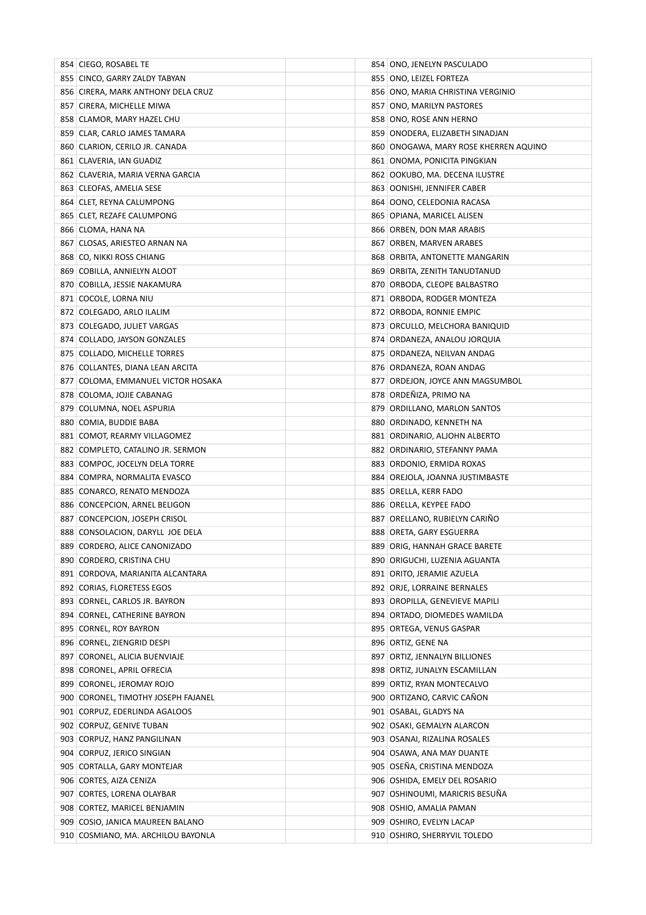| 854 CIEGO, ROSABEL TE               | 854   ONO, JENELYN PASCULADO          |
|-------------------------------------|---------------------------------------|
| 855 CINCO, GARRY ZALDY TABYAN       | 855 ONO, LEIZEL FORTEZA               |
| 856 CIRERA, MARK ANTHONY DELA CRUZ  | 856   ONO, MARIA CHRISTINA VERGINIO   |
| 857 CIRERA, MICHELLE MIWA           | 857 ONO, MARILYN PASTORES             |
| 858 CLAMOR, MARY HAZEL CHU          | 858 ONO, ROSE ANN HERNO               |
| 859 CLAR, CARLO JAMES TAMARA        | 859   ONODERA, ELIZABETH SINADJAN     |
| 860 CLARION, CERILO JR. CANADA      | 860 ONOGAWA, MARY ROSE KHERREN AQUINO |
| 861 CLAVERIA, IAN GUADIZ            | 861 ONOMA, PONICITA PINGKIAN          |
| 862 CLAVERIA, MARIA VERNA GARCIA    | 862 OOKUBO, MA. DECENA ILUSTRE        |
| 863 CLEOFAS, AMELIA SESE            | 863 OONISHI, JENNIFER CABER           |
| 864   CLET, REYNA CALUMPONG         | 864   OONO, CELEDONIA RACASA          |
| 865 CLET, REZAFE CALUMPONG          | 865   OPIANA, MARICEL ALISEN          |
| 866 CLOMA, HANA NA                  | 866 ORBEN, DON MAR ARABIS             |
| 867 CLOSAS, ARIESTEO ARNAN NA       | 867 ORBEN, MARVEN ARABES              |
| 868 CO, NIKKI ROSS CHIANG           | 868 ORBITA, ANTONETTE MANGARIN        |
| 869 COBILLA, ANNIELYN ALOOT         | 869 ORBITA, ZENITH TANUDTANUD         |
| 870 COBILLA, JESSIE NAKAMURA        | 870 ORBODA, CLEOPE BALBASTRO          |
| 871 COCOLE, LORNA NIU               | 871 ORBODA, RODGER MONTEZA            |
| 872 COLEGADO, ARLO ILALIM           | 872 ORBODA, RONNIE EMPIC              |
| 873 COLEGADO, JULIET VARGAS         | 873 ORCULLO, MELCHORA BANIQUID        |
| 874 COLLADO, JAYSON GONZALES        | 874   ORDANEZA, ANALOU JORQUIA        |
| 875 COLLADO, MICHELLE TORRES        | 875   ORDANEZA, NEILVAN ANDAG         |
| 876 COLLANTES, DIANA LEAN ARCITA    | 876   ORDANEZA, ROAN ANDAG            |
| 877 COLOMA, EMMANUEL VICTOR HOSAKA  | 877 ORDEJON, JOYCE ANN MAGSUMBOL      |
| 878   COLOMA, JOJIE CABANAG         | 878 ORDEÑIZA, PRIMO NA                |
| 879 COLUMNA, NOEL ASPURIA           | 879 ORDILLANO, MARLON SANTOS          |
| 880 COMIA, BUDDIE BABA              | 880 ORDINADO, KENNETH NA              |
| 881 COMOT, REARMY VILLAGOMEZ        | 881 ORDINARIO, ALJOHN ALBERTO         |
| 882 COMPLETO, CATALINO JR. SERMON   | 882 ORDINARIO, STEFANNY PAMA          |
| 883 COMPOC, JOCELYN DELA TORRE      | 883 ORDONIO, ERMIDA ROXAS             |
| 884   COMPRA, NORMALITA EVASCO      | 884   OREJOLA, JOANNA JUSTIMBASTE     |
| 885 CONARCO, RENATO MENDOZA         | 885 ORELLA, KERR FADO                 |
| 886 CONCEPCION, ARNEL BELIGON       | 886 ORELLA, KEYPEE FADO               |
| 887 CONCEPCION, JOSEPH CRISOL       | 887 ORELLANO, RUBIELYN CARIÑO         |
| 888 CONSOLACION, DARYLL JOE DELA    | 888 ORETA, GARY ESGUERRA              |
| 889 CORDERO, ALICE CANONIZADO       | 889 ORIG, HANNAH GRACE BARETE         |
| 890 CORDERO, CRISTINA CHU           | 890 ORIGUCHI, LUZENIA AGUANTA         |
| 891 CORDOVA, MARIANITA ALCANTARA    | 891 ORITO, JERAMIE AZUELA             |
| 892 CORIAS, FLORETESS EGOS          | 892 ORJE, LORRAINE BERNALES           |
| 893 CORNEL, CARLOS JR. BAYRON       | 893 OROPILLA, GENEVIEVE MAPILI        |
| 894 CORNEL, CATHERINE BAYRON        | 894 ORTADO, DIOMEDES WAMILDA          |
| 895 CORNEL, ROY BAYRON              | 895 ORTEGA, VENUS GASPAR              |
| 896 CORNEL, ZIENGRID DESPI          | 896 ORTIZ, GENE NA                    |
| 897 CORONEL, ALICIA BUENVIAJE       | 897 ORTIZ, JENNALYN BILLIONES         |
| 898 CORONEL, APRIL OFRECIA          | 898 ORTIZ, JUNALYN ESCAMILLAN         |
| 899 CORONEL, JEROMAY ROJO           | 899 ORTIZ, RYAN MONTECALVO            |
| 900 CORONEL, TIMOTHY JOSEPH FAJANEL | 900 ORTIZANO, CARVIC CAÑON            |
| 901 CORPUZ, EDERLINDA AGALOOS       | 901   OSABAL, GLADYS NA               |
| 902 CORPUZ, GENIVE TUBAN            | 902 OSAKI, GEMALYN ALARCON            |
| 903 CORPUZ, HANZ PANGILINAN         | 903   OSANAI, RIZALINA ROSALES        |
| 904 CORPUZ, JERICO SINGIAN          | 904   OSAWA, ANA MAY DUANTE           |
| 905 CORTALLA, GARY MONTEJAR         | 905   OSEÑA, CRISTINA MENDOZA         |
| 906 CORTES, AIZA CENIZA             | 906 OSHIDA, EMELY DEL ROSARIO         |
| 907 CORTES, LORENA OLAYBAR          | 907   OSHINOUMI, MARICRIS BESUÑA      |
| 908 CORTEZ, MARICEL BENJAMIN        | 908 OSHIO, AMALIA PAMAN               |
| 909 COSIO, JANICA MAUREEN BALANO    | 909 OSHIRO, EVELYN LACAP              |
| 910 COSMIANO, MA. ARCHILOU BAYONLA  | 910 OSHIRO, SHERRYVIL TOLEDO          |
|                                     |                                       |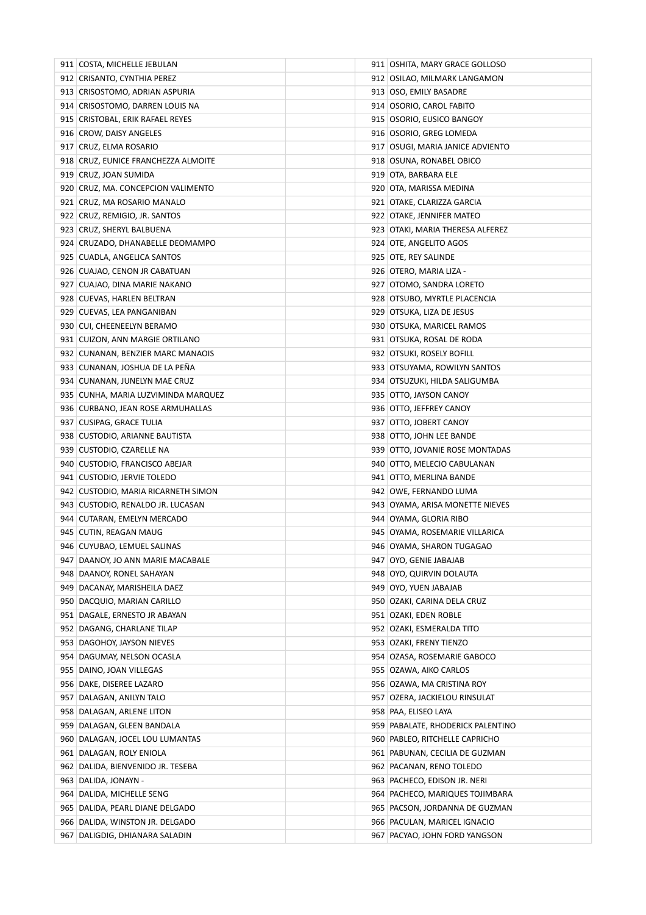| 911 COSTA, MICHELLE JEBULAN                                        | 911 OSHITA, MARY GRACE GOLLOSO                                  |
|--------------------------------------------------------------------|-----------------------------------------------------------------|
| 912 CRISANTO, CYNTHIA PEREZ                                        | 912 OSILAO, MILMARK LANGAMON                                    |
| 913 CRISOSTOMO, ADRIAN ASPURIA                                     | 913 OSO, EMILY BASADRE                                          |
| 914 CRISOSTOMO, DARREN LOUIS NA                                    | 914 OSORIO, CAROL FABITO                                        |
| 915 CRISTOBAL, ERIK RAFAEL REYES                                   | 915 OSORIO, EUSICO BANGOY                                       |
| 916 CROW, DAISY ANGELES                                            | 916 OSORIO, GREG LOMEDA                                         |
| 917 CRUZ, ELMA ROSARIO                                             | 917 OSUGI, MARIA JANICE ADVIENTO                                |
| 918 CRUZ, EUNICE FRANCHEZZA ALMOITE                                | 918 OSUNA, RONABEL OBICO                                        |
| 919 CRUZ, JOAN SUMIDA                                              | 919 OTA, BARBARA ELE                                            |
| 920 CRUZ, MA. CONCEPCION VALIMENTO                                 | 920 OTA, MARISSA MEDINA                                         |
| 921 CRUZ, MA ROSARIO MANALO                                        | 921 OTAKE, CLARIZZA GARCIA                                      |
| 922 CRUZ, REMIGIO, JR. SANTOS                                      | 922 OTAKE, JENNIFER MATEO                                       |
| 923 CRUZ, SHERYL BALBUENA                                          | 923 OTAKI, MARIA THERESA ALFEREZ                                |
| 924 CRUZADO, DHANABELLE DEOMAMPO                                   | 924 OTE, ANGELITO AGOS                                          |
| 925 CUADLA, ANGELICA SANTOS                                        | 925 OTE, REY SALINDE                                            |
| 926 CUAJAO, CENON JR CABATUAN                                      | 926 OTERO, MARIA LIZA -                                         |
| 927 CUAJAO, DINA MARIE NAKANO                                      | 927 OTOMO, SANDRA LORETO                                        |
| 928 CUEVAS, HARLEN BELTRAN                                         | 928 OTSUBO, MYRTLE PLACENCIA                                    |
| 929 CUEVAS, LEA PANGANIBAN                                         | 929 OTSUKA, LIZA DE JESUS                                       |
| 930 CUI, CHEENEELYN BERAMO                                         | 930 OTSUKA, MARICEL RAMOS                                       |
| 931 CUIZON, ANN MARGIE ORTILANO                                    | 931 OTSUKA, ROSAL DE RODA                                       |
| 932 CUNANAN, BENZIER MARC MANAOIS                                  | 932 OTSUKI, ROSELY BOFILL                                       |
| 933 CUNANAN, JOSHUA DE LA PEÑA                                     | 933 OTSUYAMA, ROWILYN SANTOS                                    |
| 934 CUNANAN, JUNELYN MAE CRUZ                                      | 934 OTSUZUKI, HILDA SALIGUMBA                                   |
| 935   CUNHA, MARIA LUZVIMINDA MARQUEZ                              | 935 OTTO, JAYSON CANOY                                          |
| 936 CURBANO, JEAN ROSE ARMUHALLAS                                  | 936 OTTO, JEFFREY CANOY                                         |
| 937 CUSIPAG, GRACE TULIA                                           | 937 OTTO, JOBERT CANOY                                          |
| 938 CUSTODIO, ARIANNE BAUTISTA                                     | 938 OTTO, JOHN LEE BANDE                                        |
| 939 CUSTODIO, CZARELLE NA                                          | 939 OTTO, JOVANIE ROSE MONTADAS                                 |
| 940 CUSTODIO, FRANCISCO ABEJAR                                     | 940 OTTO, MELECIO CABULANAN                                     |
| 941 CUSTODIO, JERVIE TOLEDO                                        | 941 OTTO, MERLINA BANDE                                         |
| 942 CUSTODIO, MARIA RICARNETH SIMON                                | 942 OWE, FERNANDO LUMA                                          |
| 943 CUSTODIO, RENALDO JR. LUCASAN                                  | 943 OYAMA, ARISA MONETTE NIEVES                                 |
| 944 CUTARAN, EMELYN MERCADO                                        | 944 OYAMA, GLORIA RIBO                                          |
| 945 CUTIN, REAGAN MAUG                                             | 945 OYAMA, ROSEMARIE VILLARICA                                  |
| 946 CUYUBAO, LEMUEL SALINAS                                        | 946 OYAMA, SHARON TUGAGAO                                       |
| 947 DAANOY, JO ANN MARIE MACABALE                                  | 947 OYO, GENIE JABAJAB                                          |
| 948 DAANOY, RONEL SAHAYAN                                          | 948 OYO, QUIRVIN DOLAUTA                                        |
| 949 DACANAY, MARISHEILA DAEZ                                       | 949 OYO, YUEN JABAJAB                                           |
| 950 DACQUIO, MARIAN CARILLO                                        | 950 OZAKI, CARINA DELA CRUZ                                     |
| 951 DAGALE, ERNESTO JR ABAYAN                                      | 951 OZAKI, EDEN ROBLE                                           |
| 952 DAGANG, CHARLANE TILAP                                         | 952 OZAKI, ESMERALDA TITO                                       |
| 953 DAGOHOY, JAYSON NIEVES                                         | 953 OZAKI, FRENY TIENZO                                         |
| 954 DAGUMAY, NELSON OCASLA                                         | 954 OZASA, ROSEMARIE GABOCO                                     |
| 955 DAINO, JOAN VILLEGAS                                           | 955 OZAWA, AIKO CARLOS                                          |
| 956   DAKE, DISEREE LAZARO                                         | 956 OZAWA, MA CRISTINA ROY                                      |
| 957 DALAGAN, ANILYN TALO                                           | 957 OZERA, JACKIELOU RINSULAT                                   |
| 958 DALAGAN, ARLENE LITON                                          | 958   PAA, ELISEO LAYA                                          |
| 959 DALAGAN, GLEEN BANDALA                                         | 959 PABALATE, RHODERICK PALENTINO                               |
| 960 DALAGAN, JOCEL LOU LUMANTAS                                    | 960 PABLEO, RITCHELLE CAPRICHO                                  |
| 961 DALAGAN, ROLY ENIOLA                                           | 961 PABUNAN, CECILIA DE GUZMAN                                  |
| 962 DALIDA, BIENVENIDO JR. TESEBA                                  | 962 PACANAN, RENO TOLEDO                                        |
|                                                                    |                                                                 |
| 963 DALIDA, JONAYN -<br>964 DALIDA, MICHELLE SENG                  | 963 PACHECO, EDISON JR. NERI<br>964 PACHECO, MARIQUES TOJIMBARA |
|                                                                    |                                                                 |
| 965 DALIDA, PEARL DIANE DELGADO<br>966 DALIDA, WINSTON JR. DELGADO | 965 PACSON, JORDANNA DE GUZMAN<br>966 PACULAN, MARICEL IGNACIO  |
|                                                                    |                                                                 |
| 967   DALIGDIG, DHIANARA SALADIN                                   | 967 PACYAO, JOHN FORD YANGSON                                   |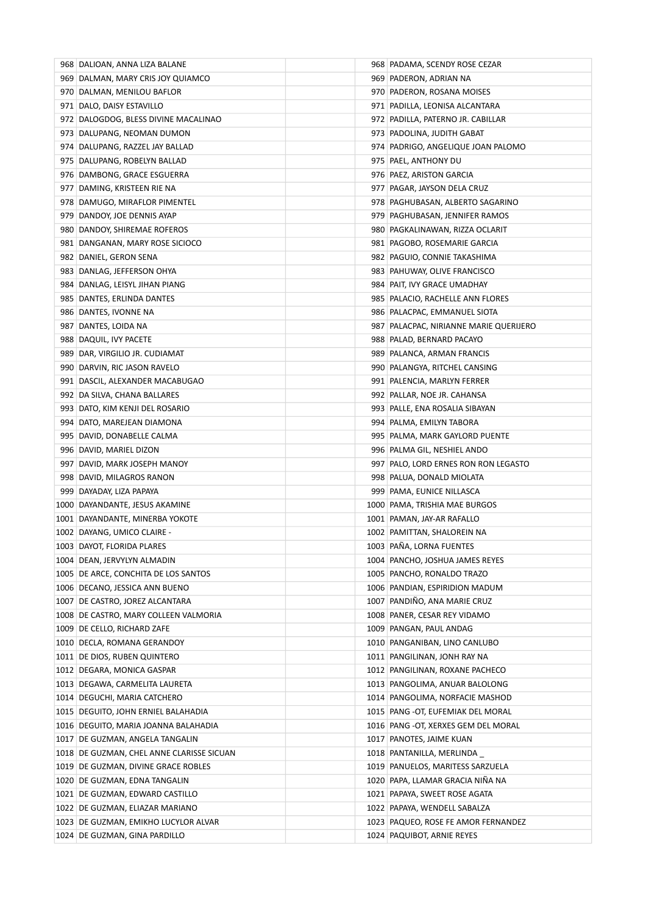| 968 DALIOAN, ANNA LIZA BALANE             | 968 PADAMA, SCENDY ROSE CEZAR            |
|-------------------------------------------|------------------------------------------|
| 969   DALMAN, MARY CRIS JOY QUIAMCO       | 969   PADERON, ADRIAN NA                 |
| 970 DALMAN, MENILOU BAFLOR                | 970   PADERON, ROSANA MOISES             |
| 971   DALO, DAISY ESTAVILLO               | 971   PADILLA, LEONISA ALCANTARA         |
| 972 DALOGDOG, BLESS DIVINE MACALINAO      | 972   PADILLA, PATERNO JR. CABILLAR      |
| 973   DALUPANG, NEOMAN DUMON              | 973   PADOLINA, JUDITH GABAT             |
| 974   DALUPANG, RAZZEL JAY BALLAD         | 974   PADRIGO, ANGELIQUE JOAN PALOMO     |
| 975 DALUPANG, ROBELYN BALLAD              | 975   PAEL, ANTHONY DU                   |
| 976 DAMBONG, GRACE ESGUERRA               | 976 PAEZ, ARISTON GARCIA                 |
| 977 DAMING, KRISTEEN RIE NA               | 977   PAGAR, JAYSON DELA CRUZ            |
| 978 DAMUGO, MIRAFLOR PIMENTEL             | 978   PAGHUBASAN, ALBERTO SAGARINO       |
| 979 DANDOY, JOE DENNIS AYAP               | 979   PAGHUBASAN, JENNIFER RAMOS         |
| 980 DANDOY, SHIREMAE ROFEROS              | 980   PAGKALINAWAN, RIZZA OCLARIT        |
| 981 DANGANAN, MARY ROSE SICIOCO           | 981   PAGOBO, ROSEMARIE GARCIA           |
| 982 DANIEL, GERON SENA                    | 982   PAGUIO, CONNIE TAKASHIMA           |
| 983 DANLAG, JEFFERSON OHYA                | 983 PAHUWAY, OLIVE FRANCISCO             |
| 984 DANLAG, LEISYL JIHAN PIANG            | 984   PAIT, IVY GRACE UMADHAY            |
| 985   DANTES, ERLINDA DANTES              | 985   PALACIO, RACHELLE ANN FLORES       |
| 986 DANTES, IVONNE NA                     | 986   PALACPAC, EMMANUEL SIOTA           |
| 987 DANTES, LOIDA NA                      | 987   PALACPAC, NIRIANNE MARIE QUERIJERO |
| 988 DAQUIL, IVY PACETE                    | 988   PALAD, BERNARD PACAYO              |
| 989   DAR, VIRGILIO JR. CUDIAMAT          | 989   PALANCA, ARMAN FRANCIS             |
| 990 DARVIN, RIC JASON RAVELO              | 990   PALANGYA, RITCHEL CANSING          |
| 991   DASCIL, ALEXANDER MACABUGAO         | 991   PALENCIA, MARLYN FERRER            |
| 992   DA SILVA, CHANA BALLARES            | 992   PALLAR, NOE JR. CAHANSA            |
| 993 DATO, KIM KENJI DEL ROSARIO           | 993   PALLE, ENA ROSALIA SIBAYAN         |
| 994 DATO, MAREJEAN DIAMONA                | 994   PALMA, EMILYN TABORA               |
| 995   DAVID, DONABELLE CALMA              | 995   PALMA, MARK GAYLORD PUENTE         |
| 996 DAVID, MARIEL DIZON                   | 996   PALMA GIL, NESHIEL ANDO            |
| 997 DAVID, MARK JOSEPH MANOY              | 997 PALO, LORD ERNES RON RON LEGASTO     |
| 998 DAVID, MILAGROS RANON                 | 998   PALUA, DONALD MIOLATA              |
| 999 DAYADAY, LIZA PAPAYA                  | 999   PAMA, EUNICE NILLASCA              |
| 1000 DAYANDANTE, JESUS AKAMINE            | 1000 PAMA, TRISHIA MAE BURGOS            |
| 1001 DAYANDANTE, MINERBA YOKOTE           | 1001   PAMAN, JAY-AR RAFALLO             |
| 1002 DAYANG, UMICO CLAIRE -               | 1002 PAMITTAN, SHALOREIN NA              |
| 1003 DAYOT, FLORIDA PLARES                | 1003 PAÑA, LORNA FUENTES                 |
| 1004   DEAN, JERVYLYN ALMADIN             | 1004 PANCHO, JOSHUA JAMES REYES          |
| 1005 DE ARCE, CONCHITA DE LOS SANTOS      | 1005 PANCHO, RONALDO TRAZO               |
| 1006 DECANO, JESSICA ANN BUENO            | 1006 PANDIAN, ESPIRIDION MADUM           |
| 1007   DE CASTRO, JOREZ ALCANTARA         | 1007 PANDIÑO, ANA MARIE CRUZ             |
| 1008 DE CASTRO, MARY COLLEEN VALMORIA     | 1008 PANER, CESAR REY VIDAMO             |
| 1009 DE CELLO, RICHARD ZAFE               | 1009 PANGAN, PAUL ANDAG                  |
| 1010 DECLA, ROMANA GERANDOY               | 1010 PANGANIBAN, LINO CANLUBO            |
| 1011 DE DIOS, RUBEN QUINTERO              | 1011 PANGILINAN, JONH RAY NA             |
| 1012 DEGARA, MONICA GASPAR                | 1012 PANGILINAN, ROXANE PACHECO          |
| 1013 DEGAWA, CARMELITA LAURETA            | 1013 PANGOLIMA, ANUAR BALOLONG           |
| 1014 DEGUCHI, MARIA CATCHERO              | 1014 PANGOLIMA, NORFACIE MASHOD          |
| 1015 DEGUITO, JOHN ERNIEL BALAHADIA       | 1015 PANG - OT, EUFEMIAK DEL MORAL       |
| 1016 DEGUITO, MARIA JOANNA BALAHADIA      | 1016 PANG - OT, XERXES GEM DEL MORAL     |
| 1017 DE GUZMAN, ANGELA TANGALIN           | 1017 PANOTES, JAIME KUAN                 |
| 1018 DE GUZMAN, CHEL ANNE CLARISSE SICUAN | 1018 PANTANILLA, MERLINDA                |
| 1019 DE GUZMAN, DIVINE GRACE ROBLES       | 1019 PANUELOS, MARITESS SARZUELA         |
| 1020 DE GUZMAN, EDNA TANGALIN             | 1020   PAPA, LLAMAR GRACIA NIÑA NA       |
| 1021 DE GUZMAN, EDWARD CASTILLO           | 1021 PAPAYA, SWEET ROSE AGATA            |
| 1022 DE GUZMAN, ELIAZAR MARIANO           | 1022 PAPAYA, WENDELL SABALZA             |
| 1023 DE GUZMAN, EMIKHO LUCYLOR ALVAR      | 1023 PAQUEO, ROSE FE AMOR FERNANDEZ      |
| 1024 DE GUZMAN, GINA PARDILLO             | 1024 PAQUIBOT, ARNIE REYES               |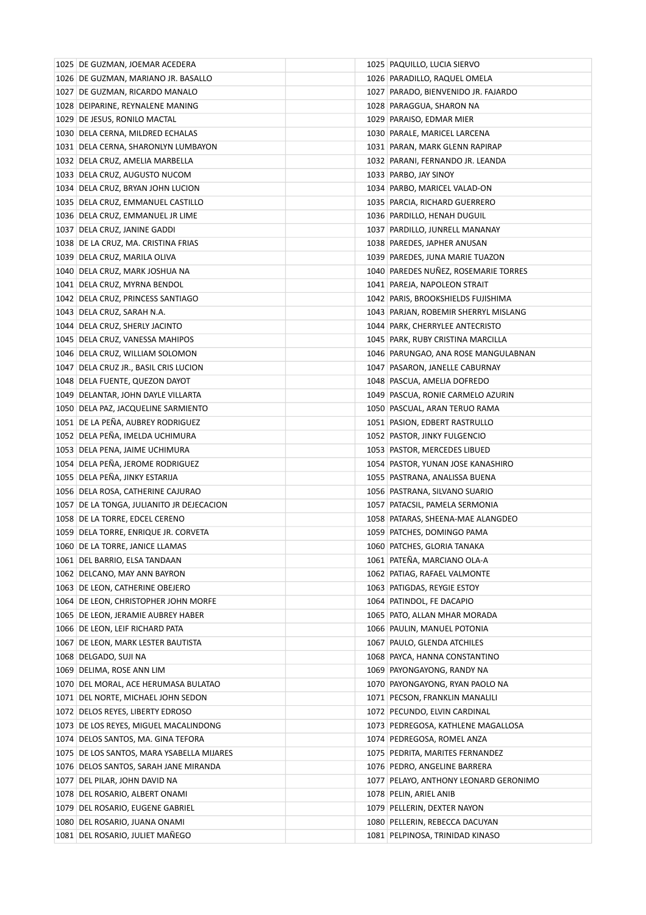| 1025 DE GUZMAN, JOEMAR ACEDERA            |  | 1025 PAQUILLO, LUCIA SIERVO           |
|-------------------------------------------|--|---------------------------------------|
| 1026 DE GUZMAN, MARIANO JR. BASALLO       |  | 1026 PARADILLO, RAQUEL OMELA          |
| 1027 DE GUZMAN, RICARDO MANALO            |  | 1027 PARADO, BIENVENIDO JR. FAJARDO   |
| 1028 DEIPARINE, REYNALENE MANING          |  | 1028 PARAGGUA, SHARON NA              |
| 1029 DE JESUS, RONILO MACTAL              |  | 1029 PARAISO, EDMAR MIER              |
| 1030 DELA CERNA, MILDRED ECHALAS          |  | 1030 PARALE, MARICEL LARCENA          |
| 1031 DELA CERNA, SHARONLYN LUMBAYON       |  | 1031   PARAN, MARK GLENN RAPIRAP      |
| 1032 DELA CRUZ, AMELIA MARBELLA           |  | 1032   PARANI, FERNANDO JR. LEANDA    |
| 1033 DELA CRUZ, AUGUSTO NUCOM             |  | 1033 PARBO, JAY SINOY                 |
| 1034 DELA CRUZ, BRYAN JOHN LUCION         |  | 1034 PARBO, MARICEL VALAD-ON          |
| 1035 DELA CRUZ, EMMANUEL CASTILLO         |  | 1035 PARCIA, RICHARD GUERRERO         |
| 1036 DELA CRUZ, EMMANUEL JR LIME          |  | 1036 PARDILLO, HENAH DUGUIL           |
| 1037 DELA CRUZ, JANINE GADDI              |  | 1037 PARDILLO, JUNRELL MANANAY        |
| 1038 DE LA CRUZ, MA. CRISTINA FRIAS       |  | 1038 PAREDES, JAPHER ANUSAN           |
| 1039 DELA CRUZ, MARILA OLIVA              |  | 1039 PAREDES, JUNA MARIE TUAZON       |
| 1040 DELA CRUZ, MARK JOSHUA NA            |  | 1040 PAREDES NUÑEZ, ROSEMARIE TORRES  |
| 1041 DELA CRUZ, MYRNA BENDOL              |  | 1041 PAREJA, NAPOLEON STRAIT          |
| 1042 DELA CRUZ, PRINCESS SANTIAGO         |  | 1042 PARIS, BROOKSHIELDS FUJISHIMA    |
| 1043 DELA CRUZ, SARAH N.A.                |  | 1043 PARJAN, ROBEMIR SHERRYL MISLANG  |
| 1044 DELA CRUZ, SHERLY JACINTO            |  | 1044 PARK, CHERRYLEE ANTECRISTO       |
| 1045   DELA CRUZ, VANESSA MAHIPOS         |  | 1045 PARK, RUBY CRISTINA MARCILLA     |
| 1046 DELA CRUZ, WILLIAM SOLOMON           |  | 1046 PARUNGAO, ANA ROSE MANGULABNAN   |
| 1047 DELA CRUZ JR., BASIL CRIS LUCION     |  | 1047 PASARON, JANELLE CABURNAY        |
| 1048 DELA FUENTE, QUEZON DAYOT            |  | 1048 PASCUA, AMELIA DOFREDO           |
| 1049   DELANTAR, JOHN DAYLE VILLARTA      |  | 1049 PASCUA, RONIE CARMELO AZURIN     |
| 1050 DELA PAZ, JACQUELINE SARMIENTO       |  | 1050 PASCUAL, ARAN TERUO RAMA         |
| 1051 DE LA PEÑA, AUBREY RODRIGUEZ         |  | 1051 PASION, EDBERT RASTRULLO         |
| 1052 DELA PEÑA, IMELDA UCHIMURA           |  | 1052 PASTOR, JINKY FULGENCIO          |
| 1053 DELA PENA, JAIME UCHIMURA            |  | 1053 PASTOR, MERCEDES LIBUED          |
| 1054 DELA PEÑA, JEROME RODRIGUEZ          |  | 1054 PASTOR, YUNAN JOSE KANASHIRO     |
| 1055 DELA PEÑA, JINKY ESTARIJA            |  | 1055   PASTRANA, ANALISSA BUENA       |
| 1056 DELA ROSA, CATHERINE CAJURAO         |  | 1056 PASTRANA, SILVANO SUARIO         |
| 1057 DE LA TONGA, JULIANITO JR DEJECACION |  | 1057   PATACSIL, PAMELA SERMONIA      |
| 1058 DE LA TORRE, EDCEL CERENO            |  | 1058 PATARAS, SHEENA-MAE ALANGDEO     |
| 1059 DELA TORRE, ENRIQUE JR. CORVETA      |  | 1059 PATCHES, DOMINGO PAMA            |
| 1060 DE LA TORRE, JANICE LLAMAS           |  | 1060 PATCHES, GLORIA TANAKA           |
| 1061 DEL BARRIO, ELSA TANDAAN             |  | 1061 PATEÑA, MARCIANO OLA-A           |
| 1062 DELCANO, MAY ANN BAYRON              |  | 1062 PATIAG, RAFAEL VALMONTE          |
| 1063 DE LEON, CATHERINE OBEJERO           |  | 1063 PATIGDAS, REYGIE ESTOY           |
| 1064 DE LEON, CHRISTOPHER JOHN MORFE      |  | 1064 PATINDOL, FE DACAPIO             |
| 1065 DE LEON, JERAMIE AUBREY HABER        |  | 1065 PATO, ALLAN MHAR MORADA          |
| 1066 DE LEON, LEIF RICHARD PATA           |  | 1066 PAULIN, MANUEL POTONIA           |
| 1067 DE LEON, MARK LESTER BAUTISTA        |  | 1067   PAULO, GLENDA ATCHILES         |
| 1068 DELGADO, SUJI NA                     |  | 1068 PAYCA, HANNA CONSTANTINO         |
| 1069 DELIMA, ROSE ANN LIM                 |  | 1069 PAYONGAYONG, RANDY NA            |
| 1070 DEL MORAL, ACE HERUMASA BULATAO      |  | 1070 PAYONGAYONG, RYAN PAOLO NA       |
| 1071 DEL NORTE, MICHAEL JOHN SEDON        |  | 1071 PECSON, FRANKLIN MANALILI        |
| 1072 DELOS REYES, LIBERTY EDROSO          |  | 1072 PECUNDO, ELVIN CARDINAL          |
| 1073 DE LOS REYES, MIGUEL MACALINDONG     |  | 1073 PEDREGOSA, KATHLENE MAGALLOSA    |
| 1074 DELOS SANTOS, MA. GINA TEFORA        |  | 1074 PEDREGOSA, ROMEL ANZA            |
| 1075 DE LOS SANTOS, MARA YSABELLA MIJARES |  | 1075 PEDRITA, MARITES FERNANDEZ       |
| 1076 DELOS SANTOS, SARAH JANE MIRANDA     |  | 1076 PEDRO, ANGELINE BARRERA          |
| 1077 DEL PILAR, JOHN DAVID NA             |  | 1077 PELAYO, ANTHONY LEONARD GERONIMO |
| 1078 DEL ROSARIO, ALBERT ONAMI            |  | 1078 PELIN, ARIEL ANIB                |
| 1079 DEL ROSARIO, EUGENE GABRIEL          |  | 1079 PELLERIN, DEXTER NAYON           |
| 1080 DEL ROSARIO, JUANA ONAMI             |  | 1080 PELLERIN, REBECCA DACUYAN        |
| 1081 DEL ROSARIO, JULIET MAÑEGO           |  | 1081 PELPINOSA, TRINIDAD KINASO       |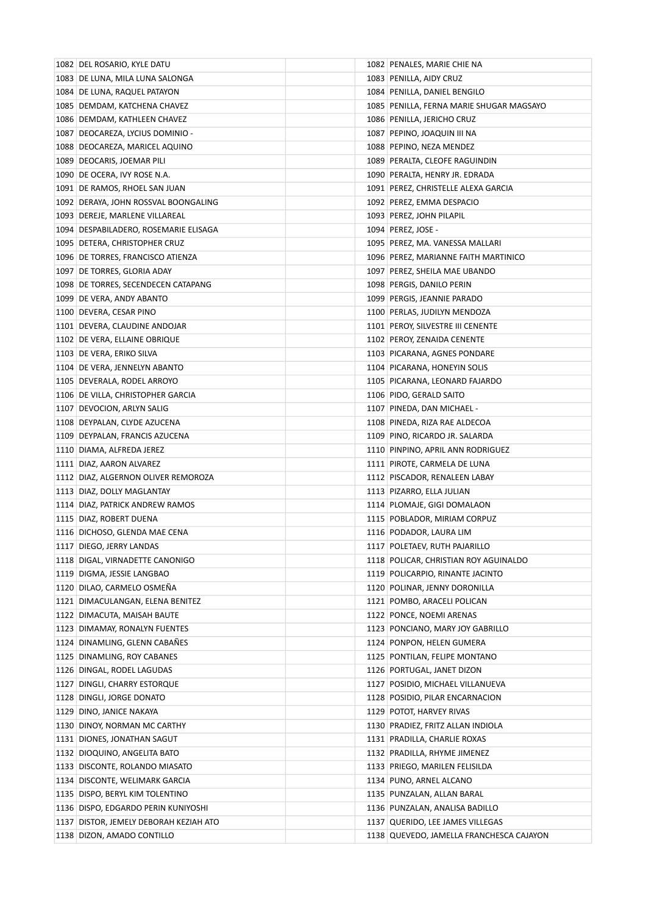| 1082 DEL ROSARIO, KYLE DATU            | 1082 PENALES, MARIE CHIE NA                             |
|----------------------------------------|---------------------------------------------------------|
| 1083 DE LUNA, MILA LUNA SALONGA        | 1083 PENILLA, AIDY CRUZ                                 |
| 1084 DE LUNA, RAQUEL PATAYON           | 1084 PENILLA, DANIEL BENGILO                            |
| 1085 DEMDAM, KATCHENA CHAVEZ           | 1085 PENILLA, FERNA MARIE SHUGAR MAGSAYO                |
| 1086 DEMDAM, KATHLEEN CHAVEZ           | 1086 PENILLA, JERICHO CRUZ                              |
| 1087 DEOCAREZA, LYCIUS DOMINIO -       | 1087   PEPINO, JOAQUIN III NA                           |
| 1088 DEOCAREZA, MARICEL AQUINO         | 1088 PEPINO, NEZA MENDEZ                                |
| 1089 DEOCARIS, JOEMAR PILI             | 1089 PERALTA, CLEOFE RAGUINDIN                          |
| 1090 DE OCERA, IVY ROSE N.A.           | 1090 PERALTA, HENRY JR. EDRADA                          |
| 1091 DE RAMOS, RHOEL SAN JUAN          | 1091 PEREZ, CHRISTELLE ALEXA GARCIA                     |
| 1092 DERAYA, JOHN ROSSVAL BOONGALING   | 1092 PEREZ, EMMA DESPACIO                               |
| 1093 DEREJE, MARLENE VILLAREAL         | 1093 PEREZ, JOHN PILAPIL                                |
| 1094 DESPABILADERO, ROSEMARIE ELISAGA  | 1094   PEREZ, JOSE -                                    |
| 1095 DETERA, CHRISTOPHER CRUZ          | 1095   PEREZ, MA. VANESSA MALLARI                       |
| 1096 DE TORRES, FRANCISCO ATIENZA      | 1096 PEREZ, MARIANNE FAITH MARTINICO                    |
| 1097 DE TORRES, GLORIA ADAY            | 1097 PEREZ, SHEILA MAE UBANDO                           |
| 1098 DE TORRES, SECENDECEN CATAPANG    | 1098 PERGIS, DANILO PERIN                               |
| 1099 DE VERA, ANDY ABANTO              | 1099 PERGIS, JEANNIE PARADO                             |
| 1100 DEVERA, CESAR PINO                | 1100 PERLAS, JUDILYN MENDOZA                            |
| 1101 DEVERA, CLAUDINE ANDOJAR          | 1101 PEROY, SILVESTRE III CENENTE                       |
| 1102 DE VERA, ELLAINE OBRIQUE          | 1102 PEROY, ZENAIDA CENENTE                             |
| 1103 DE VERA, ERIKO SILVA              | 1103 PICARANA, AGNES PONDARE                            |
| 1104 DE VERA, JENNELYN ABANTO          | 1104 PICARANA, HONEYIN SOLIS                            |
| 1105   DEVERALA, RODEL ARROYO          | 1105 PICARANA, LEONARD FAJARDO                          |
| 1106 DE VILLA, CHRISTOPHER GARCIA      | 1106 PIDO, GERALD SAITO                                 |
| 1107 DEVOCION, ARLYN SALIG             | 1107 PINEDA, DAN MICHAEL -                              |
| 1108 DEYPALAN, CLYDE AZUCENA           | 1108 PINEDA, RIZA RAE ALDECOA                           |
| 1109 DEYPALAN, FRANCIS AZUCENA         | 1109 PINO, RICARDO JR. SALARDA                          |
| 1110 DIAMA, ALFREDA JEREZ              | 1110 PINPINO, APRIL ANN RODRIGUEZ                       |
| 1111 DIAZ, AARON ALVAREZ               | 1111 PIROTE, CARMELA DE LUNA                            |
| 1112 DIAZ, ALGERNON OLIVER REMOROZA    | 1112 PISCADOR, RENALEEN LABAY                           |
| 1113 DIAZ, DOLLY MAGLANTAY             | 1113 PIZARRO, ELLA JULIAN                               |
| 1114 DIAZ, PATRICK ANDREW RAMOS        | 1114 PLOMAJE, GIGI DOMALAON                             |
| 1115 DIAZ, ROBERT DUENA                | 1115 POBLADOR, MIRIAM CORPUZ                            |
| 1116 DICHOSO, GLENDA MAE CENA          | 1116 PODADOR, LAURA LIM                                 |
| 1117 DIEGO, JERRY LANDAS               | 1117 POLETAEV, RUTH PAJARILLO                           |
| 1118 DIGAL, VIRNADETTE CANONIGO        | 1118 POLICAR, CHRISTIAN ROY AGUINALDO                   |
| 1119 DIGMA, JESSIE LANGBAO             | 1119 POLICARPIO, RINANTE JACINTO                        |
| 1120 DILAO, CARMELO OSMEÑA             |                                                         |
| 1121 DIMACULANGAN, ELENA BENITEZ       | 1120 POLINAR, JENNY DORONILLA                           |
| 1122 DIMACUTA, MAISAH BAUTE            | 1121 POMBO, ARACELI POLICAN<br>1122 PONCE, NOEMI ARENAS |
| 1123 DIMAMAY, RONALYN FUENTES          |                                                         |
|                                        | 1123 PONCIANO, MARY JOY GABRILLO                        |
| 1124 DINAMLING, GLENN CABAÑES          | 1124 PONPON, HELEN GUMERA                               |
| 1125 DINAMLING, ROY CABANES            | 1125 PONTILAN, FELIPE MONTANO                           |
| 1126 DINGAL, RODEL LAGUDAS             | 1126 PORTUGAL, JANET DIZON                              |
| 1127 DINGLI, CHARRY ESTORQUE           | 1127 POSIDIO, MICHAEL VILLANUEVA                        |
| 1128 DINGLI, JORGE DONATO              | 1128 POSIDIO, PILAR ENCARNACION                         |
| 1129 DINO, JANICE NAKAYA               | 1129 POTOT, HARVEY RIVAS                                |
| 1130 DINOY, NORMAN MC CARTHY           | 1130 PRADIEZ, FRITZ ALLAN INDIOLA                       |
| 1131 DIONES, JONATHAN SAGUT            | 1131 PRADILLA, CHARLIE ROXAS                            |
| 1132 DIOQUINO, ANGELITA BATO           | 1132 PRADILLA, RHYME JIMENEZ                            |
| 1133 DISCONTE, ROLANDO MIASATO         | 1133 PRIEGO, MARILEN FELISILDA                          |
| 1134 DISCONTE, WELIMARK GARCIA         | 1134 PUNO, ARNEL ALCANO                                 |
| 1135 DISPO, BERYL KIM TOLENTINO        | 1135 PUNZALAN, ALLAN BARAL                              |
| 1136 DISPO, EDGARDO PERIN KUNIYOSHI    | 1136 PUNZALAN, ANALISA BADILLO                          |
| 1137 DISTOR, JEMELY DEBORAH KEZIAH ATO | 1137 QUERIDO, LEE JAMES VILLEGAS                        |
| 1138 DIZON, AMADO CONTILLO             | 1138 QUEVEDO, JAMELLA FRANCHESCA CAJAYON                |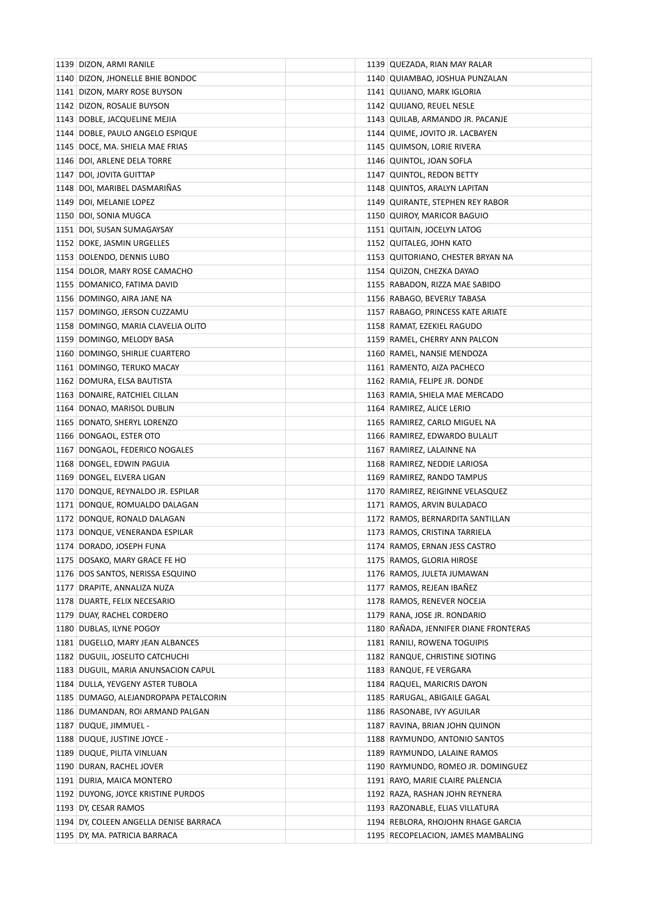| 1139 DIZON, ARMI RANILE                | 1139 QUEZADA, RIAN MAY RALAR          |
|----------------------------------------|---------------------------------------|
| 1140 DIZON, JHONELLE BHIE BONDOC       | 1140   QUIAMBAO, JOSHUA PUNZALAN      |
| 1141 DIZON, MARY ROSE BUYSON           | 1141 QUIJANO, MARK IGLORIA            |
| 1142 DIZON, ROSALIE BUYSON             | 1142 QUIJANO, REUEL NESLE             |
| 1143 DOBLE, JACQUELINE MEJIA           | 1143 QUILAB, ARMANDO JR. PACANJE      |
| 1144 DOBLE, PAULO ANGELO ESPIQUE       | 1144 QUIME, JOVITO JR. LACBAYEN       |
| 1145 DOCE, MA. SHIELA MAE FRIAS        | 1145 QUIMSON, LORIE RIVERA            |
| 1146 DOI, ARLENE DELA TORRE            | 1146 QUINTOL, JOAN SOFLA              |
| 1147 DOI, JOVITA GUITTAP               | 1147 QUINTOL, REDON BETTY             |
| 1148 DOI, MARIBEL DASMARIÑAS           | 1148 QUINTOS, ARALYN LAPITAN          |
| 1149 DOI, MELANIE LOPEZ                | 1149 QUIRANTE, STEPHEN REY RABOR      |
| 1150 DOI, SONIA MUGCA                  | 1150 QUIROY, MARICOR BAGUIO           |
| 1151 DOI, SUSAN SUMAGAYSAY             | 1151 QUITAIN, JOCELYN LATOG           |
| 1152 DOKE, JASMIN URGELLES             | 1152 QUITALEG, JOHN KATO              |
| 1153 DOLENDO, DENNIS LUBO              | 1153 QUITORIANO, CHESTER BRYAN NA     |
| 1154 DOLOR, MARY ROSE CAMACHO          | 1154 QUIZON, CHEZKA DAYAO             |
| 1155 DOMANICO, FATIMA DAVID            | 1155 RABADON, RIZZA MAE SABIDO        |
| 1156 DOMINGO, AIRA JANE NA             | 1156 RABAGO, BEVERLY TABASA           |
| 1157 DOMINGO, JERSON CUZZAMU           | 1157 RABAGO, PRINCESS KATE ARIATE     |
| 1158 DOMINGO, MARIA CLAVELIA OLITO     | 1158 RAMAT, EZEKIEL RAGUDO            |
| 1159 DOMINGO, MELODY BASA              | 1159 RAMEL, CHERRY ANN PALCON         |
| 1160 DOMINGO, SHIRLIE CUARTERO         | 1160 RAMEL, NANSIE MENDOZA            |
| 1161 DOMINGO, TERUKO MACAY             | 1161 RAMENTO, AIZA PACHECO            |
| 1162 DOMURA, ELSA BAUTISTA             | 1162 RAMIA, FELIPE JR. DONDE          |
| 1163 DONAIRE, RATCHIEL CILLAN          | 1163 RAMIA, SHIELA MAE MERCADO        |
| 1164 DONAO, MARISOL DUBLIN             | 1164 RAMIREZ, ALICE LERIO             |
| 1165 DONATO, SHERYL LORENZO            | 1165 RAMIREZ, CARLO MIGUEL NA         |
| 1166 DONGAOL, ESTER OTO                | 1166 RAMIREZ, EDWARDO BULALIT         |
| 1167 DONGAOL, FEDERICO NOGALES         | 1167 RAMIREZ, LALAINNE NA             |
| 1168 DONGEL, EDWIN PAGUIA              | 1168 RAMIREZ, NEDDIE LARIOSA          |
| 1169 DONGEL, ELVERA LIGAN              | 1169 RAMIREZ, RANDO TAMPUS            |
| 1170 DONQUE, REYNALDO JR. ESPILAR      | 1170 RAMIREZ, REIGINNE VELASQUEZ      |
| 1171 DONQUE, ROMUALDO DALAGAN          | 1171 RAMOS, ARVIN BULADACO            |
| 1172 DONQUE, RONALD DALAGAN            | 1172 RAMOS, BERNARDITA SANTILLAN      |
| 1173 DONQUE, VENERANDA ESPILAR         | 1173 RAMOS, CRISTINA TARRIELA         |
| 1174 DORADO, JOSEPH FUNA               | 1174 RAMOS, ERNAN JESS CASTRO         |
| 1175 DOSAKO, MARY GRACE FE HO          | 1175 RAMOS, GLORIA HIROSE             |
| 1176 DOS SANTOS, NERISSA ESQUINO       | 1176 RAMOS, JULETA JUMAWAN            |
| 1177   DRAPITE, ANNALIZA NUZA          | 1177 RAMOS, REJEAN IBAÑEZ             |
| 1178 DUARTE, FELIX NECESARIO           | 1178 RAMOS, RENEVER NOCEJA            |
| 1179 DUAY, RACHEL CORDERO              | 1179 RANA, JOSE JR. RONDARIO          |
| 1180 DUBLAS, ILYNE POGOY               | 1180 RAÑADA, JENNIFER DIANE FRONTERAS |
| 1181 DUGELLO, MARY JEAN ALBANCES       | 1181 RANILI, ROWENA TOGUIPIS          |
| 1182 DUGUIL, JOSELITO CATCHUCHI        | 1182 RANQUE, CHRISTINE SIOTING        |
| 1183 DUGUIL, MARIA ANUNSACION CAPUL    | 1183 RANQUE, FE VERGARA               |
| 1184 DULLA, YEVGENY ASTER TUBOLA       | 1184 RAQUEL, MARICRIS DAYON           |
| 1185 DUMAGO, ALEJANDROPAPA PETALCORIN  | 1185 RARUGAL, ABIGAILE GAGAL          |
| 1186 DUMANDAN, ROI ARMAND PALGAN       | 1186 RASONABE, IVY AGUILAR            |
| 1187 DUQUE, JIMMUEL -                  | 1187 RAVINA, BRIAN JOHN QUINON        |
| 1188 DUQUE, JUSTINE JOYCE -            | 1188 RAYMUNDO, ANTONIO SANTOS         |
| 1189 DUQUE, PILITA VINLUAN             | 1189 RAYMUNDO, LALAINE RAMOS          |
| 1190 DURAN, RACHEL JOVER               | 1190 RAYMUNDO, ROMEO JR. DOMINGUEZ    |
| 1191 DURIA, MAICA MONTERO              | 1191 RAYO, MARIE CLAIRE PALENCIA      |
| 1192 DUYONG, JOYCE KRISTINE PURDOS     | 1192 RAZA, RASHAN JOHN REYNERA        |
| 1193 DY, CESAR RAMOS                   | 1193 RAZONABLE, ELIAS VILLATURA       |
| 1194 DY, COLEEN ANGELLA DENISE BARRACA | 1194 REBLORA, RHOJOHN RHAGE GARCIA    |
| 1195 DY, MA. PATRICIA BARRACA          | 1195 RECOPELACION, JAMES MAMBALING    |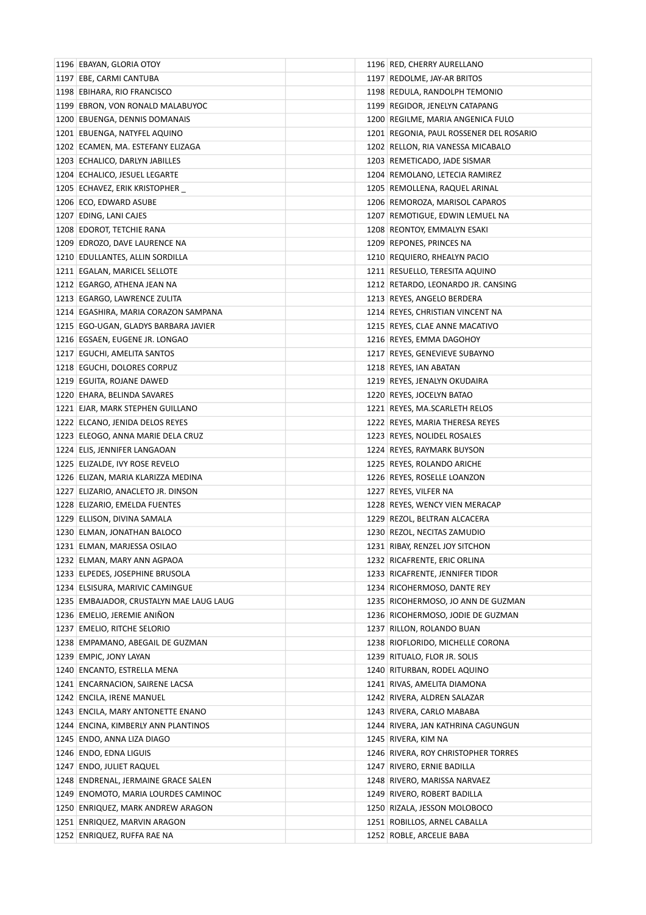| 1196 EBAYAN, GLORIA OTOY                | 1196 RED, CHERRY AURELLANO              |
|-----------------------------------------|-----------------------------------------|
| 1197 EBE, CARMI CANTUBA                 | 1197 REDOLME, JAY-AR BRITOS             |
| 1198 EBIHARA, RIO FRANCISCO             | 1198 REDULA, RANDOLPH TEMONIO           |
| 1199 EBRON, VON RONALD MALABUYOC        | 1199 REGIDOR, JENELYN CATAPANG          |
| 1200 EBUENGA, DENNIS DOMANAIS           | 1200 REGILME, MARIA ANGENICA FULO       |
| 1201 EBUENGA, NATYFEL AQUINO            | 1201 REGONIA, PAUL ROSSENER DEL ROSARIO |
| 1202 ECAMEN, MA. ESTEFANY ELIZAGA       | 1202 RELLON, RIA VANESSA MICABALO       |
| 1203 ECHALICO, DARLYN JABILLES          | 1203 REMETICADO, JADE SISMAR            |
| 1204 ECHALICO, JESUEL LEGARTE           | 1204 REMOLANO, LETECIA RAMIREZ          |
| 1205 ECHAVEZ, ERIK KRISTOPHER           | 1205 REMOLLENA, RAQUEL ARINAL           |
| 1206 ECO, EDWARD ASUBE                  | 1206 REMOROZA, MARISOL CAPAROS          |
| 1207 EDING, LANI CAJES                  | 1207 REMOTIGUE, EDWIN LEMUEL NA         |
| 1208 EDOROT, TETCHIE RANA               | 1208 REONTOY, EMMALYN ESAKI             |
| 1209 EDROZO, DAVE LAURENCE NA           | 1209 REPONES, PRINCES NA                |
| 1210 EDULLANTES, ALLIN SORDILLA         | 1210 REQUIERO, RHEALYN PACIO            |
| 1211 EGALAN, MARICEL SELLOTE            | 1211 RESUELLO, TERESITA AQUINO          |
| 1212 EGARGO, ATHENA JEAN NA             | 1212 RETARDO, LEONARDO JR. CANSING      |
| 1213 EGARGO, LAWRENCE ZULITA            | 1213 REYES, ANGELO BERDERA              |
| 1214 EGASHIRA, MARIA CORAZON SAMPANA    | 1214 REYES, CHRISTIAN VINCENT NA        |
| 1215 EGO-UGAN, GLADYS BARBARA JAVIER    | 1215 REYES, CLAE ANNE MACATIVO          |
| 1216 EGSAEN, EUGENE JR. LONGAO          | 1216 REYES, EMMA DAGOHOY                |
| 1217 EGUCHI, AMELITA SANTOS             | 1217 REYES, GENEVIEVE SUBAYNO           |
| 1218 EGUCHI, DOLORES CORPUZ             | 1218 REYES, IAN ABATAN                  |
| 1219 EGUITA, ROJANE DAWED               | 1219 REYES, JENALYN OKUDAIRA            |
| 1220 EHARA, BELINDA SAVARES             | 1220 REYES, JOCELYN BATAO               |
| 1221 EJAR, MARK STEPHEN GUILLANO        | 1221 REYES, MA.SCARLETH RELOS           |
| 1222 ELCANO, JENIDA DELOS REYES         | 1222 REYES, MARIA THERESA REYES         |
| 1223 ELEOGO, ANNA MARIE DELA CRUZ       | 1223 REYES, NOLIDEL ROSALES             |
| 1224 ELIS, JENNIFER LANGAOAN            | 1224 REYES, RAYMARK BUYSON              |
| 1225 ELIZALDE, IVY ROSE REVELO          | 1225 REYES, ROLANDO ARICHE              |
| 1226 ELIZAN, MARIA KLARIZZA MEDINA      | 1226 REYES, ROSELLE LOANZON             |
| 1227 ELIZARIO, ANACLETO JR. DINSON      | 1227 REYES, VILFER NA                   |
| 1228 ELIZARIO, EMELDA FUENTES           | 1228 REYES, WENCY VIEN MERACAP          |
| 1229 ELLISON, DIVINA SAMALA             | 1229 REZOL, BELTRAN ALCACERA            |
| 1230 ELMAN, JONATHAN BALOCO             | 1230 REZOL, NECITAS ZAMUDIO             |
| 1231 ELMAN, MARJESSA OSILAO             | 1231 RIBAY, RENZEL JOY SITCHON          |
| 1232 ELMAN, MARY ANN AGPAOA             | 1232 RICAFRENTE, ERIC ORLINA            |
| 1233 ELPEDES, JOSEPHINE BRUSOLA         | 1233 RICAFRENTE, JENNIFER TIDOR         |
| 1234 ELSISURA, MARIVIC CAMINGUE         | 1234 RICOHERMOSO, DANTE REY             |
| 1235 EMBAJADOR, CRUSTALYN MAE LAUG LAUG | 1235 RICOHERMOSO, JO ANN DE GUZMAN      |
| 1236 EMELIO, JEREMIE ANINON             | 1236 RICOHERMOSO, JODIE DE GUZMAN       |
| 1237 EMELIO, RITCHE SELORIO             | 1237 RILLON, ROLANDO BUAN               |
| 1238 EMPAMANO, ABEGAIL DE GUZMAN        | 1238 RIOFLORIDO, MICHELLE CORONA        |
| 1239 EMPIC, JONY LAYAN                  | 1239 RITUALO, FLOR JR. SOLIS            |
| 1240 ENCANTO, ESTRELLA MENA             | 1240 RITURBAN, RODEL AQUINO             |
| 1241 ENCARNACION, SAIRENE LACSA         | 1241 RIVAS, AMELITA DIAMONA             |
| 1242 ENCILA, IRENE MANUEL               | 1242 RIVERA, ALDREN SALAZAR             |
| 1243 ENCILA, MARY ANTONETTE ENANO       | 1243 RIVERA, CARLO MABABA               |
| 1244 ENCINA, KIMBERLY ANN PLANTINOS     | 1244 RIVERA, JAN KATHRINA CAGUNGUN      |
| 1245 ENDO, ANNA LIZA DIAGO              | 1245 RIVERA, KIM NA                     |
| 1246 ENDO, EDNA LIGUIS                  | 1246 RIVERA, ROY CHRISTOPHER TORRES     |
| 1247 ENDO, JULIET RAQUEL                | 1247 RIVERO, ERNIE BADILLA              |
| 1248 ENDRENAL, JERMAINE GRACE SALEN     | 1248 RIVERO, MARISSA NARVAEZ            |
| 1249 ENOMOTO, MARIA LOURDES CAMINOC     | 1249 RIVERO, ROBERT BADILLA             |
| 1250 ENRIQUEZ, MARK ANDREW ARAGON       | 1250 RIZALA, JESSON MOLOBOCO            |
| 1251 ENRIQUEZ, MARVIN ARAGON            | 1251 ROBILLOS, ARNEL CABALLA            |
| 1252 ENRIQUEZ, RUFFA RAE NA             | 1252 ROBLE, ARCELIE BABA                |
|                                         |                                         |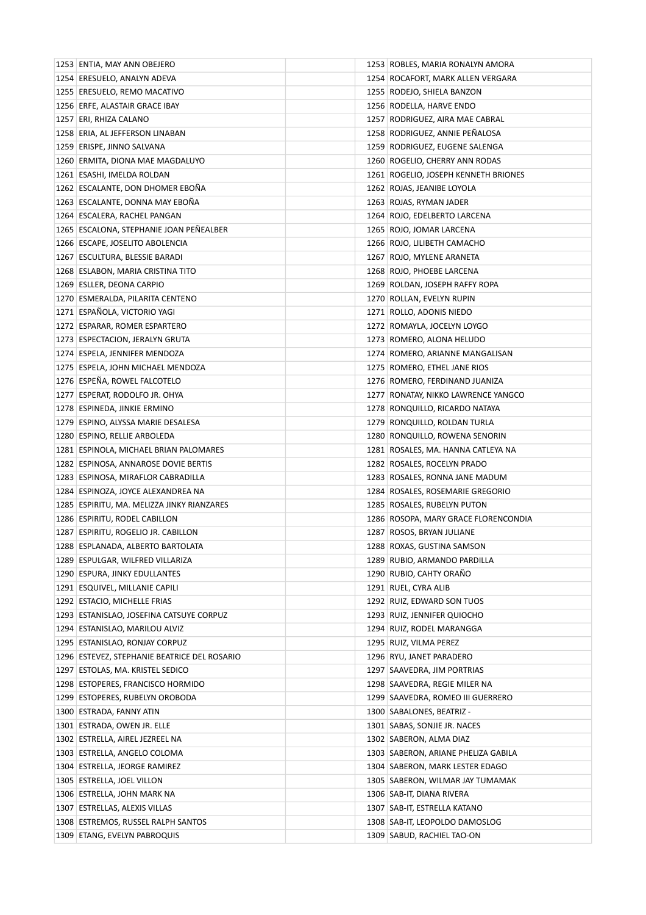| 1253 ENTIA, MAY ANN OBEJERO                  | 1253 ROBLES, MARIA RONALYN AMORA     |
|----------------------------------------------|--------------------------------------|
| 1254 ERESUELO, ANALYN ADEVA                  | 1254 ROCAFORT, MARK ALLEN VERGARA    |
| 1255 ERESUELO, REMO MACATIVO                 | 1255 RODEJO, SHIELA BANZON           |
| 1256 ERFE, ALASTAIR GRACE IBAY               | 1256 RODELLA, HARVE ENDO             |
| 1257 ERI, RHIZA CALANO                       | 1257 RODRIGUEZ, AIRA MAE CABRAL      |
| 1258 ERIA, AL JEFFERSON LINABAN              | 1258 RODRIGUEZ, ANNIE PEÑALOSA       |
| 1259 ERISPE, JINNO SALVANA                   | 1259 RODRIGUEZ, EUGENE SALENGA       |
| 1260 ERMITA, DIONA MAE MAGDALUYO             | 1260 ROGELIO, CHERRY ANN RODAS       |
| 1261 ESASHI, IMELDA ROLDAN                   | 1261 ROGELIO, JOSEPH KENNETH BRIONES |
| 1262 ESCALANTE, DON DHOMER EBOÑA             | 1262 ROJAS, JEANIBE LOYOLA           |
| 1263 ESCALANTE, DONNA MAY EBOÑA              | 1263 ROJAS, RYMAN JADER              |
| 1264 ESCALERA, RACHEL PANGAN                 | 1264 ROJO, EDELBERTO LARCENA         |
| 1265 ESCALONA, STEPHANIE JOAN PEÑEALBER      | 1265 ROJO, JOMAR LARCENA             |
| 1266 ESCAPE, JOSELITO ABOLENCIA              | 1266 ROJO, LILIBETH CAMACHO          |
| 1267 ESCULTURA, BLESSIE BARADI               | 1267 ROJO, MYLENE ARANETA            |
| 1268 ESLABON, MARIA CRISTINA TITO            | 1268 ROJO, PHOEBE LARCENA            |
| 1269 ESLLER, DEONA CARPIO                    | 1269 ROLDAN, JOSEPH RAFFY ROPA       |
| 1270 ESMERALDA, PILARITA CENTENO             | 1270 ROLLAN, EVELYN RUPIN            |
| 1271 ESPAÑOLA, VICTORIO YAGI                 | 1271 ROLLO, ADONIS NIEDO             |
| 1272 ESPARAR, ROMER ESPARTERO                | 1272 ROMAYLA, JOCELYN LOYGO          |
| 1273 ESPECTACION, JERALYN GRUTA              | 1273 ROMERO, ALONA HELUDO            |
| 1274 ESPELA, JENNIFER MENDOZA                | 1274 ROMERO, ARIANNE MANGALISAN      |
| 1275 ESPELA, JOHN MICHAEL MENDOZA            | 1275 ROMERO, ETHEL JANE RIOS         |
| 1276 ESPEÑA, ROWEL FALCOTELO                 | 1276 ROMERO, FERDINAND JUANIZA       |
| 1277 ESPERAT, RODOLFO JR. OHYA               | 1277 RONATAY, NIKKO LAWRENCE YANGCO  |
| 1278 ESPINEDA, JINKIE ERMINO                 | 1278 RONQUILLO, RICARDO NATAYA       |
|                                              |                                      |
| 1279 ESPINO, ALYSSA MARIE DESALESA           | 1279 RONQUILLO, ROLDAN TURLA         |
| 1280 ESPINO, RELLIE ARBOLEDA                 | 1280 RONQUILLO, ROWENA SENORIN       |
| 1281 ESPINOLA, MICHAEL BRIAN PALOMARES       | 1281 ROSALES, MA. HANNA CATLEYA NA   |
| 1282 ESPINOSA, ANNAROSE DOVIE BERTIS         | 1282 ROSALES, ROCELYN PRADO          |
| 1283 ESPINOSA, MIRAFLOR CABRADILLA           | 1283 ROSALES, RONNA JANE MADUM       |
| 1284 ESPINOZA, JOYCE ALEXANDREA NA           | 1284 ROSALES, ROSEMARIE GREGORIO     |
| 1285 ESPIRITU, MA. MELIZZA JINKY RIANZARES   | 1285 ROSALES, RUBELYN PUTON          |
| 1286 ESPIRITU, RODEL CABILLON                | 1286 ROSOPA, MARY GRACE FLORENCONDIA |
| 1287 ESPIRITU, ROGELIO JR. CABILLON          | 1287 ROSOS, BRYAN JULIANE            |
| 1288 ESPLANADA, ALBERTO BARTOLATA            | 1288 ROXAS, GUSTINA SAMSON           |
| 1289 ESPULGAR, WILFRED VILLARIZA             | 1289 RUBIO, ARMANDO PARDILLA         |
| 1290 ESPURA, JINKY EDULLANTES                | 1290 RUBIO, CAHTY ORAÑO              |
| 1291 ESQUIVEL, MILLANIE CAPILI               | 1291 RUEL, CYRA ALIB                 |
| 1292 ESTACIO, MICHELLE FRIAS                 | 1292 RUIZ, EDWARD SON TUOS           |
| 1293 ESTANISLAO, JOSEFINA CATSUYE CORPUZ     | 1293 RUIZ, JENNIFER QUIOCHO          |
| 1294 ESTANISLAO, MARILOU ALVIZ               | 1294 RUIZ, RODEL MARANGGA            |
| 1295 ESTANISLAO, RONJAY CORPUZ               | 1295 RUIZ, VILMA PEREZ               |
| 1296 ESTEVEZ, STEPHANIE BEATRICE DEL ROSARIO | 1296 RYU, JANET PARADERO             |
| 1297 ESTOLAS, MA. KRISTEL SEDICO             | 1297 SAAVEDRA, JIM PORTRIAS          |
| 1298 ESTOPERES, FRANCISCO HORMIDO            | 1298 SAAVEDRA, REGIE MILER NA        |
| 1299 ESTOPERES, RUBELYN OROBODA              | 1299 SAAVEDRA, ROMEO III GUERRERO    |
| 1300 ESTRADA, FANNY ATIN                     | 1300 SABALONES, BEATRIZ -            |
| 1301 ESTRADA, OWEN JR. ELLE                  | 1301 SABAS, SONJIE JR. NACES         |
| 1302 ESTRELLA, AIREL JEZREEL NA              | 1302 SABERON, ALMA DIAZ              |
| 1303 ESTRELLA, ANGELO COLOMA                 | 1303 SABERON, ARIANE PHELIZA GABILA  |
| 1304 ESTRELLA, JEORGE RAMIREZ                | 1304 SABERON, MARK LESTER EDAGO      |
| 1305 ESTRELLA, JOEL VILLON                   | 1305 SABERON, WILMAR JAY TUMAMAK     |
| 1306 ESTRELLA, JOHN MARK NA                  | 1306   SAB-IT, DIANA RIVERA          |
| 1307 ESTRELLAS, ALEXIS VILLAS                | 1307   SAB-IT, ESTRELLA KATANO       |
| 1308 ESTREMOS, RUSSEL RALPH SANTOS           | 1308 SAB-IT, LEOPOLDO DAMOSLOG       |
| 1309 ETANG, EVELYN PABROQUIS                 | 1309 SABUD, RACHIEL TAO-ON           |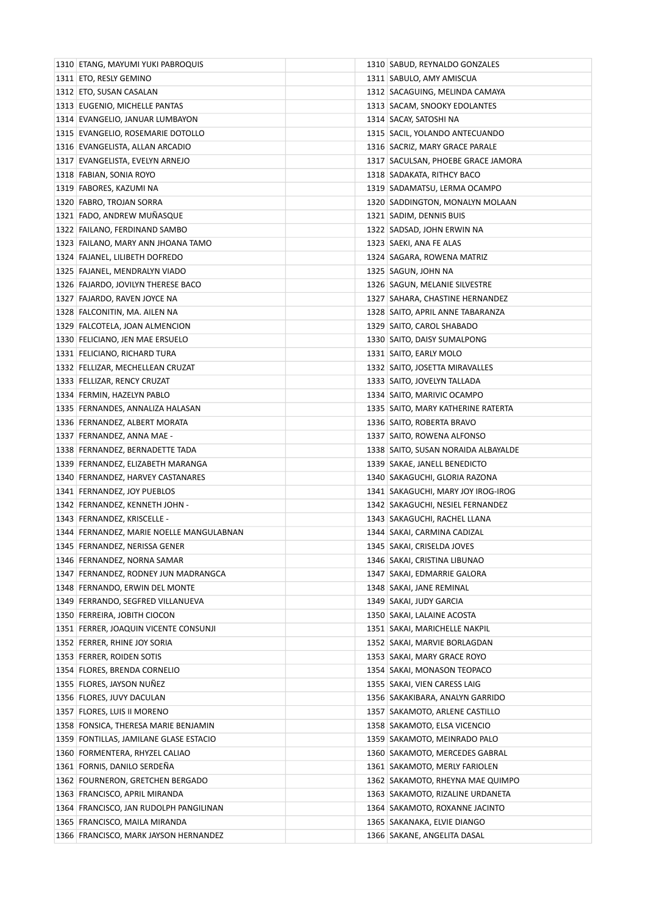| 1310 ETANG, MAYUMI YUKI PABROQUIS        | 1310 SABUD, REYNALDO GONZALES                                   |
|------------------------------------------|-----------------------------------------------------------------|
| 1311 ETO, RESLY GEMINO                   | 1311 SABULO, AMY AMISCUA                                        |
| 1312 ETO, SUSAN CASALAN                  | 1312   SACAGUING, MELINDA CAMAYA                                |
| 1313 EUGENIO, MICHELLE PANTAS            | 1313   SACAM, SNOOKY EDOLANTES                                  |
| 1314 EVANGELIO, JANUAR LUMBAYON          | 1314   SACAY, SATOSHI NA                                        |
| 1315 EVANGELIO, ROSEMARIE DOTOLLO        | 1315   SACIL, YOLANDO ANTECUANDO                                |
| 1316 EVANGELISTA, ALLAN ARCADIO          | 1316 SACRIZ, MARY GRACE PARALE                                  |
| 1317 EVANGELISTA, EVELYN ARNEJO          | 1317 SACULSAN, PHOEBE GRACE JAMORA                              |
| 1318 FABIAN, SONIA ROYO                  | 1318 SADAKATA, RITHCY BACO                                      |
| 1319 FABORES, KAZUMI NA                  | 1319 SADAMATSU, LERMA OCAMPO                                    |
| 1320 FABRO, TROJAN SORRA                 | 1320 SADDINGTON, MONALYN MOLAAN                                 |
| 1321 FADO, ANDREW MUÑASQUE               | 1321 SADIM, DENNIS BUIS                                         |
| 1322 FAILANO, FERDINAND SAMBO            | 1322 SADSAD, JOHN ERWIN NA                                      |
| 1323 FAILANO, MARY ANN JHOANA TAMO       | 1323   SAEKI, ANA FE ALAS                                       |
| 1324 FAJANEL, LILIBETH DOFREDO           | 1324 SAGARA, ROWENA MATRIZ                                      |
| 1325 FAJANEL, MENDRALYN VIADO            | 1325   SAGUN, JOHN NA                                           |
| 1326 FAJARDO, JOVILYN THERESE BACO       | 1326 SAGUN, MELANIE SILVESTRE                                   |
| 1327 FAJARDO, RAVEN JOYCE NA             | 1327 SAHARA, CHASTINE HERNANDEZ                                 |
| 1328 FALCONITIN, MA. AILEN NA            | 1328 SAITO, APRIL ANNE TABARANZA                                |
| 1329 FALCOTELA, JOAN ALMENCION           | 1329 SAITO, CAROL SHABADO                                       |
| 1330 FELICIANO, JEN MAE ERSUELO          | 1330 SAITO, DAISY SUMALPONG                                     |
| 1331 FELICIANO, RICHARD TURA             | 1331   SAITO, EARLY MOLO                                        |
| 1332 FELLIZAR, MECHELLEAN CRUZAT         | 1332 SAITO, JOSETTA MIRAVALLES                                  |
| 1333 FELLIZAR, RENCY CRUZAT              | 1333   SAITO, JOVELYN TALLADA                                   |
| 1334 FERMIN, HAZELYN PABLO               | 1334 SAITO, MARIVIC OCAMPO                                      |
| 1335 FERNANDES, ANNALIZA HALASAN         | 1335 SAITO, MARY KATHERINE RATERTA                              |
| 1336 FERNANDEZ, ALBERT MORATA            | 1336 SAITO, ROBERTA BRAVO                                       |
| 1337 FERNANDEZ, ANNA MAE -               | 1337 SAITO, ROWENA ALFONSO                                      |
| 1338 FERNANDEZ, BERNADETTE TADA          | 1338 SAITO, SUSAN NORAIDA ALBAYALDE                             |
| 1339 FERNANDEZ, ELIZABETH MARANGA        | 1339 SAKAE, JANELL BENEDICTO                                    |
| 1340 FERNANDEZ, HARVEY CASTANARES        | 1340   SAKAGUCHI, GLORIA RAZONA                                 |
| 1341 FERNANDEZ, JOY PUEBLOS              | 1341 SAKAGUCHI, MARY JOY IROG-IROG                              |
| 1342 FERNANDEZ, KENNETH JOHN -           | 1342 SAKAGUCHI, NESIEL FERNANDEZ                                |
| 1343 FERNANDEZ, KRISCELLE -              | 1343   SAKAGUCHI, RACHEL LLANA                                  |
| 1344 FERNANDEZ, MARIE NOELLE MANGULABNAN | 1344   SAKAI, CARMINA CADIZAL                                   |
| 1345 FERNANDEZ, NERISSA GENER            | 1345 SAKAI, CRISELDA JOVES                                      |
| 1346 FERNANDEZ, NORNA SAMAR              | 1346   SAKAI, CRISTINA LIBUNAO                                  |
| 1347 FERNANDEZ, RODNEY JUN MADRANGCA     | 1347   SAKAI, EDMARRIE GALORA                                   |
| 1348 FERNANDO, ERWIN DEL MONTE           | 1348 SAKAI, JANE REMINAL                                        |
| 1349 FERRANDO, SEGFRED VILLANUEVA        | 1349   SAKAI, JUDY GARCIA                                       |
| 1350 FERREIRA, JOBITH CIOCON             | 1350 SAKAI, LALAINE ACOSTA                                      |
| 1351 FERRER, JOAQUIN VICENTE CONSUNJI    | 1351   SAKAI, MARICHELLE NAKPIL                                 |
| 1352 FERRER, RHINE JOY SORIA             | 1352   SAKAI, MARVIE BORLAGDAN                                  |
| 1353 FERRER, ROIDEN SOTIS                | 1353   SAKAI, MARY GRACE ROYO                                   |
| 1354 FLORES, BRENDA CORNELIO             |                                                                 |
| 1355 FLORES, JAYSON NUNEZ                | 1354   SAKAI, MONASON TEOPACO<br>1355   SAKAI, VIEN CARESS LAIG |
|                                          |                                                                 |
| 1356 FLORES, JUVY DACULAN                | 1356   SAKAKIBARA, ANALYN GARRIDO                               |
| 1357 FLORES, LUIS II MORENO              | 1357 SAKAMOTO, ARLENE CASTILLO                                  |
| 1358 FONSICA, THERESA MARIE BENJAMIN     | 1358   SAKAMOTO, ELSA VICENCIO                                  |
| 1359 FONTILLAS, JAMILANE GLASE ESTACIO   | 1359 SAKAMOTO, MEINRADO PALO                                    |
| 1360 FORMENTERA, RHYZEL CALIAO           | 1360 SAKAMOTO, MERCEDES GABRAL                                  |
| 1361 FORNIS, DANILO SERDEÑA              | 1361 SAKAMOTO, MERLY FARIOLEN                                   |
| 1362 FOURNERON, GRETCHEN BERGADO         | 1362 SAKAMOTO, RHEYNA MAE QUIMPO                                |
| 1363 FRANCISCO, APRIL MIRANDA            | 1363   SAKAMOTO, RIZALINE URDANETA                              |
| 1364 FRANCISCO, JAN RUDOLPH PANGILINAN   | 1364   SAKAMOTO, ROXANNE JACINTO                                |
| 1365 FRANCISCO, MAILA MIRANDA            | 1365   SAKANAKA, ELVIE DIANGO                                   |
| 1366 FRANCISCO, MARK JAYSON HERNANDEZ    | 1366 SAKANE, ANGELITA DASAL                                     |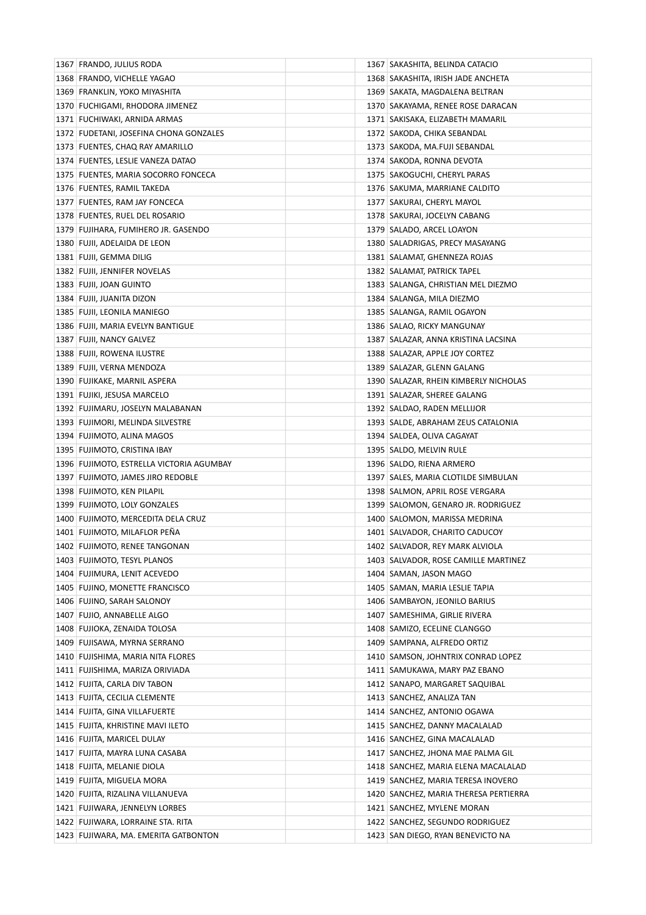| 1367 FRANDO, JULIUS RODA                 | 1367   SAKASHITA, BELINDA CATACIO     |
|------------------------------------------|---------------------------------------|
| 1368 FRANDO, VICHELLE YAGAO              | 1368   SAKASHITA, IRISH JADE ANCHETA  |
| 1369 FRANKLIN, YOKO MIYASHITA            | 1369 SAKATA, MAGDALENA BELTRAN        |
| 1370 FUCHIGAMI, RHODORA JIMENEZ          | 1370 SAKAYAMA, RENEE ROSE DARACAN     |
| 1371 FUCHIWAKI, ARNIDA ARMAS             | 1371 SAKISAKA, ELIZABETH MAMARIL      |
| 1372 FUDETANI, JOSEFINA CHONA GONZALES   | 1372   SAKODA, CHIKA SEBANDAL         |
| 1373 FUENTES, CHAQ RAY AMARILLO          | 1373   SAKODA, MA.FUJI SEBANDAL       |
| 1374 FUENTES, LESLIE VANEZA DATAO        | 1374 SAKODA, RONNA DEVOTA             |
| 1375 FUENTES, MARIA SOCORRO FONCECA      | 1375   SAKOGUCHI, CHERYL PARAS        |
| 1376 FUENTES, RAMIL TAKEDA               | 1376 SAKUMA, MARRIANE CALDITO         |
| 1377 FUENTES, RAM JAY FONCECA            | 1377   SAKURAI, CHERYL MAYOL          |
| 1378 FUENTES, RUEL DEL ROSARIO           | 1378   SAKURAI, JOCELYN CABANG        |
| 1379 FUJIHARA, FUMIHERO JR. GASENDO      | 1379 SALADO, ARCEL LOAYON             |
| 1380 FUJII, ADELAIDA DE LEON             | 1380 SALADRIGAS, PRECY MASAYANG       |
| 1381 FUJII, GEMMA DILIG                  | 1381   SALAMAT, GHENNEZA ROJAS        |
| 1382 FUJII, JENNIFER NOVELAS             | 1382 SALAMAT, PATRICK TAPEL           |
| 1383 FUJII, JOAN GUINTO                  | 1383 SALANGA, CHRISTIAN MEL DIEZMO    |
| 1384 FUJII, JUANITA DIZON                | 1384 SALANGA, MILA DIEZMO             |
| 1385 FUJII, LEONILA MANIEGO              | 1385   SALANGA, RAMIL OGAYON          |
| 1386 FUJII, MARIA EVELYN BANTIGUE        | 1386 SALAO, RICKY MANGUNAY            |
| 1387 FUJII, NANCY GALVEZ                 | 1387   SALAZAR, ANNA KRISTINA LACSINA |
| 1388 FUJII, ROWENA ILUSTRE               | 1388 SALAZAR, APPLE JOY CORTEZ        |
| 1389 FUJII, VERNA MENDOZA                | 1389 SALAZAR, GLENN GALANG            |
| 1390 FUJIKAKE, MARNIL ASPERA             | 1390 SALAZAR, RHEIN KIMBERLY NICHOLAS |
| 1391 FUJIKI, JESUSA MARCELO              | 1391   SALAZAR, SHEREE GALANG         |
| 1392 FUJIMARU, JOSELYN MALABANAN         | 1392 SALDAO, RADEN MELLIJOR           |
| 1393 FUJIMORI, MELINDA SILVESTRE         | 1393 SALDE, ABRAHAM ZEUS CATALONIA    |
| 1394 FUJIMOTO, ALINA MAGOS               | 1394 SALDEA, OLIVA CAGAYAT            |
| 1395 FUJIMOTO, CRISTINA IBAY             | 1395 SALDO, MELVIN RULE               |
| 1396 FUJIMOTO, ESTRELLA VICTORIA AGUMBAY | 1396 SALDO, RIENA ARMERO              |
| 1397 FUJIMOTO, JAMES JIRO REDOBLE        | 1397 SALES, MARIA CLOTILDE SIMBULAN   |
| 1398 FUJIMOTO, KEN PILAPIL               | 1398 SALMON, APRIL ROSE VERGARA       |
| 1399 FUJIMOTO, LOLY GONZALES             | 1399 SALOMON, GENARO JR. RODRIGUEZ    |
| 1400 FUJIMOTO, MERCEDITA DELA CRUZ       | 1400 SALOMON, MARISSA MEDRINA         |
| 1401 FUJIMOTO, MILAFLOR PEÑA             | 1401 SALVADOR, CHARITO CADUCOY        |
| 1402 FUJIMOTO, RENEE TANGONAN            | 1402 SALVADOR, REY MARK ALVIOLA       |
| 1403 FUJIMOTO, TESYL PLANOS              | 1403 SALVADOR, ROSE CAMILLE MARTINEZ  |
| 1404 FUJIMURA, LENIT ACEVEDO             | 1404 SAMAN, JASON MAGO                |
| 1405 FUJINO, MONETTE FRANCISCO           | 1405   SAMAN, MARIA LESLIE TAPIA      |
| 1406 FUJINO, SARAH SALONOY               | 1406 SAMBAYON, JEONILO BARIUS         |
| 1407 FUJIO, ANNABELLE ALGO               | 1407   SAMESHIMA, GIRLIE RIVERA       |
| 1408 FUJIOKA, ZENAIDA TOLOSA             | 1408 SAMIZO, ECELINE CLANGGO          |
| 1409 FUJISAWA, MYRNA SERRANO             | 1409 SAMPANA, ALFREDO ORTIZ           |
| 1410 FUJISHIMA, MARIA NITA FLORES        | 1410 SAMSON, JOHNTRIX CONRAD LOPEZ    |
| 1411 FUJISHIMA, MARIZA ORIVIADA          | 1411 SAMUKAWA, MARY PAZ EBANO         |
| 1412 FUJITA, CARLA DIV TABON             | 1412 SANAPO, MARGARET SAQUIBAL        |
| 1413 FUJITA, CECILIA CLEMENTE            | 1413 SANCHEZ, ANALIZA TAN             |
| 1414 FUJITA, GINA VILLAFUERTE            | 1414 SANCHEZ, ANTONIO OGAWA           |
| 1415 FUJITA, KHRISTINE MAVI ILETO        | 1415 SANCHEZ, DANNY MACALALAD         |
| 1416 FUJITA, MARICEL DULAY               | 1416 SANCHEZ, GINA MACALALAD          |
| 1417 FUJITA, MAYRA LUNA CASABA           | 1417 SANCHEZ, JHONA MAE PALMA GIL     |
| 1418 FUJITA, MELANIE DIOLA               | 1418 SANCHEZ, MARIA ELENA MACALALAD   |
| 1419 FUJITA, MIGUELA MORA                | 1419 SANCHEZ, MARIA TERESA INOVERO    |
| 1420 FUJITA, RIZALINA VILLANUEVA         | 1420 SANCHEZ, MARIA THERESA PERTIERRA |
| 1421 FUJIWARA, JENNELYN LORBES           | 1421 SANCHEZ, MYLENE MORAN            |
| 1422 FUJIWARA, LORRAINE STA. RITA        | 1422 SANCHEZ, SEGUNDO RODRIGUEZ       |
| 1423 FUJIWARA, MA. EMERITA GATBONTON     | 1423 SAN DIEGO, RYAN BENEVICTO NA     |
|                                          |                                       |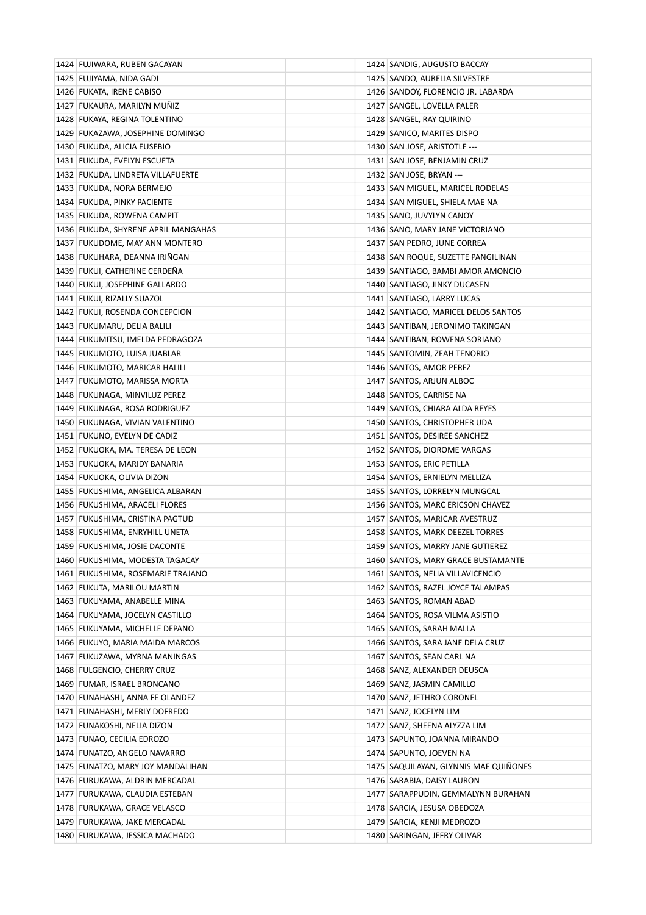| 1424 FUJIWARA, RUBEN GACAYAN        | 1424 SANDIG, AUGUSTO BACCAY           |
|-------------------------------------|---------------------------------------|
| 1425 FUJIYAMA, NIDA GADI            | 1425   SANDO, AURELIA SILVESTRE       |
| 1426 FUKATA, IRENE CABISO           | 1426 SANDOY, FLORENCIO JR. LABARDA    |
| 1427 FUKAURA, MARILYN MUNIZ         | 1427 SANGEL, LOVELLA PALER            |
| 1428 FUKAYA, REGINA TOLENTINO       | 1428 SANGEL, RAY QUIRINO              |
| 1429 FUKAZAWA, JOSEPHINE DOMINGO    | 1429 SANICO, MARITES DISPO            |
| 1430 FUKUDA, ALICIA EUSEBIO         | 1430 SAN JOSE, ARISTOTLE ---          |
| 1431 FUKUDA, EVELYN ESCUETA         | 1431 SAN JOSE, BENJAMIN CRUZ          |
| 1432 FUKUDA, LINDRETA VILLAFUERTE   | 1432   SAN JOSE, BRYAN ---            |
| 1433 FUKUDA, NORA BERMEJO           | 1433 SAN MIGUEL, MARICEL RODELAS      |
| 1434 FUKUDA, PINKY PACIENTE         | 1434 SAN MIGUEL, SHIELA MAE NA        |
| 1435 FUKUDA, ROWENA CAMPIT          | 1435   SANO, JUVYLYN CANOY            |
| 1436 FUKUDA, SHYRENE APRIL MANGAHAS | 1436 SANO, MARY JANE VICTORIANO       |
| 1437 FUKUDOME, MAY ANN MONTERO      | 1437 SAN PEDRO, JUNE CORREA           |
| 1438 FUKUHARA, DEANNA IRIÑGAN       | 1438 SAN ROQUE, SUZETTE PANGILINAN    |
| 1439 FUKUI, CATHERINE CERDEÑA       | 1439 SANTIAGO, BAMBI AMOR AMONCIO     |
| 1440 FUKUI, JOSEPHINE GALLARDO      | 1440 SANTIAGO, JINKY DUCASEN          |
| 1441 FUKUI, RIZALLY SUAZOL          | 1441 SANTIAGO, LARRY LUCAS            |
| 1442 FUKUI, ROSENDA CONCEPCION      | 1442 SANTIAGO, MARICEL DELOS SANTOS   |
| 1443 FUKUMARU, DELIA BALILI         | 1443   SANTIBAN, JERONIMO TAKINGAN    |
| 1444 FUKUMITSU, IMELDA PEDRAGOZA    | 1444 SANTIBAN, ROWENA SORIANO         |
| 1445 FUKUMOTO, LUISA JUABLAR        | 1445 SANTOMIN, ZEAH TENORIO           |
| 1446 FUKUMOTO, MARICAR HALILI       | 1446 SANTOS, AMOR PEREZ               |
| 1447 FUKUMOTO, MARISSA MORTA        | 1447 SANTOS, ARJUN ALBOC              |
| 1448 FUKUNAGA, MINVILUZ PEREZ       | 1448 SANTOS, CARRISE NA               |
| 1449 FUKUNAGA, ROSA RODRIGUEZ       | 1449 SANTOS, CHIARA ALDA REYES        |
| 1450 FUKUNAGA, VIVIAN VALENTINO     | 1450 SANTOS, CHRISTOPHER UDA          |
| 1451 FUKUNO, EVELYN DE CADIZ        | 1451 SANTOS, DESIREE SANCHEZ          |
| 1452 FUKUOKA, MA. TERESA DE LEON    | 1452 SANTOS, DIOROME VARGAS           |
| 1453 FUKUOKA, MARIDY BANARIA        | 1453 SANTOS, ERIC PETILLA             |
| 1454 FUKUOKA, OLIVIA DIZON          | 1454 SANTOS, ERNIELYN MELLIZA         |
| 1455 FUKUSHIMA, ANGELICA ALBARAN    | 1455 SANTOS, LORRELYN MUNGCAL         |
| 1456 FUKUSHIMA, ARACELI FLORES      | 1456 SANTOS, MARC ERICSON CHAVEZ      |
| 1457 FUKUSHIMA, CRISTINA PAGTUD     | 1457 SANTOS, MARICAR AVESTRUZ         |
| 1458 FUKUSHIMA, ENRYHILL UNETA      | 1458 SANTOS, MARK DEEZEL TORRES       |
| 1459 FUKUSHIMA, JOSIE DACONTE       | 1459 SANTOS, MARRY JANE GUTIEREZ      |
| 1460 FUKUSHIMA, MODESTA TAGACAY     | 1460 SANTOS, MARY GRACE BUSTAMANTE    |
| 1461 FUKUSHIMA, ROSEMARIE TRAJANO   | 1461 SANTOS, NELIA VILLAVICENCIO      |
| 1462 FUKUTA, MARILOU MARTIN         | 1462 SANTOS, RAZEL JOYCE TALAMPAS     |
| 1463 FUKUYAMA, ANABELLE MINA        | 1463 SANTOS, ROMAN ABAD               |
| 1464 FUKUYAMA, JOCELYN CASTILLO     | 1464   SANTOS, ROSA VILMA ASISTIO     |
| 1465 FUKUYAMA, MICHELLE DEPANO      | 1465   SANTOS, SARAH MALLA            |
| 1466 FUKUYO, MARIA MAIDA MARCOS     | 1466 SANTOS, SARA JANE DELA CRUZ      |
| 1467 FUKUZAWA, MYRNA MANINGAS       | 1467   SANTOS, SEAN CARL NA           |
| 1468 FULGENCIO, CHERRY CRUZ         | 1468 SANZ, ALEXANDER DEUSCA           |
| 1469 FUMAR, ISRAEL BRONCANO         | 1469   SANZ, JASMIN CAMILLO           |
| 1470 FUNAHASHI, ANNA FE OLANDEZ     | 1470 SANZ, JETHRO CORONEL             |
| 1471 FUNAHASHI, MERLY DOFREDO       | 1471   SANZ, JOCELYN LIM              |
| 1472 FUNAKOSHI, NELIA DIZON         | 1472   SANZ, SHEENA ALYZZA LIM        |
| 1473 FUNAO, CECILIA EDROZO          | 1473   SAPUNTO, JOANNA MIRANDO        |
| 1474 FUNATZO, ANGELO NAVARRO        | 1474 SAPUNTO, JOEVEN NA               |
| 1475   FUNATZO, MARY JOY MANDALIHAN | 1475 SAQUILAYAN, GLYNNIS MAE QUIÑONES |
| 1476 FURUKAWA, ALDRIN MERCADAL      | 1476 SARABIA, DAISY LAURON            |
|                                     | 1477   SARAPPUDIN, GEMMALYNN BURAHAN  |
| 1477 FURUKAWA, CLAUDIA ESTEBAN      |                                       |
| 1478 FURUKAWA, GRACE VELASCO        | 1478   SARCIA, JESUSA OBEDOZA         |
| 1479 FURUKAWA, JAKE MERCADAL        | 1479   SARCIA, KENJI MEDROZO          |
| 1480 FURUKAWA, JESSICA MACHADO      | 1480   SARINGAN, JEFRY OLIVAR         |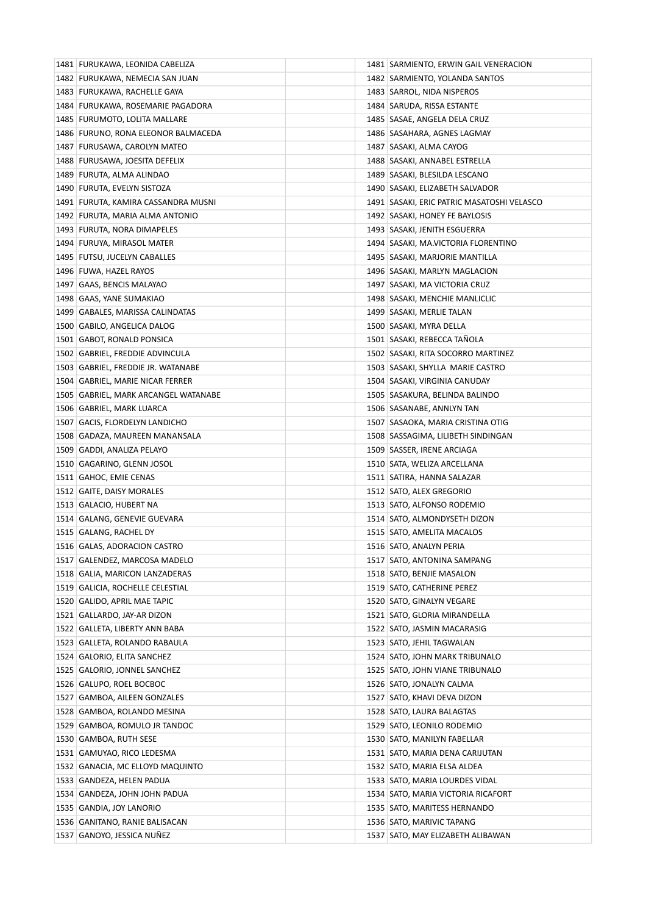| 1481   FURUKAWA, LEONIDA CABELIZA    | 1481 SARMIENTO, ERWIN GAIL VENERACION        |
|--------------------------------------|----------------------------------------------|
| 1482 FURUKAWA, NEMECIA SAN JUAN      | 1482   SARMIENTO, YOLANDA SANTOS             |
| 1483 FURUKAWA, RACHELLE GAYA         | 1483 SARROL, NIDA NISPEROS                   |
| 1484 FURUKAWA, ROSEMARIE PAGADORA    | 1484   SARUDA, RISSA ESTANTE                 |
| 1485 FURUMOTO, LOLITA MALLARE        | 1485   SASAE, ANGELA DELA CRUZ               |
| 1486 FURUNO, RONA ELEONOR BALMACEDA  | 1486   SASAHARA, AGNES LAGMAY                |
| 1487 FURUSAWA, CAROLYN MATEO         | 1487   SASAKI, ALMA CAYOG                    |
| 1488 FURUSAWA, JOESITA DEFELIX       | 1488   SASAKI, ANNABEL ESTRELLA              |
| 1489 FURUTA, ALMA ALINDAO            | 1489   SASAKI, BLESILDA LESCANO              |
| 1490 FURUTA, EVELYN SISTOZA          | 1490 SASAKI, ELIZABETH SALVADOR              |
| 1491 FURUTA, KAMIRA CASSANDRA MUSNI  | 1491   SASAKI, ERIC PATRIC MASATOSHI VELASCO |
| 1492 FURUTA, MARIA ALMA ANTONIO      | 1492 SASAKI, HONEY FE BAYLOSIS               |
| 1493 FURUTA, NORA DIMAPELES          | 1493   SASAKI, JENITH ESGUERRA               |
| 1494 FURUYA, MIRASOL MATER           | 1494 SASAKI, MA.VICTORIA FLORENTINO          |
| 1495 FUTSU, JUCELYN CABALLES         | 1495   SASAKI, MARJORIE MANTILLA             |
| 1496 FUWA, HAZEL RAYOS               | 1496 SASAKI, MARLYN MAGLACION                |
| 1497 GAAS, BENCIS MALAYAO            | 1497   SASAKI, MA VICTORIA CRUZ              |
| 1498 GAAS, YANE SUMAKIAO             | 1498 SASAKI, MENCHIE MANLICLIC               |
| 1499   GABALES, MARISSA CALINDATAS   | 1499   SASAKI, MERLIE TALAN                  |
| 1500 GABILO, ANGELICA DALOG          | 1500 SASAKI, MYRA DELLA                      |
| 1501 GABOT, RONALD PONSICA           | 1501   SASAKI, REBECCA TANOLA                |
| 1502 GABRIEL, FREDDIE ADVINCULA      | 1502   SASAKI, RITA SOCORRO MARTINEZ         |
| 1503 GABRIEL, FREDDIE JR. WATANABE   | 1503 SASAKI, SHYLLA MARIE CASTRO             |
| 1504 GABRIEL, MARIE NICAR FERRER     | 1504   SASAKI, VIRGINIA CANUDAY              |
| 1505 GABRIEL, MARK ARCANGEL WATANABE | 1505   SASAKURA, BELINDA BALINDO             |
| 1506 GABRIEL, MARK LUARCA            | 1506   SASANABE, ANNLYN TAN                  |
| 1507 GACIS, FLORDELYN LANDICHO       | 1507 SASAOKA, MARIA CRISTINA OTIG            |
| 1508   GADAZA, MAUREEN MANANSALA     | 1508   SASSAGIMA, LILIBETH SINDINGAN         |
| 1509 GADDI, ANALIZA PELAYO           | 1509 SASSER, IRENE ARCIAGA                   |
| 1510 GAGARINO, GLENN JOSOL           | 1510 SATA, WELIZA ARCELLANA                  |
| 1511 GAHOC, EMIE CENAS               | 1511   SATIRA, HANNA SALAZAR                 |
| 1512 GAITE, DAISY MORALES            | 1512 SATO, ALEX GREGORIO                     |
| 1513 GALACIO, HUBERT NA              | 1513 SATO, ALFONSO RODEMIO                   |
| 1514 GALANG, GENEVIE GUEVARA         | 1514 SATO, ALMONDYSETH DIZON                 |
| 1515 GALANG, RACHEL DY               | 1515   SATO, AMELITA MACALOS                 |
| 1516 GALAS, ADORACION CASTRO         | 1516 SATO, ANALYN PERIA                      |
| 1517 GALENDEZ, MARCOSA MADELO        | 1517   SATO, ANTONINA SAMPANG                |
| 1518 GALIA, MARICON LANZADERAS       | 1518 SATO, BENJIE MASALON                    |
| 1519 GALICIA, ROCHELLE CELESTIAL     | 1519 SATO, CATHERINE PEREZ                   |
| 1520 GALIDO, APRIL MAE TAPIC         | 1520 SATO, GINALYN VEGARE                    |
| 1521 GALLARDO, JAY-AR DIZON          | 1521 SATO, GLORIA MIRANDELLA                 |
| 1522 GALLETA, LIBERTY ANN BABA       | 1522 SATO, JASMIN MACARASIG                  |
| 1523   GALLETA, ROLANDO RABAULA      | 1523 SATO, JEHIL TAGWALAN                    |
| 1524 GALORIO, ELITA SANCHEZ          | 1524 SATO, JOHN MARK TRIBUNALO               |
| 1525 GALORIO, JONNEL SANCHEZ         | 1525 SATO, JOHN VIANE TRIBUNALO              |
| 1526 GALUPO, ROEL BOCBOC             | 1526   SATO, JONALYN CALMA                   |
| 1527 GAMBOA, AILEEN GONZALES         | 1527   SATO, KHAVI DEVA DIZON                |
| 1528 GAMBOA, ROLANDO MESINA          | 1528 SATO, LAURA BALAGTAS                    |
| 1529 GAMBOA, ROMULO JR TANDOC        | 1529 SATO, LEONILO RODEMIO                   |
| 1530 GAMBOA, RUTH SESE               | 1530 SATO, MANILYN FABELLAR                  |
| 1531   GAMUYAO, RICO LEDESMA         | 1531 SATO, MARIA DENA CARIJUTAN              |
| 1532 GANACIA, MC ELLOYD MAQUINTO     | 1532 SATO, MARIA ELSA ALDEA                  |
| 1533 GANDEZA, HELEN PADUA            | 1533   SATO, MARIA LOURDES VIDAL             |
| 1534   GANDEZA, JOHN JOHN PADUA      | 1534 SATO, MARIA VICTORIA RICAFORT           |
| 1535 GANDIA, JOY LANORIO             | 1535   SATO, MARITESS HERNANDO               |
| 1536 GANITANO, RANIE BALISACAN       | 1536 SATO, MARIVIC TAPANG                    |
| 1537 GANOYO, JESSICA NUÑEZ           | 1537 SATO, MAY ELIZABETH ALIBAWAN            |
|                                      |                                              |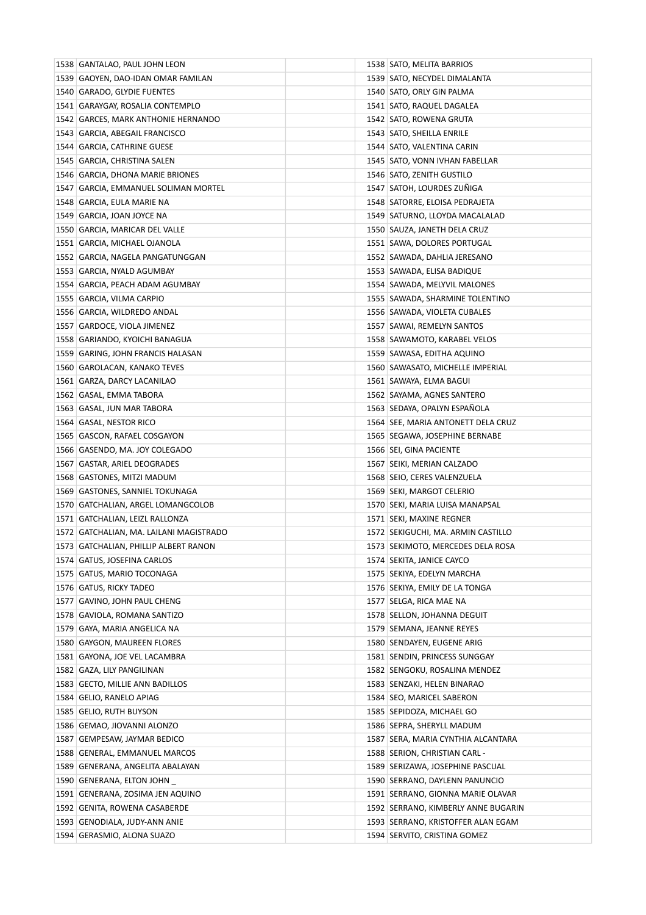| 1538 GANTALAO, PAUL JOHN LEON           | 1538 SATO, MELITA BARRIOS            |
|-----------------------------------------|--------------------------------------|
| 1539 GAOYEN, DAO-IDAN OMAR FAMILAN      | 1539 SATO, NECYDEL DIMALANTA         |
| 1540 GARADO, GLYDIE FUENTES             | 1540   SATO, ORLY GIN PALMA          |
| 1541 GARAYGAY, ROSALIA CONTEMPLO        | 1541 SATO, RAQUEL DAGALEA            |
| 1542 GARCES, MARK ANTHONIE HERNANDO     | 1542 SATO, ROWENA GRUTA              |
| 1543 GARCIA, ABEGAIL FRANCISCO          | 1543 SATO, SHEILLA ENRILE            |
| 1544 GARCIA, CATHRINE GUESE             | 1544   SATO, VALENTINA CARIN         |
| 1545 GARCIA, CHRISTINA SALEN            | 1545 SATO, VONN IVHAN FABELLAR       |
| 1546 GARCIA, DHONA MARIE BRIONES        | 1546 SATO, ZENITH GUSTILO            |
| 1547 GARCIA, EMMANUEL SOLIMAN MORTEL    | 1547 SATOH, LOURDES ZUNIGA           |
| 1548   GARCIA, EULA MARIE NA            | 1548 SATORRE, ELOISA PEDRAJETA       |
| 1549 GARCIA, JOAN JOYCE NA              | 1549   SATURNO, LLOYDA MACALALAD     |
| 1550 GARCIA, MARICAR DEL VALLE          | 1550 SAUZA, JANETH DELA CRUZ         |
| 1551 GARCIA, MICHAEL OJANOLA            | 1551 SAWA, DOLORES PORTUGAL          |
| 1552   GARCIA, NAGELA PANGATUNGGAN      | 1552   SAWADA, DAHLIA JERESANO       |
| 1553 GARCIA, NYALD AGUMBAY              | 1553 SAWADA, ELISA BADIQUE           |
| 1554 GARCIA, PEACH ADAM AGUMBAY         | 1554 SAWADA, MELYVIL MALONES         |
| 1555 GARCIA, VILMA CARPIO               | 1555 SAWADA, SHARMINE TOLENTINO      |
| 1556 GARCIA, WILDREDO ANDAL             | 1556 SAWADA, VIOLETA CUBALES         |
| 1557 GARDOCE, VIOLA JIMENEZ             | 1557   SAWAI, REMELYN SANTOS         |
| 1558   GARIANDO, KYOICHI BANAGUA        | 1558 SAWAMOTO, KARABEL VELOS         |
| 1559 GARING, JOHN FRANCIS HALASAN       | 1559 SAWASA, EDITHA AQUINO           |
| 1560 GAROLACAN, KANAKO TEVES            | 1560 SAWASATO, MICHELLE IMPERIAL     |
| 1561   GARZA, DARCY LACANILAO           | 1561   SAWAYA, ELMA BAGUI            |
| 1562 GASAL, EMMA TABORA                 | 1562 SAYAMA, AGNES SANTERO           |
| 1563 GASAL, JUN MAR TABORA              | 1563 SEDAYA, OPALYN ESPAÑOLA         |
| 1564 GASAL, NESTOR RICO                 | 1564 SEE, MARIA ANTONETT DELA CRUZ   |
| 1565 GASCON, RAFAEL COSGAYON            | 1565   SEGAWA, JOSEPHINE BERNABE     |
| 1566 GASENDO, MA. JOY COLEGADO          | 1566 SEI, GINA PACIENTE              |
| 1567 GASTAR, ARIEL DEOGRADES            | 1567 SEIKI, MERIAN CALZADO           |
| 1568 GASTONES, MITZI MADUM              | 1568 SEIO, CERES VALENZUELA          |
| 1569 GASTONES, SANNIEL TOKUNAGA         | 1569 SEKI, MARGOT CELERIO            |
| 1570 GATCHALIAN, ARGEL LOMANGCOLOB      | 1570 SEKI, MARIA LUISA MANAPSAL      |
| 1571   GATCHALIAN, LEIZL RALLONZA       | 1571 SEKI, MAXINE REGNER             |
| 1572 GATCHALIAN, MA. LAILANI MAGISTRADO | 1572 SEKIGUCHI, MA. ARMIN CASTILLO   |
| 1573 GATCHALIAN, PHILLIP ALBERT RANON   | 1573 SEKIMOTO, MERCEDES DELA ROSA    |
| 1574 GATUS, JOSEFINA CARLOS             | 1574 SEKITA, JANICE CAYCO            |
| 1575 GATUS, MARIO TOCONAGA              | 1575   SEKIYA, EDELYN MARCHA         |
| 1576 GATUS, RICKY TADEO                 | 1576 SEKIYA, EMILY DE LA TONGA       |
| 1577 GAVINO, JOHN PAUL CHENG            | 1577   SELGA, RICA MAE NA            |
| 1578 GAVIOLA, ROMANA SANTIZO            | 1578 SELLON, JOHANNA DEGUIT          |
| 1579 GAYA, MARIA ANGELICA NA            | 1579 SEMANA, JEANNE REYES            |
| 1580 GAYGON, MAUREEN FLORES             | 1580 SENDAYEN, EUGENE ARIG           |
| 1581 GAYONA, JOE VEL LACAMBRA           | 1581 SENDIN, PRINCESS SUNGGAY        |
| 1582 GAZA, LILY PANGILINAN              | 1582 SENGOKU, ROSALINA MENDEZ        |
| 1583 GECTO, MILLIE ANN BADILLOS         | 1583 SENZAKI, HELEN BINARAO          |
| 1584 GELIO, RANELO APIAG                | 1584 SEO, MARICEL SABERON            |
| 1585 GELIO, RUTH BUYSON                 | 1585 SEPIDOZA, MICHAEL GO            |
| 1586 GEMAO, JIOVANNI ALONZO             | 1586 SEPRA, SHERYLL MADUM            |
| 1587 GEMPESAW, JAYMAR BEDICO            | 1587   SERA, MARIA CYNTHIA ALCANTARA |
| 1588 GENERAL, EMMANUEL MARCOS           | 1588 SERION, CHRISTIAN CARL -        |
| 1589 GENERANA, ANGELITA ABALAYAN        | 1589 SERIZAWA, JOSEPHINE PASCUAL     |
| 1590 GENERANA, ELTON JOHN               | 1590 SERRANO, DAYLENN PANUNCIO       |
| 1591 GENERANA, ZOSIMA JEN AQUINO        | 1591 SERRANO, GIONNA MARIE OLAVAR    |
| 1592 GENITA, ROWENA CASABERDE           | 1592 SERRANO, KIMBERLY ANNE BUGARIN  |
| 1593 GENODIALA, JUDY-ANN ANIE           | 1593 SERRANO, KRISTOFFER ALAN EGAM   |
| 1594 GERASMIO, ALONA SUAZO              | 1594 SERVITO, CRISTINA GOMEZ         |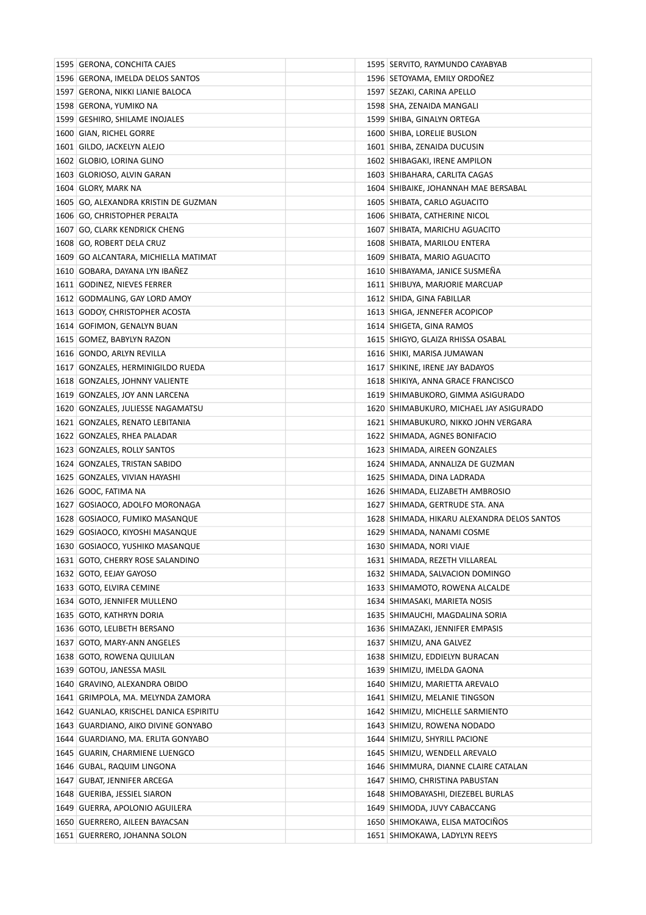| 1595 GERONA, CONCHITA CAJES            |  | 1595 SERVITO, RAYMUNDO CAYABYAB             |
|----------------------------------------|--|---------------------------------------------|
| 1596 GERONA, IMELDA DELOS SANTOS       |  | 1596 SETOYAMA, EMILY ORDONEZ                |
| 1597   GERONA, NIKKI LIANIE BALOCA     |  | 1597   SEZAKI, CARINA APELLO                |
| 1598 GERONA, YUMIKO NA                 |  | 1598 SHA, ZENAIDA MANGALI                   |
| 1599 GESHIRO, SHILAME INOJALES         |  | 1599 SHIBA, GINALYN ORTEGA                  |
| 1600 GIAN, RICHEL GORRE                |  | 1600 SHIBA, LORELIE BUSLON                  |
| 1601 GILDO, JACKELYN ALEJO             |  | 1601 SHIBA, ZENAIDA DUCUSIN                 |
| 1602 GLOBIO, LORINA GLINO              |  | 1602 SHIBAGAKI, IRENE AMPILON               |
| 1603 GLORIOSO, ALVIN GARAN             |  | 1603 SHIBAHARA, CARLITA CAGAS               |
| 1604 GLORY, MARK NA                    |  | 1604 SHIBAIKE, JOHANNAH MAE BERSABAL        |
| 1605 GO, ALEXANDRA KRISTIN DE GUZMAN   |  | 1605 SHIBATA, CARLO AGUACITO                |
| 1606 GO, CHRISTOPHER PERALTA           |  | 1606 SHIBATA, CATHERINE NICOL               |
| 1607 GO, CLARK KENDRICK CHENG          |  | 1607 SHIBATA, MARICHU AGUACITO              |
| 1608 GO, ROBERT DELA CRUZ              |  | 1608 SHIBATA, MARILOU ENTERA                |
| 1609 GO ALCANTARA, MICHIELLA MATIMAT   |  | 1609 SHIBATA, MARIO AGUACITO                |
| 1610 GOBARA, DAYANA LYN IBAÑEZ         |  | 1610 SHIBAYAMA, JANICE SUSMEÑA              |
| 1611 GODINEZ, NIEVES FERRER            |  | 1611 SHIBUYA, MARJORIE MARCUAP              |
| 1612 GODMALING, GAY LORD AMOY          |  | 1612 SHIDA, GINA FABILLAR                   |
| 1613 GODOY, CHRISTOPHER ACOSTA         |  | 1613   SHIGA, JENNEFER ACOPICOP             |
| 1614 GOFIMON, GENALYN BUAN             |  | 1614 SHIGETA, GINA RAMOS                    |
| 1615 GOMEZ, BABYLYN RAZON              |  | 1615   SHIGYO, GLAIZA RHISSA OSABAL         |
| 1616 GONDO, ARLYN REVILLA              |  | 1616 SHIKI, MARISA JUMAWAN                  |
| 1617 GONZALES, HERMINIGILDO RUEDA      |  | 1617 SHIKINE, IRENE JAY BADAYOS             |
| 1618 GONZALES, JOHNNY VALIENTE         |  | 1618 SHIKIYA, ANNA GRACE FRANCISCO          |
| 1619 GONZALES, JOY ANN LARCENA         |  | 1619 SHIMABUKORO, GIMMA ASIGURADO           |
| 1620 GONZALES, JULIESSE NAGAMATSU      |  | 1620 SHIMABUKURO, MICHAEL JAY ASIGURADO     |
| 1621 GONZALES, RENATO LEBITANIA        |  | 1621 SHIMABUKURO, NIKKO JOHN VERGARA        |
| 1622 GONZALES, RHEA PALADAR            |  | 1622 SHIMADA, AGNES BONIFACIO               |
| 1623 GONZALES, ROLLY SANTOS            |  | 1623 SHIMADA, AIREEN GONZALES               |
| 1624 GONZALES, TRISTAN SABIDO          |  | 1624 SHIMADA, ANNALIZA DE GUZMAN            |
| 1625 GONZALES, VIVIAN HAYASHI          |  | 1625   SHIMADA, DINA LADRADA                |
| 1626 GOOC, FATIMA NA                   |  | 1626 SHIMADA, ELIZABETH AMBROSIO            |
| 1627   GOSIAOCO, ADOLFO MORONAGA       |  | 1627 SHIMADA, GERTRUDE STA. ANA             |
| 1628 GOSIAOCO, FUMIKO MASANQUE         |  | 1628 SHIMADA, HIKARU ALEXANDRA DELOS SANTOS |
| 1629 GOSIAOCO, KIYOSHI MASANQUE        |  | 1629 SHIMADA, NANAMI COSME                  |
| 1630 GOSIAOCO, YUSHIKO MASANQUE        |  | 1630 SHIMADA, NORI VIAJE                    |
| 1631 GOTO, CHERRY ROSE SALANDINO       |  | 1631   SHIMADA, REZETH VILLAREAL            |
| 1632 GOTO, EEJAY GAYOSO                |  | 1632 SHIMADA, SALVACION DOMINGO             |
| 1633 GOTO, ELVIRA CEMINE               |  | 1633 SHIMAMOTO, ROWENA ALCALDE              |
| 1634 GOTO, JENNIFER MULLENO            |  | 1634 SHIMASAKI, MARIETA NOSIS               |
| 1635 GOTO, KATHRYN DORIA               |  | 1635   SHIMAUCHI, MAGDALINA SORIA           |
| 1636 GOTO, LELIBETH BERSANO            |  | 1636 SHIMAZAKI, JENNIFER EMPASIS            |
| 1637 GOTO, MARY-ANN ANGELES            |  | 1637 SHIMIZU, ANA GALVEZ                    |
| 1638 GOTO, ROWENA QUILILAN             |  | 1638 SHIMIZU, EDDIELYN BURACAN              |
| 1639 GOTOU, JANESSA MASIL              |  | 1639 SHIMIZU, IMELDA GAONA                  |
| 1640   GRAVINO, ALEXANDRA OBIDO        |  | 1640 SHIMIZU, MARIETTA AREVALO              |
| 1641 GRIMPOLA, MA. MELYNDA ZAMORA      |  | 1641 SHIMIZU, MELANIE TINGSON               |
| 1642 GUANLAO, KRISCHEL DANICA ESPIRITU |  | 1642 SHIMIZU, MICHELLE SARMIENTO            |
| 1643 GUARDIANO, AIKO DIVINE GONYABO    |  | 1643 SHIMIZU, ROWENA NODADO                 |
| 1644 GUARDIANO, MA. ERLITA GONYABO     |  | 1644 SHIMIZU, SHYRILL PACIONE               |
| 1645 GUARIN, CHARMIENE LUENGCO         |  | 1645 SHIMIZU, WENDELL AREVALO               |
| 1646 GUBAL, RAQUIM LINGONA             |  | 1646 SHIMMURA, DIANNE CLAIRE CATALAN        |
| 1647 GUBAT, JENNIFER ARCEGA            |  | 1647 SHIMO, CHRISTINA PABUSTAN              |
| 1648 GUERIBA, JESSIEL SIARON           |  | 1648 SHIMOBAYASHI, DIEZEBEL BURLAS          |
| 1649   GUERRA, APOLONIO AGUILERA       |  | 1649 SHIMODA, JUVY CABACCANG                |
| 1650 GUERRERO, AILEEN BAYACSAN         |  | 1650 SHIMOKAWA, ELISA MATOCINOS             |
| 1651 GUERRERO, JOHANNA SOLON           |  | 1651 SHIMOKAWA, LADYLYN REEYS               |
|                                        |  |                                             |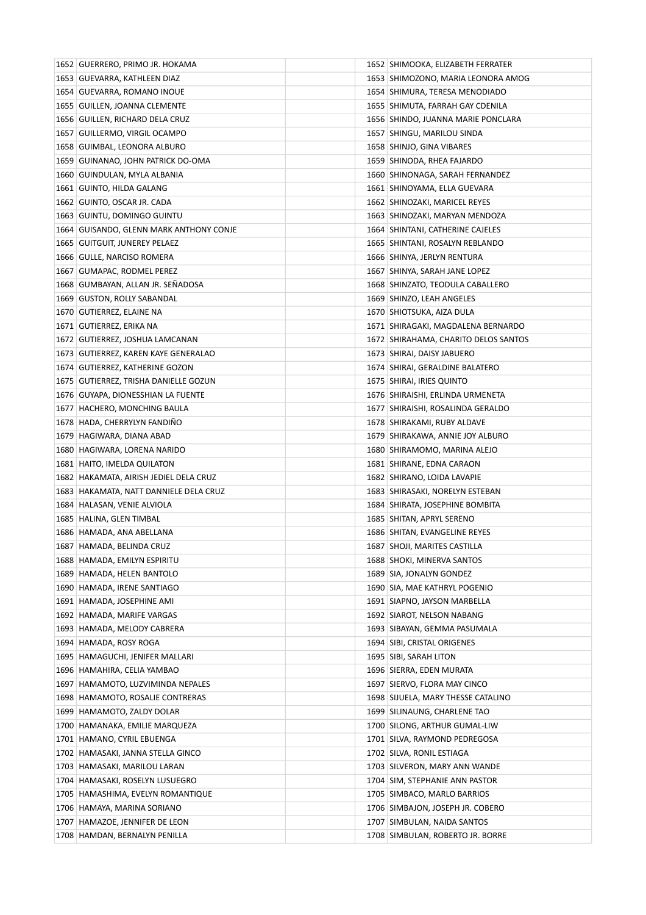| 1652 GUERRERO, PRIMO JR. HOKAMA         | 1652 SHIMOOKA, ELIZABETH FERRATER      |
|-----------------------------------------|----------------------------------------|
| 1653   GUEVARRA, KATHLEEN DIAZ          | 1653 SHIMOZONO, MARIA LEONORA AMOG     |
| 1654 GUEVARRA, ROMANO INOUE             | 1654 SHIMURA, TERESA MENODIADO         |
| 1655 GUILLEN, JOANNA CLEMENTE           | 1655   SHIMUTA, FARRAH GAY CDENILA     |
| 1656 GUILLEN, RICHARD DELA CRUZ         | 1656 SHINDO, JUANNA MARIE PONCLARA     |
| 1657   GUILLERMO, VIRGIL OCAMPO         | 1657   SHINGU, MARILOU SINDA           |
| 1658 GUIMBAL, LEONORA ALBURO            | 1658 SHINJO, GINA VIBARES              |
| 1659 GUINANAO, JOHN PATRICK DO-OMA      | 1659 SHINODA, RHEA FAJARDO             |
| 1660 GUINDULAN, MYLA ALBANIA            | 1660 SHINONAGA, SARAH FERNANDEZ        |
| 1661 GUINTO, HILDA GALANG               | 1661 SHINOYAMA, ELLA GUEVARA           |
| 1662 GUINTO, OSCAR JR. CADA             | 1662 SHINOZAKI, MARICEL REYES          |
| 1663 GUINTU, DOMINGO GUINTU             | 1663   SHINOZAKI, MARYAN MENDOZA       |
| 1664 GUISANDO, GLENN MARK ANTHONY CONJE | 1664 SHINTANI, CATHERINE CAJELES       |
| 1665   GUITGUIT, JUNEREY PELAEZ         | 1665 SHINTANI, ROSALYN REBLANDO        |
| 1666 GULLE, NARCISO ROMERA              | 1666 SHINYA, JERLYN RENTURA            |
| 1667 GUMAPAC, RODMEL PEREZ              | 1667 SHINYA, SARAH JANE LOPEZ          |
| 1668 GUMBAYAN, ALLAN JR. SEÑADOSA       | 1668 SHINZATO, TEODULA CABALLERO       |
| 1669 GUSTON, ROLLY SABANDAL             | 1669 SHINZO, LEAH ANGELES              |
| 1670 GUTIERREZ, ELAINE NA               | 1670   SHIOTSUKA, AIZA DULA            |
| 1671 GUTIERREZ, ERIKA NA                | 1671 SHIRAGAKI, MAGDALENA BERNARDO     |
| 1672 GUTIERREZ, JOSHUA LAMCANAN         | 1672   SHIRAHAMA, CHARITO DELOS SANTOS |
| 1673 GUTIERREZ, KAREN KAYE GENERALAO    | 1673   SHIRAI, DAISY JABUERO           |
| 1674 GUTIERREZ, KATHERINE GOZON         | 1674 SHIRAI, GERALDINE BALATERO        |
| 1675 GUTIERREZ, TRISHA DANIELLE GOZUN   | 1675   SHIRAI, IRIES QUINTO            |
| 1676 GUYAPA, DIONESSHIAN LA FUENTE      | 1676 SHIRAISHI, ERLINDA URMENETA       |
| 1677 HACHERO, MONCHING BAULA            | 1677 SHIRAISHI, ROSALINDA GERALDO      |
| 1678 HADA, CHERRYLYN FANDINO            | 1678 SHIRAKAMI, RUBY ALDAVE            |
| 1679 HAGIWARA, DIANA ABAD               | 1679 SHIRAKAWA, ANNIE JOY ALBURO       |
| 1680 HAGIWARA, LORENA NARIDO            | 1680 SHIRAMOMO, MARINA ALEJO           |
| 1681 HAITO, IMELDA QUILATON             | 1681 SHIRANE, EDNA CARAON              |
| 1682 HAKAMATA, AIRISH JEDIEL DELA CRUZ  | 1682   SHIRANO, LOIDA LAVAPIE          |
| 1683 HAKAMATA, NATT DANNIELE DELA CRUZ  | 1683 SHIRASAKI, NORELYN ESTEBAN        |
| 1684 HALASAN, VENIE ALVIOLA             | 1684 SHIRATA, JOSEPHINE BOMBITA        |
| 1685 HALINA, GLEN TIMBAL                | 1685 SHITAN, APRYL SERENO              |
| 1686 HAMADA, ANA ABELLANA               | 1686 SHITAN, EVANGELINE REYES          |
| 1687 HAMADA, BELINDA CRUZ               | 1687 SHOJI, MARITES CASTILLA           |
| 1688 HAMADA, EMILYN ESPIRITU            | 1688 SHOKI, MINERVA SANTOS             |
| 1689 HAMADA, HELEN BANTOLO              | 1689 SIA, JONALYN GONDEZ               |
| 1690 HAMADA, IRENE SANTIAGO             | 1690 SIA, MAE KATHRYL POGENIO          |
| 1691 HAMADA, JOSEPHINE AMI              | 1691 SIAPNO, JAYSON MARBELLA           |
| 1692 HAMADA, MARIFE VARGAS              | 1692 SIAROT, NELSON NABANG             |
| 1693 HAMADA, MELODY CABRERA             | 1693 SIBAYAN, GEMMA PASUMALA           |
| 1694 HAMADA, ROSY ROGA                  | 1694 SIBI, CRISTAL ORIGENES            |
| 1695   HAMAGUCHI, JENIFER MALLARI       | 1695 SIBI, SARAH LITON                 |
| 1696 HAMAHIRA, CELIA YAMBAO             | 1696 SIERRA, EDEN MURATA               |
| 1697 HAMAMOTO, LUZVIMINDA NEPALES       | 1697 SIERVO, FLORA MAY CINCO           |
| 1698 HAMAMOTO, ROSALIE CONTRERAS        | 1698 SIJUELA, MARY THESSE CATALINO     |
| 1699 HAMAMOTO, ZALDY DOLAR              | 1699 SILINAUNG, CHARLENE TAO           |
| 1700 HAMANAKA, EMILIE MARQUEZA          | 1700 SILONG, ARTHUR GUMAL-LIW          |
| 1701 HAMANO, CYRIL EBUENGA              | 1701 SILVA, RAYMOND PEDREGOSA          |
| 1702 HAMASAKI, JANNA STELLA GINCO       | 1702   SILVA, RONIL ESTIAGA            |
| 1703 HAMASAKI, MARILOU LARAN            | 1703 SILVERON, MARY ANN WANDE          |
| 1704 HAMASAKI, ROSELYN LUSUEGRO         | 1704 SIM, STEPHANIE ANN PASTOR         |
| 1705 HAMASHIMA, EVELYN ROMANTIQUE       | 1705 SIMBACO, MARLO BARRIOS            |
| 1706 HAMAYA, MARINA SORIANO             | 1706 SIMBAJON, JOSEPH JR. COBERO       |
| 1707 HAMAZOE, JENNIFER DE LEON          | 1707 SIMBULAN, NAIDA SANTOS            |
| 1708 HAMDAN, BERNALYN PENILLA           | 1708 SIMBULAN, ROBERTO JR. BORRE       |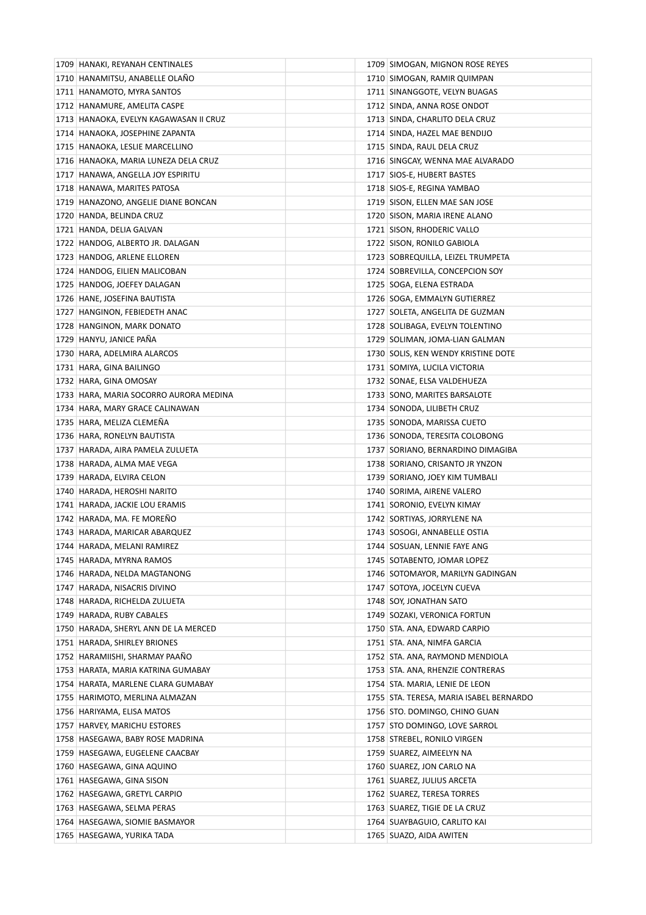| 1709 HANAKI, REYANAH CENTINALES        | 1709 SIMOGAN, MIGNON ROSE REYES         |
|----------------------------------------|-----------------------------------------|
| 1710 HANAMITSU, ANABELLE OLANO         | 1710 SIMOGAN, RAMIR QUIMPAN             |
| 1711 HANAMOTO, MYRA SANTOS             | 1711 SINANGGOTE, VELYN BUAGAS           |
| 1712 HANAMURE, AMELITA CASPE           | 1712 SINDA, ANNA ROSE ONDOT             |
| 1713 HANAOKA, EVELYN KAGAWASAN II CRUZ | 1713 SINDA, CHARLITO DELA CRUZ          |
| 1714 HANAOKA, JOSEPHINE ZAPANTA        | 1714 SINDA, HAZEL MAE BENDIJO           |
| 1715 HANAOKA, LESLIE MARCELLINO        | 1715 SINDA, RAUL DELA CRUZ              |
| 1716 HANAOKA, MARIA LUNEZA DELA CRUZ   | 1716 SINGCAY, WENNA MAE ALVARADO        |
| 1717 HANAWA, ANGELLA JOY ESPIRITU      | 1717 SIOS-E, HUBERT BASTES              |
| 1718 HANAWA, MARITES PATOSA            | 1718 SIOS-E, REGINA YAMBAO              |
| 1719 HANAZONO, ANGELIE DIANE BONCAN    | 1719 SISON, ELLEN MAE SAN JOSE          |
| 1720 HANDA, BELINDA CRUZ               | 1720 SISON, MARIA IRENE ALANO           |
| 1721 HANDA, DELIA GALVAN               | 1721 SISON, RHODERIC VALLO              |
| 1722 HANDOG, ALBERTO JR. DALAGAN       | 1722 SISON, RONILO GABIOLA              |
| 1723 HANDOG, ARLENE ELLOREN            | 1723 SOBREQUILLA, LEIZEL TRUMPETA       |
| 1724 HANDOG, EILIEN MALICOBAN          | 1724 SOBREVILLA, CONCEPCION SOY         |
| 1725 HANDOG, JOEFEY DALAGAN            | 1725   SOGA, ELENA ESTRADA              |
| 1726 HANE, JOSEFINA BAUTISTA           | 1726 SOGA, EMMALYN GUTIERREZ            |
| 1727 HANGINON, FEBIEDETH ANAC          | 1727 SOLETA, ANGELITA DE GUZMAN         |
| 1728 HANGINON, MARK DONATO             | 1728 SOLIBAGA, EVELYN TOLENTINO         |
| 1729 HANYU, JANICE PAÑA                | 1729 SOLIMAN, JOMA-LIAN GALMAN          |
| 1730 HARA, ADELMIRA ALARCOS            | 1730 SOLIS, KEN WENDY KRISTINE DOTE     |
| 1731 HARA, GINA BAILINGO               | 1731 SOMIYA, LUCILA VICTORIA            |
| 1732 HARA, GINA OMOSAY                 | 1732 SONAE, ELSA VALDEHUEZA             |
| 1733 HARA, MARIA SOCORRO AURORA MEDINA | 1733 SONO, MARITES BARSALOTE            |
| 1734 HARA, MARY GRACE CALINAWAN        | 1734 SONODA, LILIBETH CRUZ              |
| 1735 HARA, MELIZA CLEMENA              | 1735 SONODA, MARISSA CUETO              |
| 1736 HARA, RONELYN BAUTISTA            | 1736 SONODA, TERESITA COLOBONG          |
| 1737 HARADA, AIRA PAMELA ZULUETA       | 1737 SORIANO, BERNARDINO DIMAGIBA       |
| 1738 HARADA, ALMA MAE VEGA             | 1738 SORIANO, CRISANTO JR YNZON         |
| 1739 HARADA, ELVIRA CELON              | 1739 SORIANO, JOEY KIM TUMBALI          |
| 1740 HARADA, HEROSHI NARITO            | 1740 SORIMA, AIRENE VALERO              |
| 1741 HARADA, JACKIE LOU ERAMIS         | 1741 SORONIO, EVELYN KIMAY              |
| 1742 HARADA, MA. FE MOREÑO             | 1742 SORTIYAS, JORRYLENE NA             |
| 1743 HARADA, MARICAR ABARQUEZ          | 1743 SOSOGI, ANNABELLE OSTIA            |
| 1744 HARADA, MELANI RAMIREZ            | 1744 SOSUAN, LENNIE FAYE ANG            |
| 1745 HARADA, MYRNA RAMOS               | 1745   SOTABENTO, JOMAR LOPEZ           |
| 1746 HARADA, NELDA MAGTANONG           | 1746 SOTOMAYOR, MARILYN GADINGAN        |
| 1747 HARADA, NISACRIS DIVINO           | 1747 SOTOYA, JOCELYN CUEVA              |
| 1748 HARADA, RICHELDA ZULUETA          | 1748 SOY, JONATHAN SATO                 |
| 1749 HARADA, RUBY CABALES              | 1749   SOZAKI, VERONICA FORTUN          |
| 1750 HARADA, SHERYL ANN DE LA MERCED   | 1750   STA. ANA, EDWARD CARPIO          |
| 1751 HARADA, SHIRLEY BRIONES           | 1751   STA. ANA, NIMFA GARCIA           |
| 1752 HARAMIISHI, SHARMAY PAAÑO         | 1752 STA. ANA, RAYMOND MENDIOLA         |
| 1753 HARATA, MARIA KATRINA GUMABAY     | 1753 STA. ANA, RHENZIE CONTRERAS        |
| 1754   HARATA, MARLENE CLARA GUMABAY   | 1754   STA. MARIA, LENIE DE LEON        |
| 1755   HARIMOTO, MERLINA ALMAZAN       | 1755 STA. TERESA, MARIA ISABEL BERNARDO |
| 1756 HARIYAMA, ELISA MATOS             | 1756   STO. DOMINGO, CHINO GUAN         |
| 1757 HARVEY, MARICHU ESTORES           | 1757 STO DOMINGO, LOVE SARROL           |
| 1758 HASEGAWA, BABY ROSE MADRINA       | 1758 STREBEL, RONILO VIRGEN             |
| 1759 HASEGAWA, EUGELENE CAACBAY        | 1759   SUAREZ, AIMEELYN NA              |
| 1760 HASEGAWA, GINA AQUINO             | 1760 SUAREZ, JON CARLO NA               |
| 1761 HASEGAWA, GINA SISON              | 1761 SUAREZ, JULIUS ARCETA              |
| 1762 HASEGAWA, GRETYL CARPIO           | 1762 SUAREZ, TERESA TORRES              |
| 1763 HASEGAWA, SELMA PERAS             | 1763 SUAREZ, TIGIE DE LA CRUZ           |
| 1764 HASEGAWA, SIOMIE BASMAYOR         | 1764   SUAYBAGUIO, CARLITO KAI          |
| 1765   HASEGAWA, YURIKA TADA           | 1765   SUAZO, AIDA AWITEN               |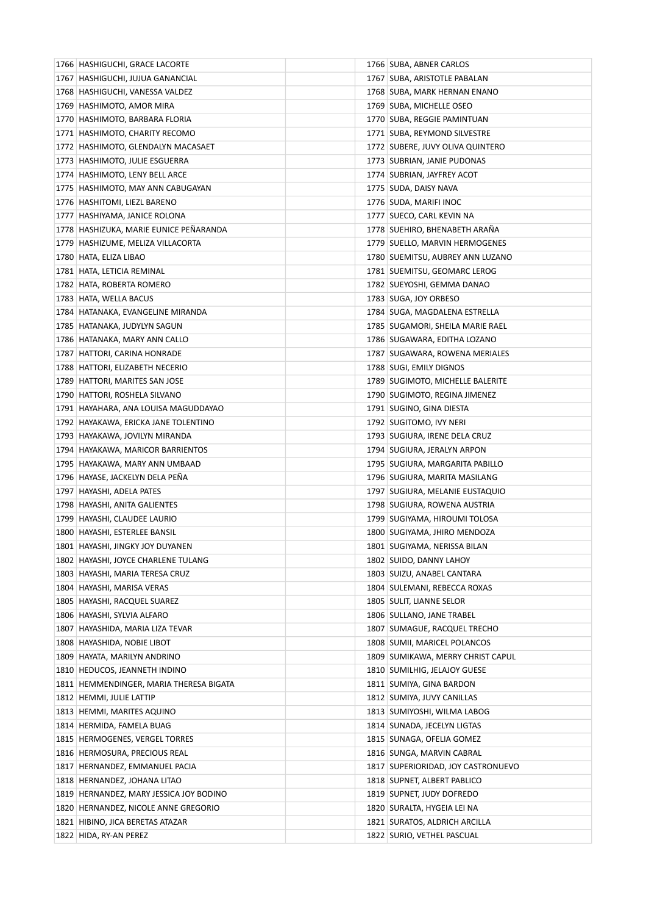| 1766 HASHIGUCHI, GRACE LACORTE                              |  | 1766 SUBA, ABNER CARLOS            |
|-------------------------------------------------------------|--|------------------------------------|
| 1767   HASHIGUCHI, JUJUA GANANCIAL                          |  | 1767 SUBA, ARISTOTLE PABALAN       |
| 1768 HASHIGUCHI, VANESSA VALDEZ                             |  | 1768 SUBA, MARK HERNAN ENANO       |
| 1769 HASHIMOTO, AMOR MIRA                                   |  | 1769 SUBA, MICHELLE OSEO           |
| 1770 HASHIMOTO, BARBARA FLORIA                              |  | 1770 SUBA, REGGIE PAMINTUAN        |
| 1771 HASHIMOTO, CHARITY RECOMO                              |  | 1771 SUBA, REYMOND SILVESTRE       |
| 1772 HASHIMOTO, GLENDALYN MACASAET                          |  | 1772 SUBERE, JUVY OLIVA QUINTERO   |
| 1773 HASHIMOTO, JULIE ESGUERRA                              |  | 1773 SUBRIAN, JANIE PUDONAS        |
| 1774 HASHIMOTO, LENY BELL ARCE                              |  | 1774 SUBRIAN, JAYFREY ACOT         |
| 1775 HASHIMOTO, MAY ANN CABUGAYAN                           |  | 1775 SUDA, DAISY NAVA              |
| 1776 HASHITOMI, LIEZL BARENO                                |  | 1776   SUDA, MARIFI INOC           |
| 1777   HASHIYAMA, JANICE ROLONA                             |  | 1777 SUECO, CARL KEVIN NA          |
| 1778 HASHIZUKA, MARIE EUNICE PEÑARANDA                      |  | 1778 SUEHIRO, BHENABETH ARAÑA      |
| 1779 HASHIZUME, MELIZA VILLACORTA                           |  | 1779 SUELLO, MARVIN HERMOGENES     |
| 1780 HATA, ELIZA LIBAO                                      |  | 1780 SUEMITSU, AUBREY ANN LUZANO   |
| 1781 HATA, LETICIA REMINAL                                  |  | 1781 SUEMITSU, GEOMARC LEROG       |
| 1782 HATA, ROBERTA ROMERO                                   |  | 1782 SUEYOSHI, GEMMA DANAO         |
| 1783 HATA, WELLA BACUS                                      |  | 1783 SUGA, JOY ORBESO              |
| 1784 HATANAKA, EVANGELINE MIRANDA                           |  | 1784 SUGA, MAGDALENA ESTRELLA      |
| 1785 HATANAKA, JUDYLYN SAGUN                                |  | 1785   SUGAMORI, SHEILA MARIE RAEL |
| 1786 HATANAKA, MARY ANN CALLO                               |  | 1786   SUGAWARA, EDITHA LOZANO     |
| 1787 HATTORI, CARINA HONRADE                                |  | 1787 SUGAWARA, ROWENA MERIALES     |
| 1788 HATTORI, ELIZABETH NECERIO                             |  | 1788 SUGI, EMILY DIGNOS            |
| 1789 HATTORI, MARITES SAN JOSE                              |  | 1789 SUGIMOTO, MICHELLE BALERITE   |
| 1790 HATTORI, ROSHELA SILVANO                               |  | 1790 SUGIMOTO, REGINA JIMENEZ      |
| 1791 HAYAHARA, ANA LOUISA MAGUDDAYAO                        |  | 1791   SUGINO, GINA DIESTA         |
| 1792 HAYAKAWA, ERICKA JANE TOLENTINO                        |  | 1792 SUGITOMO, IVY NERI            |
| 1793   HAYAKAWA, JOVILYN MIRANDA                            |  | 1793   SUGIURA, IRENE DELA CRUZ    |
| 1794 HAYAKAWA, MARICOR BARRIENTOS                           |  | 1794 SUGIURA, JERALYN ARPON        |
| 1795 HAYAKAWA, MARY ANN UMBAAD                              |  | 1795   SUGIURA, MARGARITA PABILLO  |
| 1796 HAYASE, JACKELYN DELA PENA                             |  | 1796   SUGIURA, MARITA MASILANG    |
| 1797   HAYASHI, ADELA PATES                                 |  | 1797 SUGIURA, MELANIE EUSTAQUIO    |
| 1798 HAYASHI, ANITA GALIENTES                               |  | 1798 SUGIURA, ROWENA AUSTRIA       |
| 1799 HAYASHI, CLAUDEE LAURIO                                |  | 1799   SUGIYAMA, HIROUMI TOLOSA    |
| 1800   HAYASHI, ESTERLEE BANSIL                             |  | 1800 SUGIYAMA, JHIRO MENDOZA       |
| 1801 HAYASHI, JINGKY JOY DUYANEN                            |  | 1801 SUGIYAMA, NERISSA BILAN       |
| 1802 HAYASHI, JOYCE CHARLENE TULANG                         |  | 1802 SUIDO, DANNY LAHOY            |
| 1803 HAYASHI, MARIA TERESA CRUZ                             |  | 1803 SUIZU, ANABEL CANTARA         |
| 1804 HAYASHI, MARISA VERAS                                  |  | 1804 SULEMANI, REBECCA ROXAS       |
|                                                             |  | 1805 SULIT, LIANNE SELOR           |
| 1805 HAYASHI, RACQUEL SUAREZ<br>1806 HAYASHI, SYLVIA ALFARO |  | 1806 SULLANO, JANE TRABEL          |
| 1807 HAYASHIDA, MARIA LIZA TEVAR                            |  | 1807 SUMAGUE, RACQUEL TRECHO       |
| 1808 HAYASHIDA, NOBIE LIBOT                                 |  | 1808 SUMII, MARICEL POLANCOS       |
| 1809 HAYATA, MARILYN ANDRINO                                |  | 1809 SUMIKAWA, MERRY CHRIST CAPUL  |
|                                                             |  |                                    |
| 1810 HEDUCOS, JEANNETH INDINO                               |  | 1810 SUMILHIG, JELAJOY GUESE       |
| 1811 HEMMENDINGER, MARIA THERESA BIGATA                     |  | 1811 SUMIYA, GINA BARDON           |
| 1812 HEMMI, JULIE LATTIP                                    |  | 1812 SUMIYA, JUVY CANILLAS         |
| 1813 HEMMI, MARITES AQUINO                                  |  | 1813 SUMIYOSHI, WILMA LABOG        |
| 1814 HERMIDA, FAMELA BUAG                                   |  | 1814 SUNADA, JECELYN LIGTAS        |
| 1815 HERMOGENES, VERGEL TORRES                              |  | 1815 SUNAGA, OFELIA GOMEZ          |
| 1816 HERMOSURA, PRECIOUS REAL                               |  | 1816 SUNGA, MARVIN CABRAL          |
| 1817 HERNANDEZ, EMMANUEL PACIA                              |  | 1817 SUPERIORIDAD, JOY CASTRONUEVO |
| 1818 HERNANDEZ, JOHANA LITAO                                |  | 1818 SUPNET, ALBERT PABLICO        |
| 1819 HERNANDEZ, MARY JESSICA JOY BODINO                     |  | 1819 SUPNET, JUDY DOFREDO          |
| 1820 HERNANDEZ, NICOLE ANNE GREGORIO                        |  | 1820   SURALTA, HYGEIA LEI NA      |
| 1821 HIBINO, JICA BERETAS ATAZAR                            |  | 1821 SURATOS, ALDRICH ARCILLA      |
| 1822 HIDA, RY-AN PEREZ                                      |  | 1822 SURIO, VETHEL PASCUAL         |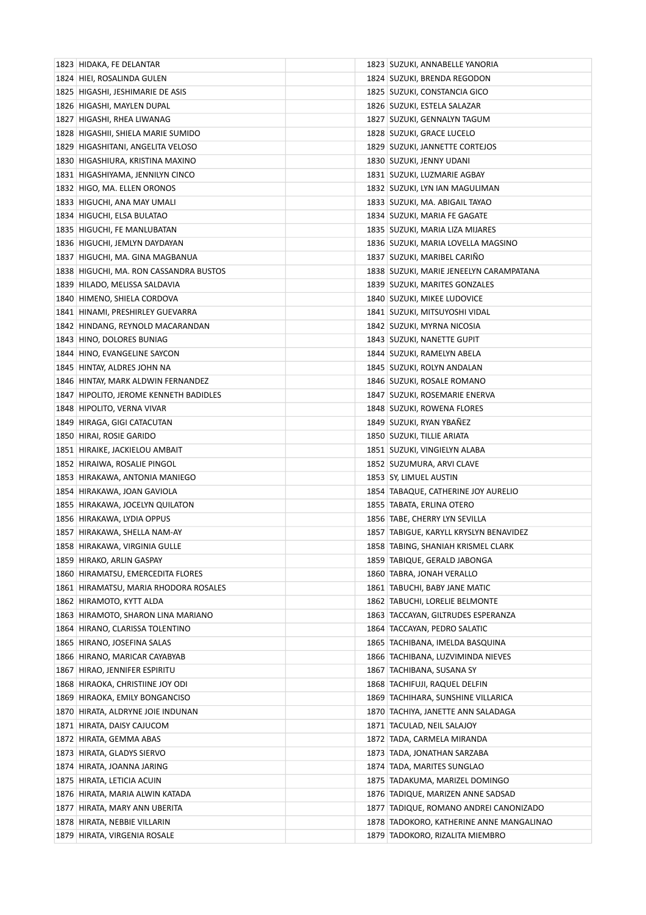| 1823 HIDAKA, FE DELANTAR               | 1823 SUZUKI, ANNABELLE YANORIA             |
|----------------------------------------|--------------------------------------------|
| 1824 HIEI, ROSALINDA GULEN             | 1824 SUZUKI, BRENDA REGODON                |
| 1825 HIGASHI, JESHIMARIE DE ASIS       | 1825 SUZUKI, CONSTANCIA GICO               |
| 1826 HIGASHI, MAYLEN DUPAL             | 1826 SUZUKI, ESTELA SALAZAR                |
| 1827 HIGASHI, RHEA LIWANAG             | 1827 SUZUKI, GENNALYN TAGUM                |
| 1828 HIGASHII, SHIELA MARIE SUMIDO     | 1828 SUZUKI, GRACE LUCELO                  |
| 1829 HIGASHITANI, ANGELITA VELOSO      | 1829 SUZUKI, JANNETTE CORTEJOS             |
| 1830 HIGASHIURA, KRISTINA MAXINO       | 1830 SUZUKI, JENNY UDANI                   |
| 1831 HIGASHIYAMA, JENNILYN CINCO       | 1831 SUZUKI, LUZMARIE AGBAY                |
| 1832 HIGO, MA. ELLEN ORONOS            | 1832 SUZUKI, LYN IAN MAGULIMAN             |
| 1833 HIGUCHI, ANA MAY UMALI            | 1833 SUZUKI, MA. ABIGAIL TAYAO             |
| 1834 HIGUCHI, ELSA BULATAO             | 1834 SUZUKI, MARIA FE GAGATE               |
| 1835 HIGUCHI, FE MANLUBATAN            | 1835   SUZUKI, MARIA LIZA MIJARES          |
| 1836 HIGUCHI, JEMLYN DAYDAYAN          | 1836 SUZUKI, MARIA LOVELLA MAGSINO         |
| 1837 HIGUCHI, MA. GINA MAGBANUA        | 1837 SUZUKI, MARIBEL CARIÑO                |
| 1838 HIGUCHI, MA. RON CASSANDRA BUSTOS | 1838 SUZUKI, MARIE JENEELYN CARAMPATANA    |
| 1839 HILADO, MELISSA SALDAVIA          | 1839 SUZUKI, MARITES GONZALES              |
| 1840 HIMENO, SHIELA CORDOVA            | 1840 SUZUKI, MIKEE LUDOVICE                |
| 1841 HINAMI, PRESHIRLEY GUEVARRA       | 1841   SUZUKI, MITSUYOSHI VIDAL            |
| 1842 HINDANG, REYNOLD MACARANDAN       | 1842 SUZUKI, MYRNA NICOSIA                 |
| 1843 HINO, DOLORES BUNIAG              | 1843 SUZUKI, NANETTE GUPIT                 |
| 1844 HINO, EVANGELINE SAYCON           | 1844 SUZUKI, RAMELYN ABELA                 |
| 1845 HINTAY, ALDRES JOHN NA            | 1845   SUZUKI, ROLYN ANDALAN               |
| 1846 HINTAY, MARK ALDWIN FERNANDEZ     | 1846 SUZUKI, ROSALE ROMANO                 |
| 1847 HIPOLITO, JEROME KENNETH BADIDLES | 1847   SUZUKI, ROSEMARIE ENERVA            |
| 1848 HIPOLITO, VERNA VIVAR             | 1848 SUZUKI, ROWENA FLORES                 |
| 1849 HIRAGA, GIGI CATACUTAN            | 1849 SUZUKI, RYAN YBAÑEZ                   |
| 1850 HIRAI, ROSIE GARIDO               | 1850 SUZUKI, TILLIE ARIATA                 |
| 1851 HIRAIKE, JACKIELOU AMBAIT         | 1851 SUZUKI, VINGIELYN ALABA               |
| 1852 HIRAIWA, ROSALIE PINGOL           | 1852 SUZUMURA, ARVI CLAVE                  |
| 1853 HIRAKAWA, ANTONIA MANIEGO         | 1853 SY, LIMUEL AUSTIN                     |
| 1854 HIRAKAWA, JOAN GAVIOLA            | 1854 TABAQUE, CATHERINE JOY AURELIO        |
| 1855 HIRAKAWA, JOCELYN QUILATON        | 1855 TABATA, ERLINA OTERO                  |
| 1856 HIRAKAWA, LYDIA OPPUS             | 1856 TABE, CHERRY LYN SEVILLA              |
| 1857 HIRAKAWA, SHELLA NAM-AY           | 1857 TABIGUE, KARYLL KRYSLYN BENAVIDEZ     |
| 1858 HIRAKAWA, VIRGINIA GULLE          | 1858 TABING, SHANIAH KRISMEL CLARK         |
| 1859 HIRAKO, ARLIN GASPAY              | 1859 TABIQUE, GERALD JABONGA               |
| 1860 HIRAMATSU, EMERCEDITA FLORES      | 1860 TABRA, JONAH VERALLO                  |
| 1861 HIRAMATSU, MARIA RHODORA ROSALES  | 1861 TABUCHI, BABY JANE MATIC              |
| 1862 HIRAMOTO, KYTT ALDA               | 1862 TABUCHI, LORELIE BELMONTE             |
| 1863 HIRAMOTO, SHARON LINA MARIANO     | 1863 TACCAYAN, GILTRUDES ESPERANZA         |
| 1864 HIRANO, CLARISSA TOLENTINO        | 1864 TACCAYAN, PEDRO SALATIC               |
| 1865 HIRANO, JOSEFINA SALAS            | 1865 TACHIBANA, IMELDA BASQUINA            |
| 1866 HIRANO, MARICAR CAYABYAB          | 1866 TACHIBANA, LUZVIMINDA NIEVES          |
| 1867 HIRAO, JENNIFER ESPIRITU          | 1867 TACHIBANA, SUSANA SY                  |
| 1868 HIRAOKA, CHRISTIINE JOY ODI       | 1868 TACHIFUJI, RAQUEL DELFIN              |
| 1869 HIRAOKA, EMILY BONGANCISO         | 1869 TACHIHARA, SUNSHINE VILLARICA         |
| 1870 HIRATA, ALDRYNE JOIE INDUNAN      | 1870 TACHIYA, JANETTE ANN SALADAGA         |
| 1871 HIRATA, DAISY CAJUCOM             | 1871 TACULAD, NEIL SALAJOY                 |
| 1872 HIRATA, GEMMA ABAS                | 1872   TADA, CARMELA MIRANDA               |
| 1873 HIRATA, GLADYS SIERVO             | 1873 TADA, JONATHAN SARZABA                |
| 1874 HIRATA, JOANNA JARING             | 1874 TADA, MARITES SUNGLAO                 |
| 1875 HIRATA, LETICIA ACUIN             | 1875   TADAKUMA, MARIZEL DOMINGO           |
| 1876 HIRATA, MARIA ALWIN KATADA        | 1876 TADIQUE, MARIZEN ANNE SADSAD          |
| 1877 HIRATA, MARY ANN UBERITA          | 1877 TADIQUE, ROMANO ANDREI CANONIZADO     |
| 1878 HIRATA, NEBBIE VILLARIN           | 1878   TADOKORO, KATHERINE ANNE MANGALINAO |
| 1879 HIRATA, VIRGENIA ROSALE           | 1879   TADOKORO, RIZALITA MIEMBRO          |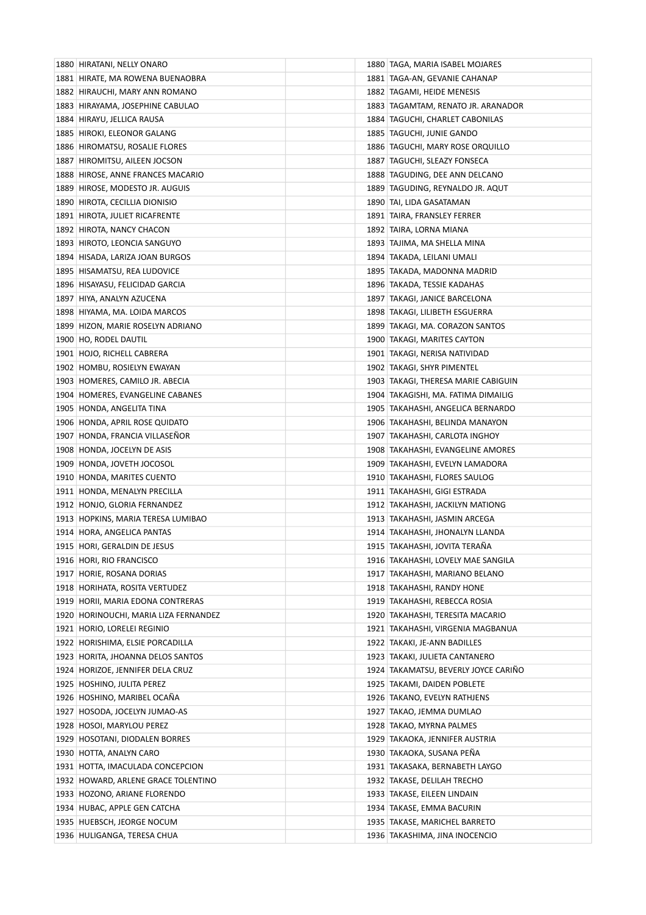| 1880 HIRATANI, NELLY ONARO                                   | 1880   TAGA, MARIA ISABEL MOJARES                          |
|--------------------------------------------------------------|------------------------------------------------------------|
| 1881 HIRATE, MA ROWENA BUENAOBRA                             | 1881   TAGA-AN, GEVANIE CAHANAP                            |
| 1882 HIRAUCHI, MARY ANN ROMANO                               | 1882   TAGAMI, HEIDE MENESIS                               |
| 1883 HIRAYAMA, JOSEPHINE CABULAO                             | 1883 TAGAMTAM, RENATO JR. ARANADOR                         |
| 1884 HIRAYU, JELLICA RAUSA                                   | 1884 TAGUCHI, CHARLET CABONILAS                            |
| 1885 HIROKI, ELEONOR GALANG                                  | 1885   TAGUCHI, JUNIE GANDO                                |
| 1886 HIROMATSU, ROSALIE FLORES                               | 1886   TAGUCHI, MARY ROSE ORQUILLO                         |
| 1887 HIROMITSU, AILEEN JOCSON                                | 1887   TAGUCHI, SLEAZY FONSECA                             |
| 1888 HIROSE, ANNE FRANCES MACARIO                            | 1888 TAGUDING, DEE ANN DELCANO                             |
| 1889 HIROSE, MODESTO JR. AUGUIS                              | 1889   TAGUDING, REYNALDO JR. AQUT                         |
| 1890 HIROTA, CECILLIA DIONISIO                               | 1890   TAI, LIDA GASATAMAN                                 |
| 1891 HIROTA, JULIET RICAFRENTE                               | 1891 TAIRA, FRANSLEY FERRER                                |
| 1892 HIROTA, NANCY CHACON                                    | 1892   TAIRA, LORNA MIANA                                  |
| 1893 HIROTO, LEONCIA SANGUYO                                 | 1893   TAJIMA, MA SHELLA MINA                              |
| 1894 HISADA, LARIZA JOAN BURGOS                              | 1894   TAKADA, LEILANI UMALI                               |
| 1895 HISAMATSU, REA LUDOVICE                                 | 1895   TAKADA, MADONNA MADRID                              |
| 1896 HISAYASU, FELICIDAD GARCIA                              | 1896 TAKADA, TESSIE KADAHAS                                |
| 1897 HIYA, ANALYN AZUCENA                                    | 1897   TAKAGI, JANICE BARCELONA                            |
| 1898 HIYAMA, MA. LOIDA MARCOS                                | 1898 TAKAGI, LILIBETH ESGUERRA                             |
| 1899 HIZON, MARIE ROSELYN ADRIANO                            | 1899   TAKAGI, MA. CORAZON SANTOS                          |
| 1900 HO, RODEL DAUTIL                                        | 1900 TAKAGI, MARITES CAYTON                                |
| 1901 HOJO, RICHELL CABRERA                                   | 1901   TAKAGI, NERISA NATIVIDAD                            |
| 1902 HOMBU, ROSIELYN EWAYAN                                  | 1902   TAKAGI, SHYR PIMENTEL                               |
| 1903 HOMERES, CAMILO JR. ABECIA                              | 1903 TAKAGI, THERESA MARIE CABIGUIN                        |
| 1904 HOMERES, EVANGELINE CABANES                             | 1904   TAKAGISHI, MA. FATIMA DIMAILIG                      |
| 1905 HONDA, ANGELITA TINA                                    | 1905   TAKAHASHI, ANGELICA BERNARDO                        |
| 1906 HONDA, APRIL ROSE QUIDATO                               | 1906   TAKAHASHI, BELINDA MANAYON                          |
| 1907 HONDA, FRANCIA VILLASENOR                               | 1907   TAKAHASHI, CARLOTA INGHOY                           |
| 1908 HONDA, JOCELYN DE ASIS                                  | 1908 TAKAHASHI, EVANGELINE AMORES                          |
| 1909 HONDA, JOVETH JOCOSOL                                   | 1909   TAKAHASHI, EVELYN LAMADORA                          |
| 1910 HONDA, MARITES CUENTO                                   | 1910   TAKAHASHI, FLORES SAULOG                            |
| 1911 HONDA, MENALYN PRECILLA                                 | 1911   TAKAHASHI, GIGI ESTRADA                             |
| 1912 HONJO, GLORIA FERNANDEZ                                 | 1912 TAKAHASHI, JACKILYN MATIONG                           |
| 1913 HOPKINS, MARIA TERESA LUMIBAO                           | 1913   TAKAHASHI, JASMIN ARCEGA                            |
| 1914 HORA, ANGELICA PANTAS                                   | 1914 TAKAHASHI, JHONALYN LLANDA                            |
| 1915 HORI, GERALDIN DE JESUS                                 | 1915   TAKAHASHI, JOVITA TERAÑA                            |
| 1916 HORI, RIO FRANCISCO                                     | 1916 TAKAHASHI, LOVELY MAE SANGILA                         |
| 1917 HORIE, ROSANA DORIAS                                    | 1917   TAKAHASHI, MARIANO BELANO                           |
| 1918 HORIHATA, ROSITA VERTUDEZ                               | 1918 TAKAHASHI, RANDY HONE                                 |
| 1919 HORII, MARIA EDONA CONTRERAS                            | 1919   TAKAHASHI, REBECCA ROSIA                            |
| 1920 HORINOUCHI, MARIA LIZA FERNANDEZ                        | 1920 TAKAHASHI, TERESITA MACARIO                           |
| 1921 HORIO, LORELEI REGINIO                                  | 1921 TAKAHASHI, VIRGENIA MAGBANUA                          |
| 1922 HORISHIMA, ELSIE PORCADILLA                             | 1922 TAKAKI, JE-ANN BADILLES                               |
| 1923 HORITA, JHOANNA DELOS SANTOS                            | 1923   TAKAKI, JULIETA CANTANERO                           |
| 1924 HORIZOE, JENNIFER DELA CRUZ                             | 1924 TAKAMATSU, BEVERLY JOYCE CARIÑO                       |
| 1925 HOSHINO, JULITA PEREZ                                   | 1925 TAKAMI, DAIDEN POBLETE                                |
|                                                              |                                                            |
| 1926 HOSHINO, MARIBEL OCANA<br>1927 HOSODA, JOCELYN JUMAO-AS | 1926 TAKANO, EVELYN RATHJENS<br>1927   TAKAO, JEMMA DUMLAO |
|                                                              |                                                            |
| 1928 HOSOI, MARYLOU PEREZ                                    | 1928 TAKAO, MYRNA PALMES                                   |
| 1929 HOSOTANI, DIODALEN BORRES                               | 1929   TAKAOKA, JENNIFER AUSTRIA                           |
| 1930 HOTTA, ANALYN CARO                                      | 1930   TAKAOKA, SUSANA PENA                                |
| 1931 HOTTA, IMACULADA CONCEPCION                             | 1931 TAKASAKA, BERNABETH LAYGO                             |
| 1932 HOWARD, ARLENE GRACE TOLENTINO                          | 1932 TAKASE, DELILAH TRECHO                                |
| 1933 HOZONO, ARIANE FLORENDO                                 | 1933   TAKASE, EILEEN LINDAIN                              |
| 1934 HUBAC, APPLE GEN CATCHA                                 | 1934   TAKASE, EMMA BACURIN                                |
| 1935 HUEBSCH, JEORGE NOCUM                                   | 1935 TAKASE, MARICHEL BARRETO                              |
| 1936 HULIGANGA, TERESA CHUA                                  | 1936   TAKASHIMA, JINA INOCENCIO                           |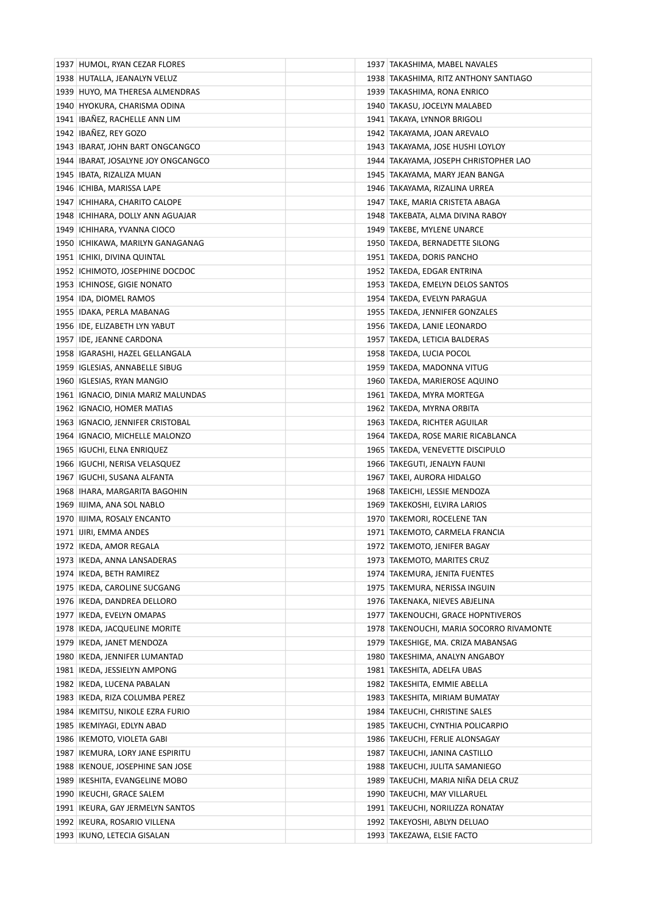| 1937 HUMOL, RYAN CEZAR FLORES         | 1937   TAKASHIMA, MABEL NAVALES            |
|---------------------------------------|--------------------------------------------|
| 1938 HUTALLA, JEANALYN VELUZ          | 1938 TAKASHIMA, RITZ ANTHONY SANTIAGO      |
| 1939 HUYO, MA THERESA ALMENDRAS       | 1939   TAKASHIMA, RONA ENRICO              |
| 1940 HYOKURA, CHARISMA ODINA          | 1940 TAKASU, JOCELYN MALABED               |
| 1941 IBAÑEZ, RACHELLE ANN LIM         | 1941   TAKAYA, LYNNOR BRIGOLI              |
| 1942 IBAÑEZ, REY GOZO                 | 1942 TAKAYAMA, JOAN AREVALO                |
| 1943 IBARAT, JOHN BART ONGCANGCO      | 1943   TAKAYAMA, JOSE HUSHI LOYLOY         |
| 1944   IBARAT, JOSALYNE JOY ONGCANGCO | 1944   TAKAYAMA, JOSEPH CHRISTOPHER LAO    |
| 1945   IBATA, RIZALIZA MUAN           | 1945   TAKAYAMA, MARY JEAN BANGA           |
| 1946   ICHIBA, MARISSA LAPE           | 1946   TAKAYAMA, RIZALINA URREA            |
| 1947   ICHIHARA, CHARITO CALOPE       | 1947   TAKE, MARIA CRISTETA ABAGA          |
| 1948 ICHIHARA, DOLLY ANN AGUAJAR      | 1948   TAKEBATA, ALMA DIVINA RABOY         |
| 1949   ICHIHARA, YVANNA CIOCO         | 1949 TAKEBE, MYLENE UNARCE                 |
| 1950 ICHIKAWA, MARILYN GANAGANAG      | 1950 TAKEDA, BERNADETTE SILONG             |
| 1951   ICHIKI, DIVINA QUINTAL         | 1951 TAKEDA, DORIS PANCHO                  |
| 1952 ICHIMOTO, JOSEPHINE DOCDOC       | 1952 TAKEDA, EDGAR ENTRINA                 |
| 1953   ICHINOSE, GIGIE NONATO         | 1953 TAKEDA, EMELYN DELOS SANTOS           |
| 1954 IDA, DIOMEL RAMOS                | 1954 TAKEDA, EVELYN PARAGUA                |
| 1955   IDAKA, PERLA MABANAG           | 1955 TAKEDA, JENNIFER GONZALES             |
| 1956   IDE, ELIZABETH LYN YABUT       | 1956   TAKEDA, LANIE LEONARDO              |
| 1957 IDE, JEANNE CARDONA              | 1957   TAKEDA, LETICIA BALDERAS            |
| 1958   IGARASHI, HAZEL GELLANGALA     | 1958 TAKEDA, LUCIA POCOL                   |
| 1959   IGLESIAS, ANNABELLE SIBUG      | 1959 TAKEDA, MADONNA VITUG                 |
| 1960   IGLESIAS, RYAN MANGIO          | 1960 TAKEDA, MARIEROSE AQUINO              |
| 1961   IGNACIO, DINIA MARIZ MALUNDAS  | 1961   TAKEDA, MYRA MORTEGA                |
| 1962 IGNACIO, HOMER MATIAS            | 1962   TAKEDA, MYRNA ORBITA                |
| 1963   IGNACIO, JENNIFER CRISTOBAL    | 1963 TAKEDA, RICHTER AGUILAR               |
| 1964 IGNACIO, MICHELLE MALONZO        | 1964 TAKEDA, ROSE MARIE RICABLANCA         |
| 1965   IGUCHI, ELNA ENRIQUEZ          | 1965   TAKEDA, VENEVETTE DISCIPULO         |
| 1966   IGUCHI, NERISA VELASQUEZ       | 1966 TAKEGUTI, JENALYN FAUNI               |
| 1967   IGUCHI, SUSANA ALFANTA         | 1967   TAKEI, AURORA HIDALGO               |
| 1968   IHARA, MARGARITA BAGOHIN       | 1968 TAKEICHI, LESSIE MENDOZA              |
| 1969 IIJIMA, ANA SOL NABLO            | 1969   TAKEKOSHI, ELVIRA LARIOS            |
| 1970 IIJIMA, ROSALY ENCANTO           | 1970 TAKEMORI, ROCELENE TAN                |
| 1971   IJIRI, EMMA ANDES              | 1971 TAKEMOTO, CARMELA FRANCIA             |
| 1972   IKEDA, AMOR REGALA             | 1972 TAKEMOTO, JENIFER BAGAY               |
| 1973   IKEDA, ANNA LANSADERAS         | 1973 TAKEMOTO, MARITES CRUZ                |
| 1974   IKEDA, BETH RAMIREZ            | 1974 TAKEMURA, JENITA FUENTES              |
| 1975   IKEDA, CAROLINE SUCGANG        | 1975   TAKEMURA, NERISSA INGUIN            |
| 1976   IKEDA, DANDREA DELLORO         | 1976 TAKENAKA, NIEVES ABJELINA             |
| 1977   IKEDA, EVELYN OMAPAS           | 1977 TAKENOUCHI, GRACE HOPNTIVEROS         |
| 1978   IKEDA, JACQUELINE MORITE       | 1978   TAKENOUCHI, MARIA SOCORRO RIVAMONTE |
| 1979   IKEDA, JANET MENDOZA           | 1979 TAKESHIGE, MA. CRIZA MABANSAG         |
| 1980 IKEDA, JENNIFER LUMANTAD         | 1980 TAKESHIMA, ANALYN ANGABOY             |
| 1981   IKEDA, JESSIELYN AMPONG        | 1981 TAKESHITA, ADELFA UBAS                |
| 1982   IKEDA, LUCENA PABALAN          | 1982   TAKESHITA, EMMIE ABELLA             |
| 1983   IKEDA, RIZA COLUMBA PEREZ      | 1983   TAKESHITA, MIRIAM BUMATAY           |
| 1984   IKEMITSU, NIKOLE EZRA FURIO    | 1984   TAKEUCHI, CHRISTINE SALES           |
| 1985   IKEMIYAGI, EDLYN ABAD          | 1985 TAKEUCHI, CYNTHIA POLICARPIO          |
| 1986   IKEMOTO, VIOLETA GABI          | 1986   TAKEUCHI, FERLIE ALONSAGAY          |
| 1987   IKEMURA, LORY JANE ESPIRITU    | 1987   TAKEUCHI, JANINA CASTILLO           |
| 1988   IKENOUE, JOSEPHINE SAN JOSE    | 1988 TAKEUCHI, JULITA SAMANIEGO            |
| 1989   IKESHITA, EVANGELINE MOBO      | 1989 TAKEUCHI, MARIA NIÑA DELA CRUZ        |
| 1990   IKEUCHI, GRACE SALEM           | 1990 TAKEUCHI, MAY VILLARUEL               |
| 1991   IKEURA, GAY JERMELYN SANTOS    | 1991   TAKEUCHI, NORILIZZA RONATAY         |
| 1992   IKEURA, ROSARIO VILLENA        | 1992 TAKEYOSHI, ABLYN DELUAO               |
| 1993   IKUNO, LETECIA GISALAN         | 1993 TAKEZAWA, ELSIE FACTO                 |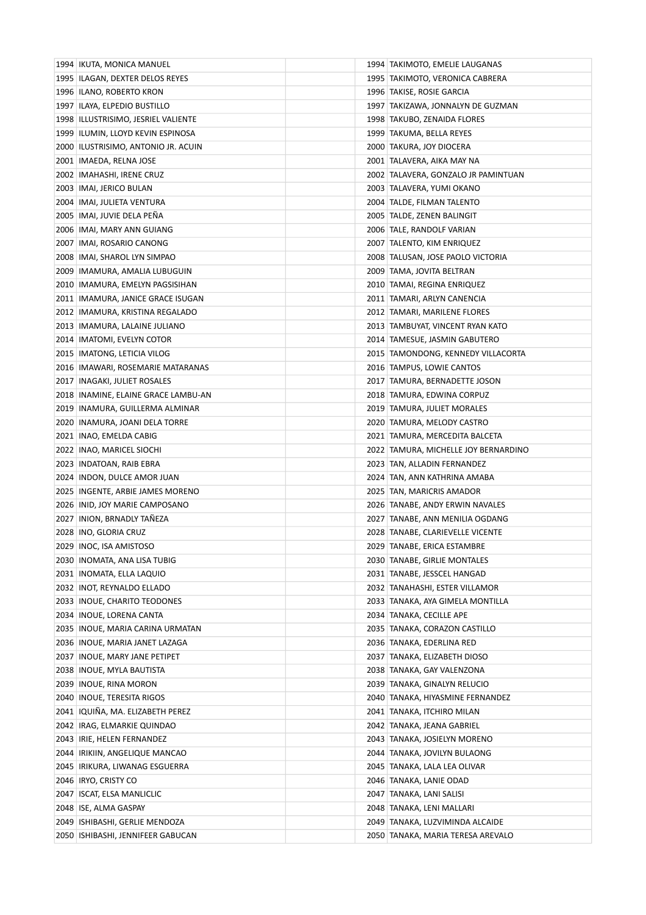| 1994 IKUTA, MONICA MANUEL                                     |  | 1994 TAKIMOTO, EMELIE LAUGANAS       |
|---------------------------------------------------------------|--|--------------------------------------|
| 1995 ILAGAN, DEXTER DELOS REYES                               |  | 1995   TAKIMOTO, VERONICA CABRERA    |
| 1996 ILANO, ROBERTO KRON                                      |  | 1996 TAKISE, ROSIE GARCIA            |
| 1997   ILAYA, ELPEDIO BUSTILLO                                |  | 1997   TAKIZAWA, JONNALYN DE GUZMAN  |
| 1998   ILLUSTRISIMO, JESRIEL VALIENTE                         |  | 1998 TAKUBO, ZENAIDA FLORES          |
| 1999 ILUMIN, LLOYD KEVIN ESPINOSA                             |  | 1999   TAKUMA, BELLA REYES           |
| 2000 ILUSTRISIMO, ANTONIO JR. ACUIN                           |  | 2000 TAKURA, JOY DIOCERA             |
| 2001   IMAEDA, RELNA JOSE                                     |  | 2001 TALAVERA, AIKA MAY NA           |
| 2002   IMAHASHI, IRENE CRUZ                                   |  | 2002 TALAVERA, GONZALO JR PAMINTUAN  |
| 2003   IMAI, JERICO BULAN                                     |  | 2003   TALAVERA, YUMI OKANO          |
| 2004   IMAI, JULIETA VENTURA                                  |  | 2004 TALDE, FILMAN TALENTO           |
| 2005   IMAI, JUVIE DELA PENA                                  |  | 2005 TALDE, ZENEN BALINGIT           |
| 2006   IMAI, MARY ANN GUIANG                                  |  | 2006 TALE, RANDOLF VARIAN            |
| 2007   IMAI, ROSARIO CANONG                                   |  | 2007 TALENTO, KIM ENRIQUEZ           |
| 2008   IMAI, SHAROL LYN SIMPAO                                |  | 2008   TALUSAN, JOSE PAOLO VICTORIA  |
| 2009   IMAMURA, AMALIA LUBUGUIN                               |  | 2009   TAMA, JOVITA BELTRAN          |
| 2010   IMAMURA, EMELYN PAGSISIHAN                             |  | 2010 TAMAI, REGINA ENRIQUEZ          |
| 2011   IMAMURA, JANICE GRACE ISUGAN                           |  | 2011   TAMARI, ARLYN CANENCIA        |
| 2012   IMAMURA, KRISTINA REGALADO                             |  | 2012 TAMARI, MARILENE FLORES         |
| 2013   IMAMURA, LALAINE JULIANO                               |  | 2013 TAMBUYAT, VINCENT RYAN KATO     |
| 2014   IMATOMI, EVELYN COTOR                                  |  | 2014 TAMESUE, JASMIN GABUTERO        |
| 2015   IMATONG, LETICIA VILOG                                 |  | 2015 TAMONDONG, KENNEDY VILLACORTA   |
| 2016   IMAWARI, ROSEMARIE MATARANAS                           |  | 2016 TAMPUS, LOWIE CANTOS            |
| 2017   INAGAKI, JULIET ROSALES                                |  | 2017 TAMURA, BERNADETTE JOSON        |
| 2018 INAMINE, ELAINE GRACE LAMBU-AN                           |  | 2018 TAMURA, EDWINA CORPUZ           |
| 2019 INAMURA, GUILLERMA ALMINAR                               |  | 2019 TAMURA, JULIET MORALES          |
| 2020 INAMURA, JOANI DELA TORRE                                |  | 2020 TAMURA, MELODY CASTRO           |
| 2021   INAO, EMELDA CABIG                                     |  | 2021   TAMURA, MERCEDITA BALCETA     |
| 2022   INAO, MARICEL SIOCHI                                   |  | 2022 TAMURA, MICHELLE JOY BERNARDINO |
| 2023 INDATOAN, RAIB EBRA                                      |  | 2023 TAN, ALLADIN FERNANDEZ          |
| 2024 INDON, DULCE AMOR JUAN                                   |  | 2024   TAN, ANN KATHRINA AMABA       |
| 2025 INGENTE, ARBIE JAMES MORENO                              |  | 2025   TAN, MARICRIS AMADOR          |
| 2026 INID, JOY MARIE CAMPOSANO                                |  | 2026 TANABE, ANDY ERWIN NAVALES      |
| 2027 INION, BRNADLY TAÑEZA                                    |  | 2027 TANABE, ANN MENILIA OGDANG      |
| 2028 INO, GLORIA CRUZ                                         |  | 2028 TANABE, CLARIEVELLE VICENTE     |
| 2029   INOC, ISA AMISTOSO                                     |  | 2029 TANABE, ERICA ESTAMBRE          |
| 2030   INOMATA, ANA LISA TUBIG                                |  | 2030 TANABE, GIRLIE MONTALES         |
| 2031   INOMATA, ELLA LAQUIO                                   |  | 2031 TANABE, JESSCEL HANGAD          |
| 2032 INOT, REYNALDO ELLADO                                    |  | 2032 TANAHASHI, ESTER VILLAMOR       |
| 2033 INOUE, CHARITO TEODONES                                  |  | 2033 TANAKA, AYA GIMELA MONTILLA     |
| 2034   INOUE, LORENA CANTA                                    |  | 2034 TANAKA, CECILLE APE             |
| 2035   INOUE, MARIA CARINA URMATAN                            |  | 2035   TANAKA, CORAZON CASTILLO      |
| 2036 INOUE, MARIA JANET LAZAGA                                |  | 2036 TANAKA, EDERLINA RED            |
| 2037 INOUE, MARY JANE PETIPET                                 |  | 2037   TANAKA, ELIZABETH DIOSO       |
| 2038   INOUE, MYLA BAUTISTA                                   |  | 2038 TANAKA, GAY VALENZONA           |
| 2039 INOUE, RINA MORON                                        |  | 2039   TANAKA, GINALYN RELUCIO       |
| 2040   INOUE, TERESITA RIGOS                                  |  | 2040 TANAKA, HIYASMINE FERNANDEZ     |
| 2041 IQUIÑA, MA. ELIZABETH PEREZ                              |  |                                      |
|                                                               |  | 2041   TANAKA, ITCHIRO MILAN         |
| 2042   IRAG, ELMARKIE QUINDAO<br>2043   IRIE, HELEN FERNANDEZ |  | 2042 TANAKA, JEANA GABRIEL           |
|                                                               |  | 2043   TANAKA, JOSIELYN MORENO       |
| 2044   IRIKIIN, ANGELIQUE MANCAO                              |  | 2044   TANAKA, JOVILYN BULAONG       |
| 2045   IRIKURA, LIWANAG ESGUERRA                              |  | 2045   TANAKA, LALA LEA OLIVAR       |
| 2046 IRYO, CRISTY CO                                          |  | 2046 TANAKA, LANIE ODAD              |
| 2047   ISCAT, ELSA MANLICLIC                                  |  | 2047   TANAKA, LANI SALISI           |
| 2048 ISE, ALMA GASPAY                                         |  | 2048 TANAKA, LENI MALLARI            |
| 2049   ISHIBASHI, GERLIE MENDOZA                              |  | 2049   TANAKA, LUZVIMINDA ALCAIDE    |
| 2050   ISHIBASHI, JENNIFEER GABUCAN                           |  | 2050 TANAKA, MARIA TERESA AREVALO    |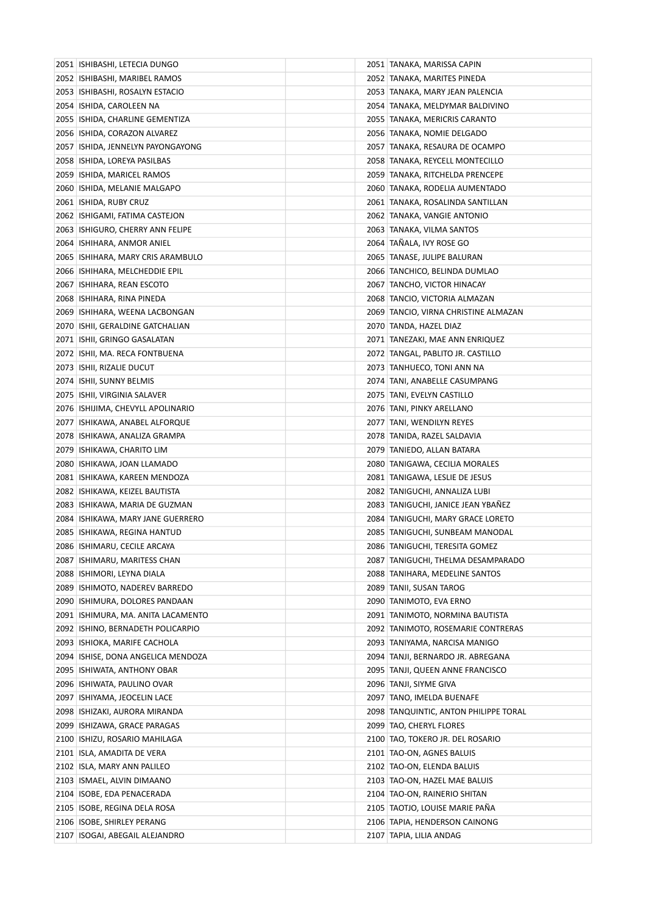| 2051   ISHIBASHI, LETECIA DUNGO      | 2051   TANAKA, MARISSA CAPIN          |
|--------------------------------------|---------------------------------------|
| 2052 ISHIBASHI, MARIBEL RAMOS        | 2052 TANAKA, MARITES PINEDA           |
| 2053 ISHIBASHI, ROSALYN ESTACIO      | 2053   TANAKA, MARY JEAN PALENCIA     |
| 2054   ISHIDA, CAROLEEN NA           | 2054   TANAKA, MELDYMAR BALDIVINO     |
| 2055 ISHIDA, CHARLINE GEMENTIZA      | 2055 TANAKA, MERICRIS CARANTO         |
| 2056 ISHIDA, CORAZON ALVAREZ         | 2056 TANAKA, NOMIE DELGADO            |
| 2057 ISHIDA, JENNELYN PAYONGAYONG    | 2057   TANAKA, RESAURA DE OCAMPO      |
| 2058   ISHIDA, LOREYA PASILBAS       | 2058 TANAKA, REYCELL MONTECILLO       |
| 2059 ISHIDA, MARICEL RAMOS           | 2059 TANAKA, RITCHELDA PRENCEPE       |
| 2060   ISHIDA, MELANIE MALGAPO       | 2060 TANAKA, RODELIA AUMENTADO        |
| 2061 ISHIDA, RUBY CRUZ               | 2061 TANAKA, ROSALINDA SANTILLAN      |
| 2062 ISHIGAMI, FATIMA CASTEJON       | 2062 TANAKA, VANGIE ANTONIO           |
| 2063 ISHIGURO, CHERRY ANN FELIPE     | 2063   TANAKA, VILMA SANTOS           |
| 2064 ISHIHARA, ANMOR ANIEL           | 2064 TAÑALA, IVY ROSE GO              |
| 2065   ISHIHARA, MARY CRIS ARAMBULO  | 2065 TANASE, JULIPE BALURAN           |
| 2066 ISHIHARA, MELCHEDDIE EPIL       | 2066 TANCHICO, BELINDA DUMLAO         |
| 2067   ISHIHARA, REAN ESCOTO         | 2067 TANCHO, VICTOR HINACAY           |
| 2068   ISHIHARA, RINA PINEDA         | 2068 TANCIO, VICTORIA ALMAZAN         |
| 2069 ISHIHARA, WEENA LACBONGAN       | 2069 TANCIO, VIRNA CHRISTINE ALMAZAN  |
| 2070 ISHII, GERALDINE GATCHALIAN     | 2070 TANDA, HAZEL DIAZ                |
| 2071   ISHII, GRINGO GASALATAN       | 2071 TANEZAKI, MAE ANN ENRIQUEZ       |
| 2072 ISHII, MA. RECA FONTBUENA       | 2072   TANGAL, PABLITO JR. CASTILLO   |
| 2073   ISHII, RIZALIE DUCUT          | 2073 TANHUECO, TONI ANN NA            |
| 2074   ISHII, SUNNY BELMIS           | 2074 TANI, ANABELLE CASUMPANG         |
| 2075   ISHII, VIRGINIA SALAVER       | 2075 TANI, EVELYN CASTILLO            |
| 2076 ISHIJIMA, CHEVYLL APOLINARIO    | 2076   TANI, PINKY ARELLANO           |
| 2077   ISHIKAWA, ANABEL ALFORQUE     | 2077 TANI, WENDILYN REYES             |
| 2078   ISHIKAWA, ANALIZA GRAMPA      | 2078   TANIDA, RAZEL SALDAVIA         |
| 2079   ISHIKAWA, CHARITO LIM         | 2079   TANIEDO, ALLAN BATARA          |
| 2080 ISHIKAWA, JOAN LLAMADO          | 2080 TANIGAWA, CECILIA MORALES        |
| 2081 ISHIKAWA, KAREEN MENDOZA        | 2081 TANIGAWA, LESLIE DE JESUS        |
| 2082 ISHIKAWA, KEIZEL BAUTISTA       | 2082 TANIGUCHI, ANNALIZA LUBI         |
| 2083   ISHIKAWA, MARIA DE GUZMAN     | 2083 TANIGUCHI, JANICE JEAN YBANEZ    |
| 2084 ISHIKAWA, MARY JANE GUERRERO    | 2084 TANIGUCHI, MARY GRACE LORETO     |
| 2085   ISHIKAWA, REGINA HANTUD       | 2085 TANIGUCHI, SUNBEAM MANODAL       |
| 2086 ISHIMARU, CECILE ARCAYA         | 2086 TANIGUCHI, TERESITA GOMEZ        |
| 2087   ISHIMARU, MARITESS CHAN       | 2087 TANIGUCHI, THELMA DESAMPARADO    |
| 2088   ISHIMORI, LEYNA DIALA         | 2088 TANIHARA, MEDELINE SANTOS        |
| 2089 ISHIMOTO, NADEREV BARREDO       | 2089 TANII, SUSAN TAROG               |
| 2090 ISHIMURA, DOLORES PANDAAN       | 2090 TANIMOTO, EVA ERNO               |
| 2091 ISHIMURA, MA. ANITA LACAMENTO   | 2091 TANIMOTO, NORMINA BAUTISTA       |
| 2092 ISHINO, BERNADETH POLICARPIO    | 2092 TANIMOTO, ROSEMARIE CONTRERAS    |
| 2093 ISHIOKA, MARIFE CACHOLA         | 2093 TANIYAMA, NARCISA MANIGO         |
| 2094   ISHISE, DONA ANGELICA MENDOZA | 2094 TANJI, BERNARDO JR. ABREGANA     |
| 2095 ISHIWATA, ANTHONY OBAR          | 2095 TANJI, QUEEN ANNE FRANCISCO      |
| 2096   ISHIWATA, PAULINO OVAR        | 2096   TANJI, SIYME GIVA              |
| 2097   ISHIYAMA, JEOCELIN LACE       | 2097 TANO, IMELDA BUENAFE             |
| 2098   ISHIZAKI, AURORA MIRANDA      | 2098 TANQUINTIC, ANTON PHILIPPE TORAL |
| 2099 ISHIZAWA, GRACE PARAGAS         | 2099 TAO, CHERYL FLORES               |
| 2100   ISHIZU, ROSARIO MAHILAGA      | 2100 TAO, TOKERO JR. DEL ROSARIO      |
| 2101   ISLA, AMADITA DE VERA         | 2101   TAO-ON, AGNES BALUIS           |
| 2102 ISLA, MARY ANN PALILEO          | 2102 TAO-ON, ELENDA BALUIS            |
| 2103 ISMAEL, ALVIN DIMAANO           | 2103 TAO-ON, HAZEL MAE BALUIS         |
| 2104   ISOBE, EDA PENACERADA         | 2104 TAO-ON, RAINERIO SHITAN          |
| 2105   ISOBE, REGINA DELA ROSA       | 2105 TAOTJO, LOUISE MARIE PAÑA        |
| 2106   ISOBE, SHIRLEY PERANG         | 2106 TAPIA, HENDERSON CAINONG         |
| 2107   ISOGAI, ABEGAIL ALEJANDRO     | 2107 TAPIA, LILIA ANDAG               |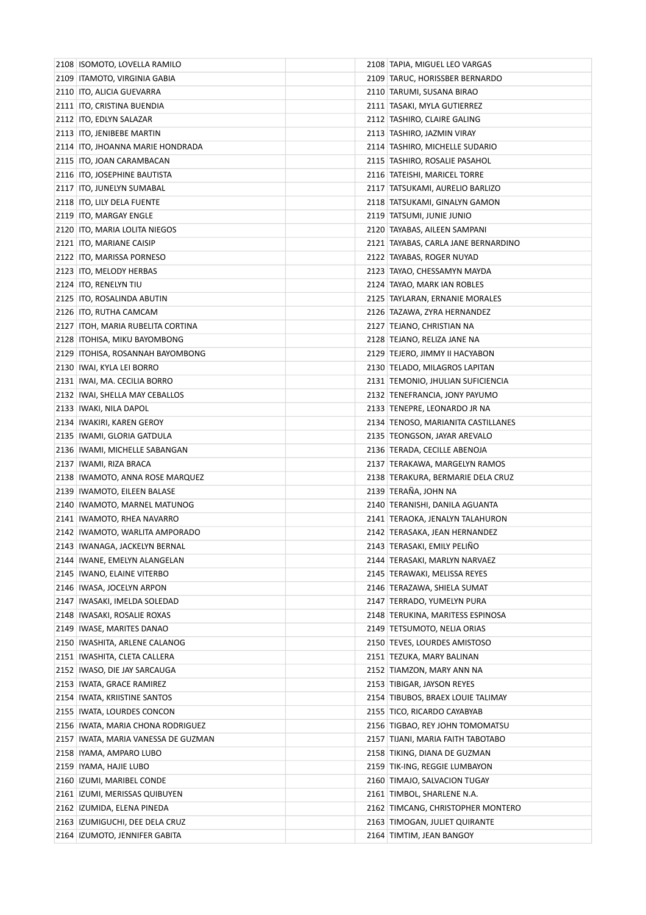| 2108 ISOMOTO, LOVELLA RAMILO          | 2108 TAPIA, MIGUEL LEO VARGAS       |
|---------------------------------------|-------------------------------------|
| 2109   ITAMOTO, VIRGINIA GABIA        | 2109 TARUC, HORISSBER BERNARDO      |
| 2110   ITO, ALICIA GUEVARRA           | 2110 TARUMI, SUSANA BIRAO           |
| 2111   ITO, CRISTINA BUENDIA          | 2111   TASAKI, MYLA GUTIERREZ       |
| 2112   ITO, EDLYN SALAZAR             | 2112 TASHIRO, CLAIRE GALING         |
| 2113   ITO, JENIBEBE MARTIN           | 2113 TASHIRO, JAZMIN VIRAY          |
| 2114   ITO, JHOANNA MARIE HONDRADA    | 2114   TASHIRO, MICHELLE SUDARIO    |
| 2115   ITO, JOAN CARAMBACAN           | 2115   TASHIRO, ROSALIE PASAHOL     |
| 2116   ITO, JOSEPHINE BAUTISTA        | 2116 TATEISHI, MARICEL TORRE        |
| 2117   ITO, JUNELYN SUMABAL           | 2117   TATSUKAMI, AURELIO BARLIZO   |
| 2118   ITO, LILY DELA FUENTE          | 2118   TATSUKAMI, GINALYN GAMON     |
| 2119 ITO, MARGAY ENGLE                | 2119 TATSUMI, JUNIE JUNIO           |
| 2120   ITO, MARIA LOLITA NIEGOS       | 2120 TAYABAS, AILEEN SAMPANI        |
| 2121 ITO, MARIANE CAISIP              | 2121 TAYABAS, CARLA JANE BERNARDINO |
| 2122 ITO, MARISSA PORNESO             | 2122   TAYABAS, ROGER NUYAD         |
| 2123 ITO, MELODY HERBAS               | 2123 TAYAO, CHESSAMYN MAYDA         |
| 2124 ITO, RENELYN TIU                 | 2124 TAYAO, MARK IAN ROBLES         |
| 2125   ITO, ROSALINDA ABUTIN          | 2125 TAYLARAN, ERNANIE MORALES      |
| 2126 ITO, RUTHA CAMCAM                | 2126   TAZAWA, ZYRA HERNANDEZ       |
| 2127   ITOH, MARIA RUBELITA CORTINA   | 2127   TEJANO, CHRISTIAN NA         |
| 2128   ITOHISA, MIKU BAYOMBONG        | 2128 TEJANO, RELIZA JANE NA         |
| 2129 ITOHISA, ROSANNAH BAYOMBONG      | 2129   TEJERO, JIMMY II HACYABON    |
| 2130   IWAI, KYLA LEI BORRO           | 2130   TELADO, MILAGROS LAPITAN     |
| 2131   IWAI, MA. CECILIA BORRO        | 2131 TEMONIO, JHULIAN SUFICIENCIA   |
| 2132 IWAI, SHELLA MAY CEBALLOS        | 2132 TENEFRANCIA, JONY PAYUMO       |
| 2133   IWAKI, NILA DAPOL              | 2133   TENEPRE, LEONARDO JR NA      |
| 2134   IWAKIRI, KAREN GEROY           | 2134 TENOSO, MARIANITA CASTILLANES  |
| 2135   IWAMI, GLORIA GATDULA          | 2135   TEONGSON, JAYAR AREVALO      |
| 2136   IWAMI, MICHELLE SABANGAN       | 2136 TERADA, CECILLE ABENOJA        |
| 2137   IWAMI, RIZA BRACA              | 2137 TERAKAWA, MARGELYN RAMOS       |
| 2138 IWAMOTO, ANNA ROSE MARQUEZ       | 2138 TERAKURA, BERMARIE DELA CRUZ   |
| 2139   IWAMOTO, EILEEN BALASE         | 2139 TERAÑA, JOHN NA                |
| 2140   IWAMOTO, MARNEL MATUNOG        | 2140   TERANISHI, DANILA AGUANTA    |
| 2141   IWAMOTO, RHEA NAVARRO          | 2141 TERAOKA, JENALYN TALAHURON     |
| 2142   IWAMOTO, WARLITA AMPORADO      | 2142 TERASAKA, JEAN HERNANDEZ       |
| 2143   IWANAGA, JACKELYN BERNAL       | 2143 TERASAKI, EMILY PELINO         |
| 2144   IWANE, EMELYN ALANGELAN        | 2144   TERASAKI, MARLYN NARVAEZ     |
| 2145   IWANO, ELAINE VITERBO          | 2145   TERAWAKI, MELISSA REYES      |
| 2146   IWASA, JOCELYN ARPON           | 2146 TERAZAWA, SHIELA SUMAT         |
| 2147   IWASAKI, IMELDA SOLEDAD        | 2147 TERRADO, YUMELYN PURA          |
| 2148   IWASAKI, ROSALIE ROXAS         | 2148 TERUKINA, MARITESS ESPINOSA    |
| 2149   IWASE, MARITES DANAO           | 2149 TETSUMOTO, NELIA ORIAS         |
| 2150 IWASHITA, ARLENE CALANOG         | 2150 TEVES, LOURDES AMISTOSO        |
| 2151   IWASHITA, CLETA CALLERA        | 2151 TEZUKA, MARY BALINAN           |
| 2152 IWASO, DIE JAY SARCAUGA          | 2152 TIAMZON, MARY ANN NA           |
| 2153   IWATA, GRACE RAMIREZ           | 2153 TIBIGAR, JAYSON REYES          |
| 2154   IWATA, KRIISTINE SANTOS        | 2154   TIBUBOS, BRAEX LOUIE TALIMAY |
| 2155   IWATA, LOURDES CONCON          | 2155 TICO, RICARDO CAYABYAB         |
| 2156 IWATA, MARIA CHONA RODRIGUEZ     | 2156 TIGBAO, REY JOHN TOMOMATSU     |
| 2157   IWATA, MARIA VANESSA DE GUZMAN | 2157   TIJANI, MARIA FAITH TABOTABO |
| 2158   IYAMA, AMPARO LUBO             | 2158   TIKING, DIANA DE GUZMAN      |
| 2159   IYAMA, HAJIE LUBO              | 2159 TIK-ING, REGGIE LUMBAYON       |
| 2160   IZUMI, MARIBEL CONDE           | 2160 TIMAJO, SALVACION TUGAY        |
| 2161   IZUMI, MERISSAS QUIBUYEN       | 2161 TIMBOL, SHARLENE N.A.          |
| 2162   IZUMIDA, ELENA PINEDA          | 2162 TIMCANG, CHRISTOPHER MONTERO   |
| 2163   IZUMIGUCHI, DEE DELA CRUZ      | 2163 TIMOGAN, JULIET QUIRANTE       |
| 2164 IZUMOTO, JENNIFER GABITA         | 2164 TIMTIM, JEAN BANGOY            |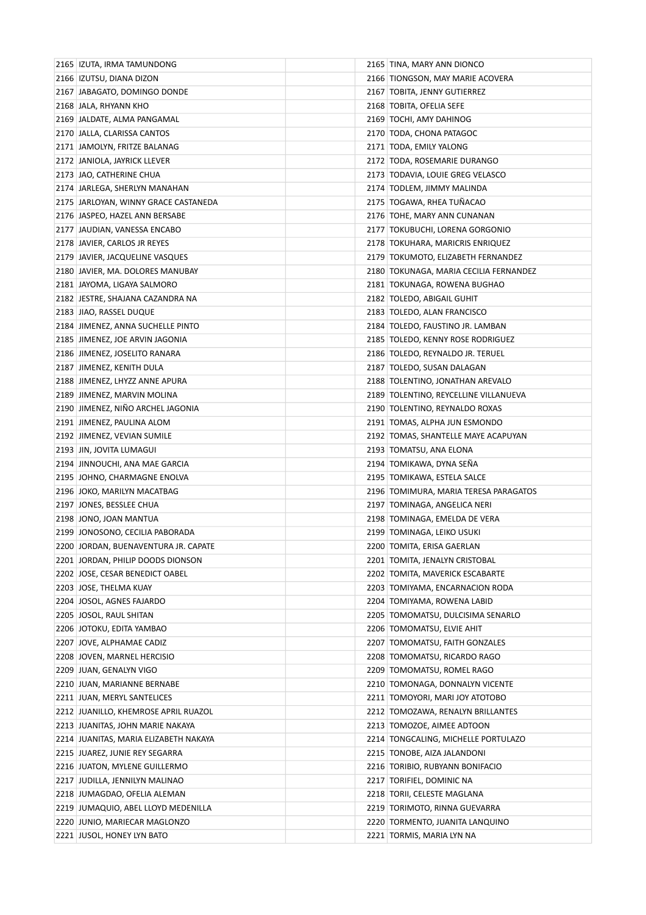| 2165   IZUTA, IRMA TAMUNDONG          | 2165 TINA, MARY ANN DIONCO             |
|---------------------------------------|----------------------------------------|
| 2166   IZUTSU, DIANA DIZON            | 2166 TIONGSON, MAY MARIE ACOVERA       |
| 2167 JABAGATO, DOMINGO DONDE          | 2167 TOBITA, JENNY GUTIERREZ           |
| 2168 JALA, RHYANN KHO                 | 2168 TOBITA, OFELIA SEFE               |
| 2169 JALDATE, ALMA PANGAMAL           | 2169 TOCHI, AMY DAHINOG                |
| 2170 JALLA, CLARISSA CANTOS           | 2170 TODA, CHONA PATAGOC               |
| 2171 JAMOLYN, FRITZE BALANAG          | 2171 TODA, EMILY YALONG                |
| 2172 JANIOLA, JAYRICK LLEVER          | 2172 TODA, ROSEMARIE DURANGO           |
| 2173 JAO, CATHERINE CHUA              | 2173   TODAVIA, LOUIE GREG VELASCO     |
| 2174 JARLEGA, SHERLYN MANAHAN         | 2174 TODLEM, JIMMY MALINDA             |
| 2175 JARLOYAN, WINNY GRACE CASTANEDA  | 2175 TOGAWA, RHEA TUÑACAO              |
| 2176 JASPEO, HAZEL ANN BERSABE        | 2176 TOHE, MARY ANN CUNANAN            |
| 2177 JAUDIAN, VANESSA ENCABO          | 2177 TOKUBUCHI, LORENA GORGONIO        |
| 2178 JAVIER, CARLOS JR REYES          | 2178 TOKUHARA, MARICRIS ENRIQUEZ       |
| 2179 JAVIER, JACQUELINE VASQUES       | 2179 TOKUMOTO, ELIZABETH FERNANDEZ     |
| 2180 JAVIER, MA. DOLORES MANUBAY      | 2180 TOKUNAGA, MARIA CECILIA FERNANDEZ |
| 2181 JAYOMA, LIGAYA SALMORO           | 2181 TOKUNAGA, ROWENA BUGHAO           |
| 2182 JESTRE, SHAJANA CAZANDRA NA      | 2182 TOLEDO, ABIGAIL GUHIT             |
| 2183 JIAO, RASSEL DUQUE               | 2183 TOLEDO, ALAN FRANCISCO            |
| 2184 JIMENEZ, ANNA SUCHELLE PINTO     | 2184 TOLEDO, FAUSTINO JR. LAMBAN       |
| 2185 JIMENEZ, JOE ARVIN JAGONIA       | 2185 TOLEDO, KENNY ROSE RODRIGUEZ      |
| 2186 JIMENEZ, JOSELITO RANARA         | 2186   TOLEDO, REYNALDO JR. TERUEL     |
| 2187 JIMENEZ, KENITH DULA             | 2187 TOLEDO, SUSAN DALAGAN             |
| 2188 JIMENEZ, LHYZZ ANNE APURA        | 2188 TOLENTINO, JONATHAN AREVALO       |
| 2189 JIMENEZ, MARVIN MOLINA           | 2189 TOLENTINO, REYCELLINE VILLANUEVA  |
| 2190 JIMENEZ, NIÑO ARCHEL JAGONIA     | 2190 TOLENTINO, REYNALDO ROXAS         |
| 2191 JIMENEZ, PAULINA ALOM            | 2191 TOMAS, ALPHA JUN ESMONDO          |
| 2192 JIMENEZ, VEVIAN SUMILE           | 2192 TOMAS, SHANTELLE MAYE ACAPUYAN    |
| 2193 JIN, JOVITA LUMAGUI              | 2193 TOMATSU, ANA ELONA                |
| 2194 JINNOUCHI, ANA MAE GARCIA        | 2194 TOMIKAWA, DYNA SENA               |
| 2195 JOHNO, CHARMAGNE ENOLVA          | 2195   TOMIKAWA, ESTELA SALCE          |
| 2196 JOKO, MARILYN MACATBAG           | 2196 TOMIMURA, MARIA TERESA PARAGATOS  |
| 2197 JONES, BESSLEE CHUA              | 2197   TOMINAGA, ANGELICA NERI         |
| 2198 JONO, JOAN MANTUA                | 2198 TOMINAGA, EMELDA DE VERA          |
| 2199 JONOSONO, CECILIA PABORADA       | 2199 TOMINAGA, LEIKO USUKI             |
| 2200 JORDAN, BUENAVENTURA JR. CAPATE  | 2200 TOMITA, ERISA GAERLAN             |
| 2201 JORDAN, PHILIP DOODS DIONSON     | 2201 TOMITA, JENALYN CRISTOBAL         |
| 2202 JOSE, CESAR BENEDICT OABEL       | 2202 TOMITA, MAVERICK ESCABARTE        |
| 2203 JOSE, THELMA KUAY                | 2203 TOMIYAMA, ENCARNACION RODA        |
| 2204 JOSOL, AGNES FAJARDO             | 2204 TOMIYAMA, ROWENA LABID            |
| 2205 JOSOL, RAUL SHITAN               | 2205 TOMOMATSU, DULCISIMA SENARLO      |
| 2206 JOTOKU, EDITA YAMBAO             | 2206 TOMOMATSU, ELVIE AHIT             |
| 2207 JOVE, ALPHAMAE CADIZ             | 2207 TOMOMATSU, FAITH GONZALES         |
| 2208 JOVEN, MARNEL HERCISIO           | 2208 TOMOMATSU, RICARDO RAGO           |
| 2209 JUAN, GENALYN VIGO               | 2209 TOMOMATSU, ROMEL RAGO             |
| 2210 JUAN, MARIANNE BERNABE           | 2210 TOMONAGA, DONNALYN VICENTE        |
| 2211 JUAN, MERYL SANTELICES           | 2211 TOMOYORI, MARI JOY ATOTOBO        |
| 2212 JUANILLO, KHEMROSE APRIL RUAZOL  | 2212 TOMOZAWA, RENALYN BRILLANTES      |
| 2213 JUANITAS, JOHN MARIE NAKAYA      | 2213 TOMOZOE, AIMEE ADTOON             |
| 2214 JUANITAS, MARIA ELIZABETH NAKAYA | 2214 TONGCALING, MICHELLE PORTULAZO    |
| 2215 JUAREZ, JUNIE REY SEGARRA        | 2215 TONOBE, AIZA JALANDONI            |
| 2216 JUATON, MYLENE GUILLERMO         | 2216 TORIBIO, RUBYANN BONIFACIO        |
| 2217 JUDILLA, JENNILYN MALINAO        | 2217 TORIFIEL, DOMINIC NA              |
| 2218 JUMAGDAO, OFELIA ALEMAN          | 2218 TORII, CELESTE MAGLANA            |
| 2219 JUMAQUIO, ABEL LLOYD MEDENILLA   | 2219 TORIMOTO, RINNA GUEVARRA          |
| 2220 JUNIO, MARIECAR MAGLONZO         | 2220 TORMENTO, JUANITA LANQUINO        |
| 2221 JUSOL, HONEY LYN BATO            | 2221 TORMIS, MARIA LYN NA              |
|                                       |                                        |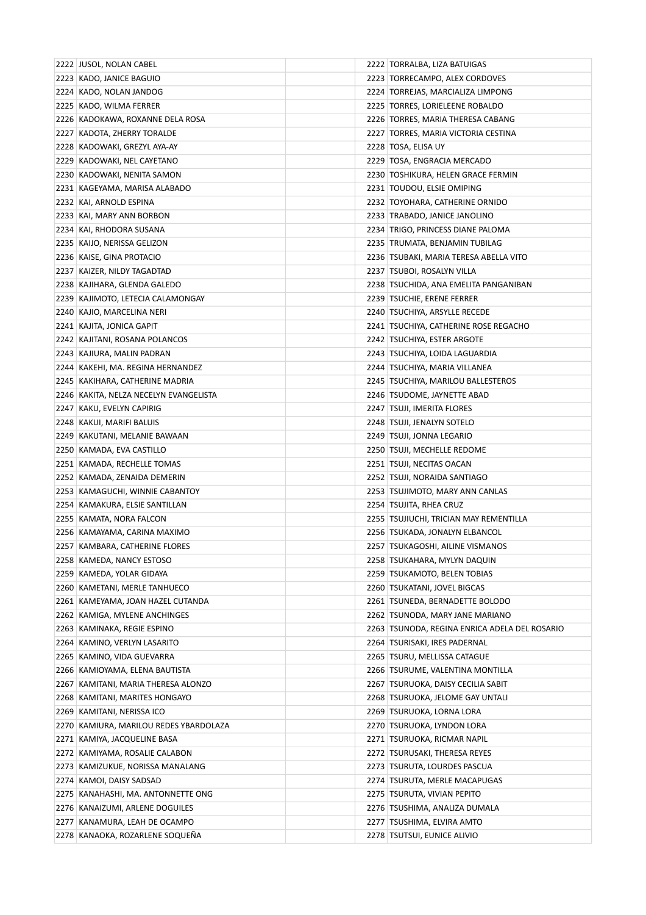| 2222 JUSOL, NOLAN CABEL                | 2222 TORRALBA, LIZA BATUIGAS                  |
|----------------------------------------|-----------------------------------------------|
| 2223 KADO, JANICE BAGUIO               | 2223   TORRECAMPO, ALEX CORDOVES              |
| 2224 KADO, NOLAN JANDOG                | 2224 TORREJAS, MARCIALIZA LIMPONG             |
| 2225 KADO, WILMA FERRER                | 2225 TORRES, LORIELEENE ROBALDO               |
| 2226 KADOKAWA, ROXANNE DELA ROSA       | 2226 TORRES, MARIA THERESA CABANG             |
| 2227 KADOTA, ZHERRY TORALDE            | 2227   TORRES, MARIA VICTORIA CESTINA         |
| 2228 KADOWAKI, GREZYL AYA-AY           | 2228 TOSA, ELISA UY                           |
| 2229 KADOWAKI, NEL CAYETANO            | 2229 TOSA, ENGRACIA MERCADO                   |
| 2230 KADOWAKI, NENITA SAMON            | 2230 TOSHIKURA, HELEN GRACE FERMIN            |
| 2231 KAGEYAMA, MARISA ALABADO          | 2231 TOUDOU, ELSIE OMIPING                    |
| 2232 KAI, ARNOLD ESPINA                | 2232 TOYOHARA, CATHERINE ORNIDO               |
| 2233 KAI, MARY ANN BORBON              | 2233 TRABADO, JANICE JANOLINO                 |
| 2234   KAI, RHODORA SUSANA             | 2234 TRIGO, PRINCESS DIANE PALOMA             |
| 2235 KAIJO, NERISSA GELIZON            | 2235 TRUMATA, BENJAMIN TUBILAG                |
| 2236 KAISE, GINA PROTACIO              | 2236   TSUBAKI, MARIA TERESA ABELLA VITO      |
| 2237   KAIZER, NILDY TAGADTAD          | 2237   TSUBOI, ROSALYN VILLA                  |
| 2238 KAJIHARA, GLENDA GALEDO           | 2238 TSUCHIDA, ANA EMELITA PANGANIBAN         |
| 2239 KAJIMOTO, LETECIA CALAMONGAY      | 2239 TSUCHIE, ERENE FERRER                    |
| 2240 KAJIO, MARCELINA NERI             | 2240 TSUCHIYA, ARSYLLE RECEDE                 |
| 2241 KAJITA, JONICA GAPIT              | 2241 TSUCHIYA, CATHERINE ROSE REGACHO         |
| 2242   KAJITANI, ROSANA POLANCOS       | 2242 TSUCHIYA, ESTER ARGOTE                   |
| 2243 KAJIURA, MALIN PADRAN             | 2243 TSUCHIYA, LOIDA LAGUARDIA                |
| 2244 KAKEHI, MA. REGINA HERNANDEZ      | 2244   TSUCHIYA, MARIA VILLANEA               |
| 2245 KAKIHARA, CATHERINE MADRIA        | 2245 TSUCHIYA, MARILOU BALLESTEROS            |
| 2246 KAKITA, NELZA NECELYN EVANGELISTA | 2246 TSUDOME, JAYNETTE ABAD                   |
| 2247   KAKU, EVELYN CAPIRIG            | 2247   TSUJI, IMERITA FLORES                  |
| 2248 KAKUI, MARIFI BALUIS              | 2248   TSUJI, JENALYN SOTELO                  |
| 2249 KAKUTANI, MELANIE BAWAAN          | 2249 TSUJI, JONNA LEGARIO                     |
| 2250 KAMADA, EVA CASTILLO              | 2250 TSUJI, MECHELLE REDOME                   |
| 2251 KAMADA, RECHELLE TOMAS            | 2251   TSUJI, NECITAS OACAN                   |
| 2252 KAMADA, ZENAIDA DEMERIN           | 2252 TSUJI, NORAIDA SANTIAGO                  |
| 2253 KAMAGUCHI, WINNIE CABANTOY        | 2253 TSUJIMOTO, MARY ANN CANLAS               |
| 2254 KAMAKURA, ELSIE SANTILLAN         | 2254   TSUJITA, RHEA CRUZ                     |
| 2255 KAMATA, NORA FALCON               | 2255 TSUJIUCHI, TRICIAN MAY REMENTILLA        |
| 2256 KAMAYAMA, CARINA MAXIMO           | 2256 TSUKADA, JONALYN ELBANCOL                |
| 2257 KAMBARA, CATHERINE FLORES         | 2257 TSUKAGOSHI, AILINE VISMANOS              |
| 2258 KAMEDA, NANCY ESTOSO              | 2258   TSUKAHARA, MYLYN DAQUIN                |
| 2259 KAMEDA, YOLAR GIDAYA              | 2259 TSUKAMOTO, BELEN TOBIAS                  |
| 2260 KAMETANI, MERLE TANHUECO          | 2260 TSUKATANI, JOVEL BIGCAS                  |
| 2261 KAMEYAMA, JOAN HAZEL CUTANDA      | 2261 TSUNEDA, BERNADETTE BOLODO               |
| 2262 KAMIGA, MYLENE ANCHINGES          | 2262 TSUNODA, MARY JANE MARIANO               |
| 2263 KAMINAKA, REGIE ESPINO            | 2263 TSUNODA, REGINA ENRICA ADELA DEL ROSARIO |
| 2264 KAMINO, VERLYN LASARITO           | 2264 TSURISAKI, IRES PADERNAL                 |
| 2265 KAMINO, VIDA GUEVARRA             | 2265 TSURU, MELLISSA CATAGUE                  |
| 2266 KAMIOYAMA, ELENA BAUTISTA         | 2266 TSURUME, VALENTINA MONTILLA              |
| 2267   KAMITANI, MARIA THERESA ALONZO  | 2267   TSURUOKA, DAISY CECILIA SABIT          |
| 2268   KAMITANI, MARITES HONGAYO       | 2268 TSURUOKA, JELOME GAY UNTALI              |
| 2269 KAMITANI, NERISSA ICO             | 2269 TSURUOKA, LORNA LORA                     |
| 2270 KAMIURA, MARILOU REDES YBARDOLAZA | 2270   TSURUOKA, LYNDON LORA                  |
| 2271 KAMIYA, JACQUELINE BASA           | 2271   TSURUOKA, RICMAR NAPIL                 |
| 2272 KAMIYAMA, ROSALIE CALABON         | 2272   TSURUSAKI, THERESA REYES               |
| 2273 KAMIZUKUE, NORISSA MANALANG       | 2273   TSURUTA, LOURDES PASCUA                |
| 2274 KAMOI, DAISY SADSAD               | 2274 TSURUTA, MERLE MACAPUGAS                 |
| 2275 KANAHASHI, MA. ANTONNETTE ONG     | 2275   TSURUTA, VIVIAN PEPITO                 |
| 2276 KANAIZUMI, ARLENE DOGUILES        | 2276   TSUSHIMA, ANALIZA DUMALA               |
| 2277 KANAMURA, LEAH DE OCAMPO          | 2277   TSUSHIMA, ELVIRA AMTO                  |
| 2278 KANAOKA, ROZARLENE SOQUEÑA        | 2278 TSUTSUI, EUNICE ALIVIO                   |
|                                        |                                               |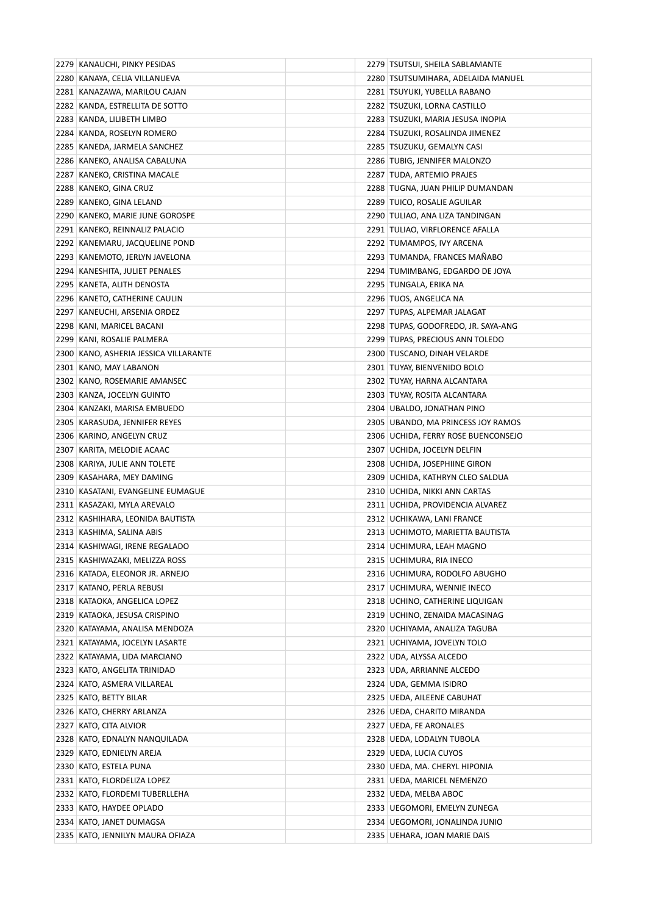| 2279 KANAUCHI, PINKY PESIDAS          | 2279   TSUTSUI, SHEILA SABLAMANTE   |
|---------------------------------------|-------------------------------------|
| 2280 KANAYA, CELIA VILLANUEVA         | 2280 TSUTSUMIHARA, ADELAIDA MANUEL  |
| 2281 KANAZAWA, MARILOU CAJAN          | 2281 TSUYUKI, YUBELLA RABANO        |
| 2282 KANDA, ESTRELLITA DE SOTTO       | 2282 TSUZUKI, LORNA CASTILLO        |
| 2283 KANDA, LILIBETH LIMBO            | 2283   TSUZUKI, MARIA JESUSA INOPIA |
| 2284 KANDA, ROSELYN ROMERO            | 2284   TSUZUKI, ROSALINDA JIMENEZ   |
| 2285 KANEDA, JARMELA SANCHEZ          | 2285   TSUZUKU, GEMALYN CASI        |
| 2286 KANEKO, ANALISA CABALUNA         | 2286 TUBIG, JENNIFER MALONZO        |
| 2287 KANEKO, CRISTINA MACALE          | 2287 TUDA, ARTEMIO PRAJES           |
| 2288 KANEKO, GINA CRUZ                | 2288 TUGNA, JUAN PHILIP DUMANDAN    |
| 2289 KANEKO, GINA LELAND              | 2289 TUICO, ROSALIE AGUILAR         |
| 2290 KANEKO, MARIE JUNE GOROSPE       | 2290   TULIAO, ANA LIZA TANDINGAN   |
| 2291 KANEKO, REINNALIZ PALACIO        | 2291 TULIAO, VIRFLORENCE AFALLA     |
| 2292 KANEMARU, JACQUELINE POND        | 2292 TUMAMPOS, IVY ARCENA           |
| 2293 KANEMOTO, JERLYN JAVELONA        | 2293 TUMANDA, FRANCES MAÑABO        |
| 2294 KANESHITA, JULIET PENALES        | 2294 TUMIMBANG, EDGARDO DE JOYA     |
| 2295 KANETA, ALITH DENOSTA            | 2295 TUNGALA, ERIKA NA              |
| 2296 KANETO, CATHERINE CAULIN         | 2296 TUOS, ANGELICA NA              |
| 2297 KANEUCHI, ARSENIA ORDEZ          | 2297 TUPAS, ALPEMAR JALAGAT         |
| 2298 KANI, MARICEL BACANI             | 2298 TUPAS, GODOFREDO, JR. SAYA-ANG |
| 2299 KANI, ROSALIE PALMERA            | 2299 TUPAS, PRECIOUS ANN TOLEDO     |
| 2300 KANO, ASHERIA JESSICA VILLARANTE | 2300 TUSCANO, DINAH VELARDE         |
| 2301 KANO, MAY LABANON                | 2301 TUYAY, BIENVENIDO BOLO         |
| 2302 KANO, ROSEMARIE AMANSEC          | 2302   TUYAY, HARNA ALCANTARA       |
| 2303 KANZA, JOCELYN GUINTO            | 2303 TUYAY, ROSITA ALCANTARA        |
| 2304 KANZAKI, MARISA EMBUEDO          | 2304 UBALDO, JONATHAN PINO          |
| 2305 KARASUDA, JENNIFER REYES         | 2305 UBANDO, MA PRINCESS JOY RAMOS  |
| 2306 KARINO, ANGELYN CRUZ             | 2306 UCHIDA, FERRY ROSE BUENCONSEJO |
| 2307 KARITA, MELODIE ACAAC            | 2307 UCHIDA, JOCELYN DELFIN         |
| 2308 KARIYA, JULIE ANN TOLETE         | 2308   UCHIDA, JOSEPHIINE GIRON     |
| 2309 KASAHARA, MEY DAMING             | 2309   UCHIDA, KATHRYN CLEO SALDUA  |
| 2310 KASATANI, EVANGELINE EUMAGUE     | 2310 UCHIDA, NIKKI ANN CARTAS       |
| 2311 KASAZAKI, MYLA AREVALO           | 2311 UCHIDA, PROVIDENCIA ALVAREZ    |
| 2312 KASHIHARA, LEONIDA BAUTISTA      | 2312 UCHIKAWA, LANI FRANCE          |
| 2313 KASHIMA, SALINA ABIS             | 2313 UCHIMOTO, MARIETTA BAUTISTA    |
| 2314 KASHIWAGI, IRENE REGALADO        | 2314 UCHIMURA, LEAH MAGNO           |
| 2315 KASHIWAZAKI, MELIZZA ROSS        | 2315   UCHIMURA, RIA INECO          |
| 2316 KATADA, ELEONOR JR. ARNEJO       | 2316 UCHIMURA, RODOLFO ABUGHO       |
| 2317 KATANO, PERLA REBUSI             | 2317 UCHIMURA, WENNIE INECO         |
| 2318 KATAOKA, ANGELICA LOPEZ          | 2318 UCHINO, CATHERINE LIQUIGAN     |
| 2319 KATAOKA, JESUSA CRISPINO         | 2319 UCHINO, ZENAIDA MACASINAG      |
| 2320 KATAYAMA, ANALISA MENDOZA        | 2320 UCHIYAMA, ANALIZA TAGUBA       |
| 2321 KATAYAMA, JOCELYN LASARTE        | 2321 UCHIYAMA, JOVELYN TOLO         |
| 2322 KATAYAMA, LIDA MARCIANO          | 2322 UDA, ALYSSA ALCEDO             |
| 2323 KATO, ANGELITA TRINIDAD          | 2323 UDA, ARRIANNE ALCEDO           |
| 2324 KATO, ASMERA VILLAREAL           | 2324 UDA, GEMMA ISIDRO              |
| 2325 KATO, BETTY BILAR                | 2325 UEDA, AILEENE CABUHAT          |
| 2326 KATO, CHERRY ARLANZA             | 2326 UEDA, CHARITO MIRANDA          |
| 2327 KATO, CITA ALVIOR                | 2327 UEDA, FE ARONALES              |
| 2328 KATO, EDNALYN NANQUILADA         | 2328 UEDA, LODALYN TUBOLA           |
| 2329 KATO, EDNIELYN AREJA             | 2329 UEDA, LUCIA CUYOS              |
| 2330 KATO, ESTELA PUNA                | 2330 UEDA, MA. CHERYL HIPONIA       |
| 2331 KATO, FLORDELIZA LOPEZ           | 2331 UEDA, MARICEL NEMENZO          |
| 2332 KATO, FLORDEMI TUBERLLEHA        | 2332 UEDA, MELBA ABOC               |
| 2333 KATO, HAYDEE OPLADO              | 2333   UEGOMORI, EMELYN ZUNEGA      |
| 2334 KATO, JANET DUMAGSA              | 2334 UEGOMORI, JONALINDA JUNIO      |
|                                       |                                     |
| 2335 KATO, JENNILYN MAURA OFIAZA      | 2335 UEHARA, JOAN MARIE DAIS        |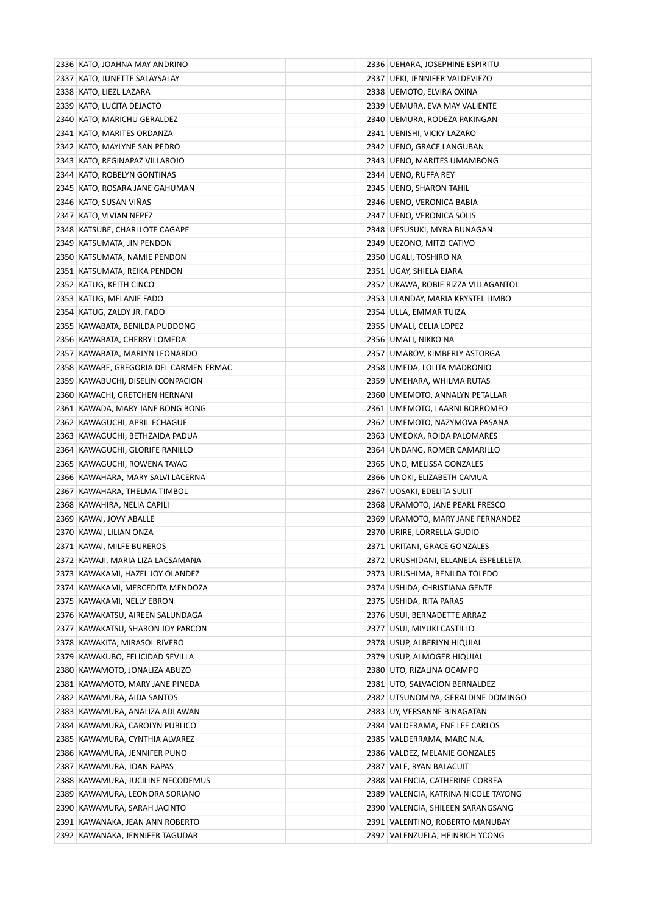| 2336 KATO, JOAHNA MAY ANDRINO          | 2336   UEHARA, JOSEPHINE ESPIRITU      |
|----------------------------------------|----------------------------------------|
| 2337 KATO, JUNETTE SALAYSALAY          | 2337   UEKI, JENNIFER VALDEVIEZO       |
| 2338 KATO, LIEZL LAZARA                | 2338 UEMOTO, ELVIRA OXINA              |
| 2339 KATO, LUCITA DEJACTO              | 2339 UEMURA, EVA MAY VALIENTE          |
| 2340 KATO, MARICHU GERALDEZ            | 2340   UEMURA, RODEZA PAKINGAN         |
| 2341 KATO, MARITES ORDANZA             | 2341   UENISHI, VICKY LAZARO           |
| 2342 KATO, MAYLYNE SAN PEDRO           | 2342 UENO, GRACE LANGUBAN              |
| 2343 KATO, REGINAPAZ VILLAROJO         | 2343 UENO, MARITES UMAMBONG            |
| 2344 KATO, ROBELYN GONTINAS            | 2344 UENO, RUFFA REY                   |
| 2345   KATO, ROSARA JANE GAHUMAN       | 2345 UENO, SHARON TAHIL                |
| 2346 KATO, SUSAN VINAS                 | 2346   UENO, VERONICA BABIA            |
| 2347 KATO, VIVIAN NEPEZ                | 2347 UENO, VERONICA SOLIS              |
| 2348 KATSUBE, CHARLLOTE CAGAPE         | 2348 UESUSUKI, MYRA BUNAGAN            |
| 2349 KATSUMATA, JIN PENDON             | 2349   UEZONO, MITZI CATIVO            |
| 2350 KATSUMATA, NAMIE PENDON           | 2350 UGALI, TOSHIRO NA                 |
| 2351 KATSUMATA, REIKA PENDON           | 2351 UGAY, SHIELA EJARA                |
| 2352 KATUG, KEITH CINCO                | 2352   UKAWA, ROBIE RIZZA VILLAGANTOL  |
| 2353 KATUG, MELANIE FADO               | 2353 ULANDAY, MARIA KRYSTEL LIMBO      |
| 2354 KATUG, ZALDY JR. FADO             | 2354 ULLA, EMMAR TUIZA                 |
| 2355 KAWABATA, BENILDA PUDDONG         | 2355 UMALI, CELIA LOPEZ                |
| 2356 KAWABATA, CHERRY LOMEDA           | 2356 UMALI, NIKKO NA                   |
| 2357 KAWABATA, MARLYN LEONARDO         | 2357 UMAROV, KIMBERLY ASTORGA          |
| 2358 KAWABE, GREGORIA DEL CARMEN ERMAC | 2358 UMEDA, LOLITA MADRONIO            |
| 2359 KAWABUCHI, DISELIN CONPACION      | 2359   UMEHARA, WHILMA RUTAS           |
| 2360 KAWACHI, GRETCHEN HERNANI         | 2360 UMEMOTO, ANNALYN PETALLAR         |
| 2361 KAWADA, MARY JANE BONG BONG       | 2361   UMEMOTO, LAARNI BORROMEO        |
| 2362 KAWAGUCHI, APRIL ECHAGUE          | 2362 UMEMOTO, NAZYMOVA PASANA          |
| 2363 KAWAGUCHI, BETHZAIDA PADUA        | 2363 UMEOKA, ROIDA PALOMARES           |
| 2364 KAWAGUCHI, GLORIFE RANILLO        | 2364 UNDANG, ROMER CAMARILLO           |
| 2365 KAWAGUCHI, ROWENA TAYAG           | 2365 UNO, MELISSA GONZALES             |
| 2366 KAWAHARA, MARY SALVI LACERNA      | 2366 UNOKI, ELIZABETH CAMUA            |
| 2367 KAWAHARA, THELMA TIMBOL           | 2367 UOSAKI, EDELITA SULIT             |
| 2368 KAWAHIRA, NELIA CAPILI            | 2368 URAMOTO, JANE PEARL FRESCO        |
| 2369 KAWAI, JOVY ABALLE                | 2369 URAMOTO, MARY JANE FERNANDEZ      |
| 2370 KAWAI, LILIAN ONZA                | 2370 URIRE, LORRELLA GUDIO             |
| 2371 KAWAI, MILFE BUREROS              | 2371 URITANI, GRACE GONZALES           |
| 2372 KAWAJI, MARIA LIZA LACSAMANA      | 2372 URUSHIDANI, ELLANELA ESPELELETA   |
| 2373 KAWAKAMI, HAZEL JOY OLANDEZ       | 2373 URUSHIMA, BENILDA TOLEDO          |
| 2374 KAWAKAMI, MERCEDITA MENDOZA       | 2374 USHIDA, CHRISTIANA GENTE          |
| 2375 KAWAKAMI, NELLY EBRON             | 2375 USHIDA, RITA PARAS                |
| 2376 KAWAKATSU, AIREEN SALUNDAGA       | 2376 USUI, BERNADETTE ARRAZ            |
| 2377 KAWAKATSU, SHARON JOY PARCON      | 2377   USUI, MIYUKI CASTILLO           |
| 2378 KAWAKITA, MIRASOL RIVERO          | 2378 USUP, ALBERLYN HIQUIAL            |
| 2379 KAWAKUBO, FELICIDAD SEVILLA       | 2379 USUP, ALMOGER HIQUIAL             |
| 2380 KAWAMOTO, JONALIZA ABUZO          | 2380 UTO, RIZALINA OCAMPO              |
| 2381 KAWAMOTO, MARY JANE PINEDA        | 2381 UTO, SALVACION BERNALDEZ          |
| 2382 KAWAMURA, AIDA SANTOS             | 2382 UTSUNOMIYA, GERALDINE DOMINGO     |
| 2383 KAWAMURA, ANALIZA ADLAWAN         | 2383 UY, VERSANNE BINAGATAN            |
| 2384 KAWAMURA, CAROLYN PUBLICO         | 2384 VALDERAMA, ENE LEE CARLOS         |
| 2385 KAWAMURA, CYNTHIA ALVAREZ         | 2385 VALDERRAMA, MARC N.A.             |
| 2386 KAWAMURA, JENNIFER PUNO           | 2386 VALDEZ, MELANIE GONZALES          |
| 2387 KAWAMURA, JOAN RAPAS              | 2387 VALE, RYAN BALACUIT               |
| 2388 KAWAMURA, JUCILINE NECODEMUS      | 2388 VALENCIA, CATHERINE CORREA        |
| 2389 KAWAMURA, LEONORA SORIANO         | 2389   VALENCIA, KATRINA NICOLE TAYONG |
| 2390 KAWAMURA, SARAH JACINTO           | 2390 VALENCIA, SHILEEN SARANGSANG      |
| 2391 KAWANAKA, JEAN ANN ROBERTO        | 2391 VALENTINO, ROBERTO MANUBAY        |
| 2392 KAWANAKA, JENNIFER TAGUDAR        | 2392 VALENZUELA, HEINRICH YCONG        |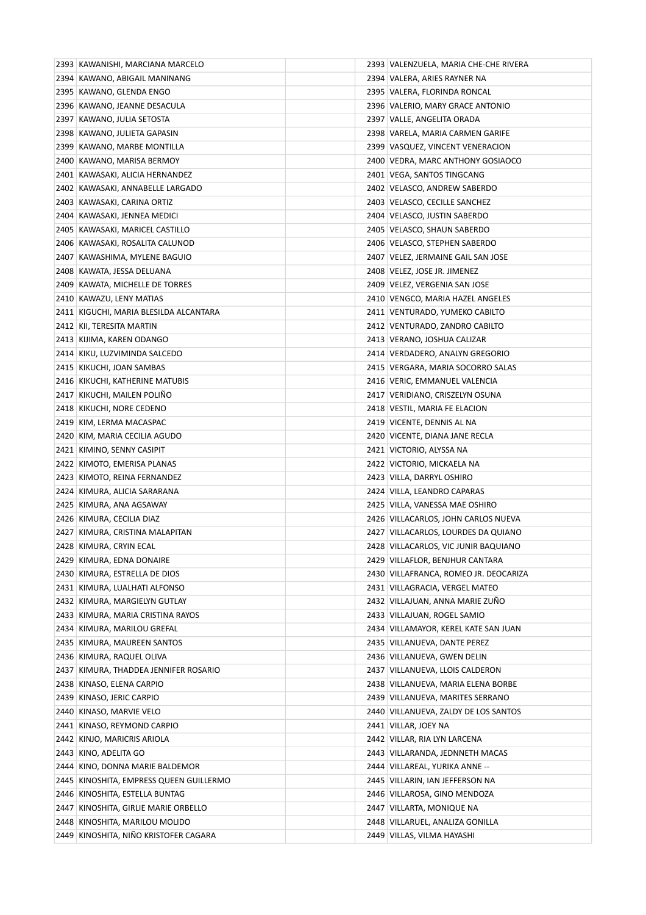| 2393 KAWANISHI, MARCIANA MARCELO        | 2393 VALENZUELA, MARIA CHE-CHE RIVERA |
|-----------------------------------------|---------------------------------------|
| 2394 KAWANO, ABIGAIL MANINANG           | 2394 VALERA, ARIES RAYNER NA          |
| 2395 KAWANO, GLENDA ENGO                | 2395 VALERA, FLORINDA RONCAL          |
| 2396 KAWANO, JEANNE DESACULA            | 2396 VALERIO, MARY GRACE ANTONIO      |
| 2397 KAWANO, JULIA SETOSTA              | 2397 VALLE, ANGELITA ORADA            |
| 2398 KAWANO, JULIETA GAPASIN            | 2398 VARELA, MARIA CARMEN GARIFE      |
| 2399 KAWANO, MARBE MONTILLA             | 2399 VASQUEZ, VINCENT VENERACION      |
| 2400 KAWANO, MARISA BERMOY              | 2400 VEDRA, MARC ANTHONY GOSIAOCO     |
| 2401 KAWASAKI, ALICIA HERNANDEZ         | 2401 VEGA, SANTOS TINGCANG            |
| 2402 KAWASAKI, ANNABELLE LARGADO        | 2402 VELASCO, ANDREW SABERDO          |
| 2403 KAWASAKI, CARINA ORTIZ             | 2403 VELASCO, CECILLE SANCHEZ         |
| 2404 KAWASAKI, JENNEA MEDICI            | 2404 VELASCO, JUSTIN SABERDO          |
| 2405 KAWASAKI, MARICEL CASTILLO         | 2405 VELASCO, SHAUN SABERDO           |
| 2406 KAWASAKI, ROSALITA CALUNOD         | 2406 VELASCO, STEPHEN SABERDO         |
| 2407 KAWASHIMA, MYLENE BAGUIO           | 2407   VELEZ, JERMAINE GAIL SAN JOSE  |
| 2408 KAWATA, JESSA DELUANA              | 2408 VELEZ, JOSE JR. JIMENEZ          |
| 2409 KAWATA, MICHELLE DE TORRES         | 2409 VELEZ, VERGENIA SAN JOSE         |
| 2410 KAWAZU, LENY MATIAS                | 2410 VENGCO, MARIA HAZEL ANGELES      |
| 2411 KIGUCHI, MARIA BLESILDA ALCANTARA  | 2411 VENTURADO, YUMEKO CABILTO        |
| 2412 KII, TERESITA MARTIN               | 2412 VENTURADO, ZANDRO CABILTO        |
| 2413 KIJIMA, KAREN ODANGO               | 2413 VERANO, JOSHUA CALIZAR           |
| 2414 KIKU, LUZVIMINDA SALCEDO           | 2414 VERDADERO, ANALYN GREGORIO       |
| 2415 KIKUCHI, JOAN SAMBAS               | 2415 VERGARA, MARIA SOCORRO SALAS     |
| 2416 KIKUCHI, KATHERINE MATUBIS         | 2416 VERIC, EMMANUEL VALENCIA         |
| 2417 KIKUCHI, MAILEN POLIÑO             | 2417 VERIDIANO, CRISZELYN OSUNA       |
| 2418 KIKUCHI, NORE CEDENO               | 2418 VESTIL, MARIA FE ELACION         |
| 2419 KIM, LERMA MACASPAC                | 2419 VICENTE, DENNIS AL NA            |
| 2420 KIM, MARIA CECILIA AGUDO           | 2420 VICENTE, DIANA JANE RECLA        |
| 2421 KIMINO, SENNY CASIPIT              | 2421 VICTORIO, ALYSSA NA              |
| 2422 KIMOTO, EMERISA PLANAS             | 2422 VICTORIO, MICKAELA NA            |
| 2423 KIMOTO, REINA FERNANDEZ            | 2423 VILLA, DARRYL OSHIRO             |
| 2424 KIMURA, ALICIA SARARANA            | 2424 VILLA, LEANDRO CAPARAS           |
| 2425 KIMURA, ANA AGSAWAY                | 2425 VILLA, VANESSA MAE OSHIRO        |
| 2426 KIMURA, CECILIA DIAZ               | 2426 VILLACARLOS, JOHN CARLOS NUEVA   |
| 2427 KIMURA, CRISTINA MALAPITAN         | 2427 VILLACARLOS, LOURDES DA QUIANO   |
| 2428 KIMURA, CRYIN ECAL                 | 2428 VILLACARLOS, VIC JUNIR BAQUIANO  |
| 2429 KIMURA, EDNA DONAIRE               | 2429 VILLAFLOR, BENJHUR CANTARA       |
| 2430 KIMURA, ESTRELLA DE DIOS           | 2430 VILLAFRANCA, ROMEO JR. DEOCARIZA |
| 2431 KIMURA, LUALHATI ALFONSO           | 2431 VILLAGRACIA, VERGEL MATEO        |
| 2432 KIMURA, MARGIELYN GUTLAY           | 2432 VILLAJUAN, ANNA MARIE ZUÑO       |
| 2433 KIMURA, MARIA CRISTINA RAYOS       | 2433 VILLAJUAN, ROGEL SAMIO           |
| 2434 KIMURA, MARILOU GREFAL             | 2434 VILLAMAYOR, KEREL KATE SAN JUAN  |
| 2435 KIMURA, MAUREEN SANTOS             | 2435 VILLANUEVA, DANTE PEREZ          |
| 2436 KIMURA, RAQUEL OLIVA               | 2436 VILLANUEVA, GWEN DELIN           |
| 2437 KIMURA, THADDEA JENNIFER ROSARIO   | 2437 VILLANUEVA, LLOIS CALDERON       |
| 2438 KINASO, ELENA CARPIO               | 2438   VILLANUEVA, MARIA ELENA BORBE  |
| 2439 KINASO, JERIC CARPIO               | 2439 VILLANUEVA, MARITES SERRANO      |
| 2440 KINASO, MARVIE VELO                | 2440 VILLANUEVA, ZALDY DE LOS SANTOS  |
| 2441 KINASO, REYMOND CARPIO             | 2441 VILLAR, JOEY NA                  |
| 2442 KINJO, MARICRIS ARIOLA             | 2442 VILLAR, RIA LYN LARCENA          |
| 2443 KINO, ADELITA GO                   | 2443 VILLARANDA, JEDNNETH MACAS       |
| 2444 KINO, DONNA MARIE BALDEMOR         | 2444 VILLAREAL, YURIKA ANNE --        |
| 2445 KINOSHITA, EMPRESS QUEEN GUILLERMO | 2445 VILLARIN, IAN JEFFERSON NA       |
| 2446 KINOSHITA, ESTELLA BUNTAG          | 2446 VILLAROSA, GINO MENDOZA          |
| 2447 KINOSHITA, GIRLIE MARIE ORBELLO    | 2447 VILLARTA, MONIQUE NA             |
| 2448 KINOSHITA, MARILOU MOLIDO          | 2448 VILLARUEL, ANALIZA GONILLA       |
| 2449 KINOSHITA, NIÑO KRISTOFER CAGARA   | 2449 VILLAS, VILMA HAYASHI            |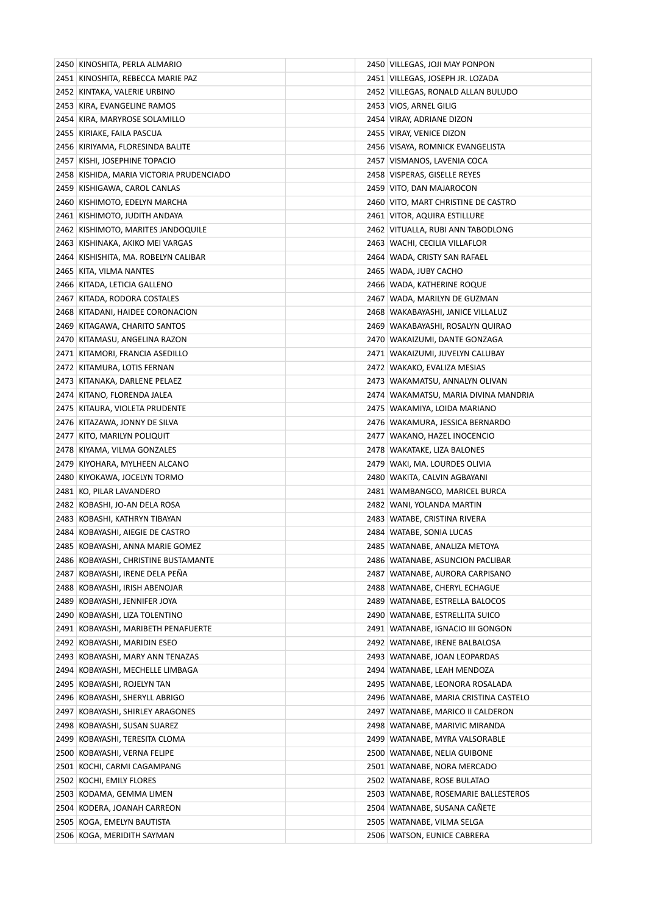| 2450 KINOSHITA, PERLA ALMARIO            | 2450 VILLEGAS, JOJI MAY PONPON         |
|------------------------------------------|----------------------------------------|
| 2451 KINOSHITA, REBECCA MARIE PAZ        | 2451 VILLEGAS, JOSEPH JR. LOZADA       |
| 2452 KINTAKA, VALERIE URBINO             | 2452 VILLEGAS, RONALD ALLAN BULUDO     |
| 2453 KIRA, EVANGELINE RAMOS              | 2453 VIOS, ARNEL GILIG                 |
| 2454 KIRA, MARYROSE SOLAMILLO            | 2454 VIRAY, ADRIANE DIZON              |
| 2455   KIRIAKE, FAILA PASCUA             | 2455   VIRAY, VENICE DIZON             |
| 2456   KIRIYAMA, FLORESINDA BALITE       | 2456   VISAYA, ROMNICK EVANGELISTA     |
| 2457 KISHI, JOSEPHINE TOPACIO            | 2457 VISMANOS, LAVENIA COCA            |
| 2458 KISHIDA, MARIA VICTORIA PRUDENCIADO | 2458 VISPERAS, GISELLE REYES           |
| 2459 KISHIGAWA, CAROL CANLAS             | 2459 VITO, DAN MAJAROCON               |
| 2460 KISHIMOTO, EDELYN MARCHA            | 2460 VITO, MART CHRISTINE DE CASTRO    |
| 2461   KISHIMOTO, JUDITH ANDAYA          | 2461 VITOR, AQUIRA ESTILLURE           |
| 2462 KISHIMOTO, MARITES JANDOQUILE       | 2462 VITUALLA, RUBI ANN TABODLONG      |
| 2463 KISHINAKA, AKIKO MEI VARGAS         | 2463   WACHI, CECILIA VILLAFLOR        |
| 2464 KISHISHITA, MA. ROBELYN CALIBAR     | 2464   WADA, CRISTY SAN RAFAEL         |
| 2465   KITA, VILMA NANTES                | 2465 WADA, JUBY CACHO                  |
| 2466 KITADA, LETICIA GALLENO             | 2466 WADA, KATHERINE ROQUE             |
| 2467 KITADA, RODORA COSTALES             | 2467 WADA, MARILYN DE GUZMAN           |
| 2468 KITADANI, HAIDEE CORONACION         | 2468 WAKABAYASHI, JANICE VILLALUZ      |
| 2469 KITAGAWA, CHARITO SANTOS            | 2469 WAKABAYASHI, ROSALYN QUIRAO       |
| 2470 KITAMASU, ANGELINA RAZON            | 2470   WAKAIZUMI, DANTE GONZAGA        |
| 2471 KITAMORI, FRANCIA ASEDILLO          | 2471   WAKAIZUMI, JUVELYN CALUBAY      |
| 2472 KITAMURA, LOTIS FERNAN              | 2472 WAKAKO, EVALIZA MESIAS            |
| 2473 KITANAKA, DARLENE PELAEZ            | 2473   WAKAMATSU, ANNALYN OLIVAN       |
| 2474   KITANO, FLORENDA JALEA            | 2474   WAKAMATSU, MARIA DIVINA MANDRIA |
| 2475 KITAURA, VIOLETA PRUDENTE           | 2475   WAKAMIYA, LOIDA MARIANO         |
| 2476 KITAZAWA, JONNY DE SILVA            | 2476 WAKAMURA, JESSICA BERNARDO        |
| 2477 KITO, MARILYN POLIQUIT              | 2477   WAKANO, HAZEL INOCENCIO         |
| 2478 KIYAMA, VILMA GONZALES              | 2478 WAKATAKE, LIZA BALONES            |
| 2479 KIYOHARA, MYLHEEN ALCANO            | 2479   WAKI, MA. LOURDES OLIVIA        |
| 2480 KIYOKAWA, JOCELYN TORMO             | 2480   WAKITA, CALVIN AGBAYANI         |
| 2481 KO, PILAR LAVANDERO                 | 2481 WAMBANGCO, MARICEL BURCA          |
| 2482 KOBASHI, JO-AN DELA ROSA            | 2482   WANI, YOLANDA MARTIN            |
| 2483 KOBASHI, KATHRYN TIBAYAN            | 2483   WATABE, CRISTINA RIVERA         |
| 2484 KOBAYASHI, AIEGIE DE CASTRO         | 2484   WATABE, SONIA LUCAS             |
| 2485 KOBAYASHI, ANNA MARIE GOMEZ         | 2485 WATANABE, ANALIZA METOYA          |
| 2486 KOBAYASHI, CHRISTINE BUSTAMANTE     | 2486   WATANABE, ASUNCION PACLIBAR     |
| 2487 KOBAYASHI, IRENE DELA PENA          | 2487 WATANABE, AURORA CARPISANO        |
| 2488 KOBAYASHI, IRISH ABENOJAR           | 2488 WATANABE, CHERYL ECHAGUE          |
| 2489 KOBAYASHI, JENNIFER JOYA            | 2489   WATANABE, ESTRELLA BALOCOS      |
| 2490 KOBAYASHI, LIZA TOLENTINO           | 2490   WATANABE, ESTRELLITA SUICO      |
| 2491 KOBAYASHI, MARIBETH PENAFUERTE      | 2491   WATANABE, IGNACIO III GONGON    |
| 2492 KOBAYASHI, MARIDIN ESEO             | 2492 WATANABE, IRENE BALBALOSA         |
| 2493 KOBAYASHI, MARY ANN TENAZAS         | 2493 WATANABE, JOAN LEOPARDAS          |
| 2494 KOBAYASHI, MECHELLE LIMBAGA         | 2494   WATANABE, LEAH MENDOZA          |
| 2495   KOBAYASHI, ROJELYN TAN            | 2495   WATANABE, LEONORA ROSALADA      |
| 2496 KOBAYASHI, SHERYLL ABRIGO           | 2496 WATANABE, MARIA CRISTINA CASTELO  |
| 2497   KOBAYASHI, SHIRLEY ARAGONES       | 2497   WATANABE, MARICO II CALDERON    |
| 2498 KOBAYASHI, SUSAN SUAREZ             | 2498   WATANABE, MARIVIC MIRANDA       |
| 2499 KOBAYASHI, TERESITA CLOMA           | 2499   WATANABE, MYRA VALSORABLE       |
| 2500 KOBAYASHI, VERNA FELIPE             | 2500 WATANABE, NELIA GUIBONE           |
| 2501 KOCHI, CARMI CAGAMPANG              | 2501 WATANABE, NORA MERCADO            |
| 2502 KOCHI, EMILY FLORES                 | 2502 WATANABE, ROSE BULATAO            |
| 2503 KODAMA, GEMMA LIMEN                 | 2503 WATANABE, ROSEMARIE BALLESTEROS   |
| 2504 KODERA, JOANAH CARREON              | 2504 WATANABE, SUSANA CANETE           |
| 2505 KOGA, EMELYN BAUTISTA               | 2505 WATANABE, VILMA SELGA             |
| 2506 KOGA, MERIDITH SAYMAN               | 2506 WATSON, EUNICE CABRERA            |
|                                          |                                        |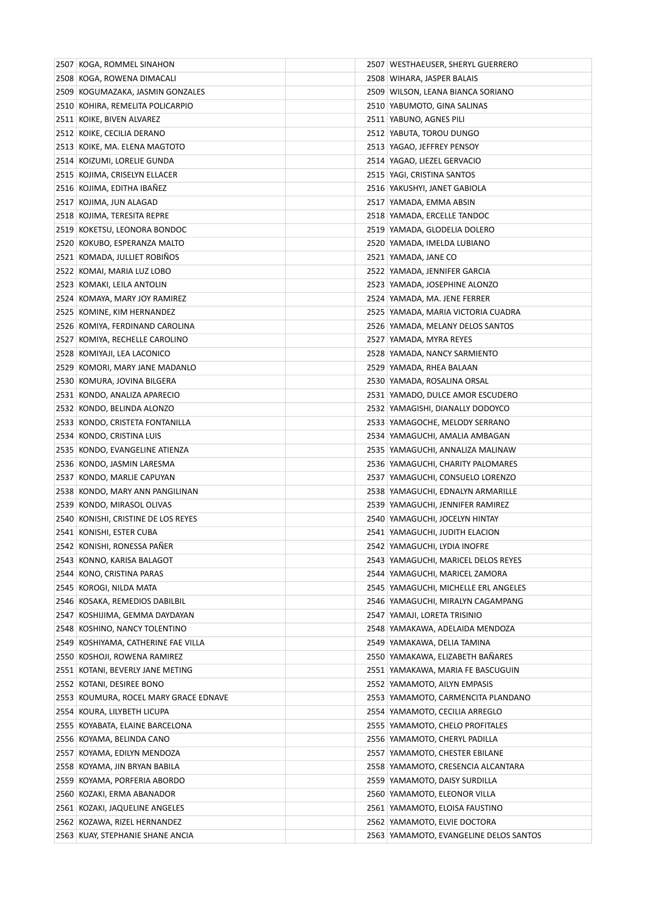| 2507 KOGA, ROMMEL SINAHON             | 2507   WESTHAEUSER, SHERYL GUERRERO    |
|---------------------------------------|----------------------------------------|
| 2508 KOGA, ROWENA DIMACALI            | 2508 WIHARA, JASPER BALAIS             |
| 2509 KOGUMAZAKA, JASMIN GONZALES      | 2509   WILSON, LEANA BIANCA SORIANO    |
| 2510 KOHIRA, REMELITA POLICARPIO      | 2510 YABUMOTO, GINA SALINAS            |
| 2511 KOIKE, BIVEN ALVAREZ             | 2511 YABUNO, AGNES PILI                |
| 2512 KOIKE, CECILIA DERANO            | 2512 YABUTA, TOROU DUNGO               |
| 2513 KOIKE, MA. ELENA MAGTOTO         | 2513 YAGAO, JEFFREY PENSOY             |
| 2514 KOIZUMI, LORELIE GUNDA           | 2514 YAGAO, LIEZEL GERVACIO            |
| 2515 KOJIMA, CRISELYN ELLACER         | 2515 YAGI, CRISTINA SANTOS             |
| 2516 KOJIMA, EDITHA IBANEZ            | 2516 YAKUSHYI, JANET GABIOLA           |
| 2517 KOJIMA, JUN ALAGAD               | 2517 YAMADA, EMMA ABSIN                |
| 2518 KOJIMA, TERESITA REPRE           | 2518 YAMADA, ERCELLE TANDOC            |
| 2519 KOKETSU, LEONORA BONDOC          | 2519 YAMADA, GLODELIA DOLERO           |
| 2520 KOKUBO, ESPERANZA MALTO          | 2520 YAMADA, IMELDA LUBIANO            |
| 2521 KOMADA, JULLIET ROBINOS          | 2521 YAMADA, JANE CO                   |
| 2522 KOMAI, MARIA LUZ LOBO            | 2522 YAMADA, JENNIFER GARCIA           |
| 2523 KOMAKI, LEILA ANTOLIN            | 2523 YAMADA, JOSEPHINE ALONZO          |
| 2524 KOMAYA, MARY JOY RAMIREZ         | 2524 YAMADA, MA. JENE FERRER           |
| 2525 KOMINE, KIM HERNANDEZ            | 2525 YAMADA, MARIA VICTORIA CUADRA     |
| 2526 KOMIYA, FERDINAND CAROLINA       | 2526 YAMADA, MELANY DELOS SANTOS       |
| 2527 KOMIYA, RECHELLE CAROLINO        | 2527 YAMADA, MYRA REYES                |
| 2528 KOMIYAJI, LEA LACONICO           | 2528 YAMADA, NANCY SARMIENTO           |
| 2529 KOMORI, MARY JANE MADANLO        | 2529 YAMADA, RHEA BALAAN               |
| 2530 KOMURA, JOVINA BILGERA           | 2530 YAMADA, ROSALINA ORSAL            |
| 2531 KONDO, ANALIZA APARECIO          | 2531 YAMADO, DULCE AMOR ESCUDERO       |
| 2532 KONDO, BELINDA ALONZO            | 2532 YAMAGISHI, DIANALLY DODOYCO       |
| 2533 KONDO, CRISTETA FONTANILLA       | 2533 YAMAGOCHE, MELODY SERRANO         |
| 2534 KONDO, CRISTINA LUIS             | 2534 YAMAGUCHI, AMALIA AMBAGAN         |
| 2535 KONDO, EVANGELINE ATIENZA        | 2535 YAMAGUCHI, ANNALIZA MALINAW       |
| 2536 KONDO, JASMIN LARESMA            | 2536 YAMAGUCHI, CHARITY PALOMARES      |
| 2537 KONDO, MARLIE CAPUYAN            | 2537 YAMAGUCHI, CONSUELO LORENZO       |
| 2538 KONDO, MARY ANN PANGILINAN       | 2538 YAMAGUCHI, EDNALYN ARMARILLE      |
| 2539 KONDO, MIRASOL OLIVAS            | 2539 YAMAGUCHI, JENNIFER RAMIREZ       |
| 2540 KONISHI, CRISTINE DE LOS REYES   | 2540 YAMAGUCHI, JOCELYN HINTAY         |
| 2541 KONISHI, ESTER CUBA              | 2541 YAMAGUCHI, JUDITH ELACION         |
| 2542 KONISHI, RONESSA PAÑER           | 2542 YAMAGUCHI, LYDIA INOFRE           |
| 2543 KONNO, KARISA BALAGOT            | 2543 YAMAGUCHI, MARICEL DELOS REYES    |
| 2544 KONO, CRISTINA PARAS             | 2544 YAMAGUCHI, MARICEL ZAMORA         |
| 2545 KOROGI, NILDA MATA               | 2545 YAMAGUCHI, MICHELLE ERL ANGELES   |
| 2546 KOSAKA, REMEDIOS DABILBIL        | 2546 YAMAGUCHI, MIRALYN CAGAMPANG      |
| 2547   KOSHIJIMA, GEMMA DAYDAYAN      | 2547   YAMAJI, LORETA TRISINIO         |
| 2548 KOSHINO, NANCY TOLENTINO         | 2548 YAMAKAWA, ADELAIDA MENDOZA        |
| 2549 KOSHIYAMA, CATHERINE FAE VILLA   | 2549 YAMAKAWA, DELIA TAMINA            |
| 2550 KOSHOJI, ROWENA RAMIREZ          | 2550 YAMAKAWA, ELIZABETH BAÑARES       |
| 2551 KOTANI, BEVERLY JANE METING      | 2551 YAMAKAWA, MARIA FE BASCUGUIN      |
| 2552 KOTANI, DESIREE BONO             | 2552 YAMAMOTO, AILYN EMPASIS           |
| 2553 KOUMURA, ROCEL MARY GRACE EDNAVE | 2553 YAMAMOTO, CARMENCITA PLANDANO     |
| 2554 KOURA, LILYBETH LICUPA           | 2554 YAMAMOTO, CECILIA ARREGLO         |
| 2555 KOYABATA, ELAINE BARCELONA       | 2555 YAMAMOTO, CHELO PROFITALES        |
| 2556 KOYAMA, BELINDA CANO             | 2556 YAMAMOTO, CHERYL PADILLA          |
| 2557 KOYAMA, EDILYN MENDOZA           | 2557 YAMAMOTO, CHESTER EBILANE         |
| 2558 KOYAMA, JIN BRYAN BABILA         | 2558 YAMAMOTO, CRESENCIA ALCANTARA     |
| 2559 KOYAMA, PORFERIA ABORDO          | 2559 YAMAMOTO, DAISY SURDILLA          |
| 2560 KOZAKI, ERMA ABANADOR            | 2560 YAMAMOTO, ELEONOR VILLA           |
| 2561 KOZAKI, JAQUELINE ANGELES        | 2561 YAMAMOTO, ELOISA FAUSTINO         |
| 2562 KOZAWA, RIZEL HERNANDEZ          | 2562 YAMAMOTO, ELVIE DOCTORA           |
| 2563 KUAY, STEPHANIE SHANE ANCIA      | 2563 YAMAMOTO, EVANGELINE DELOS SANTOS |
|                                       |                                        |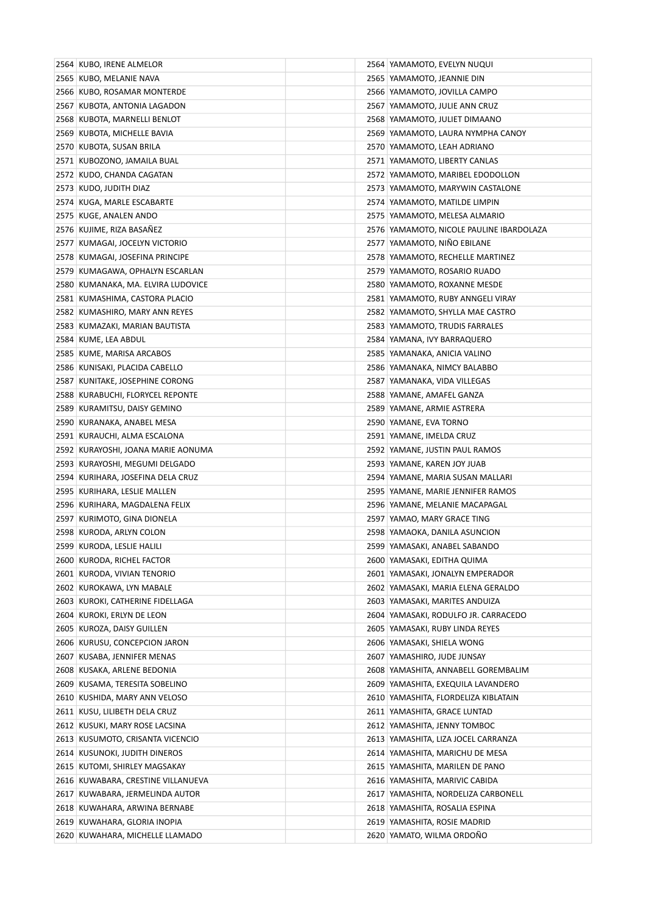| 2564 KUBO, IRENE ALMELOR           | 2564 YAMAMOTO, EVELYN NUQUI                |
|------------------------------------|--------------------------------------------|
| 2565 KUBO, MELANIE NAVA            | 2565 YAMAMOTO, JEANNIE DIN                 |
| 2566 KUBO, ROSAMAR MONTERDE        | 2566 YAMAMOTO, JOVILLA CAMPO               |
| 2567 KUBOTA, ANTONIA LAGADON       | 2567 YAMAMOTO, JULIE ANN CRUZ              |
| 2568 KUBOTA, MARNELLI BENLOT       | 2568 YAMAMOTO, JULIET DIMAANO              |
| 2569 KUBOTA, MICHELLE BAVIA        | 2569 YAMAMOTO, LAURA NYMPHA CANOY          |
| 2570 KUBOTA, SUSAN BRILA           | 2570 YAMAMOTO, LEAH ADRIANO                |
| 2571 KUBOZONO, JAMAILA BUAL        | 2571 YAMAMOTO, LIBERTY CANLAS              |
| 2572 KUDO, CHANDA CAGATAN          | 2572 YAMAMOTO, MARIBEL EDODOLLON           |
| 2573 KUDO, JUDITH DIAZ             | 2573 YAMAMOTO, MARYWIN CASTALONE           |
| 2574 KUGA, MARLE ESCABARTE         | 2574 YAMAMOTO, MATILDE LIMPIN              |
| 2575 KUGE, ANALEN ANDO             | 2575 YAMAMOTO, MELESA ALMARIO              |
| 2576 KUJIME, RIZA BASAÑEZ          | 2576   YAMAMOTO, NICOLE PAULINE IBARDOLAZA |
| 2577 KUMAGAI, JOCELYN VICTORIO     | 2577   YAMAMOTO, NIÑO EBILANE              |
| 2578 KUMAGAI, JOSEFINA PRINCIPE    | 2578 YAMAMOTO, RECHELLE MARTINEZ           |
| 2579 KUMAGAWA, OPHALYN ESCARLAN    | 2579 YAMAMOTO, ROSARIO RUADO               |
| 2580 KUMANAKA, MA. ELVIRA LUDOVICE | 2580 YAMAMOTO, ROXANNE MESDE               |
| 2581 KUMASHIMA, CASTORA PLACIO     | 2581 YAMAMOTO, RUBY ANNGELI VIRAY          |
| 2582 KUMASHIRO, MARY ANN REYES     | 2582 YAMAMOTO, SHYLLA MAE CASTRO           |
| 2583 KUMAZAKI, MARIAN BAUTISTA     | 2583 YAMAMOTO, TRUDIS FARRALES             |
| 2584 KUME, LEA ABDUL               | 2584 YAMANA, IVY BARRAQUERO                |
| 2585 KUME, MARISA ARCABOS          | 2585 YAMANAKA, ANICIA VALINO               |
| 2586 KUNISAKI, PLACIDA CABELLO     | 2586 YAMANAKA, NIMCY BALABBO               |
| 2587 KUNITAKE, JOSEPHINE CORONG    | 2587 YAMANAKA, VIDA VILLEGAS               |
| 2588 KURABUCHI, FLORYCEL REPONTE   | 2588 YAMANE, AMAFEL GANZA                  |
| 2589 KURAMITSU, DAISY GEMINO       | 2589 YAMANE, ARMIE ASTRERA                 |
| 2590 KURANAKA, ANABEL MESA         | 2590 YAMANE, EVA TORNO                     |
| 2591 KURAUCHI, ALMA ESCALONA       | 2591 YAMANE, IMELDA CRUZ                   |
| 2592 KURAYOSHI, JOANA MARIE AONUMA | 2592 YAMANE, JUSTIN PAUL RAMOS             |
| 2593 KURAYOSHI, MEGUMI DELGADO     | 2593 YAMANE, KAREN JOY JUAB                |
| 2594 KURIHARA, JOSEFINA DELA CRUZ  | 2594 YAMANE, MARIA SUSAN MALLARI           |
| 2595 KURIHARA, LESLIE MALLEN       | 2595 YAMANE, MARIE JENNIFER RAMOS          |
| 2596 KURIHARA, MAGDALENA FELIX     | 2596 YAMANE, MELANIE MACAPAGAL             |
| 2597 KURIMOTO, GINA DIONELA        | 2597 YAMAO, MARY GRACE TING                |
| 2598 KURODA, ARLYN COLON           | 2598 YAMAOKA, DANILA ASUNCION              |
| 2599 KURODA, LESLIE HALILI         | 2599 YAMASAKI, ANABEL SABANDO              |
| 2600 KURODA, RICHEL FACTOR         | 2600 YAMASAKI, EDITHA QUIMA                |
| 2601 KURODA, VIVIAN TENORIO        | 2601 YAMASAKI, JONALYN EMPERADOR           |
| 2602 KUROKAWA, LYN MABALE          | 2602 YAMASAKI, MARIA ELENA GERALDO         |
| 2603 KUROKI, CATHERINE FIDELLAGA   | 2603 YAMASAKI, MARITES ANDUIZA             |
| 2604 KUROKI, ERLYN DE LEON         | 2604 YAMASAKI, RODULFO JR. CARRACEDO       |
| 2605 KUROZA, DAISY GUILLEN         | 2605 YAMASAKI, RUBY LINDA REYES            |
| 2606 KURUSU, CONCEPCION JARON      | 2606 YAMASAKI, SHIELA WONG                 |
| 2607 KUSABA, JENNIFER MENAS        | 2607 YAMASHIRO, JUDE JUNSAY                |
| 2608 KUSAKA, ARLENE BEDONIA        | 2608 YAMASHITA, ANNABELL GOREMBALIM        |
| 2609 KUSAMA, TERESITA SOBELINO     | 2609 YAMASHITA, EXEQUILA LAVANDERO         |
| 2610 KUSHIDA, MARY ANN VELOSO      | 2610 YAMASHITA, FLORDELIZA KIBLATAIN       |
| 2611 KUSU, LILIBETH DELA CRUZ      | 2611 YAMASHITA, GRACE LUNTAD               |
| 2612 KUSUKI, MARY ROSE LACSINA     | 2612 YAMASHITA, JENNY TOMBOC               |
| 2613 KUSUMOTO, CRISANTA VICENCIO   | 2613 YAMASHITA, LIZA JOCEL CARRANZA        |
| 2614 KUSUNOKI, JUDITH DINEROS      | 2614 YAMASHITA, MARICHU DE MESA            |
| 2615 KUTOMI, SHIRLEY MAGSAKAY      | 2615 YAMASHITA, MARILEN DE PANO            |
| 2616 KUWABARA, CRESTINE VILLANUEVA | 2616 YAMASHITA, MARIVIC CABIDA             |
| 2617 KUWABARA, JERMELINDA AUTOR    | 2617 YAMASHITA, NORDELIZA CARBONELL        |
| 2618 KUWAHARA, ARWINA BERNABE      | 2618 YAMASHITA, ROSALIA ESPINA             |
| 2619 KUWAHARA, GLORIA INOPIA       | 2619 YAMASHITA, ROSIE MADRID               |
| 2620 KUWAHARA, MICHELLE LLAMADO    | 2620 YAMATO, WILMA ORDOÑO                  |
|                                    |                                            |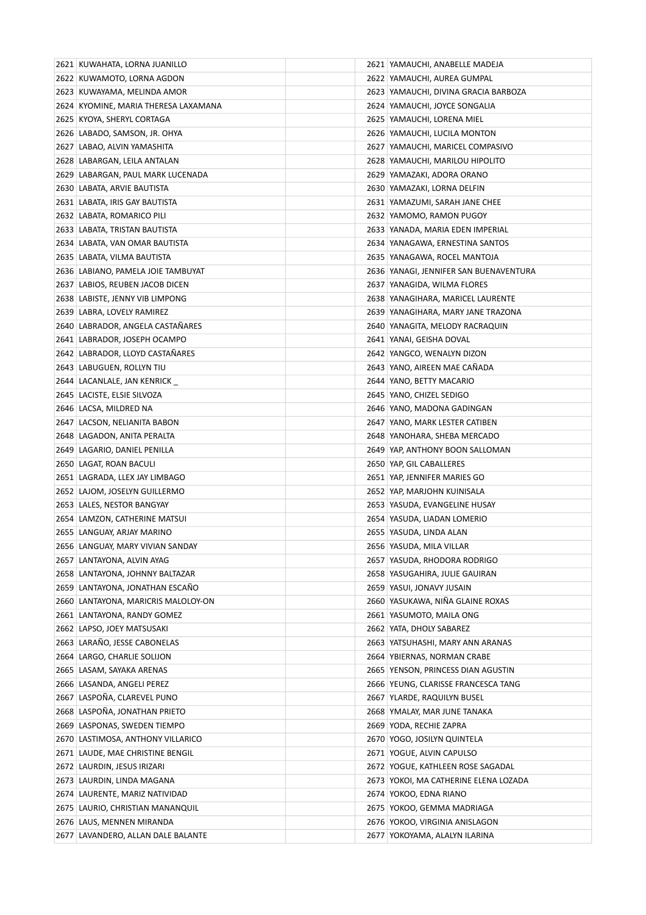| 2621 KUWAHATA, LORNA JUANILLO        | 2621 YAMAUCHI, ANABELLE MADEJA         |
|--------------------------------------|----------------------------------------|
| 2622 KUWAMOTO, LORNA AGDON           | 2622 YAMAUCHI, AUREA GUMPAL            |
| 2623 KUWAYAMA, MELINDA AMOR          | 2623 YAMAUCHI, DIVINA GRACIA BARBOZA   |
| 2624 KYOMINE, MARIA THERESA LAXAMANA | 2624 YAMAUCHI, JOYCE SONGALIA          |
| 2625 KYOYA, SHERYL CORTAGA           | 2625 YAMAUCHI, LORENA MIEL             |
| 2626 LABADO, SAMSON, JR. OHYA        | 2626 YAMAUCHI, LUCILA MONTON           |
| 2627 LABAO, ALVIN YAMASHITA          | 2627 YAMAUCHI, MARICEL COMPASIVO       |
| 2628   LABARGAN, LEILA ANTALAN       | 2628 YAMAUCHI, MARILOU HIPOLITO        |
| 2629 LABARGAN, PAUL MARK LUCENADA    | 2629 YAMAZAKI, ADORA ORANO             |
| 2630 LABATA, ARVIE BAUTISTA          | 2630 YAMAZAKI, LORNA DELFIN            |
| 2631 LABATA, IRIS GAY BAUTISTA       | 2631 YAMAZUMI, SARAH JANE CHEE         |
| 2632 LABATA, ROMARICO PILI           | 2632 YAMOMO, RAMON PUGOY               |
| 2633 LABATA, TRISTAN BAUTISTA        | 2633 YANADA, MARIA EDEN IMPERIAL       |
| 2634   LABATA, VAN OMAR BAUTISTA     | 2634 YANAGAWA, ERNESTINA SANTOS        |
| 2635   LABATA, VILMA BAUTISTA        | 2635   YANAGAWA, ROCEL MANTOJA         |
| 2636 LABIANO, PAMELA JOIE TAMBUYAT   | 2636 YANAGI, JENNIFER SAN BUENAVENTURA |
| 2637   LABIOS, REUBEN JACOB DICEN    | 2637 YANAGIDA, WILMA FLORES            |
| 2638 LABISTE, JENNY VIB LIMPONG      | 2638 YANAGIHARA, MARICEL LAURENTE      |
| 2639 LABRA, LOVELY RAMIREZ           | 2639 YANAGIHARA, MARY JANE TRAZONA     |
| 2640 LABRADOR, ANGELA CASTAÑARES     | 2640 YANAGITA, MELODY RACRAQUIN        |
| 2641 LABRADOR, JOSEPH OCAMPO         | 2641 YANAI, GEISHA DOVAL               |
| 2642 LABRADOR, LLOYD CASTANARES      | 2642 YANGCO, WENALYN DIZON             |
| 2643 LABUGUEN, ROLLYN TIU            | 2643 YANO, AIREEN MAE CAÑADA           |
| 2644 LACANLALE, JAN KENRICK          | 2644 YANO, BETTY MACARIO               |
| 2645 LACISTE, ELSIE SILVOZA          | 2645 YANO, CHIZEL SEDIGO               |
| 2646   LACSA, MILDRED NA             | 2646 YANO, MADONA GADINGAN             |
| 2647 LACSON, NELIANITA BABON         | 2647 YANO, MARK LESTER CATIBEN         |
| 2648 LAGADON, ANITA PERALTA          | 2648 YANOHARA, SHEBA MERCADO           |
| 2649 LAGARIO, DANIEL PENILLA         | 2649 YAP, ANTHONY BOON SALLOMAN        |
| 2650 LAGAT, ROAN BACULI              | 2650 YAP, GIL CABALLERES               |
| 2651   LAGRADA, LLEX JAY LIMBAGO     | 2651 YAP, JENNIFER MARIES GO           |
| 2652 LAJOM, JOSELYN GUILLERMO        | 2652 YAP, MARJOHN KUINISALA            |
| 2653 LALES, NESTOR BANGYAY           | 2653   YASUDA, EVANGELINE HUSAY        |
| 2654 LAMZON, CATHERINE MATSUI        | 2654 YASUDA, LIADAN LOMERIO            |
| 2655 LANGUAY, ARJAY MARINO           | 2655 YASUDA, LINDA ALAN                |
| 2656 LANGUAY, MARY VIVIAN SANDAY     | 2656 YASUDA, MILA VILLAR               |
| 2657 LANTAYONA, ALVIN AYAG           | 2657   YASUDA, RHODORA RODRIGO         |
| 2658 LANTAYONA, JOHNNY BALTAZAR      | 2658 YASUGAHIRA, JULIE GAUIRAN         |
| 2659 LANTAYONA, JONATHAN ESCAÑO      | 2659 YASUI, JONAVY JUSAIN              |
| 2660 LANTAYONA, MARICRIS MALOLOY-ON  | 2660 YASUKAWA, NIÑA GLAINE ROXAS       |
| 2661 LANTAYONA, RANDY GOMEZ          | 2661 YASUMOTO, MAILA ONG               |
| 2662 LAPSO, JOEY MATSUSAKI           | 2662 YATA, DHOLY SABAREZ               |
| 2663 LARAÑO, JESSE CABONELAS         | 2663 YATSUHASHI, MARY ANN ARANAS       |
| 2664 LARGO, CHARLIE SOLIJON          | 2664 YBIERNAS, NORMAN CRABE            |
| 2665 LASAM, SAYAKA ARENAS            | 2665 YENSON, PRINCESS DIAN AGUSTIN     |
| 2666 LASANDA, ANGELI PEREZ           | 2666 YEUNG, CLARISSE FRANCESCA TANG    |
| 2667 LASPOÑA, CLAREVEL PUNO          | 2667 YLARDE, RAQUILYN BUSEL            |
| 2668 LASPOÑA, JONATHAN PRIETO        | 2668 YMALAY, MAR JUNE TANAKA           |
| 2669 LASPONAS, SWEDEN TIEMPO         | 2669 YODA, RECHIE ZAPRA                |
| 2670 LASTIMOSA, ANTHONY VILLARICO    | 2670 YOGO, JOSILYN QUINTELA            |
| 2671 LAUDE, MAE CHRISTINE BENGIL     | 2671 YOGUE, ALVIN CAPULSO              |
| 2672 LAURDIN, JESUS IRIZARI          | 2672 YOGUE, KATHLEEN ROSE SAGADAL      |
| 2673 LAURDIN, LINDA MAGANA           | 2673 YOKOI, MA CATHERINE ELENA LOZADA  |
| 2674 LAURENTE, MARIZ NATIVIDAD       | 2674 YOKOO, EDNA RIANO                 |
| 2675   LAURIO, CHRISTIAN MANANQUIL   | 2675   YOKOO, GEMMA MADRIAGA           |
| 2676 LAUS, MENNEN MIRANDA            | 2676 YOKOO, VIRGINIA ANISLAGON         |
| 2677 LAVANDERO, ALLAN DALE BALANTE   | 2677 YOKOYAMA, ALALYN ILARINA          |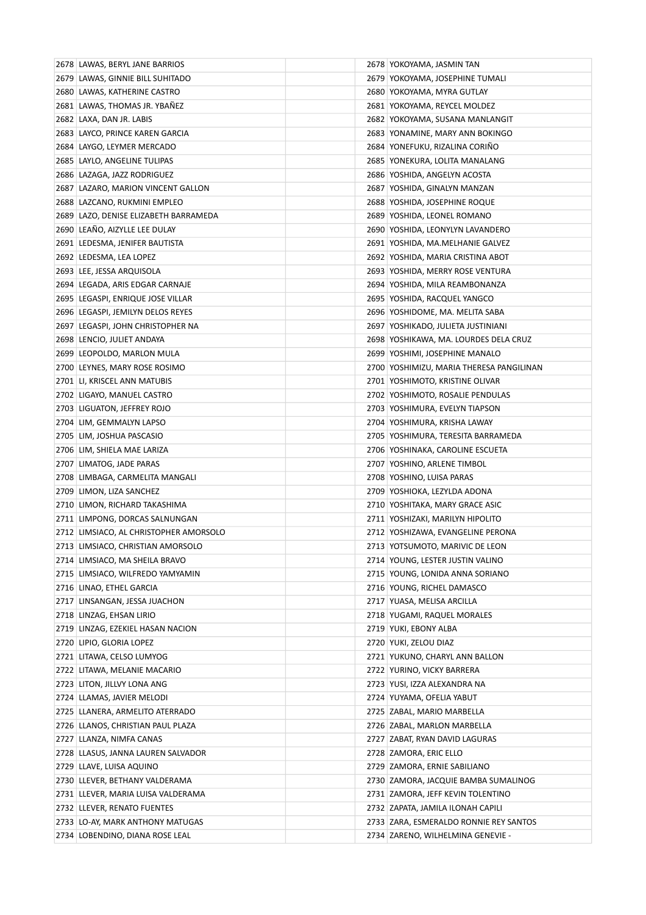| 2678 LAWAS, BERYL JANE BARRIOS                                 | 2678 YOKOYAMA, JASMIN TAN                                  |
|----------------------------------------------------------------|------------------------------------------------------------|
| 2679 LAWAS, GINNIE BILL SUHITADO                               | 2679 YOKOYAMA, JOSEPHINE TUMALI                            |
| 2680 LAWAS, KATHERINE CASTRO                                   | 2680 YOKOYAMA, MYRA GUTLAY                                 |
| 2681 LAWAS, THOMAS JR. YBAÑEZ                                  | 2681 YOKOYAMA, REYCEL MOLDEZ                               |
| 2682 LAXA, DAN JR. LABIS                                       | 2682 YOKOYAMA, SUSANA MANLANGIT                            |
| 2683 LAYCO, PRINCE KAREN GARCIA                                | 2683 YONAMINE, MARY ANN BOKINGO                            |
| 2684 LAYGO, LEYMER MERCADO                                     | 2684   YONEFUKU, RIZALINA CORINO                           |
| 2685 LAYLO, ANGELINE TULIPAS                                   | 2685   YONEKURA, LOLITA MANALANG                           |
| 2686 LAZAGA, JAZZ RODRIGUEZ                                    | 2686 YOSHIDA, ANGELYN ACOSTA                               |
| 2687 LAZARO, MARION VINCENT GALLON                             | 2687 YOSHIDA, GINALYN MANZAN                               |
| 2688 LAZCANO, RUKMINI EMPLEO                                   | 2688 YOSHIDA, JOSEPHINE ROQUE                              |
| 2689 LAZO, DENISE ELIZABETH BARRAMEDA                          | 2689 YOSHIDA, LEONEL ROMANO                                |
| 2690 LEAÑO, AIZYLLE LEE DULAY                                  | 2690 YOSHIDA, LEONYLYN LAVANDERO                           |
| 2691 LEDESMA, JENIFER BAUTISTA                                 | 2691 YOSHIDA, MA.MELHANIE GALVEZ                           |
| 2692 LEDESMA, LEA LOPEZ                                        | 2692   YOSHIDA, MARIA CRISTINA ABOT                        |
| 2693 LEE, JESSA ARQUISOLA                                      | 2693 YOSHIDA, MERRY ROSE VENTURA                           |
| 2694 LEGADA, ARIS EDGAR CARNAJE                                | 2694 YOSHIDA, MILA REAMBONANZA                             |
| 2695 LEGASPI, ENRIQUE JOSE VILLAR                              | 2695 YOSHIDA, RACQUEL YANGCO                               |
| 2696 LEGASPI, JEMILYN DELOS REYES                              | 2696   YOSHIDOME, MA. MELITA SABA                          |
| 2697 LEGASPI, JOHN CHRISTOPHER NA                              | 2697   YOSHIKADO, JULIETA JUSTINIANI                       |
| 2698 LENCIO, JULIET ANDAYA                                     | 2698 YOSHIKAWA, MA. LOURDES DELA CRUZ                      |
| 2699 LEOPOLDO, MARLON MULA                                     | 2699   YOSHIMI, JOSEPHINE MANALO                           |
| 2700 LEYNES, MARY ROSE ROSIMO                                  | 2700 YOSHIMIZU, MARIA THERESA PANGILINAN                   |
| 2701 LI, KRISCEL ANN MATUBIS                                   | 2701 YOSHIMOTO, KRISTINE OLIVAR                            |
| 2702 LIGAYO, MANUEL CASTRO                                     | 2702 YOSHIMOTO, ROSALIE PENDULAS                           |
| 2703 LIGUATON, JEFFREY ROJO                                    | 2703   YOSHIMURA, EVELYN TIAPSON                           |
| 2704 LIM, GEMMALYN LAPSO                                       | 2704 YOSHIMURA, KRISHA LAWAY                               |
| 2705 LIM, JOSHUA PASCASIO                                      | 2705 YOSHIMURA, TERESITA BARRAMEDA                         |
| 2706 LIM, SHIELA MAE LARIZA                                    | 2706 YOSHINAKA, CAROLINE ESCUETA                           |
| 2707 LIMATOG, JADE PARAS                                       | 2707 YOSHINO, ARLENE TIMBOL                                |
| 2708 LIMBAGA, CARMELITA MANGALI                                | 2708   YOSHINO, LUISA PARAS                                |
| 2709 LIMON, LIZA SANCHEZ                                       | 2709   YOSHIOKA, LEZYLDA ADONA                             |
| 2710 LIMON, RICHARD TAKASHIMA                                  | 2710 YOSHITAKA, MARY GRACE ASIC                            |
| 2711 LIMPONG, DORCAS SALNUNGAN                                 | 2711 YOSHIZAKI, MARILYN HIPOLITO                           |
| 2712 LIMSIACO, AL CHRISTOPHER AMORSOLO                         | 2712 YOSHIZAWA, EVANGELINE PERONA                          |
| 2713 LIMSIACO, CHRISTIAN AMORSOLO                              | 2713   YOTSUMOTO, MARIVIC DE LEON                          |
| 2714 LIMSIACO, MA SHEILA BRAVO                                 | 2714 YOUNG, LESTER JUSTIN VALINO                           |
| 2715 LIMSIACO, WILFREDO YAMYAMIN                               | 2715 YOUNG, LONIDA ANNA SORIANO                            |
| 2716 LINAO, ETHEL GARCIA                                       | 2716 YOUNG, RICHEL DAMASCO                                 |
| 2717 LINSANGAN, JESSA JUACHON                                  | 2717 YUASA, MELISA ARCILLA                                 |
| 2718 LINZAG, EHSAN LIRIO                                       | 2718 YUGAMI, RAQUEL MORALES                                |
| 2719 LINZAG, EZEKIEL HASAN NACION                              | 2719 YUKI, EBONY ALBA                                      |
| 2720 LIPIO, GLORIA LOPEZ                                       | 2720 YUKI, ZELOU DIAZ                                      |
| 2721 LITAWA, CELSO LUMYOG                                      | 2721 YUKUNO, CHARYL ANN BALLON                             |
| 2722 LITAWA, MELANIE MACARIO                                   | 2722 YURINO, VICKY BARRERA<br>2723 YUSI, IZZA ALEXANDRA NA |
| 2723 LITON, JILLVY LONA ANG                                    |                                                            |
| 2724 LLAMAS, JAVIER MELODI<br>2725 LLANERA, ARMELITO ATERRADO  | 2724 YUYAMA, OFELIA YABUT<br>2725 ZABAL, MARIO MARBELLA    |
|                                                                |                                                            |
| 2726 LLANOS, CHRISTIAN PAUL PLAZA                              | 2726 ZABAL, MARLON MARBELLA                                |
| 2727 LLANZA, NIMFA CANAS<br>2728 LLASUS, JANNA LAUREN SALVADOR | 2727 ZABAT, RYAN DAVID LAGURAS<br>2728 ZAMORA, ERIC ELLO   |
| 2729 LLAVE, LUISA AQUINO                                       | 2729 ZAMORA, ERNIE SABILIANO                               |
| 2730 LLEVER, BETHANY VALDERAMA                                 | 2730 ZAMORA, JACQUIE BAMBA SUMALINOG                       |
| 2731 LLEVER, MARIA LUISA VALDERAMA                             | 2731 ZAMORA, JEFF KEVIN TOLENTINO                          |
| 2732 LLEVER, RENATO FUENTES                                    | 2732 ZAPATA, JAMILA ILONAH CAPILI                          |
| 2733 LO-AY, MARK ANTHONY MATUGAS                               | 2733 ZARA, ESMERALDO RONNIE REY SANTOS                     |
| 2734 LOBENDINO, DIANA ROSE LEAL                                | 2734 ZARENO, WILHELMINA GENEVIE -                          |
|                                                                |                                                            |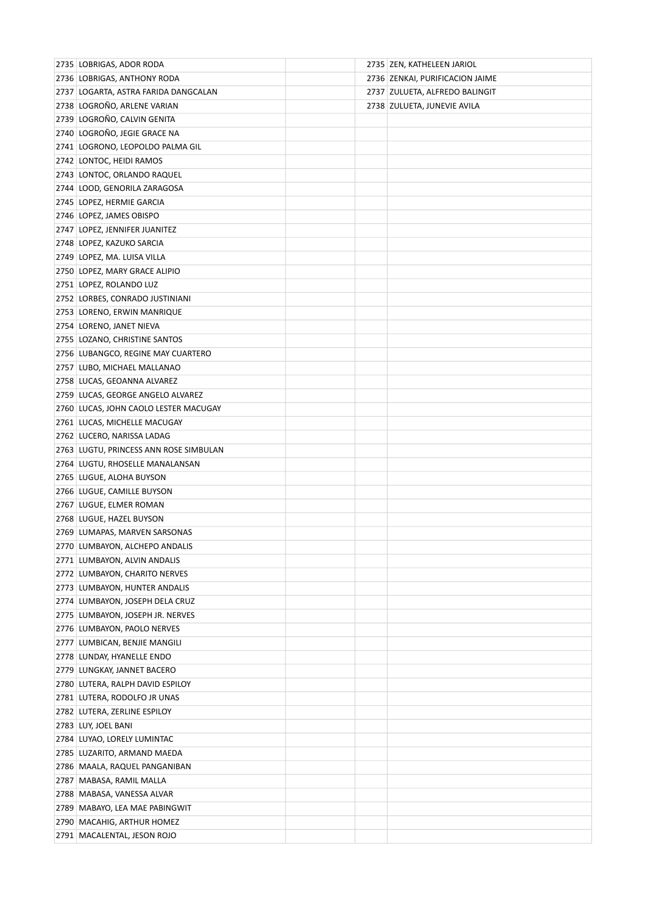| 2735 LOBRIGAS, ADOR RODA               |  | 2735 ZEN, KATHELEEN JARIOL      |
|----------------------------------------|--|---------------------------------|
| 2736 LOBRIGAS, ANTHONY RODA            |  | 2736 ZENKAI, PURIFICACION JAIME |
| 2737 LOGARTA, ASTRA FARIDA DANGCALAN   |  | 2737 ZULUETA, ALFREDO BALINGIT  |
| 2738 LOGROÑO, ARLENE VARIAN            |  | 2738 ZULUETA, JUNEVIE AVILA     |
| 2739 LOGROÑO, CALVIN GENITA            |  |                                 |
| 2740 LOGROÑO, JEGIE GRACE NA           |  |                                 |
| 2741 LOGRONO, LEOPOLDO PALMA GIL       |  |                                 |
| 2742 LONTOC, HEIDI RAMOS               |  |                                 |
| 2743 LONTOC, ORLANDO RAQUEL            |  |                                 |
| 2744 LOOD, GENORILA ZARAGOSA           |  |                                 |
| 2745 LOPEZ, HERMIE GARCIA              |  |                                 |
| 2746 LOPEZ, JAMES OBISPO               |  |                                 |
| 2747 LOPEZ, JENNIFER JUANITEZ          |  |                                 |
| 2748 LOPEZ, KAZUKO SARCIA              |  |                                 |
| 2749 LOPEZ, MA. LUISA VILLA            |  |                                 |
| 2750 LOPEZ, MARY GRACE ALIPIO          |  |                                 |
| 2751 LOPEZ, ROLANDO LUZ                |  |                                 |
| 2752 LORBES, CONRADO JUSTINIANI        |  |                                 |
| 2753 LORENO, ERWIN MANRIQUE            |  |                                 |
| 2754 LORENO, JANET NIEVA               |  |                                 |
| 2755 LOZANO, CHRISTINE SANTOS          |  |                                 |
| 2756 LUBANGCO, REGINE MAY CUARTERO     |  |                                 |
| 2757 LUBO, MICHAEL MALLANAO            |  |                                 |
| 2758 LUCAS, GEOANNA ALVAREZ            |  |                                 |
| 2759 LUCAS, GEORGE ANGELO ALVAREZ      |  |                                 |
| 2760 LUCAS, JOHN CAOLO LESTER MACUGAY  |  |                                 |
| 2761 LUCAS, MICHELLE MACUGAY           |  |                                 |
| 2762 LUCERO, NARISSA LADAG             |  |                                 |
| 2763 LUGTU, PRINCESS ANN ROSE SIMBULAN |  |                                 |
| 2764 LUGTU, RHOSELLE MANALANSAN        |  |                                 |
| 2765 LUGUE, ALOHA BUYSON               |  |                                 |
| 2766 LUGUE, CAMILLE BUYSON             |  |                                 |
| 2767 LUGUE, ELMER ROMAN                |  |                                 |
| 2768 LUGUE, HAZEL BUYSON               |  |                                 |
| 2769 LUMAPAS, MARVEN SARSONAS          |  |                                 |
| 2770 LUMBAYON, ALCHEPO ANDALIS         |  |                                 |
| 2771 LUMBAYON, ALVIN ANDALIS           |  |                                 |
| 2772 LUMBAYON, CHARITO NERVES          |  |                                 |
| 2773 LUMBAYON, HUNTER ANDALIS          |  |                                 |
| 2774 LUMBAYON, JOSEPH DELA CRUZ        |  |                                 |
| 2775 LUMBAYON, JOSEPH JR. NERVES       |  |                                 |
| 2776 LUMBAYON, PAOLO NERVES            |  |                                 |
| 2777 LUMBICAN, BENJIE MANGILI          |  |                                 |
| 2778 LUNDAY, HYANELLE ENDO             |  |                                 |
| 2779 LUNGKAY, JANNET BACERO            |  |                                 |
| 2780 LUTERA, RALPH DAVID ESPILOY       |  |                                 |
| 2781 LUTERA, RODOLFO JR UNAS           |  |                                 |
| 2782 LUTERA, ZERLINE ESPILOY           |  |                                 |
| 2783 LUY, JOEL BANI                    |  |                                 |
| 2784 LUYAO, LORELY LUMINTAC            |  |                                 |
| 2785 LUZARITO, ARMAND MAEDA            |  |                                 |
| 2786   MAALA, RAQUEL PANGANIBAN        |  |                                 |
| 2787   MABASA, RAMIL MALLA             |  |                                 |
| 2788   MABASA, VANESSA ALVAR           |  |                                 |
| 2789 MABAYO, LEA MAE PABINGWIT         |  |                                 |
| 2790   MACAHIG, ARTHUR HOMEZ           |  |                                 |
| 2791 MACALENTAL, JESON ROJO            |  |                                 |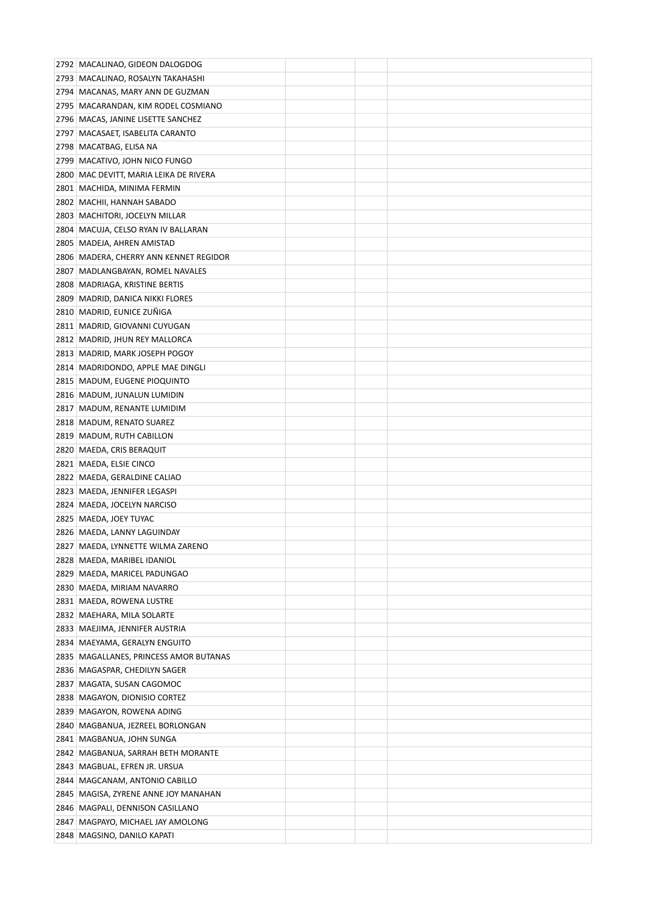| 2792   MACALINAO, GIDEON DALOGDOG                              |  |  |
|----------------------------------------------------------------|--|--|
| 2793   MACALINAO, ROSALYN TAKAHASHI                            |  |  |
| 2794 MACANAS, MARY ANN DE GUZMAN                               |  |  |
| 2795 MACARANDAN, KIM RODEL COSMIANO                            |  |  |
| 2796 MACAS, JANINE LISETTE SANCHEZ                             |  |  |
| 2797 MACASAET, ISABELITA CARANTO                               |  |  |
| 2798 MACATBAG, ELISA NA                                        |  |  |
| 2799 MACATIVO, JOHN NICO FUNGO                                 |  |  |
| 2800 MAC DEVITT, MARIA LEIKA DE RIVERA                         |  |  |
| 2801   MACHIDA, MINIMA FERMIN                                  |  |  |
| 2802 MACHII, HANNAH SABADO                                     |  |  |
| 2803 MACHITORI, JOCELYN MILLAR                                 |  |  |
| 2804 MACUJA, CELSO RYAN IV BALLARAN                            |  |  |
| 2805 MADEJA, AHREN AMISTAD                                     |  |  |
| 2806   MADERA, CHERRY ANN KENNET REGIDOR                       |  |  |
| 2807 MADLANGBAYAN, ROMEL NAVALES                               |  |  |
| 2808 MADRIAGA, KRISTINE BERTIS                                 |  |  |
| 2809 MADRID, DANICA NIKKI FLORES                               |  |  |
| 2810 MADRID, EUNICE ZUNIGA                                     |  |  |
| 2811 MADRID, GIOVANNI CUYUGAN                                  |  |  |
| 2812 MADRID, JHUN REY MALLORCA                                 |  |  |
| 2813   MADRID, MARK JOSEPH POGOY                               |  |  |
| 2814 MADRIDONDO, APPLE MAE DINGLI                              |  |  |
| 2815 MADUM, EUGENE PIOQUINTO                                   |  |  |
| 2816 MADUM, JUNALUN LUMIDIN                                    |  |  |
| 2817 MADUM, RENANTE LUMIDIM                                    |  |  |
| 2818 MADUM, RENATO SUAREZ                                      |  |  |
| 2819 MADUM, RUTH CABILLON                                      |  |  |
| 2820 MAEDA, CRIS BERAQUIT                                      |  |  |
| 2821 MAEDA, ELSIE CINCO                                        |  |  |
| 2822 MAEDA, GERALDINE CALIAO                                   |  |  |
| 2823 MAEDA, JENNIFER LEGASPI                                   |  |  |
| 2824 MAEDA, JOCELYN NARCISO                                    |  |  |
| 2825 MAEDA, JOEY TUYAC                                         |  |  |
| 2826 MAEDA, LANNY LAGUINDAY                                    |  |  |
| 2827 MAEDA, LYNNETTE WILMA ZARENO                              |  |  |
| 2828 MAEDA, MARIBEL IDANIOL                                    |  |  |
| 2829   MAEDA, MARICEL PADUNGAO                                 |  |  |
| 2830 MAEDA, MIRIAM NAVARRO                                     |  |  |
| 2831 MAEDA, ROWENA LUSTRE                                      |  |  |
| 2832 MAEHARA, MILA SOLARTE<br>2833   MAEJIMA, JENNIFER AUSTRIA |  |  |
| 2834 MAEYAMA, GERALYN ENGUITO                                  |  |  |
| 2835 MAGALLANES, PRINCESS AMOR BUTANAS                         |  |  |
| 2836 MAGASPAR, CHEDILYN SAGER                                  |  |  |
| 2837   MAGATA, SUSAN CAGOMOC                                   |  |  |
| 2838 MAGAYON, DIONISIO CORTEZ                                  |  |  |
| 2839 MAGAYON, ROWENA ADING                                     |  |  |
| 2840   MAGBANUA, JEZREEL BORLONGAN                             |  |  |
| 2841   MAGBANUA, JOHN SUNGA                                    |  |  |
| 2842   MAGBANUA, SARRAH BETH MORANTE                           |  |  |
| 2843   MAGBUAL, EFREN JR. URSUA                                |  |  |
| 2844   MAGCANAM, ANTONIO CABILLO                               |  |  |
| 2845   MAGISA, ZYRENE ANNE JOY MANAHAN                         |  |  |
| 2846   MAGPALI, DENNISON CASILLANO                             |  |  |
| 2847   MAGPAYO, MICHAEL JAY AMOLONG                            |  |  |
| 2848 MAGSINO, DANILO KAPATI                                    |  |  |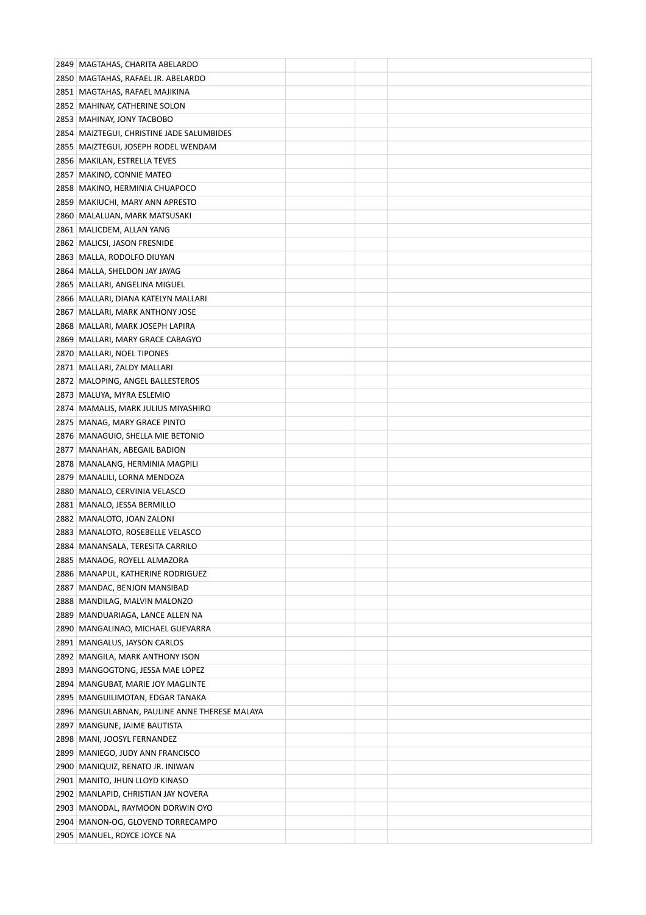| 2849 MAGTAHAS, CHARITA ABELARDO                                  |  |  |
|------------------------------------------------------------------|--|--|
| 2850 MAGTAHAS, RAFAEL JR. ABELARDO                               |  |  |
| 2851   MAGTAHAS, RAFAEL MAJIKINA                                 |  |  |
| 2852 MAHINAY, CATHERINE SOLON                                    |  |  |
| 2853 MAHINAY, JONY TACBOBO                                       |  |  |
| 2854 MAIZTEGUI, CHRISTINE JADE SALUMBIDES                        |  |  |
| 2855 MAIZTEGUI, JOSEPH RODEL WENDAM                              |  |  |
| 2856 MAKILAN, ESTRELLA TEVES                                     |  |  |
| 2857 MAKINO, CONNIE MATEO                                        |  |  |
| 2858   MAKINO, HERMINIA CHUAPOCO                                 |  |  |
| 2859   MAKIUCHI, MARY ANN APRESTO                                |  |  |
| 2860   MALALUAN, MARK MATSUSAKI                                  |  |  |
| 2861   MALICDEM, ALLAN YANG                                      |  |  |
| 2862 MALICSI, JASON FRESNIDE                                     |  |  |
| 2863   MALLA, RODOLFO DIUYAN                                     |  |  |
| 2864 MALLA, SHELDON JAY JAYAG                                    |  |  |
| 2865   MALLARI, ANGELINA MIGUEL                                  |  |  |
| 2866 MALLARI, DIANA KATELYN MALLARI                              |  |  |
| 2867   MALLARI, MARK ANTHONY JOSE                                |  |  |
| 2868 MALLARI, MARK JOSEPH LAPIRA                                 |  |  |
| 2869   MALLARI, MARY GRACE CABAGYO                               |  |  |
| 2870   MALLARI, NOEL TIPONES                                     |  |  |
| 2871 MALLARI, ZALDY MALLARI                                      |  |  |
| 2872 MALOPING, ANGEL BALLESTEROS                                 |  |  |
| 2873 MALUYA, MYRA ESLEMIO                                        |  |  |
| 2874 MAMALIS, MARK JULIUS MIYASHIRO                              |  |  |
| 2875 MANAG, MARY GRACE PINTO                                     |  |  |
| 2876 MANAGUIO, SHELLA MIE BETONIO                                |  |  |
| 2877   MANAHAN, ABEGAIL BADION                                   |  |  |
| 2878 MANALANG, HERMINIA MAGPILI                                  |  |  |
| 2879   MANALILI, LORNA MENDOZA                                   |  |  |
| 2880   MANALO, CERVINIA VELASCO                                  |  |  |
| 2881 MANALO, JESSA BERMILLO                                      |  |  |
| 2882 MANALOTO, JOAN ZALONI                                       |  |  |
| 2883   MANALOTO, ROSEBELLE VELASCO                               |  |  |
| 2884 MANANSALA, TERESITA CARRILO                                 |  |  |
| 2885   MANAOG, ROYELL ALMAZORA                                   |  |  |
| 2886 MANAPUL, KATHERINE RODRIGUEZ                                |  |  |
| 2887 MANDAC, BENJON MANSIBAD                                     |  |  |
| 2888 MANDILAG, MALVIN MALONZO                                    |  |  |
| 2889   MANDUARIAGA, LANCE ALLEN NA                               |  |  |
| 2890 MANGALINAO, MICHAEL GUEVARRA                                |  |  |
| 2891 MANGALUS, JAYSON CARLOS                                     |  |  |
| 2892 MANGILA, MARK ANTHONY ISON                                  |  |  |
| 2893 MANGOGTONG, JESSA MAE LOPEZ                                 |  |  |
| 2894 MANGUBAT, MARIE JOY MAGLINTE                                |  |  |
| 2895   MANGUILIMOTAN, EDGAR TANAKA                               |  |  |
| 2896 MANGULABNAN, PAULINE ANNE THERESE MALAYA                    |  |  |
| 2897   MANGUNE, JAIME BAUTISTA                                   |  |  |
| 2898 MANI, JOOSYL FERNANDEZ                                      |  |  |
| 2899 MANIEGO, JUDY ANN FRANCISCO                                 |  |  |
| 2900   MANIQUIZ, RENATO JR. INIWAN                               |  |  |
| 2901 MANITO, JHUN LLOYD KINASO                                   |  |  |
| 2902 MANLAPID, CHRISTIAN JAY NOVERA                              |  |  |
| 2903 MANODAL, RAYMOON DORWIN OYO                                 |  |  |
| 2904 MANON-OG, GLOVEND TORRECAMPO<br>2905 MANUEL, ROYCE JOYCE NA |  |  |
|                                                                  |  |  |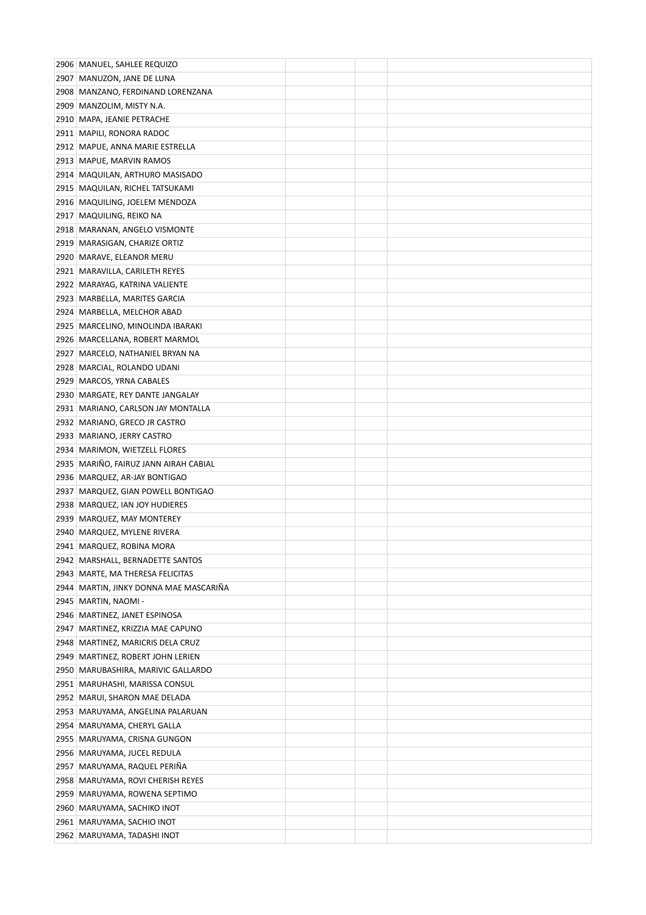| 2906 MANUEL, SAHLEE REQUIZO                                            |  |  |
|------------------------------------------------------------------------|--|--|
| 2907   MANUZON, JANE DE LUNA                                           |  |  |
| 2908 MANZANO, FERDINAND LORENZANA                                      |  |  |
| 2909 MANZOLIM, MISTY N.A.                                              |  |  |
| 2910 MAPA, JEANIE PETRACHE                                             |  |  |
| 2911   MAPILI, RONORA RADOC                                            |  |  |
| 2912 MAPUE, ANNA MARIE ESTRELLA                                        |  |  |
| 2913 MAPUE, MARVIN RAMOS                                               |  |  |
| 2914 MAQUILAN, ARTHURO MASISADO                                        |  |  |
| 2915 MAQUILAN, RICHEL TATSUKAMI                                        |  |  |
| 2916 MAQUILING, JOELEM MENDOZA                                         |  |  |
| 2917   MAQUILING, REIKO NA                                             |  |  |
| 2918 MARANAN, ANGELO VISMONTE                                          |  |  |
| 2919 MARASIGAN, CHARIZE ORTIZ                                          |  |  |
| 2920 MARAVE, ELEANOR MERU                                              |  |  |
| 2921 MARAVILLA, CARILETH REYES                                         |  |  |
| 2922 MARAYAG, KATRINA VALIENTE                                         |  |  |
| 2923 MARBELLA, MARITES GARCIA                                          |  |  |
| 2924 MARBELLA, MELCHOR ABAD                                            |  |  |
| 2925 MARCELINO, MINOLINDA IBARAKI                                      |  |  |
| 2926 MARCELLANA, ROBERT MARMOL                                         |  |  |
| 2927   MARCELO, NATHANIEL BRYAN NA                                     |  |  |
| 2928 MARCIAL, ROLANDO UDANI                                            |  |  |
| 2929 MARCOS, YRNA CABALES                                              |  |  |
| 2930 MARGATE, REY DANTE JANGALAY                                       |  |  |
| 2931 MARIANO, CARLSON JAY MONTALLA                                     |  |  |
| 2932 MARIANO, GRECO JR CASTRO                                          |  |  |
| 2933 MARIANO, JERRY CASTRO                                             |  |  |
| 2934 MARIMON, WIETZELL FLORES                                          |  |  |
| 2935 MARIÑO, FAIRUZ JANN AIRAH CABIAL                                  |  |  |
| 2936 MARQUEZ, AR-JAY BONTIGAO                                          |  |  |
| 2937 MARQUEZ, GIAN POWELL BONTIGAO                                     |  |  |
| 2938 MARQUEZ, IAN JOY HUDIERES                                         |  |  |
| 2939 MARQUEZ, MAY MONTEREY                                             |  |  |
| 2940 MARQUEZ, MYLENE RIVERA                                            |  |  |
| 2941 MARQUEZ, ROBINA MORA                                              |  |  |
| 2942 MARSHALL, BERNADETTE SANTOS                                       |  |  |
| 2943 MARTE, MA THERESA FELICITAS                                       |  |  |
| 2944 MARTIN, JINKY DONNA MAE MASCARIÑA                                 |  |  |
| 2945 MARTIN, NAOMI -                                                   |  |  |
| 2946 MARTINEZ, JANET ESPINOSA                                          |  |  |
| 2947   MARTINEZ, KRIZZIA MAE CAPUNO                                    |  |  |
| 2948 MARTINEZ, MARICRIS DELA CRUZ                                      |  |  |
| 2949   MARTINEZ, ROBERT JOHN LERIEN                                    |  |  |
| 2950 MARUBASHIRA, MARIVIC GALLARDO<br>2951   MARUHASHI, MARISSA CONSUL |  |  |
| 2952 MARUI, SHARON MAE DELADA                                          |  |  |
| 2953   MARUYAMA, ANGELINA PALARUAN                                     |  |  |
| 2954 MARUYAMA, CHERYL GALLA                                            |  |  |
| 2955 MARUYAMA, CRISNA GUNGON                                           |  |  |
| 2956 MARUYAMA, JUCEL REDULA                                            |  |  |
| 2957   MARUYAMA, RAQUEL PERIÑA                                         |  |  |
| 2958 MARUYAMA, ROVI CHERISH REYES                                      |  |  |
| 2959   MARUYAMA, ROWENA SEPTIMO                                        |  |  |
| 2960   MARUYAMA, SACHIKO INOT                                          |  |  |
| 2961 MARUYAMA, SACHIO INOT                                             |  |  |
| 2962 MARUYAMA, TADASHI INOT                                            |  |  |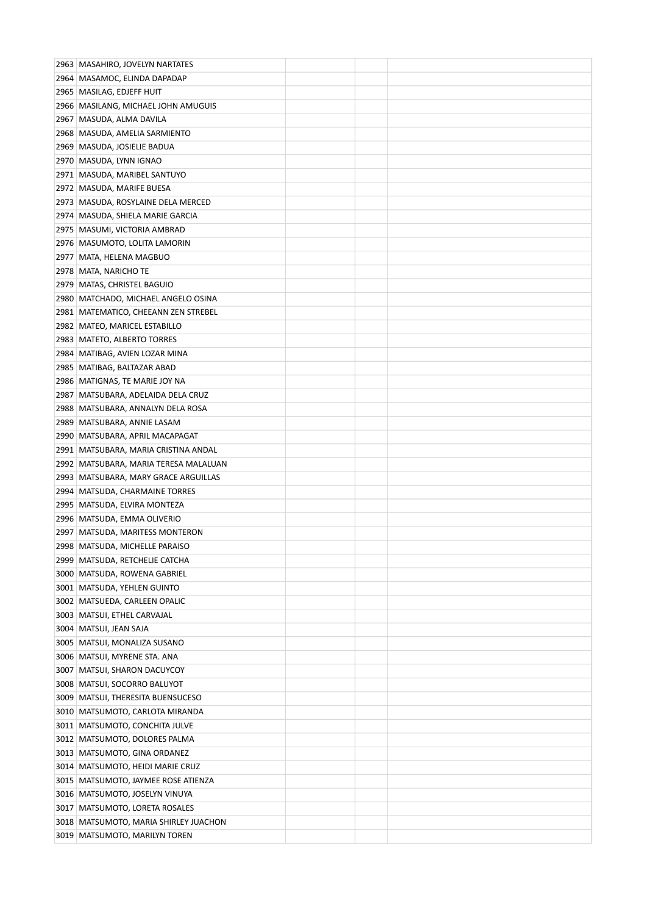| 2963 MASAHIRO, JOVELYN NARTATES                         |  |  |
|---------------------------------------------------------|--|--|
| 2964 MASAMOC, ELINDA DAPADAP                            |  |  |
| 2965   MASILAG, EDJEFF HUIT                             |  |  |
| 2966   MASILANG, MICHAEL JOHN AMUGUIS                   |  |  |
| 2967   MASUDA, ALMA DAVILA                              |  |  |
| 2968 MASUDA, AMELIA SARMIENTO                           |  |  |
| 2969 MASUDA, JOSIELIE BADUA                             |  |  |
| 2970 MASUDA, LYNN IGNAO                                 |  |  |
| 2971 MASUDA, MARIBEL SANTUYO                            |  |  |
| 2972 MASUDA, MARIFE BUESA                               |  |  |
| 2973 MASUDA, ROSYLAINE DELA MERCED                      |  |  |
| 2974   MASUDA, SHIELA MARIE GARCIA                      |  |  |
| 2975   MASUMI, VICTORIA AMBRAD                          |  |  |
| 2976   MASUMOTO, LOLITA LAMORIN                         |  |  |
| 2977   MATA, HELENA MAGBUO                              |  |  |
| 2978 MATA, NARICHO TE                                   |  |  |
| 2979 MATAS, CHRISTEL BAGUIO                             |  |  |
| 2980 MATCHADO, MICHAEL ANGELO OSINA                     |  |  |
| 2981 MATEMATICO, CHEEANN ZEN STREBEL                    |  |  |
| 2982 MATEO, MARICEL ESTABILLO                           |  |  |
| 2983   MATETO, ALBERTO TORRES                           |  |  |
| 2984   MATIBAG, AVIEN LOZAR MINA                        |  |  |
| 2985   MATIBAG, BALTAZAR ABAD                           |  |  |
| 2986 MATIGNAS, TE MARIE JOY NA                          |  |  |
| 2987   MATSUBARA, ADELAIDA DELA CRUZ                    |  |  |
| 2988 MATSUBARA, ANNALYN DELA ROSA                       |  |  |
| 2989   MATSUBARA, ANNIE LASAM                           |  |  |
| 2990 MATSUBARA, APRIL MACAPAGAT                         |  |  |
| 2991 MATSUBARA, MARIA CRISTINA ANDAL                    |  |  |
| 2992 MATSUBARA, MARIA TERESA MALALUAN                   |  |  |
| 2993 MATSUBARA, MARY GRACE ARGUILLAS                    |  |  |
| 2994 MATSUDA, CHARMAINE TORRES                          |  |  |
| 2995 MATSUDA, ELVIRA MONTEZA                            |  |  |
| 2996 MATSUDA, EMMA OLIVERIO                             |  |  |
| 2997   MATSUDA, MARITESS MONTERON                       |  |  |
| 2998 MATSUDA, MICHELLE PARAISO                          |  |  |
| 2999   MATSUDA, RETCHELIE CATCHA                        |  |  |
| 3000 MATSUDA, ROWENA GABRIEL                            |  |  |
| 3001 MATSUDA, YEHLEN GUINTO                             |  |  |
| 3002 MATSUEDA, CARLEEN OPALIC                           |  |  |
| 3003   MATSUI, ETHEL CARVAJAL<br>3004 MATSUI, JEAN SAJA |  |  |
| 3005 MATSUI, MONALIZA SUSANO                            |  |  |
| 3006 MATSUI, MYRENE STA. ANA                            |  |  |
| 3007   MATSUI, SHARON DACUYCOY                          |  |  |
| 3008 MATSUI, SOCORRO BALUYOT                            |  |  |
| 3009 MATSUI, THERESITA BUENSUCESO                       |  |  |
| 3010 MATSUMOTO, CARLOTA MIRANDA                         |  |  |
| 3011   MATSUMOTO, CONCHITA JULVE                        |  |  |
| 3012 MATSUMOTO, DOLORES PALMA                           |  |  |
| 3013 MATSUMOTO, GINA ORDANEZ                            |  |  |
| 3014 MATSUMOTO, HEIDI MARIE CRUZ                        |  |  |
| 3015 MATSUMOTO, JAYMEE ROSE ATIENZA                     |  |  |
| 3016   MATSUMOTO, JOSELYN VINUYA                        |  |  |
| 3017   MATSUMOTO, LORETA ROSALES                        |  |  |
| 3018 MATSUMOTO, MARIA SHIRLEY JUACHON                   |  |  |
| 3019 MATSUMOTO, MARILYN TOREN                           |  |  |